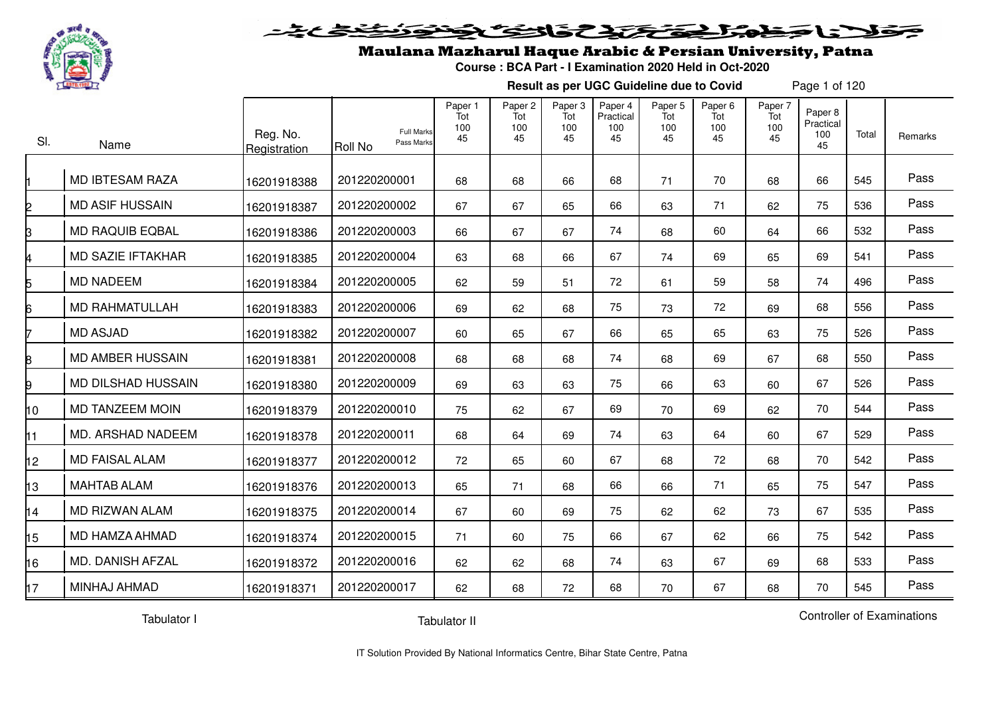

#### <u>لاناخطوا حقيقي المائكانكا</u>  $\bullet$

## Maulana Mazharul Haque Arabic & Persian University, Patna

**Course : BCA Part - I Examination 2020 Held in Oct-2020**

**Result as per UGC Guideline due to Covid**

Page 1 of 120

| SI.             | Name                     | Reg. No.<br>Registration | <b>Full Marks</b><br>Pass Marks<br>Roll No | Paper 1<br>Tot<br>100<br>45 | Paper <sub>2</sub><br>Tot<br>100<br>45 | Paper 3<br>Tot<br>100<br>45 | Paper 4<br>Practical<br>100<br>45 | Paper 5<br>Tot<br>100<br>45 | Paper 6<br>Tot<br>100<br>45 | Paper 7<br>Tot<br>100<br>45 | Paper 8<br>Practical<br>100<br>45 | Total | Remarks |
|-----------------|--------------------------|--------------------------|--------------------------------------------|-----------------------------|----------------------------------------|-----------------------------|-----------------------------------|-----------------------------|-----------------------------|-----------------------------|-----------------------------------|-------|---------|
|                 | <b>MD IBTESAM RAZA</b>   | 16201918388              | 201220200001                               | 68                          | 68                                     | 66                          | 68                                | 71                          | 70                          | 68                          | 66                                | 545   | Pass    |
|                 | <b>MD ASIF HUSSAIN</b>   | 16201918387              | 201220200002                               | 67                          | 67                                     | 65                          | 66                                | 63                          | 71                          | 62                          | 75                                | 536   | Pass    |
|                 | <b>MD RAQUIB EQBAL</b>   | 16201918386              | 201220200003                               | 66                          | 67                                     | 67                          | 74                                | 68                          | 60                          | 64                          | 66                                | 532   | Pass    |
|                 | <b>MD SAZIE IFTAKHAR</b> | 16201918385              | 201220200004                               | 63                          | 68                                     | 66                          | 67                                | 74                          | 69                          | 65                          | 69                                | 541   | Pass    |
|                 | <b>MD NADEEM</b>         | 16201918384              | 201220200005                               | 62                          | 59                                     | 51                          | 72                                | 61                          | 59                          | 58                          | 74                                | 496   | Pass    |
|                 | <b>MD RAHMATULLAH</b>    | 16201918383              | 201220200006                               | 69                          | 62                                     | 68                          | 75                                | 73                          | 72                          | 69                          | 68                                | 556   | Pass    |
|                 | <b>MD ASJAD</b>          | 16201918382              | 201220200007                               | 60                          | 65                                     | 67                          | 66                                | 65                          | 65                          | 63                          | 75                                | 526   | Pass    |
|                 | <b>MD AMBER HUSSAIN</b>  | 16201918381              | 201220200008                               | 68                          | 68                                     | 68                          | 74                                | 68                          | 69                          | 67                          | 68                                | 550   | Pass    |
|                 | MD DILSHAD HUSSAIN       | 16201918380              | 201220200009                               | 69                          | 63                                     | 63                          | 75                                | 66                          | 63                          | 60                          | 67                                | 526   | Pass    |
| 10              | <b>MD TANZEEM MOIN</b>   | 16201918379              | 201220200010                               | 75                          | 62                                     | 67                          | 69                                | 70                          | 69                          | 62                          | 70                                | 544   | Pass    |
| 11              | MD. ARSHAD NADEEM        | 16201918378              | 201220200011                               | 68                          | 64                                     | 69                          | 74                                | 63                          | 64                          | 60                          | 67                                | 529   | Pass    |
| 12 <sup>2</sup> | <b>MD FAISAL ALAM</b>    | 16201918377              | 201220200012                               | 72                          | 65                                     | 60                          | 67                                | 68                          | 72                          | 68                          | 70                                | 542   | Pass    |
| 13              | <b>MAHTAB ALAM</b>       | 16201918376              | 201220200013                               | 65                          | 71                                     | 68                          | 66                                | 66                          | 71                          | 65                          | 75                                | 547   | Pass    |
| 14              | MD RIZWAN ALAM           | 16201918375              | 201220200014                               | 67                          | 60                                     | 69                          | 75                                | 62                          | 62                          | 73                          | 67                                | 535   | Pass    |
| 15              | MD HAMZA AHMAD           | 16201918374              | 201220200015                               | 71                          | 60                                     | 75                          | 66                                | 67                          | 62                          | 66                          | 75                                | 542   | Pass    |
| 16              | MD. DANISH AFZAL         | 16201918372              | 201220200016                               | 62                          | 62                                     | 68                          | 74                                | 63                          | 67                          | 69                          | 68                                | 533   | Pass    |
| 17              | MINHAJ AHMAD             | 16201918371              | 201220200017                               | 62                          | 68                                     | 72                          | 68                                | 70                          | 67                          | 68                          | 70                                | 545   | Pass    |

Tabulator I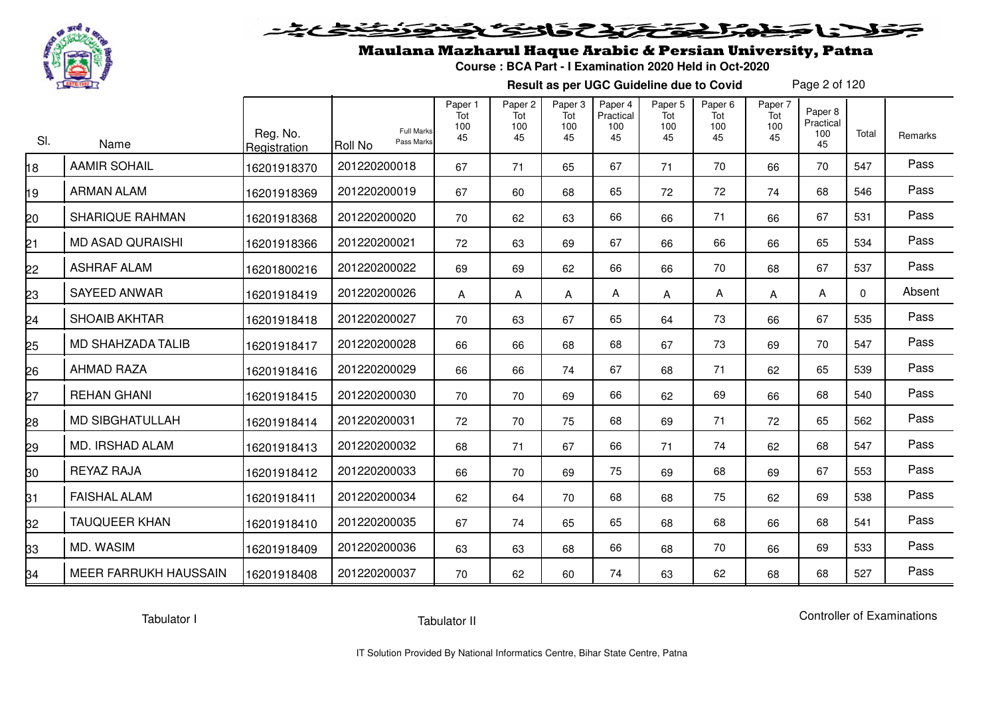

# فلأناخض المتخفض والخفائف

## Maulana Mazharul Haque Arabic & Persian University, Patna

**Course : BCA Part - I Examination 2020 Held in Oct-2020**

**Result as per UGC Guideline due to Covid**

Page 2 of 120

| SI. | Name                     | Reg. No.<br>Registration | <b>Full Marks</b><br>Pass Marks<br><b>Roll No</b> | Paper 1<br>Tot<br>100<br>45 | Paper <sub>2</sub><br>Tot<br>100<br>45 | Paper <sub>3</sub><br>Tot<br>100<br>45 | Paper 4<br>Practical<br>100<br>45 | Paper 5<br>Tot<br>100<br>45 | Paper 6<br>Tot<br>100<br>45 | Paper 7<br>Tot<br>100<br>45 | Paper 8<br>Practical<br>100<br>45 | Total       | Remarks |
|-----|--------------------------|--------------------------|---------------------------------------------------|-----------------------------|----------------------------------------|----------------------------------------|-----------------------------------|-----------------------------|-----------------------------|-----------------------------|-----------------------------------|-------------|---------|
| 81  | <b>AAMIR SOHAIL</b>      | 16201918370              | 201220200018                                      | 67                          | 71                                     | 65                                     | 67                                | 71                          | 70                          | 66                          | 70                                | 547         | Pass    |
| ۱9  | <b>ARMAN ALAM</b>        | 16201918369              | 201220200019                                      | 67                          | 60                                     | 68                                     | 65                                | 72                          | 72                          | 74                          | 68                                | 546         | Pass    |
| 20  | <b>SHARIQUE RAHMAN</b>   | 16201918368              | 201220200020                                      | 70                          | 62                                     | 63                                     | 66                                | 66                          | 71                          | 66                          | 67                                | 531         | Pass    |
| 21  | <b>MD ASAD QURAISHI</b>  | 16201918366              | 201220200021                                      | 72                          | 63                                     | 69                                     | 67                                | 66                          | 66                          | 66                          | 65                                | 534         | Pass    |
| 22  | <b>ASHRAF ALAM</b>       | 16201800216              | 201220200022                                      | 69                          | 69                                     | 62                                     | 66                                | 66                          | 70                          | 68                          | 67                                | 537         | Pass    |
| 23  | <b>SAYEED ANWAR</b>      | 16201918419              | 201220200026                                      | A                           | Α                                      | Α                                      | Α                                 | Α                           | Α                           | Α                           | A                                 | $\mathbf 0$ | Absent  |
| 24  | <b>SHOAIB AKHTAR</b>     | 16201918418              | 201220200027                                      | 70                          | 63                                     | 67                                     | 65                                | 64                          | 73                          | 66                          | 67                                | 535         | Pass    |
| 25  | <b>MD SHAHZADA TALIB</b> | 16201918417              | 201220200028                                      | 66                          | 66                                     | 68                                     | 68                                | 67                          | 73                          | 69                          | 70                                | 547         | Pass    |
| 26  | <b>AHMAD RAZA</b>        | 16201918416              | 201220200029                                      | 66                          | 66                                     | 74                                     | 67                                | 68                          | 71                          | 62                          | 65                                | 539         | Pass    |
| 27  | <b>REHAN GHANI</b>       | 16201918415              | 201220200030                                      | 70                          | 70                                     | 69                                     | 66                                | 62                          | 69                          | 66                          | 68                                | 540         | Pass    |
| 28  | <b>MD SIBGHATULLAH</b>   | 16201918414              | 201220200031                                      | 72                          | 70                                     | 75                                     | 68                                | 69                          | 71                          | 72                          | 65                                | 562         | Pass    |
| 29  | MD. IRSHAD ALAM          | 16201918413              | 201220200032                                      | 68                          | 71                                     | 67                                     | 66                                | 71                          | 74                          | 62                          | 68                                | 547         | Pass    |
| 30  | <b>REYAZ RAJA</b>        | 16201918412              | 201220200033                                      | 66                          | 70                                     | 69                                     | 75                                | 69                          | 68                          | 69                          | 67                                | 553         | Pass    |
| 31  | <b>FAISHAL ALAM</b>      | 16201918411              | 201220200034                                      | 62                          | 64                                     | 70                                     | 68                                | 68                          | 75                          | 62                          | 69                                | 538         | Pass    |
| 32  | <b>TAUQUEER KHAN</b>     | 16201918410              | 201220200035                                      | 67                          | 74                                     | 65                                     | 65                                | 68                          | 68                          | 66                          | 68                                | 541         | Pass    |
| 33  | MD. WASIM                | 16201918409              | 201220200036                                      | 63                          | 63                                     | 68                                     | 66                                | 68                          | 70                          | 66                          | 69                                | 533         | Pass    |
| 34  | MEER FARRUKH HAUSSAIN    | 16201918408              | 201220200037                                      | 70                          | 62                                     | 60                                     | 74                                | 63                          | 62                          | 68                          | 68                                | 527         | Pass    |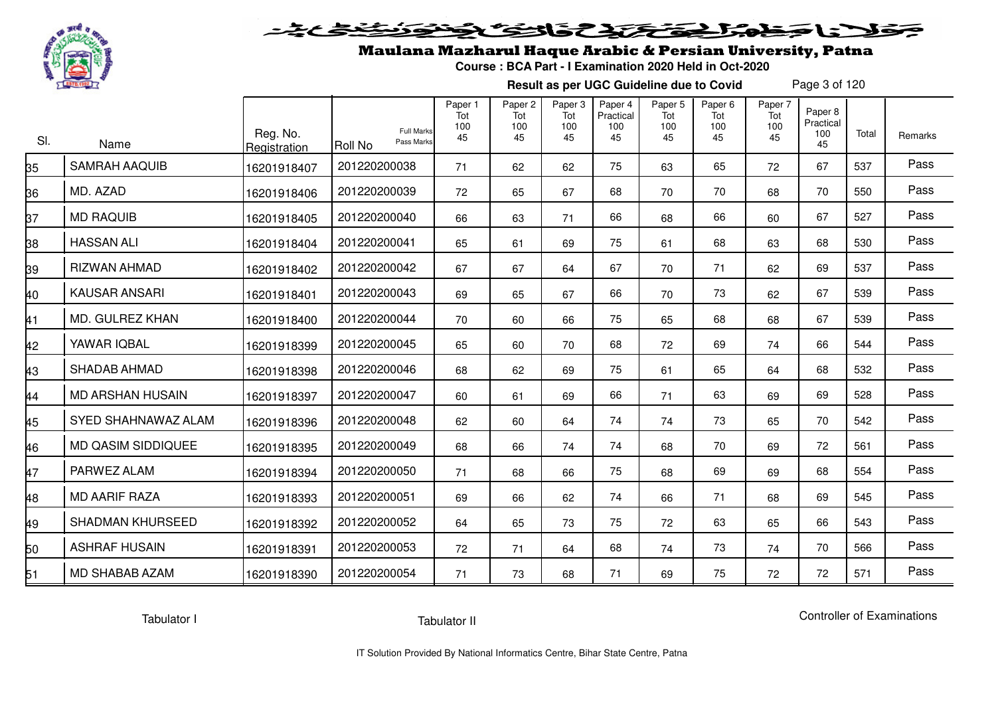

# فلأناخض المتعاطية فتخلفت فالخفض

## Maulana Mazharul Haque Arabic & Persian University, Patna

**Course : BCA Part - I Examination 2020 Held in Oct-2020**

**Result as per UGC Guideline due to Covid**

Page 3 of 120

| SI. | Name                      | Reg. No.<br>Registration | <b>Full Marks</b><br>Pass Marks<br>Roll No | Paper 1<br>Tot<br>100<br>45 | Paper <sub>2</sub><br>Tot<br>100<br>45 | Paper <sub>3</sub><br>Tot<br>100<br>45 | Paper 4<br>Practical<br>100<br>45 | Paper <sub>5</sub><br>Tot<br>100<br>45 | Paper <sub>6</sub><br>Tot<br>100<br>45 | Paper 7<br>Tot<br>100<br>45 | Paper 8<br>Practical<br>100<br>45 | Total | Remarks |
|-----|---------------------------|--------------------------|--------------------------------------------|-----------------------------|----------------------------------------|----------------------------------------|-----------------------------------|----------------------------------------|----------------------------------------|-----------------------------|-----------------------------------|-------|---------|
| 35  | <b>SAMRAH AAQUIB</b>      | 16201918407              | 201220200038                               | 71                          | 62                                     | 62                                     | 75                                | 63                                     | 65                                     | 72                          | 67                                | 537   | Pass    |
| 36  | MD. AZAD                  | 16201918406              | 201220200039                               | 72                          | 65                                     | 67                                     | 68                                | 70                                     | 70                                     | 68                          | 70                                | 550   | Pass    |
| 37  | <b>MD RAQUIB</b>          | 16201918405              | 201220200040                               | 66                          | 63                                     | 71                                     | 66                                | 68                                     | 66                                     | 60                          | 67                                | 527   | Pass    |
| 38  | <b>HASSAN ALI</b>         | 16201918404              | 201220200041                               | 65                          | 61                                     | 69                                     | 75                                | 61                                     | 68                                     | 63                          | 68                                | 530   | Pass    |
| 39  | RIZWAN AHMAD              | 16201918402              | 201220200042                               | 67                          | 67                                     | 64                                     | 67                                | 70                                     | 71                                     | 62                          | 69                                | 537   | Pass    |
| 40  | <b>KAUSAR ANSARI</b>      | 16201918401              | 201220200043                               | 69                          | 65                                     | 67                                     | 66                                | 70                                     | 73                                     | 62                          | 67                                | 539   | Pass    |
| 41  | MD. GULREZ KHAN           | 16201918400              | 201220200044                               | 70                          | 60                                     | 66                                     | 75                                | 65                                     | 68                                     | 68                          | 67                                | 539   | Pass    |
| 42  | YAWAR IQBAL               | 16201918399              | 201220200045                               | 65                          | 60                                     | 70                                     | 68                                | 72                                     | 69                                     | 74                          | 66                                | 544   | Pass    |
| 43  | <b>SHADAB AHMAD</b>       | 16201918398              | 201220200046                               | 68                          | 62                                     | 69                                     | 75                                | 61                                     | 65                                     | 64                          | 68                                | 532   | Pass    |
| 44  | <b>MD ARSHAN HUSAIN</b>   | 16201918397              | 201220200047                               | 60                          | 61                                     | 69                                     | 66                                | 71                                     | 63                                     | 69                          | 69                                | 528   | Pass    |
| 45  | SYED SHAHNAWAZ ALAM       | 16201918396              | 201220200048                               | 62                          | 60                                     | 64                                     | 74                                | 74                                     | 73                                     | 65                          | 70                                | 542   | Pass    |
| 46  | <b>MD QASIM SIDDIQUEE</b> | 16201918395              | 201220200049                               | 68                          | 66                                     | 74                                     | 74                                | 68                                     | 70                                     | 69                          | 72                                | 561   | Pass    |
| 47  | PARWEZ ALAM               | 16201918394              | 201220200050                               | 71                          | 68                                     | 66                                     | 75                                | 68                                     | 69                                     | 69                          | 68                                | 554   | Pass    |
| 48  | <b>MD AARIF RAZA</b>      | 16201918393              | 201220200051                               | 69                          | 66                                     | 62                                     | 74                                | 66                                     | 71                                     | 68                          | 69                                | 545   | Pass    |
| 49  | <b>SHADMAN KHURSEED</b>   | 16201918392              | 201220200052                               | 64                          | 65                                     | 73                                     | 75                                | 72                                     | 63                                     | 65                          | 66                                | 543   | Pass    |
| 50  | <b>ASHRAF HUSAIN</b>      | 16201918391              | 201220200053                               | 72                          | 71                                     | 64                                     | 68                                | 74                                     | 73                                     | 74                          | 70                                | 566   | Pass    |
| 51  | <b>MD SHABAB AZAM</b>     | 16201918390              | 201220200054                               | 71                          | 73                                     | 68                                     | 71                                | 69                                     | 75                                     | 72                          | 72                                | 571   | Pass    |

Tabulator I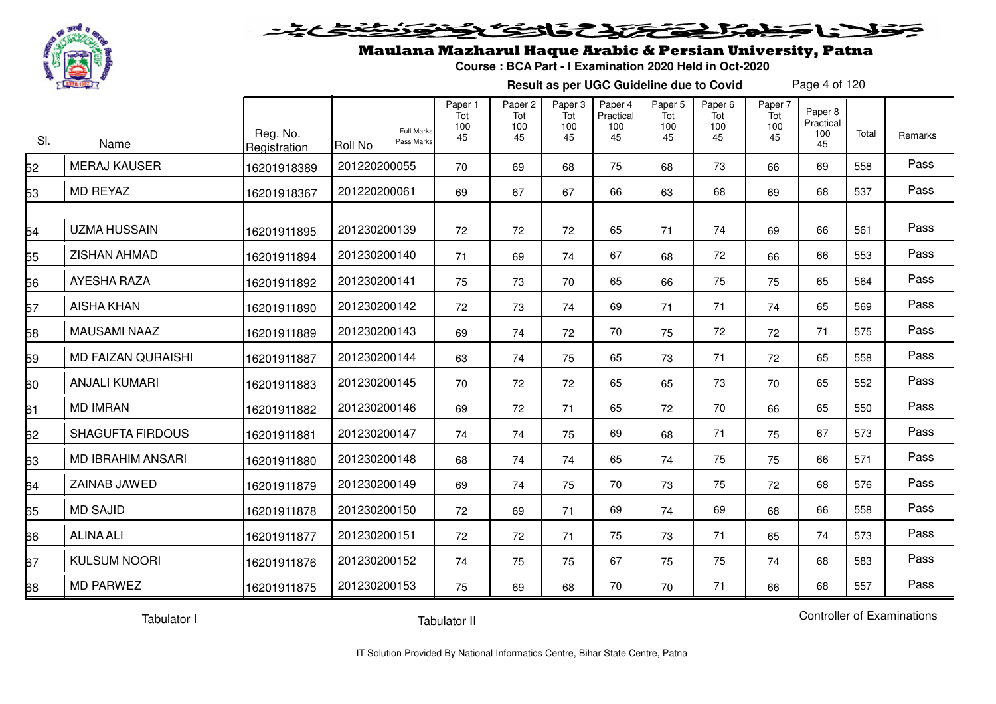

#### **SERIES**  $\blacktriangleright$  15  $\supset$

## Maulana Mazharul Haque Arabic & Persian University, Patna

**Course : BCA Part - I Examination 2020 Held in Oct-2020**

**Result as per UGC Guideline due to Covid**

Page 4 of 120

| SI. | Name                      | Reg. No.<br>Registration | <b>Full Marks</b><br>Pass Marks<br>Roll No | Paper 1<br>Tot<br>100<br>45 | Paper 2<br>Tot<br>100<br>45 | Paper 3<br>Tot<br>100<br>45 | Paper 4<br>Practical<br>100<br>45 | Paper 5<br>Tot<br>100<br>45 | Paper 6<br>Tot<br>100<br>45 | Paper 7<br>Tot<br>100<br>45 | Paper 8<br>Practical<br>100<br>45 | Total | Remarks |
|-----|---------------------------|--------------------------|--------------------------------------------|-----------------------------|-----------------------------|-----------------------------|-----------------------------------|-----------------------------|-----------------------------|-----------------------------|-----------------------------------|-------|---------|
| 52  | <b>MERAJ KAUSER</b>       | 16201918389              | 201220200055                               | 70                          | 69                          | 68                          | 75                                | 68                          | 73                          | 66                          | 69                                | 558   | Pass    |
| 53  | <b>MD REYAZ</b>           | 16201918367              | 201220200061                               | 69                          | 67                          | 67                          | 66                                | 63                          | 68                          | 69                          | 68                                | 537   | Pass    |
| 54  | <b>UZMA HUSSAIN</b>       | 16201911895              | 201230200139                               | 72                          | 72                          | 72                          | 65                                | 71                          | 74                          | 69                          | 66                                | 561   | Pass    |
| 55  | ZISHAN AHMAD              | 16201911894              | 201230200140                               | 71                          | 69                          | 74                          | 67                                | 68                          | 72                          | 66                          | 66                                | 553   | Pass    |
| 56  | <b>AYESHA RAZA</b>        | 16201911892              | 201230200141                               | 75                          | 73                          | 70                          | 65                                | 66                          | 75                          | 75                          | 65                                | 564   | Pass    |
| 57  | <b>AISHA KHAN</b>         | 16201911890              | 201230200142                               | 72                          | 73                          | 74                          | 69                                | 71                          | 71                          | 74                          | 65                                | 569   | Pass    |
| 58  | <b>MAUSAMI NAAZ</b>       | 16201911889              | 201230200143                               | 69                          | 74                          | 72                          | 70                                | 75                          | 72                          | 72                          | 71                                | 575   | Pass    |
| 59  | <b>MD FAIZAN QURAISHI</b> | 16201911887              | 201230200144                               | 63                          | 74                          | 75                          | 65                                | 73                          | 71                          | 72                          | 65                                | 558   | Pass    |
| 60  | <b>ANJALI KUMARI</b>      | 16201911883              | 201230200145                               | 70                          | 72                          | 72                          | 65                                | 65                          | 73                          | 70                          | 65                                | 552   | Pass    |
| 61  | <b>MD IMRAN</b>           | 16201911882              | 201230200146                               | 69                          | 72                          | 71                          | 65                                | 72                          | 70                          | 66                          | 65                                | 550   | Pass    |
| 62  | <b>SHAGUFTA FIRDOUS</b>   | 16201911881              | 201230200147                               | 74                          | 74                          | 75                          | 69                                | 68                          | 71                          | 75                          | 67                                | 573   | Pass    |
| 63  | MD IBRAHIM ANSARI         | 16201911880              | 201230200148                               | 68                          | 74                          | 74                          | 65                                | 74                          | 75                          | 75                          | 66                                | 571   | Pass    |
| 64  | ZAINAB JAWED              | 16201911879              | 201230200149                               | 69                          | 74                          | 75                          | 70                                | 73                          | 75                          | 72                          | 68                                | 576   | Pass    |
| 65  | <b>MD SAJID</b>           | 16201911878              | 201230200150                               | 72                          | 69                          | 71                          | 69                                | 74                          | 69                          | 68                          | 66                                | 558   | Pass    |
| 66  | <b>ALINA ALI</b>          | 16201911877              | 201230200151                               | 72                          | 72                          | 71                          | 75                                | 73                          | 71                          | 65                          | 74                                | 573   | Pass    |
| 67  | <b>KULSUM NOORI</b>       | 16201911876              | 201230200152                               | 74                          | 75                          | 75                          | 67                                | 75                          | 75                          | 74                          | 68                                | 583   | Pass    |
| 68  | <b>MD PARWEZ</b>          | 16201911875              | 201230200153                               | 75                          | 69                          | 68                          | 70                                | 70                          | 71                          | 66                          | 68                                | 557   | Pass    |

Tabulator I

Tabulator II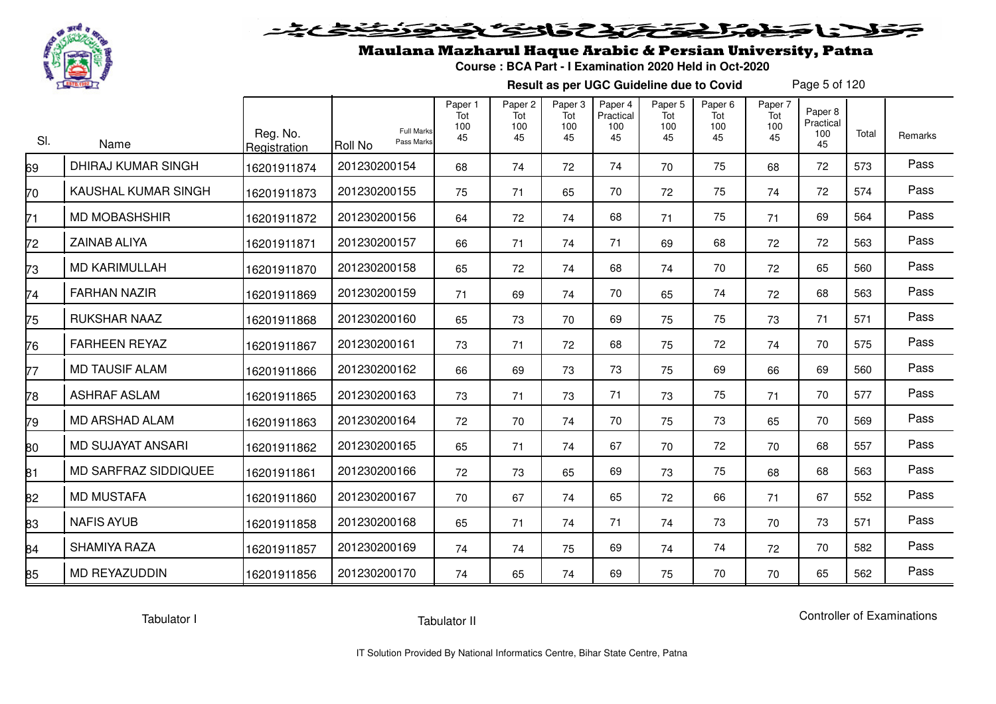

# فلأناجهم الحفظ المؤذان الخفائق

### Maulana Mazharul Haque Arabic & Persian University, Patna

**Course : BCA Part - I Examination 2020 Held in Oct-2020**

**Result as per UGC Guideline due to Covid**

Page 5 of 120

| SI. | Name                        | Reg. No.<br>Registration | <b>Full Marks</b><br>Pass Marks<br><b>Roll No</b> | Paper 1<br>Tot<br>100<br>45 | Paper <sub>2</sub><br>Tot<br>100<br>45 | Paper 3<br>Tot<br>100<br>45 | Paper 4<br>Practical<br>100<br>45 | Paper 5<br>Tot<br>100<br>45 | Paper <sub>6</sub><br>Tot<br>100<br>45 | Paper 7<br>Tot<br>100<br>45 | Paper 8<br>Practical<br>100<br>45 | Total | Remarks |
|-----|-----------------------------|--------------------------|---------------------------------------------------|-----------------------------|----------------------------------------|-----------------------------|-----------------------------------|-----------------------------|----------------------------------------|-----------------------------|-----------------------------------|-------|---------|
| 69  | <b>DHIRAJ KUMAR SINGH</b>   | 16201911874              | 201230200154                                      | 68                          | 74                                     | 72                          | 74                                | 70                          | 75                                     | 68                          | 72                                | 573   | Pass    |
| 70  | KAUSHAL KUMAR SINGH         | 16201911873              | 201230200155                                      | 75                          | 71                                     | 65                          | 70                                | 72                          | 75                                     | 74                          | 72                                | 574   | Pass    |
| 71  | <b>MD MOBASHSHIR</b>        | 16201911872              | 201230200156                                      | 64                          | 72                                     | 74                          | 68                                | 71                          | 75                                     | 71                          | 69                                | 564   | Pass    |
| 72  | <b>ZAINAB ALIYA</b>         | 16201911871              | 201230200157                                      | 66                          | 71                                     | 74                          | 71                                | 69                          | 68                                     | 72                          | 72                                | 563   | Pass    |
| 73  | <b>MD KARIMULLAH</b>        | 16201911870              | 201230200158                                      | 65                          | 72                                     | 74                          | 68                                | 74                          | 70                                     | 72                          | 65                                | 560   | Pass    |
| 74  | <b>FARHAN NAZIR</b>         | 16201911869              | 201230200159                                      | 71                          | 69                                     | 74                          | 70                                | 65                          | 74                                     | 72                          | 68                                | 563   | Pass    |
| 75  | <b>RUKSHAR NAAZ</b>         | 16201911868              | 201230200160                                      | 65                          | 73                                     | 70                          | 69                                | 75                          | 75                                     | 73                          | 71                                | 571   | Pass    |
| 76  | <b>FARHEEN REYAZ</b>        | 16201911867              | 201230200161                                      | 73                          | 71                                     | 72                          | 68                                | 75                          | 72                                     | 74                          | 70                                | 575   | Pass    |
| 77  | <b>MD TAUSIF ALAM</b>       | 16201911866              | 201230200162                                      | 66                          | 69                                     | 73                          | 73                                | 75                          | 69                                     | 66                          | 69                                | 560   | Pass    |
| 78  | <b>ASHRAF ASLAM</b>         | 16201911865              | 201230200163                                      | 73                          | 71                                     | 73                          | 71                                | 73                          | 75                                     | 71                          | 70                                | 577   | Pass    |
| 79  | <b>MD ARSHAD ALAM</b>       | 16201911863              | 201230200164                                      | 72                          | 70                                     | 74                          | 70                                | 75                          | 73                                     | 65                          | 70                                | 569   | Pass    |
| 80  | <b>MD SUJAYAT ANSARI</b>    | 16201911862              | 201230200165                                      | 65                          | 71                                     | 74                          | 67                                | 70                          | 72                                     | 70                          | 68                                | 557   | Pass    |
| 81  | <b>MD SARFRAZ SIDDIQUEE</b> | 16201911861              | 201230200166                                      | 72                          | 73                                     | 65                          | 69                                | 73                          | 75                                     | 68                          | 68                                | 563   | Pass    |
| 82  | <b>MD MUSTAFA</b>           | 16201911860              | 201230200167                                      | 70                          | 67                                     | 74                          | 65                                | 72                          | 66                                     | 71                          | 67                                | 552   | Pass    |
| 83  | <b>NAFIS AYUB</b>           | 16201911858              | 201230200168                                      | 65                          | 71                                     | 74                          | 71                                | 74                          | 73                                     | 70                          | 73                                | 571   | Pass    |
| 84  | <b>SHAMIYA RAZA</b>         | 16201911857              | 201230200169                                      | 74                          | 74                                     | 75                          | 69                                | 74                          | 74                                     | 72                          | 70                                | 582   | Pass    |
| 85  | <b>MD REYAZUDDIN</b>        | 16201911856              | 201230200170                                      | 74                          | 65                                     | 74                          | 69                                | 75                          | 70                                     | 70                          | 65                                | 562   | Pass    |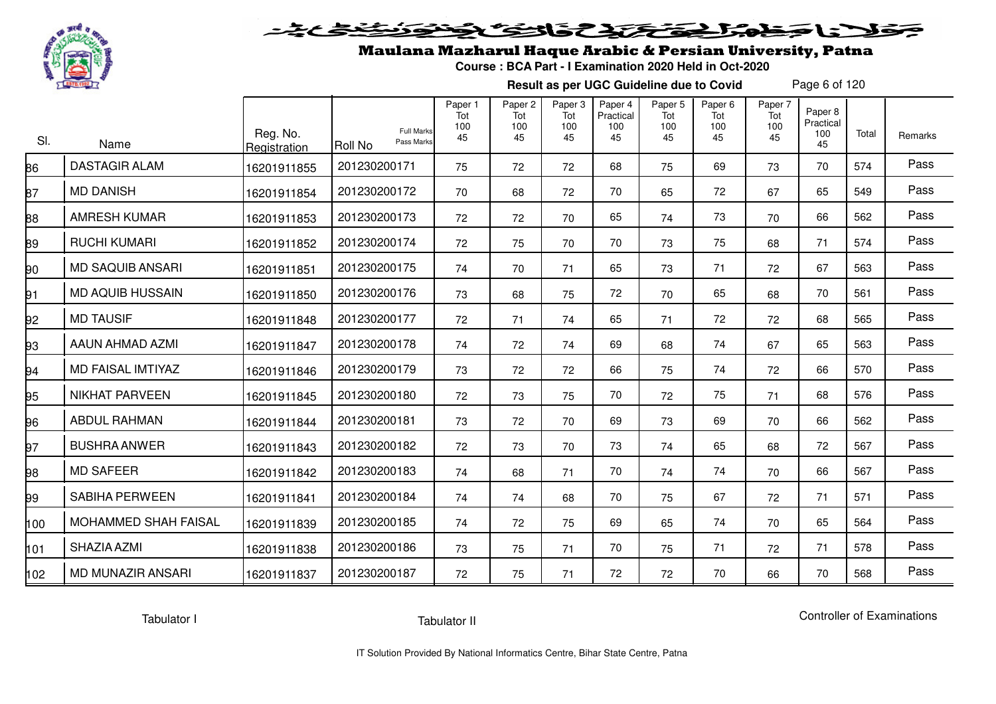

# ولانا وخواجئ وتخلخ فالتوكي

## Maulana Mazharul Haque Arabic & Persian University, Patna

**Course : BCA Part - I Examination 2020 Held in Oct-2020**

**Result as per UGC Guideline due to Covid**

Page 6 of 120

| SI. | Name                     | Reg. No.<br>Registration | <b>Full Marks</b><br>Pass Marks<br><b>Roll No</b> | Paper 1<br>Tot<br>100<br>45 | Paper <sub>2</sub><br>Tot<br>100<br>45 | Paper 3<br>Tot<br>100<br>45 | Paper 4<br>Practical<br>100<br>45 | Paper <sub>5</sub><br>Tot<br>100<br>45 | Paper 6<br>Tot<br>100<br>45 | Paper 7<br>Tot<br>100<br>45 | Paper 8<br>Practical<br>100<br>45 | Total | Remarks |
|-----|--------------------------|--------------------------|---------------------------------------------------|-----------------------------|----------------------------------------|-----------------------------|-----------------------------------|----------------------------------------|-----------------------------|-----------------------------|-----------------------------------|-------|---------|
| 86  | <b>DASTAGIR ALAM</b>     | 16201911855              | 201230200171                                      | 75                          | 72                                     | 72                          | 68                                | 75                                     | 69                          | 73                          | 70                                | 574   | Pass    |
| 37  | <b>MD DANISH</b>         | 16201911854              | 201230200172                                      | 70                          | 68                                     | 72                          | 70                                | 65                                     | 72                          | 67                          | 65                                | 549   | Pass    |
| 38  | <b>AMRESH KUMAR</b>      | 16201911853              | 201230200173                                      | 72                          | 72                                     | 70                          | 65                                | 74                                     | 73                          | 70                          | 66                                | 562   | Pass    |
| 89  | <b>RUCHI KUMARI</b>      | 16201911852              | 201230200174                                      | 72                          | 75                                     | 70                          | 70                                | 73                                     | 75                          | 68                          | 71                                | 574   | Pass    |
| 90  | <b>MD SAQUIB ANSARI</b>  | 16201911851              | 201230200175                                      | 74                          | 70                                     | 71                          | 65                                | 73                                     | 71                          | 72                          | 67                                | 563   | Pass    |
| 91  | <b>MD AQUIB HUSSAIN</b>  | 16201911850              | 201230200176                                      | 73                          | 68                                     | 75                          | 72                                | 70                                     | 65                          | 68                          | 70                                | 561   | Pass    |
| 92  | <b>MD TAUSIF</b>         | 16201911848              | 201230200177                                      | 72                          | 71                                     | 74                          | 65                                | 71                                     | 72                          | 72                          | 68                                | 565   | Pass    |
| 93  | AAUN AHMAD AZMI          | 16201911847              | 201230200178                                      | 74                          | 72                                     | 74                          | 69                                | 68                                     | 74                          | 67                          | 65                                | 563   | Pass    |
| 94  | MD FAISAL IMTIYAZ        | 16201911846              | 201230200179                                      | 73                          | 72                                     | 72                          | 66                                | 75                                     | 74                          | 72                          | 66                                | 570   | Pass    |
| 95  | <b>NIKHAT PARVEEN</b>    | 16201911845              | 201230200180                                      | 72                          | 73                                     | 75                          | 70                                | 72                                     | 75                          | 71                          | 68                                | 576   | Pass    |
| 96  | <b>ABDUL RAHMAN</b>      | 16201911844              | 201230200181                                      | 73                          | 72                                     | 70                          | 69                                | 73                                     | 69                          | 70                          | 66                                | 562   | Pass    |
| 97  | <b>BUSHRA ANWER</b>      | 16201911843              | 201230200182                                      | 72                          | 73                                     | 70                          | 73                                | 74                                     | 65                          | 68                          | 72                                | 567   | Pass    |
| 98  | <b>MD SAFEER</b>         | 16201911842              | 201230200183                                      | 74                          | 68                                     | 71                          | 70                                | 74                                     | 74                          | 70                          | 66                                | 567   | Pass    |
| 99  | <b>SABIHA PERWEEN</b>    | 16201911841              | 201230200184                                      | 74                          | 74                                     | 68                          | 70                                | 75                                     | 67                          | 72                          | 71                                | 571   | Pass    |
| 100 | MOHAMMED SHAH FAISAL     | 16201911839              | 201230200185                                      | 74                          | 72                                     | 75                          | 69                                | 65                                     | 74                          | 70                          | 65                                | 564   | Pass    |
| 101 | SHAZIA AZMI              | 16201911838              | 201230200186                                      | 73                          | 75                                     | 71                          | 70                                | 75                                     | 71                          | 72                          | 71                                | 578   | Pass    |
| 102 | <b>MD MUNAZIR ANSARI</b> | 16201911837              | 201230200187                                      | 72                          | 75                                     | 71                          | 72                                | 72                                     | 70                          | 66                          | 70                                | 568   | Pass    |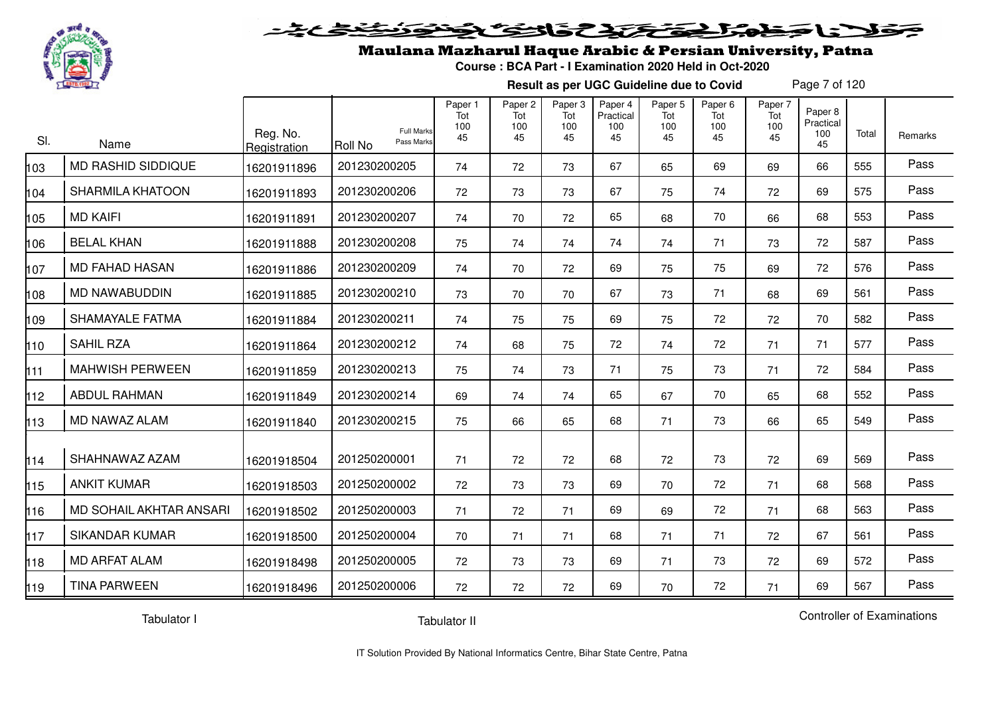

# فلأناخض المتحفظ الخفائف

### Maulana Mazharul Haque Arabic & Persian University, Patna

**Course : BCA Part - I Examination 2020 Held in Oct-2020**

**Result as per UGC Guideline due to Covid**

Page 7 of 120

| SI. | Name                      | Reg. No.<br>Registration | <b>Full Marks</b><br>Pass Marks<br><b>Roll No</b> | Paper 1<br>Tot<br>100<br>45 | Paper 2<br>Tot<br>100<br>45 | Paper 3<br>Tot<br>100<br>45 | Paper 4<br>Practical<br>100<br>45 | Paper 5<br>Tot<br>100<br>45 | Paper <sub>6</sub><br>Tot<br>100<br>45 | Paper 7<br>Tot<br>100<br>45 | Paper 8<br>Practical<br>100<br>45 | Total | Remarks |
|-----|---------------------------|--------------------------|---------------------------------------------------|-----------------------------|-----------------------------|-----------------------------|-----------------------------------|-----------------------------|----------------------------------------|-----------------------------|-----------------------------------|-------|---------|
| 03  | <b>MD RASHID SIDDIQUE</b> | 16201911896              | 201230200205                                      | 74                          | 72                          | 73                          | 67                                | 65                          | 69                                     | 69                          | 66                                | 555   | Pass    |
| 104 | <b>SHARMILA KHATOON</b>   | 16201911893              | 201230200206                                      | 72                          | 73                          | 73                          | 67                                | 75                          | 74                                     | 72                          | 69                                | 575   | Pass    |
| 105 | <b>MD KAIFI</b>           | 16201911891              | 201230200207                                      | 74                          | 70                          | 72                          | 65                                | 68                          | 70                                     | 66                          | 68                                | 553   | Pass    |
| 106 | <b>BELAL KHAN</b>         | 16201911888              | 201230200208                                      | 75                          | 74                          | 74                          | 74                                | 74                          | 71                                     | 73                          | 72                                | 587   | Pass    |
| 107 | <b>MD FAHAD HASAN</b>     | 16201911886              | 201230200209                                      | 74                          | 70                          | 72                          | 69                                | 75                          | 75                                     | 69                          | 72                                | 576   | Pass    |
| 108 | <b>MD NAWABUDDIN</b>      | 16201911885              | 201230200210                                      | 73                          | 70                          | 70                          | 67                                | 73                          | 71                                     | 68                          | 69                                | 561   | Pass    |
| 109 | SHAMAYALE FATMA           | 16201911884              | 201230200211                                      | 74                          | 75                          | 75                          | 69                                | 75                          | 72                                     | 72                          | 70                                | 582   | Pass    |
| 110 | <b>SAHIL RZA</b>          | 16201911864              | 201230200212                                      | 74                          | 68                          | 75                          | 72                                | 74                          | 72                                     | 71                          | 71                                | 577   | Pass    |
| 111 | <b>MAHWISH PERWEEN</b>    | 16201911859              | 201230200213                                      | 75                          | 74                          | 73                          | 71                                | 75                          | 73                                     | 71                          | 72                                | 584   | Pass    |
| 112 | <b>ABDUL RAHMAN</b>       | 16201911849              | 201230200214                                      | 69                          | 74                          | 74                          | 65                                | 67                          | 70                                     | 65                          | 68                                | 552   | Pass    |
| 113 | MD NAWAZ ALAM             | 16201911840              | 201230200215                                      | 75                          | 66                          | 65                          | 68                                | 71                          | 73                                     | 66                          | 65                                | 549   | Pass    |
| 114 | SHAHNAWAZ AZAM            | 16201918504              | 201250200001                                      | 71                          | 72                          | 72                          | 68                                | 72                          | 73                                     | 72                          | 69                                | 569   | Pass    |
| 115 | <b>ANKIT KUMAR</b>        | 16201918503              | 201250200002                                      | 72                          | 73                          | 73                          | 69                                | 70                          | 72                                     | 71                          | 68                                | 568   | Pass    |
| 116 | MD SOHAIL AKHTAR ANSARI   | 16201918502              | 201250200003                                      | 71                          | 72                          | 71                          | 69                                | 69                          | 72                                     | 71                          | 68                                | 563   | Pass    |
| 117 | <b>SIKANDAR KUMAR</b>     | 16201918500              | 201250200004                                      | 70                          | 71                          | 71                          | 68                                | 71                          | 71                                     | 72                          | 67                                | 561   | Pass    |
| 118 | <b>MD ARFAT ALAM</b>      | 16201918498              | 201250200005                                      | 72                          | 73                          | 73                          | 69                                | 71                          | 73                                     | 72                          | 69                                | 572   | Pass    |
| 119 | <b>TINA PARWEEN</b>       | 16201918496              | 201250200006                                      | 72                          | 72                          | 72                          | 69                                | 70                          | 72                                     | 71                          | 69                                | 567   | Pass    |

Tabulator I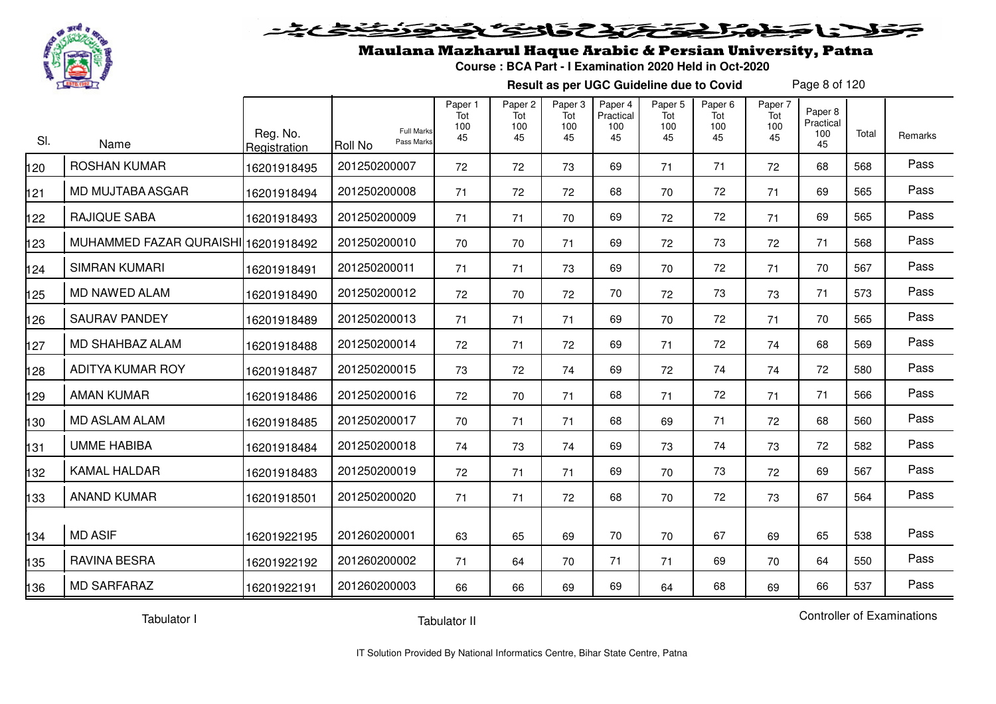

#### فتحتحلن فالحفظ  $\geq$

## Maulana Mazharul Haque Arabic & Persian University, Patna

**Course : BCA Part - I Examination 2020 Held in Oct-2020**

**Result as per UGC Guideline due to Covid**

Page 8 of 120

| SI. | Name                                | Reg. No.<br>Registration | <b>Full Marks</b><br>Pass Marks<br>Roll No | Paper 1<br>Tot<br>100<br>45 | Paper 2<br>Tot<br>100<br>45 | Paper 3<br>Tot<br>100<br>45 | Paper 4<br>Practical<br>100<br>45 | Paper 5<br>Tot<br>100<br>45 | Paper 6<br>Tot<br>100<br>45 | Paper 7<br>Tot<br>100<br>45 | Paper 8<br>Practical<br>100<br>45 | Total | Remarks |
|-----|-------------------------------------|--------------------------|--------------------------------------------|-----------------------------|-----------------------------|-----------------------------|-----------------------------------|-----------------------------|-----------------------------|-----------------------------|-----------------------------------|-------|---------|
| 20  | <b>ROSHAN KUMAR</b>                 | 16201918495              | 201250200007                               | 72                          | 72                          | 73                          | 69                                | 71                          | 71                          | 72                          | 68                                | 568   | Pass    |
| 121 | MD MUJTABA ASGAR                    | 16201918494              | 201250200008                               | 71                          | 72                          | 72                          | 68                                | 70                          | 72                          | 71                          | 69                                | 565   | Pass    |
| 122 | <b>RAJIQUE SABA</b>                 | 16201918493              | 201250200009                               | 71                          | 71                          | 70                          | 69                                | 72                          | 72                          | 71                          | 69                                | 565   | Pass    |
| 123 | MUHAMMED FAZAR QURAISHI 16201918492 |                          | 201250200010                               | 70                          | 70                          | 71                          | 69                                | 72                          | 73                          | 72                          | 71                                | 568   | Pass    |
| 124 | <b>SIMRAN KUMARI</b>                | 16201918491              | 201250200011                               | 71                          | 71                          | 73                          | 69                                | 70                          | 72                          | 71                          | 70                                | 567   | Pass    |
| 125 | MD NAWED ALAM                       | 16201918490              | 201250200012                               | 72                          | 70                          | 72                          | 70                                | 72                          | 73                          | 73                          | 71                                | 573   | Pass    |
| 26  | <b>SAURAV PANDEY</b>                | 16201918489              | 201250200013                               | 71                          | 71                          | 71                          | 69                                | 70                          | 72                          | 71                          | 70                                | 565   | Pass    |
| 127 | MD SHAHBAZ ALAM                     | 16201918488              | 201250200014                               | 72                          | 71                          | 72                          | 69                                | 71                          | 72                          | 74                          | 68                                | 569   | Pass    |
| 128 | ADITYA KUMAR ROY                    | 16201918487              | 201250200015                               | 73                          | 72                          | 74                          | 69                                | 72                          | 74                          | 74                          | 72                                | 580   | Pass    |
| 129 | <b>AMAN KUMAR</b>                   | 16201918486              | 201250200016                               | 72                          | 70                          | 71                          | 68                                | 71                          | 72                          | 71                          | 71                                | 566   | Pass    |
| 30  | <b>MD ASLAM ALAM</b>                | 16201918485              | 201250200017                               | 70                          | 71                          | 71                          | 68                                | 69                          | 71                          | 72                          | 68                                | 560   | Pass    |
| 131 | <b>UMME HABIBA</b>                  | 16201918484              | 201250200018                               | 74                          | 73                          | 74                          | 69                                | 73                          | 74                          | 73                          | 72                                | 582   | Pass    |
| 132 | <b>KAMAL HALDAR</b>                 | 16201918483              | 201250200019                               | 72                          | 71                          | 71                          | 69                                | 70                          | 73                          | 72                          | 69                                | 567   | Pass    |
| 133 | <b>ANAND KUMAR</b>                  | 16201918501              | 201250200020                               | 71                          | 71                          | 72                          | 68                                | 70                          | 72                          | 73                          | 67                                | 564   | Pass    |
| 134 | <b>MD ASIF</b>                      | 16201922195              | 201260200001                               | 63                          | 65                          | 69                          | 70                                | 70                          | 67                          | 69                          | 65                                | 538   | Pass    |
| 35  | <b>RAVINA BESRA</b>                 | 16201922192              | 201260200002                               | 71                          | 64                          | 70                          | 71                                | 71                          | 69                          | 70                          | 64                                | 550   | Pass    |
| 136 | <b>MD SARFARAZ</b>                  | 16201922191              | 201260200003                               | 66                          | 66                          | 69                          | 69                                | 64                          | 68                          | 69                          | 66                                | 537   | Pass    |

Tabulator I

Tabulator II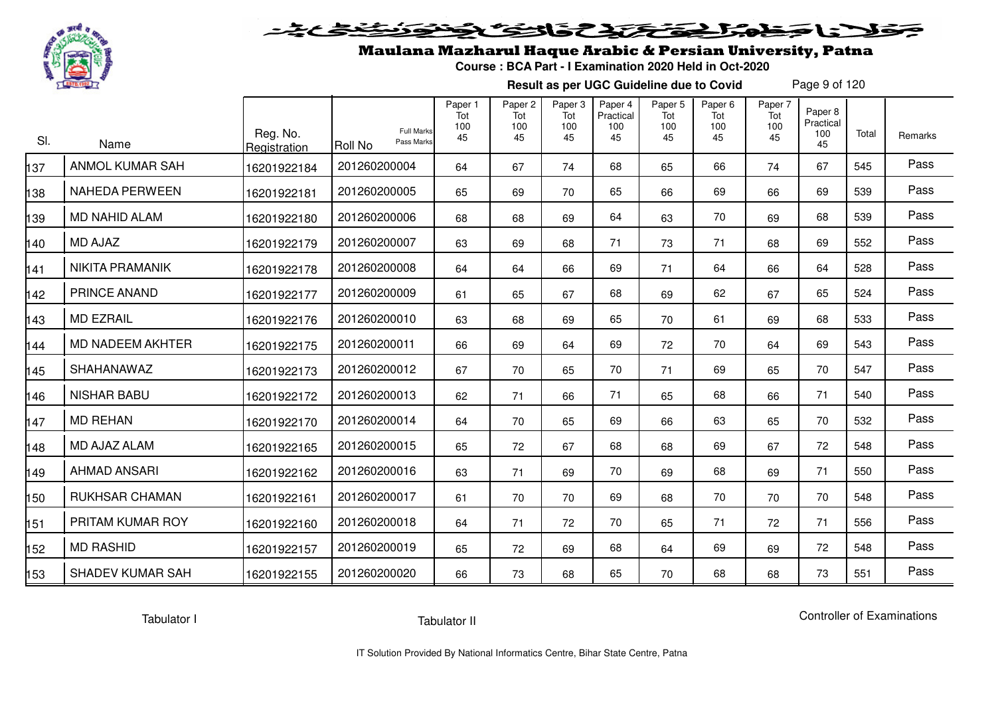

# فلأناخض المتعاطية فتخلفت فالخفض

## Maulana Mazharul Haque Arabic & Persian University, Patna

**Course : BCA Part - I Examination 2020 Held in Oct-2020**

**Result as per UGC Guideline due to Covid**

Page 9 of 120

| SI. | Name                    | Reg. No.<br>Registration | <b>Full Marks</b><br>Pass Marks<br><b>Roll No</b> | Paper 1<br>Tot<br>100<br>45 | Paper 2<br>Tot<br>100<br>45 | Paper 3<br>Tot<br>100<br>45 | Paper 4<br>Practical<br>100<br>45 | Paper 5<br>Tot<br>100<br>45 | Paper <sub>6</sub><br>Tot<br>100<br>45 | Paper 7<br>Tot<br>100<br>45 | Paper <sub>8</sub><br>Practical<br>100<br>45 | Total | Remarks |
|-----|-------------------------|--------------------------|---------------------------------------------------|-----------------------------|-----------------------------|-----------------------------|-----------------------------------|-----------------------------|----------------------------------------|-----------------------------|----------------------------------------------|-------|---------|
| 37  | <b>ANMOL KUMAR SAH</b>  | 16201922184              | 201260200004                                      | 64                          | 67                          | 74                          | 68                                | 65                          | 66                                     | 74                          | 67                                           | 545   | Pass    |
| 138 | <b>NAHEDA PERWEEN</b>   | 16201922181              | 201260200005                                      | 65                          | 69                          | 70                          | 65                                | 66                          | 69                                     | 66                          | 69                                           | 539   | Pass    |
| 39  | <b>MD NAHID ALAM</b>    | 16201922180              | 201260200006                                      | 68                          | 68                          | 69                          | 64                                | 63                          | 70                                     | 69                          | 68                                           | 539   | Pass    |
| 140 | <b>MD AJAZ</b>          | 16201922179              | 201260200007                                      | 63                          | 69                          | 68                          | 71                                | 73                          | 71                                     | 68                          | 69                                           | 552   | Pass    |
| 141 | <b>NIKITA PRAMANIK</b>  | 16201922178              | 201260200008                                      | 64                          | 64                          | 66                          | 69                                | 71                          | 64                                     | 66                          | 64                                           | 528   | Pass    |
| 142 | PRINCE ANAND            | 16201922177              | 201260200009                                      | 61                          | 65                          | 67                          | 68                                | 69                          | 62                                     | 67                          | 65                                           | 524   | Pass    |
| 143 | <b>MD EZRAIL</b>        | 16201922176              | 201260200010                                      | 63                          | 68                          | 69                          | 65                                | 70                          | 61                                     | 69                          | 68                                           | 533   | Pass    |
| 144 | <b>MD NADEEM AKHTER</b> | 16201922175              | 201260200011                                      | 66                          | 69                          | 64                          | 69                                | 72                          | 70                                     | 64                          | 69                                           | 543   | Pass    |
| 145 | SHAHANAWAZ              | 16201922173              | 201260200012                                      | 67                          | 70                          | 65                          | 70                                | 71                          | 69                                     | 65                          | 70                                           | 547   | Pass    |
| 146 | <b>NISHAR BABU</b>      | 16201922172              | 201260200013                                      | 62                          | 71                          | 66                          | 71                                | 65                          | 68                                     | 66                          | 71                                           | 540   | Pass    |
| 147 | <b>MD REHAN</b>         | 16201922170              | 201260200014                                      | 64                          | 70                          | 65                          | 69                                | 66                          | 63                                     | 65                          | 70                                           | 532   | Pass    |
| 148 | MD AJAZ ALAM            | 16201922165              | 201260200015                                      | 65                          | 72                          | 67                          | 68                                | 68                          | 69                                     | 67                          | 72                                           | 548   | Pass    |
| 149 | <b>AHMAD ANSARI</b>     | 16201922162              | 201260200016                                      | 63                          | 71                          | 69                          | 70                                | 69                          | 68                                     | 69                          | 71                                           | 550   | Pass    |
| 150 | <b>RUKHSAR CHAMAN</b>   | 16201922161              | 201260200017                                      | 61                          | 70                          | 70                          | 69                                | 68                          | 70                                     | 70                          | 70                                           | 548   | Pass    |
| 151 | PRITAM KUMAR ROY        | 16201922160              | 201260200018                                      | 64                          | 71                          | 72                          | 70                                | 65                          | 71                                     | 72                          | 71                                           | 556   | Pass    |
| 152 | <b>MD RASHID</b>        | 16201922157              | 201260200019                                      | 65                          | 72                          | 69                          | 68                                | 64                          | 69                                     | 69                          | 72                                           | 548   | Pass    |
| 153 | <b>SHADEV KUMAR SAH</b> | 16201922155              | 201260200020                                      | 66                          | 73                          | 68                          | 65                                | 70                          | 68                                     | 68                          | 73                                           | 551   | Pass    |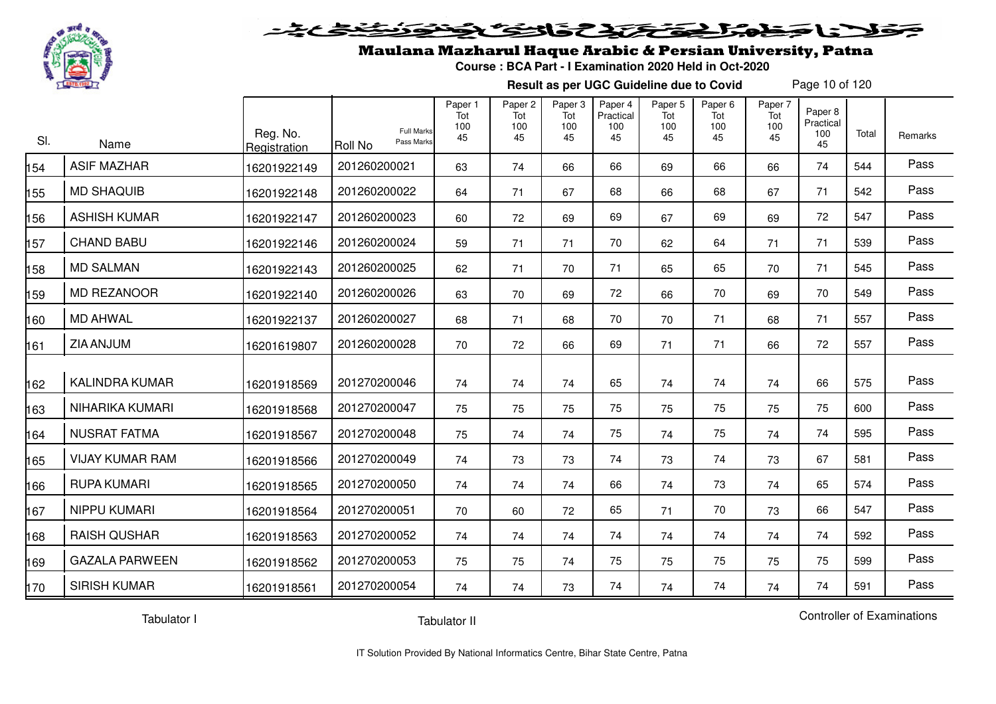

#### 20202222325.0  $\blacktriangleright$   $\blacktriangleright$   $\blacktriangleright$

## Maulana Mazharul Haque Arabic & Persian University, Patna

**Course : BCA Part - I Examination 2020 Held in Oct-2020**

**Result as per UGC Guideline due to Covid**

Page 10 of 120

| SI. | Name                   | Reg. No.<br>Registration | <b>Full Marks</b><br>Pass Marks<br>Roll No | Paper 1<br>Tot<br>100<br>45 | Paper 2<br>Tot<br>100<br>45 | Paper 3<br>Tot<br>100<br>45 | Paper 4<br>Practical<br>100<br>45 | Paper 5<br>Tot<br>100<br>45 | Paper <sub>6</sub><br>Tot<br>100<br>45 | Paper 7<br>Tot<br>100<br>45 | Paper 8<br>Practical<br>100<br>45 | Total | Remarks |
|-----|------------------------|--------------------------|--------------------------------------------|-----------------------------|-----------------------------|-----------------------------|-----------------------------------|-----------------------------|----------------------------------------|-----------------------------|-----------------------------------|-------|---------|
| 54  | <b>ASIF MAZHAR</b>     | 16201922149              | 201260200021                               | 63                          | 74                          | 66                          | 66                                | 69                          | 66                                     | 66                          | 74                                | 544   | Pass    |
| 55  | <b>MD SHAQUIB</b>      | 16201922148              | 201260200022                               | 64                          | 71                          | 67                          | 68                                | 66                          | 68                                     | 67                          | 71                                | 542   | Pass    |
| 56  | <b>ASHISH KUMAR</b>    | 16201922147              | 201260200023                               | 60                          | 72                          | 69                          | 69                                | 67                          | 69                                     | 69                          | 72                                | 547   | Pass    |
| 157 | <b>CHAND BABU</b>      | 16201922146              | 201260200024                               | 59                          | 71                          | 71                          | 70                                | 62                          | 64                                     | 71                          | 71                                | 539   | Pass    |
| 158 | <b>MD SALMAN</b>       | 16201922143              | 201260200025                               | 62                          | 71                          | 70                          | 71                                | 65                          | 65                                     | 70                          | 71                                | 545   | Pass    |
| 59  | <b>MD REZANOOR</b>     | 16201922140              | 201260200026                               | 63                          | 70                          | 69                          | 72                                | 66                          | 70                                     | 69                          | 70                                | 549   | Pass    |
| 160 | <b>MD AHWAL</b>        | 16201922137              | 201260200027                               | 68                          | 71                          | 68                          | 70                                | 70                          | 71                                     | 68                          | 71                                | 557   | Pass    |
| 161 | ZIA ANJUM              | 16201619807              | 201260200028                               | 70                          | 72                          | 66                          | 69                                | 71                          | 71                                     | 66                          | 72                                | 557   | Pass    |
| 162 | <b>KALINDRA KUMAR</b>  | 16201918569              | 201270200046                               | 74                          | 74                          | 74                          | 65                                | 74                          | 74                                     | 74                          | 66                                | 575   | Pass    |
| 163 | NIHARIKA KUMARI        | 16201918568              | 201270200047                               | 75                          | 75                          | 75                          | 75                                | 75                          | 75                                     | 75                          | 75                                | 600   | Pass    |
| 164 | <b>NUSRAT FATMA</b>    | 16201918567              | 201270200048                               | 75                          | 74                          | 74                          | 75                                | 74                          | 75                                     | 74                          | 74                                | 595   | Pass    |
| 165 | <b>VIJAY KUMAR RAM</b> | 16201918566              | 201270200049                               | 74                          | 73                          | 73                          | 74                                | 73                          | 74                                     | 73                          | 67                                | 581   | Pass    |
| 166 | <b>RUPA KUMARI</b>     | 16201918565              | 201270200050                               | 74                          | 74                          | 74                          | 66                                | 74                          | 73                                     | 74                          | 65                                | 574   | Pass    |
| 167 | NIPPU KUMARI           | 16201918564              | 201270200051                               | 70                          | 60                          | 72                          | 65                                | 71                          | 70                                     | 73                          | 66                                | 547   | Pass    |
| 168 | <b>RAISH QUSHAR</b>    | 16201918563              | 201270200052                               | 74                          | 74                          | 74                          | 74                                | 74                          | 74                                     | 74                          | 74                                | 592   | Pass    |
| 169 | <b>GAZALA PARWEEN</b>  | 16201918562              | 201270200053                               | 75                          | 75                          | 74                          | 75                                | 75                          | 75                                     | 75                          | 75                                | 599   | Pass    |
| 170 | <b>SIRISH KUMAR</b>    | 16201918561              | 201270200054                               | 74                          | 74                          | 73                          | 74                                | 74                          | 74                                     | 74                          | 74                                | 591   | Pass    |

Tabulator I

Tabulator II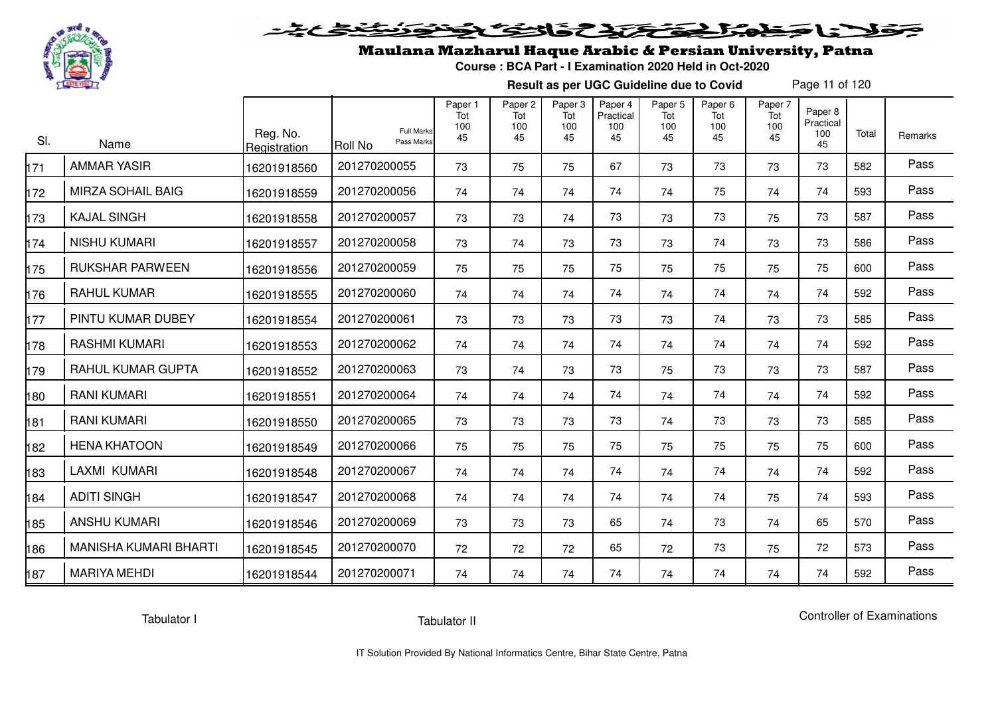

# ولانا وخوالج وتحتك والتوكي

## Maulana Mazharul Haque Arabic & Persian University, Patna

**Course : BCA Part - I Examination 2020 Held in Oct-2020**

**Result as per UGC Guideline due to Covid**

Page 11 of 120

| SI. | Name                         | Reg. No.<br>Registration | <b>Full Marks</b><br>Pass Marks<br><b>Roll No</b> | Paper 1<br>Tot<br>100<br>45 | Paper <sub>2</sub><br>Tot<br>100<br>45 | Paper 3<br>Tot<br>100<br>45 | Paper 4<br>Practical<br>100<br>45 | Paper 5<br>Tot<br>100<br>45 | Paper <sub>6</sub><br>Tot<br>100<br>45 | Paper 7<br>Tot<br>100<br>45 | Paper 8<br>Practical<br>100<br>45 | Total | Remarks |
|-----|------------------------------|--------------------------|---------------------------------------------------|-----------------------------|----------------------------------------|-----------------------------|-----------------------------------|-----------------------------|----------------------------------------|-----------------------------|-----------------------------------|-------|---------|
| 171 | <b>AMMAR YASIR</b>           | 16201918560              | 201270200055                                      | 73                          | 75                                     | 75                          | 67                                | 73                          | 73                                     | 73                          | 73                                | 582   | Pass    |
| 172 | MIRZA SOHAIL BAIG            | 16201918559              | 201270200056                                      | 74                          | 74                                     | 74                          | 74                                | 74                          | 75                                     | 74                          | 74                                | 593   | Pass    |
| 173 | <b>KAJAL SINGH</b>           | 16201918558              | 201270200057                                      | 73                          | 73                                     | 74                          | 73                                | 73                          | 73                                     | 75                          | 73                                | 587   | Pass    |
| 174 | <b>NISHU KUMARI</b>          | 16201918557              | 201270200058                                      | 73                          | 74                                     | 73                          | 73                                | 73                          | 74                                     | 73                          | 73                                | 586   | Pass    |
| 175 | <b>RUKSHAR PARWEEN</b>       | 16201918556              | 201270200059                                      | 75                          | 75                                     | 75                          | 75                                | 75                          | 75                                     | 75                          | 75                                | 600   | Pass    |
| 176 | <b>RAHUL KUMAR</b>           | 16201918555              | 201270200060                                      | 74                          | 74                                     | 74                          | 74                                | 74                          | 74                                     | 74                          | 74                                | 592   | Pass    |
| 177 | PINTU KUMAR DUBEY            | 16201918554              | 201270200061                                      | 73                          | 73                                     | 73                          | 73                                | 73                          | 74                                     | 73                          | 73                                | 585   | Pass    |
| 178 | <b>RASHMI KUMARI</b>         | 16201918553              | 201270200062                                      | 74                          | 74                                     | 74                          | 74                                | 74                          | 74                                     | 74                          | 74                                | 592   | Pass    |
| 179 | RAHUL KUMAR GUPTA            | 16201918552              | 201270200063                                      | 73                          | 74                                     | 73                          | 73                                | 75                          | 73                                     | 73                          | 73                                | 587   | Pass    |
| 180 | <b>RANI KUMARI</b>           | 16201918551              | 201270200064                                      | 74                          | 74                                     | 74                          | 74                                | 74                          | 74                                     | 74                          | 74                                | 592   | Pass    |
| 181 | <b>RANI KUMARI</b>           | 16201918550              | 201270200065                                      | 73                          | 73                                     | 73                          | 73                                | 74                          | 73                                     | 73                          | 73                                | 585   | Pass    |
| 182 | <b>HENA KHATOON</b>          | 16201918549              | 201270200066                                      | 75                          | 75                                     | 75                          | 75                                | 75                          | 75                                     | 75                          | 75                                | 600   | Pass    |
| 183 | LAXMI KUMARI                 | 16201918548              | 201270200067                                      | 74                          | 74                                     | 74                          | 74                                | 74                          | 74                                     | 74                          | 74                                | 592   | Pass    |
| 184 | <b>ADITI SINGH</b>           | 16201918547              | 201270200068                                      | 74                          | 74                                     | 74                          | 74                                | 74                          | 74                                     | 75                          | 74                                | 593   | Pass    |
| 185 | <b>ANSHU KUMARI</b>          | 16201918546              | 201270200069                                      | 73                          | 73                                     | 73                          | 65                                | 74                          | 73                                     | 74                          | 65                                | 570   | Pass    |
| 186 | <b>MANISHA KUMARI BHARTI</b> | 16201918545              | 201270200070                                      | 72                          | 72                                     | 72                          | 65                                | 72                          | 73                                     | 75                          | 72                                | 573   | Pass    |
| 187 | <b>MARIYA MEHDI</b>          | 16201918544              | 201270200071                                      | 74                          | 74                                     | 74                          | 74                                | 74                          | 74                                     | 74                          | 74                                | 592   | Pass    |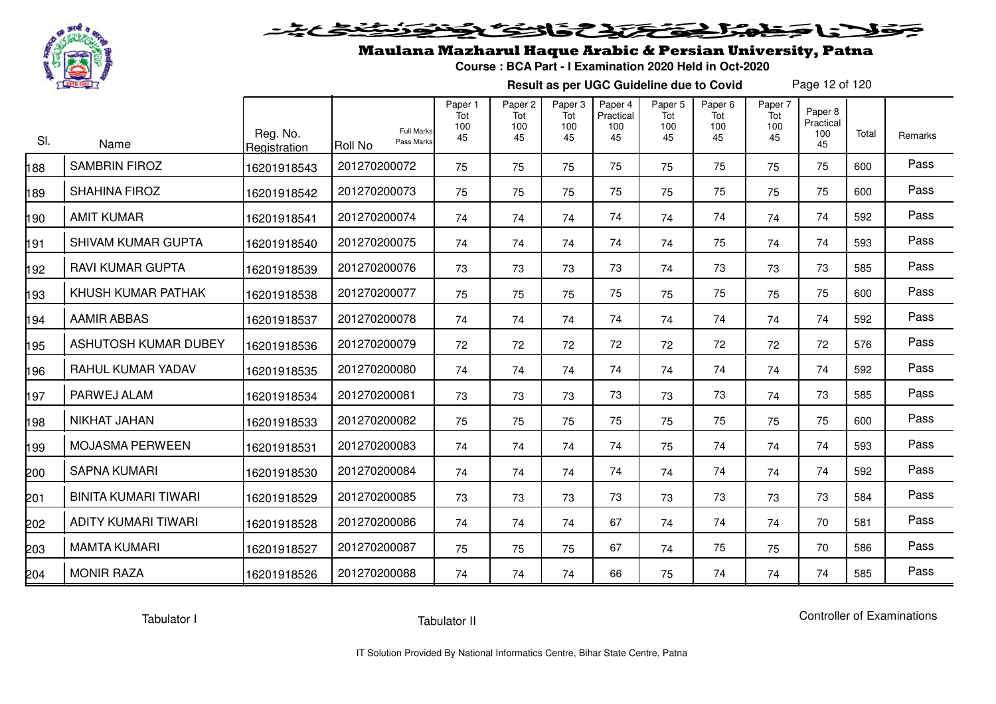

# فلأناخض المتحقح كتحافظ

## Maulana Mazharul Haque Arabic & Persian University, Patna

**Course : BCA Part - I Examination 2020 Held in Oct-2020**

**Result as per UGC Guideline due to Covid**

Page 12 of 120

| SI. | Name                        | Reg. No.<br>Registration | <b>Full Marks</b><br>Pass Marks<br>Roll No | Paper 1<br>Tot<br>100<br>45 | Paper <sub>2</sub><br>Tot<br>100<br>45 | Paper 3<br>Tot<br>100<br>45 | Paper 4<br>Practical<br>100<br>45 | Paper 5<br>Tot<br>100<br>45 | Paper <sub>6</sub><br>Tot<br>100<br>45 | Paper 7<br>Tot<br>100<br>45 | Paper 8<br>Practical<br>100<br>45 | Total | Remarks |
|-----|-----------------------------|--------------------------|--------------------------------------------|-----------------------------|----------------------------------------|-----------------------------|-----------------------------------|-----------------------------|----------------------------------------|-----------------------------|-----------------------------------|-------|---------|
| 88  | <b>SAMBRIN FIROZ</b>        | 16201918543              | 201270200072                               | 75                          | 75                                     | 75                          | 75                                | 75                          | 75                                     | 75                          | 75                                | 600   | Pass    |
| 89  | <b>SHAHINA FIROZ</b>        | 16201918542              | 201270200073                               | 75                          | 75                                     | 75                          | 75                                | 75                          | 75                                     | 75                          | 75                                | 600   | Pass    |
| 190 | <b>AMIT KUMAR</b>           | 16201918541              | 201270200074                               | 74                          | 74                                     | 74                          | 74                                | 74                          | 74                                     | 74                          | 74                                | 592   | Pass    |
| 91  | <b>SHIVAM KUMAR GUPTA</b>   | 16201918540              | 201270200075                               | 74                          | 74                                     | 74                          | 74                                | 74                          | 75                                     | 74                          | 74                                | 593   | Pass    |
| 192 | <b>RAVI KUMAR GUPTA</b>     | 16201918539              | 201270200076                               | 73                          | 73                                     | 73                          | 73                                | 74                          | 73                                     | 73                          | 73                                | 585   | Pass    |
| 93  | KHUSH KUMAR PATHAK          | 16201918538              | 201270200077                               | 75                          | 75                                     | 75                          | 75                                | 75                          | 75                                     | 75                          | 75                                | 600   | Pass    |
| 194 | <b>AAMIR ABBAS</b>          | 16201918537              | 201270200078                               | 74                          | 74                                     | 74                          | 74                                | 74                          | 74                                     | 74                          | 74                                | 592   | Pass    |
| 195 | ASHUTOSH KUMAR DUBEY        | 16201918536              | 201270200079                               | 72                          | 72                                     | 72                          | 72                                | 72                          | 72                                     | 72                          | 72                                | 576   | Pass    |
| 196 | RAHUL KUMAR YADAV           | 16201918535              | 201270200080                               | 74                          | 74                                     | 74                          | 74                                | 74                          | 74                                     | 74                          | 74                                | 592   | Pass    |
| 97  | PARWEJ ALAM                 | 16201918534              | 201270200081                               | 73                          | 73                                     | 73                          | 73                                | 73                          | 73                                     | 74                          | 73                                | 585   | Pass    |
| 98  | NIKHAT JAHAN                | 16201918533              | 201270200082                               | 75                          | 75                                     | 75                          | 75                                | 75                          | 75                                     | 75                          | 75                                | 600   | Pass    |
| 99  | <b>MOJASMA PERWEEN</b>      | 16201918531              | 201270200083                               | 74                          | 74                                     | 74                          | 74                                | 75                          | 74                                     | 74                          | 74                                | 593   | Pass    |
| 200 | <b>SAPNA KUMARI</b>         | 16201918530              | 201270200084                               | 74                          | 74                                     | 74                          | 74                                | 74                          | 74                                     | 74                          | 74                                | 592   | Pass    |
| 201 | <b>BINITA KUMARI TIWARI</b> | 16201918529              | 201270200085                               | 73                          | 73                                     | 73                          | 73                                | 73                          | 73                                     | 73                          | 73                                | 584   | Pass    |
| 202 | <b>ADITY KUMARI TIWARI</b>  | 16201918528              | 201270200086                               | 74                          | 74                                     | 74                          | 67                                | 74                          | 74                                     | 74                          | 70                                | 581   | Pass    |
| 203 | <b>MAMTA KUMARI</b>         | 16201918527              | 201270200087                               | 75                          | 75                                     | 75                          | 67                                | 74                          | 75                                     | 75                          | 70                                | 586   | Pass    |
| 204 | <b>MONIR RAZA</b>           | 16201918526              | 201270200088                               | 74                          | 74                                     | 74                          | 66                                | 75                          | 74                                     | 74                          | 74                                | 585   | Pass    |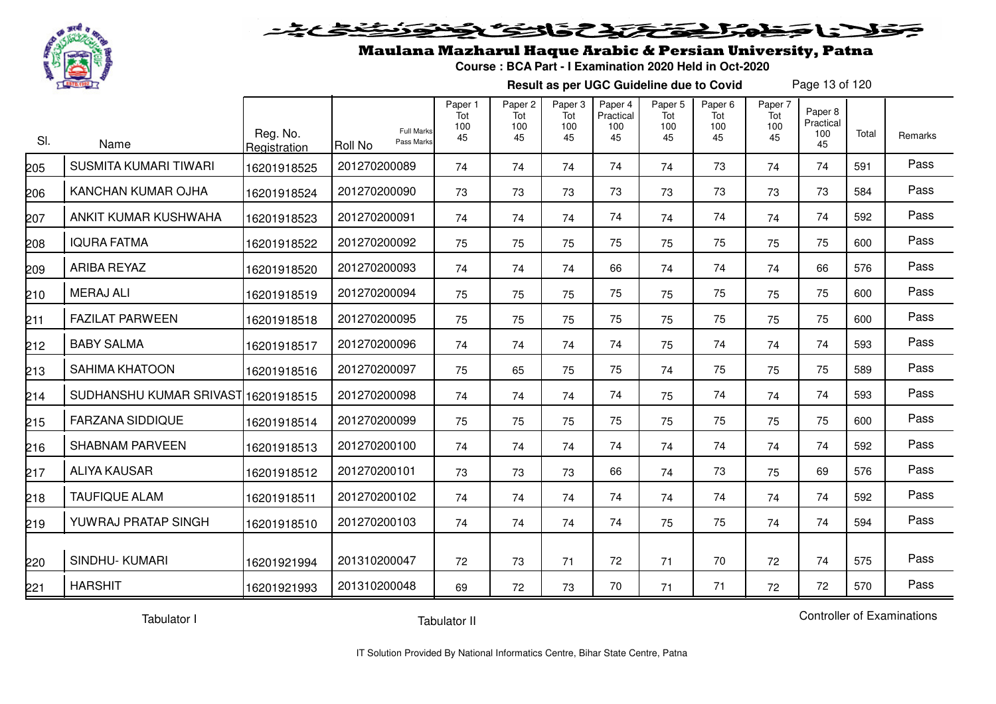

#### 2020 2225 25.00 Sels De

### Maulana Mazharul Haque Arabic & Persian University, Patna

**Course : BCA Part - I Examination 2020 Held in Oct-2020**

**Result as per UGC Guideline due to Covid**

Page 13 of 120

| SI. | Name                         | Reg. No.<br>Registration | <b>Full Marks</b><br>Pass Marks<br><b>Roll No</b> | Paper 1<br>Tot<br>100<br>45 | Paper 2<br>Tot<br>100<br>45 | Paper 3<br>Tot<br>100<br>45 | Paper 4<br>Practical<br>100<br>45 | Paper <sub>5</sub><br>Tot<br>100<br>45 | Paper <sub>6</sub><br>Tot<br>100<br>45 | Paper 7<br>Tot<br>100<br>45 | Paper 8<br>Practical<br>100<br>45 | Total | Remarks |
|-----|------------------------------|--------------------------|---------------------------------------------------|-----------------------------|-----------------------------|-----------------------------|-----------------------------------|----------------------------------------|----------------------------------------|-----------------------------|-----------------------------------|-------|---------|
| 205 | <b>SUSMITA KUMARI TIWARI</b> | 16201918525              | 201270200089                                      | 74                          | 74                          | 74                          | 74                                | 74                                     | 73                                     | 74                          | 74                                | 591   | Pass    |
| 206 | KANCHAN KUMAR OJHA           | 16201918524              | 201270200090                                      | 73                          | 73                          | 73                          | 73                                | 73                                     | 73                                     | 73                          | 73                                | 584   | Pass    |
| 207 | ANKIT KUMAR KUSHWAHA         | 16201918523              | 201270200091                                      | 74                          | 74                          | 74                          | 74                                | 74                                     | 74                                     | 74                          | 74                                | 592   | Pass    |
| 208 | <b>IQURA FATMA</b>           | 16201918522              | 201270200092                                      | 75                          | 75                          | 75                          | 75                                | 75                                     | 75                                     | 75                          | 75                                | 600   | Pass    |
| 209 | <b>ARIBA REYAZ</b>           | 16201918520              | 201270200093                                      | 74                          | 74                          | 74                          | 66                                | 74                                     | 74                                     | 74                          | 66                                | 576   | Pass    |
| 210 | <b>MERAJ ALI</b>             | 16201918519              | 201270200094                                      | 75                          | 75                          | 75                          | 75                                | 75                                     | 75                                     | 75                          | 75                                | 600   | Pass    |
| 211 | <b>FAZILAT PARWEEN</b>       | 16201918518              | 201270200095                                      | 75                          | 75                          | 75                          | 75                                | 75                                     | 75                                     | 75                          | 75                                | 600   | Pass    |
| 212 | <b>BABY SALMA</b>            | 16201918517              | 201270200096                                      | 74                          | 74                          | 74                          | 74                                | 75                                     | 74                                     | 74                          | 74                                | 593   | Pass    |
| 213 | <b>SAHIMA KHATOON</b>        | 16201918516              | 201270200097                                      | 75                          | 65                          | 75                          | 75                                | 74                                     | 75                                     | 75                          | 75                                | 589   | Pass    |
| 214 | SUDHANSHU KUMAR SRIVAST      | 16201918515              | 201270200098                                      | 74                          | 74                          | 74                          | 74                                | 75                                     | 74                                     | 74                          | 74                                | 593   | Pass    |
| 215 | <b>FARZANA SIDDIQUE</b>      | 16201918514              | 201270200099                                      | 75                          | 75                          | 75                          | 75                                | 75                                     | 75                                     | 75                          | 75                                | 600   | Pass    |
| 216 | <b>SHABNAM PARVEEN</b>       | 16201918513              | 201270200100                                      | 74                          | 74                          | 74                          | 74                                | 74                                     | 74                                     | 74                          | 74                                | 592   | Pass    |
| 217 | <b>ALIYA KAUSAR</b>          | 16201918512              | 201270200101                                      | 73                          | 73                          | 73                          | 66                                | 74                                     | 73                                     | 75                          | 69                                | 576   | Pass    |
| 218 | <b>TAUFIQUE ALAM</b>         | 16201918511              | 201270200102                                      | 74                          | 74                          | 74                          | 74                                | 74                                     | 74                                     | 74                          | 74                                | 592   | Pass    |
| 219 | YUWRAJ PRATAP SINGH          | 16201918510              | 201270200103                                      | 74                          | 74                          | 74                          | 74                                | 75                                     | 75                                     | 74                          | 74                                | 594   | Pass    |
| 220 | <b>SINDHU-KUMARI</b>         | 16201921994              | 201310200047                                      | 72                          | 73                          | 71                          | 72                                | 71                                     | 70                                     | 72                          | 74                                | 575   | Pass    |
| 221 | <b>HARSHIT</b>               | 16201921993              | 201310200048                                      | 69                          | 72                          | 73                          | 70                                | 71                                     | 71                                     | 72                          | 72                                | 570   | Pass    |

Tabulator I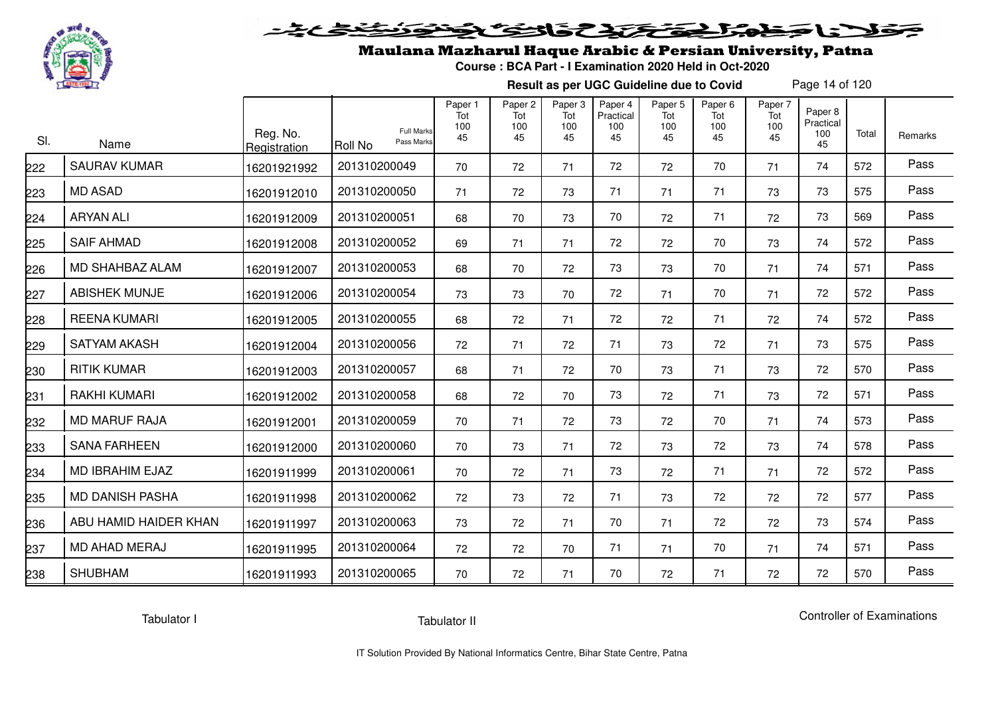

# فلأناخض المتخفض والخفائف

## Maulana Mazharul Haque Arabic & Persian University, Patna

**Course : BCA Part - I Examination 2020 Held in Oct-2020**

**Result as per UGC Guideline due to Covid**

Page 14 of 120

| SI. | Name                   | Reg. No.<br>Registration | <b>Full Marks</b><br>Pass Marks<br><b>Roll No</b> | Paper 1<br>Tot<br>100<br>45 | Paper <sub>2</sub><br>Tot<br>100<br>45 | Paper <sub>3</sub><br>Tot<br>100<br>45 | Paper 4<br>Practical<br>100<br>45 | Paper 5<br>Tot<br>100<br>45 | Paper <sub>6</sub><br>Tot<br>100<br>45 | Paper 7<br>Tot<br>100<br>45 | Paper 8<br>Practical<br>100<br>45 | Total | Remarks |
|-----|------------------------|--------------------------|---------------------------------------------------|-----------------------------|----------------------------------------|----------------------------------------|-----------------------------------|-----------------------------|----------------------------------------|-----------------------------|-----------------------------------|-------|---------|
| 222 | <b>SAURAV KUMAR</b>    | 16201921992              | 201310200049                                      | 70                          | 72                                     | 71                                     | 72                                | 72                          | 70                                     | 71                          | 74                                | 572   | Pass    |
| 223 | <b>MD ASAD</b>         | 16201912010              | 201310200050                                      | 71                          | 72                                     | 73                                     | 71                                | 71                          | 71                                     | 73                          | 73                                | 575   | Pass    |
| 224 | ARYAN ALI              | 16201912009              | 201310200051                                      | 68                          | 70                                     | 73                                     | 70                                | 72                          | 71                                     | 72                          | 73                                | 569   | Pass    |
| 225 | <b>SAIF AHMAD</b>      | 16201912008              | 201310200052                                      | 69                          | 71                                     | 71                                     | 72                                | 72                          | 70                                     | 73                          | 74                                | 572   | Pass    |
| 226 | MD SHAHBAZ ALAM        | 16201912007              | 201310200053                                      | 68                          | 70                                     | 72                                     | 73                                | 73                          | 70                                     | 71                          | 74                                | 571   | Pass    |
| 227 | <b>ABISHEK MUNJE</b>   | 16201912006              | 201310200054                                      | 73                          | 73                                     | 70                                     | 72                                | 71                          | 70                                     | 71                          | 72                                | 572   | Pass    |
| 228 | <b>REENA KUMARI</b>    | 16201912005              | 201310200055                                      | 68                          | 72                                     | 71                                     | 72                                | 72                          | 71                                     | 72                          | 74                                | 572   | Pass    |
| 229 | <b>SATYAM AKASH</b>    | 16201912004              | 201310200056                                      | 72                          | 71                                     | 72                                     | 71                                | 73                          | 72                                     | 71                          | 73                                | 575   | Pass    |
| 230 | <b>RITIK KUMAR</b>     | 16201912003              | 201310200057                                      | 68                          | 71                                     | 72                                     | 70                                | 73                          | 71                                     | 73                          | 72                                | 570   | Pass    |
| 231 | <b>RAKHI KUMARI</b>    | 16201912002              | 201310200058                                      | 68                          | 72                                     | 70                                     | 73                                | 72                          | 71                                     | 73                          | 72                                | 571   | Pass    |
| 232 | <b>MD MARUF RAJA</b>   | 16201912001              | 201310200059                                      | 70                          | 71                                     | 72                                     | 73                                | 72                          | 70                                     | 71                          | 74                                | 573   | Pass    |
| 233 | <b>SANA FARHEEN</b>    | 16201912000              | 201310200060                                      | 70                          | 73                                     | 71                                     | 72                                | 73                          | 72                                     | 73                          | 74                                | 578   | Pass    |
| 234 | MD IBRAHIM EJAZ        | 16201911999              | 201310200061                                      | 70                          | 72                                     | 71                                     | 73                                | 72                          | 71                                     | 71                          | 72                                | 572   | Pass    |
| 235 | <b>MD DANISH PASHA</b> | 16201911998              | 201310200062                                      | 72                          | 73                                     | 72                                     | 71                                | 73                          | 72                                     | 72                          | 72                                | 577   | Pass    |
| 236 | ABU HAMID HAIDER KHAN  | 16201911997              | 201310200063                                      | 73                          | 72                                     | 71                                     | 70                                | 71                          | 72                                     | 72                          | 73                                | 574   | Pass    |
| 237 | <b>MD AHAD MERAJ</b>   | 16201911995              | 201310200064                                      | 72                          | 72                                     | 70                                     | 71                                | 71                          | 70                                     | 71                          | 74                                | 571   | Pass    |
| 238 | <b>SHUBHAM</b>         | 16201911993              | 201310200065                                      | 70                          | 72                                     | 71                                     | 70                                | 72                          | 71                                     | 72                          | 72                                | 570   | Pass    |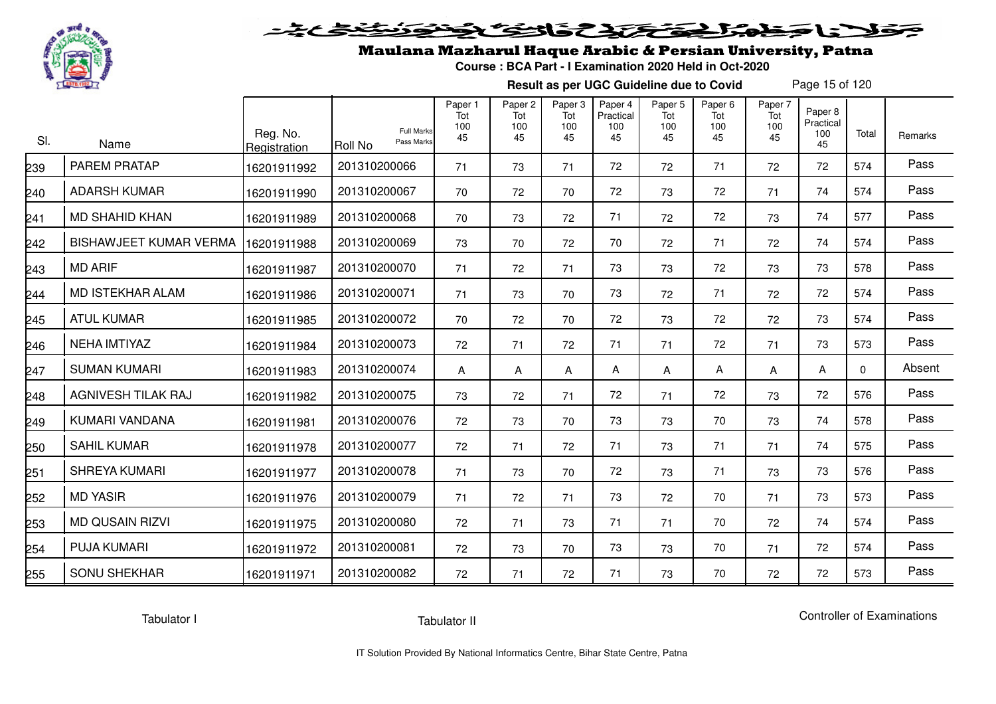

# فلانا حظمتك تحتك والتكاثر

## Maulana Mazharul Haque Arabic & Persian University, Patna

**Course : BCA Part - I Examination 2020 Held in Oct-2020**

**Result as per UGC Guideline due to Covid**

Page 15 of 120

| SI. | Name                          | Reg. No.<br>Registration | <b>Full Marks</b><br>Pass Marks<br>Roll No | Paper 1<br>Tot<br>100<br>45 | Paper <sub>2</sub><br>Tot<br>100<br>45 | Paper <sub>3</sub><br>Tot<br>100<br>45 | Paper 4<br>Practical<br>100<br>45 | Paper 5<br>Tot<br>100<br>45 | Paper <sub>6</sub><br>Tot<br>100<br>45 | Paper 7<br>Tot<br>100<br>45 | Paper 8<br>Practical<br>100<br>45 | Total    | <b>Remarks</b> |
|-----|-------------------------------|--------------------------|--------------------------------------------|-----------------------------|----------------------------------------|----------------------------------------|-----------------------------------|-----------------------------|----------------------------------------|-----------------------------|-----------------------------------|----------|----------------|
| 239 | <b>PAREM PRATAP</b>           | 16201911992              | 201310200066                               | 71                          | 73                                     | 71                                     | 72                                | 72                          | 71                                     | 72                          | 72                                | 574      | Pass           |
| 240 | <b>ADARSH KUMAR</b>           | 16201911990              | 201310200067                               | 70                          | 72                                     | 70                                     | 72                                | 73                          | 72                                     | 71                          | 74                                | 574      | Pass           |
| 241 | <b>MD SHAHID KHAN</b>         | 16201911989              | 201310200068                               | 70                          | 73                                     | 72                                     | 71                                | 72                          | 72                                     | 73                          | 74                                | 577      | Pass           |
| 242 | <b>BISHAWJEET KUMAR VERMA</b> | 16201911988              | 201310200069                               | 73                          | 70                                     | 72                                     | 70                                | 72                          | 71                                     | 72                          | 74                                | 574      | Pass           |
| 243 | <b>MD ARIF</b>                | 16201911987              | 201310200070                               | 71                          | 72                                     | 71                                     | 73                                | 73                          | 72                                     | 73                          | 73                                | 578      | Pass           |
| 244 | MD ISTEKHAR ALAM              | 16201911986              | 201310200071                               | 71                          | 73                                     | 70                                     | 73                                | 72                          | 71                                     | 72                          | 72                                | 574      | Pass           |
| 245 | <b>ATUL KUMAR</b>             | 16201911985              | 201310200072                               | 70                          | 72                                     | 70                                     | 72                                | 73                          | 72                                     | 72                          | 73                                | 574      | Pass           |
| 246 | <b>NEHA IMTIYAZ</b>           | 16201911984              | 201310200073                               | 72                          | 71                                     | 72                                     | 71                                | 71                          | 72                                     | 71                          | 73                                | 573      | Pass           |
| 247 | <b>SUMAN KUMARI</b>           | 16201911983              | 201310200074                               | A                           | A                                      | A                                      | A                                 | Α                           | A                                      | Α                           | A                                 | $\Omega$ | Absent         |
| 248 | AGNIVESH TILAK RAJ            | 16201911982              | 201310200075                               | 73                          | 72                                     | 71                                     | 72                                | 71                          | 72                                     | 73                          | 72                                | 576      | Pass           |
| 249 | KUMARI VANDANA                | 16201911981              | 201310200076                               | 72                          | 73                                     | 70                                     | 73                                | 73                          | 70                                     | 73                          | 74                                | 578      | Pass           |
| 250 | <b>SAHIL KUMAR</b>            | 16201911978              | 201310200077                               | 72                          | 71                                     | 72                                     | 71                                | 73                          | 71                                     | 71                          | 74                                | 575      | Pass           |
| 251 | <b>SHREYA KUMARI</b>          | 16201911977              | 201310200078                               | 71                          | 73                                     | 70                                     | 72                                | 73                          | 71                                     | 73                          | 73                                | 576      | Pass           |
| 252 | <b>MD YASIR</b>               | 16201911976              | 201310200079                               | 71                          | 72                                     | 71                                     | 73                                | 72                          | 70                                     | 71                          | 73                                | 573      | Pass           |
| 253 | <b>MD QUSAIN RIZVI</b>        | 16201911975              | 201310200080                               | 72                          | 71                                     | 73                                     | 71                                | 71                          | 70                                     | 72                          | 74                                | 574      | Pass           |
| 254 | <b>PUJA KUMARI</b>            | 16201911972              | 201310200081                               | 72                          | 73                                     | 70                                     | 73                                | 73                          | 70                                     | 71                          | 72                                | 574      | Pass           |
| 255 | <b>SONU SHEKHAR</b>           | 16201911971              | 201310200082                               | 72                          | 71                                     | 72                                     | 71                                | 73                          | 70                                     | 72                          | 72                                | 573      | Pass           |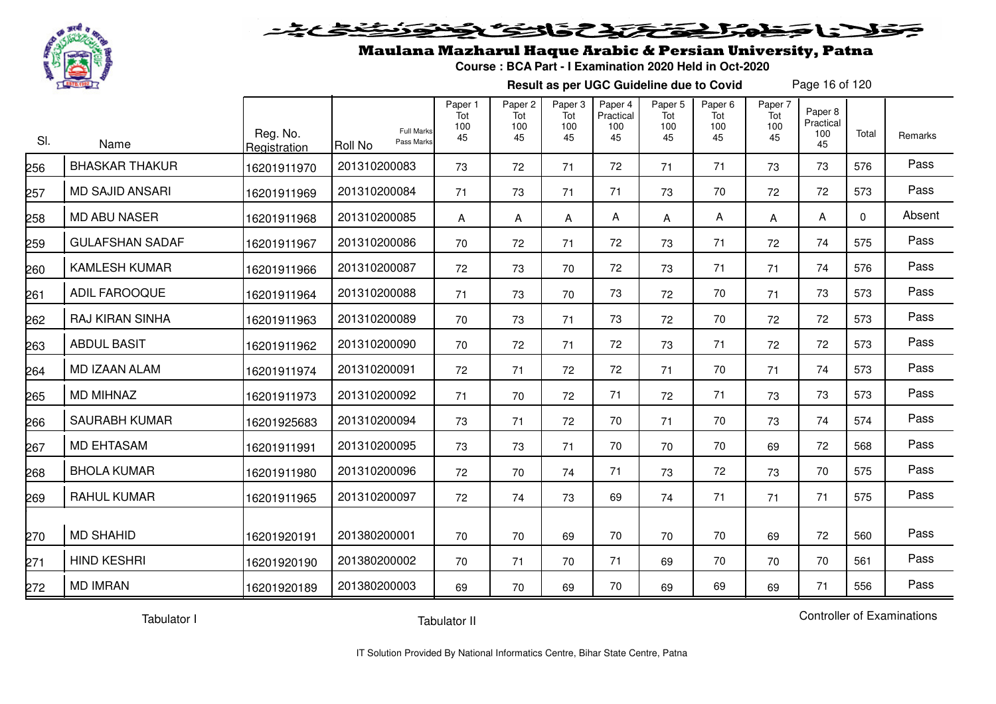

#### فتحتحلن فالحفظ  $\geq$

## Maulana Mazharul Haque Arabic & Persian University, Patna

**Course : BCA Part - I Examination 2020 Held in Oct-2020**

**Result as per UGC Guideline due to Covid**

Page 16 of 120

| SI. | Name                   | Reg. No.<br>Registration | <b>Full Marks</b><br>Pass Marks<br>Roll No | Paper 1<br>Tot<br>100<br>45 | Paper 2<br>Tot<br>100<br>45 | Paper 3<br>Tot<br>100<br>45 | Paper 4<br>Practical<br>100<br>45 | Paper 5<br>Tot<br>100<br>45 | Paper 6<br>Tot<br>100<br>45 | Paper 7<br>Tot<br>100<br>45 | Paper 8<br>Practical<br>100<br>45 | Total    | Remarks |
|-----|------------------------|--------------------------|--------------------------------------------|-----------------------------|-----------------------------|-----------------------------|-----------------------------------|-----------------------------|-----------------------------|-----------------------------|-----------------------------------|----------|---------|
| 256 | <b>BHASKAR THAKUR</b>  | 16201911970              | 201310200083                               | 73                          | 72                          | 71                          | 72                                | 71                          | 71                          | 73                          | 73                                | 576      | Pass    |
| 257 | <b>MD SAJID ANSARI</b> | 16201911969              | 201310200084                               | 71                          | 73                          | 71                          | 71                                | 73                          | 70                          | 72                          | 72                                | 573      | Pass    |
| 258 | <b>MD ABU NASER</b>    | 16201911968              | 201310200085                               | A                           | Α                           | A                           | A                                 | A                           | Α                           | A                           | Α                                 | $\Omega$ | Absent  |
| 259 | <b>GULAFSHAN SADAF</b> | 16201911967              | 201310200086                               | 70                          | 72                          | 71                          | 72                                | 73                          | 71                          | 72                          | 74                                | 575      | Pass    |
| 260 | <b>KAMLESH KUMAR</b>   | 16201911966              | 201310200087                               | 72                          | 73                          | 70                          | 72                                | 73                          | 71                          | 71                          | 74                                | 576      | Pass    |
| 261 | ADIL FAROOQUE          | 16201911964              | 201310200088                               | 71                          | 73                          | 70                          | 73                                | 72                          | 70                          | 71                          | 73                                | 573      | Pass    |
| 262 | RAJ KIRAN SINHA        | 16201911963              | 201310200089                               | 70                          | 73                          | 71                          | 73                                | 72                          | 70                          | 72                          | 72                                | 573      | Pass    |
| 263 | <b>ABDUL BASIT</b>     | 16201911962              | 201310200090                               | 70                          | 72                          | 71                          | 72                                | 73                          | 71                          | 72                          | 72                                | 573      | Pass    |
| 264 | <b>MD IZAAN ALAM</b>   | 16201911974              | 201310200091                               | 72                          | 71                          | 72                          | 72                                | 71                          | 70                          | 71                          | 74                                | 573      | Pass    |
| 265 | <b>MD MIHNAZ</b>       | 16201911973              | 201310200092                               | 71                          | 70                          | 72                          | 71                                | 72                          | 71                          | 73                          | 73                                | 573      | Pass    |
| 266 | <b>SAURABH KUMAR</b>   | 16201925683              | 201310200094                               | 73                          | 71                          | 72                          | 70                                | 71                          | 70                          | 73                          | 74                                | 574      | Pass    |
| 267 | <b>MD EHTASAM</b>      | 16201911991              | 201310200095                               | 73                          | 73                          | 71                          | 70                                | 70                          | 70                          | 69                          | 72                                | 568      | Pass    |
| 268 | <b>BHOLA KUMAR</b>     | 16201911980              | 201310200096                               | 72                          | 70                          | 74                          | 71                                | 73                          | 72                          | 73                          | 70                                | 575      | Pass    |
| 269 | <b>RAHUL KUMAR</b>     | 16201911965              | 201310200097                               | 72                          | 74                          | 73                          | 69                                | 74                          | 71                          | 71                          | 71                                | 575      | Pass    |
| 270 | <b>MD SHAHID</b>       | 16201920191              | 201380200001                               | 70                          | 70                          | 69                          | 70                                | 70                          | 70                          | 69                          | 72                                | 560      | Pass    |
| 271 | <b>HIND KESHRI</b>     | 16201920190              | 201380200002                               | 70                          | 71                          | 70                          | 71                                | 69                          | 70                          | 70                          | 70                                | 561      | Pass    |
| 272 | <b>MD IMRAN</b>        | 16201920189              | 201380200003                               | 69                          | 70                          | 69                          | 70                                | 69                          | 69                          | 69                          | 71                                | 556      | Pass    |

Tabulator I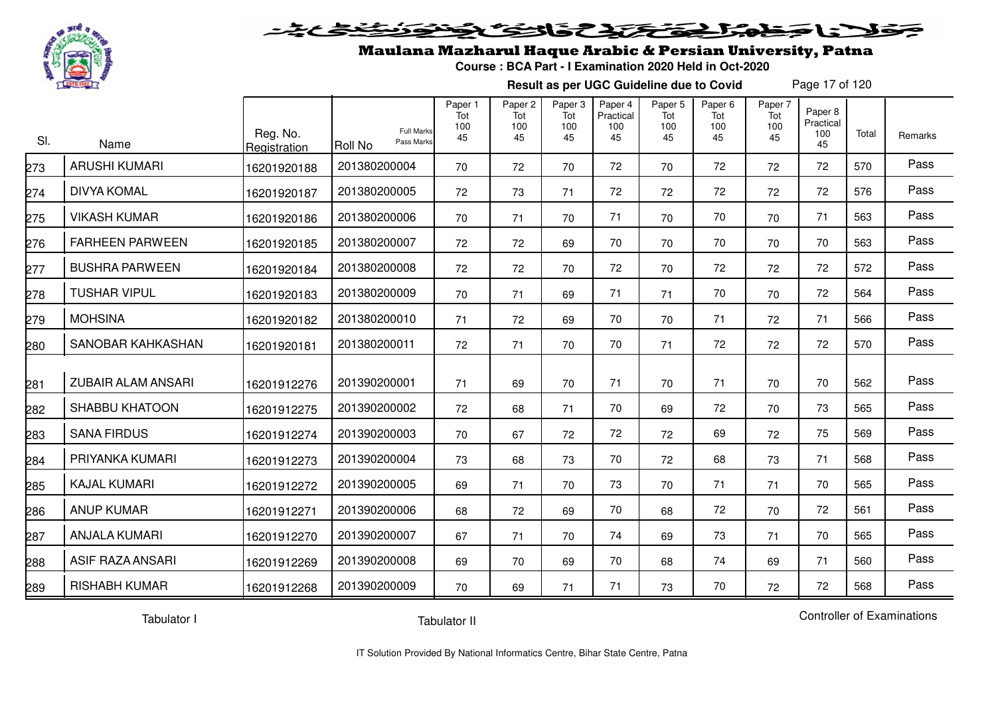

#### 2020222225.0  $\blacktriangleright$  15  $\blacktriangleright$

## Maulana Mazharul Haque Arabic & Persian University, Patna

**Course : BCA Part - I Examination 2020 Held in Oct-2020**

**Result as per UGC Guideline due to Covid**

Page 17 of 120

| SI.             | Name                      | Reg. No.<br>Registration | <b>Full Marks</b><br>Pass Marks<br>Roll No | Paper 1<br>Tot<br>100<br>45 | Paper <sub>2</sub><br>Tot<br>100<br>45 | Paper 3<br>Tot<br>100<br>45 | Paper 4<br>Practical<br>100<br>45 | Paper 5<br>Tot<br>100<br>45 | Paper <sub>6</sub><br>Tot<br>100<br>45 | Paper 7<br>Tot<br>100<br>45 | Paper 8<br>Practical<br>100<br>45 | Total | Remarks |
|-----------------|---------------------------|--------------------------|--------------------------------------------|-----------------------------|----------------------------------------|-----------------------------|-----------------------------------|-----------------------------|----------------------------------------|-----------------------------|-----------------------------------|-------|---------|
| 273             | <b>ARUSHI KUMARI</b>      | 16201920188              | 201380200004                               | 70                          | 72                                     | 70                          | 72                                | 70                          | 72                                     | 72                          | 72                                | 570   | Pass    |
| 274             | <b>DIVYA KOMAL</b>        | 16201920187              | 201380200005                               | 72                          | 73                                     | 71                          | 72                                | 72                          | 72                                     | 72                          | 72                                | 576   | Pass    |
| 275             | <b>VIKASH KUMAR</b>       | 16201920186              | 201380200006                               | 70                          | 71                                     | 70                          | 71                                | 70                          | 70                                     | 70                          | 71                                | 563   | Pass    |
| 276             | <b>FARHEEN PARWEEN</b>    | 16201920185              | 201380200007                               | 72                          | 72                                     | 69                          | 70                                | 70                          | 70                                     | 70                          | 70                                | 563   | Pass    |
| 277             | <b>BUSHRA PARWEEN</b>     | 16201920184              | 201380200008                               | 72                          | 72                                     | 70                          | 72                                | 70                          | 72                                     | 72                          | 72                                | 572   | Pass    |
| 278             | <b>TUSHAR VIPUL</b>       | 16201920183              | 201380200009                               | 70                          | 71                                     | 69                          | 71                                | 71                          | 70                                     | 70                          | 72                                | 564   | Pass    |
| 279             | <b>MOHSINA</b>            | 16201920182              | 201380200010                               | 71                          | 72                                     | 69                          | 70                                | 70                          | 71                                     | 72                          | 71                                | 566   | Pass    |
| 280             | SANOBAR KAHKASHAN         | 16201920181              | 201380200011                               | 72                          | 71                                     | 70                          | 70                                | 71                          | 72                                     | 72                          | 72                                | 570   | Pass    |
| 281             | <b>ZUBAIR ALAM ANSARI</b> | 16201912276              | 201390200001                               | 71                          | 69                                     | 70                          | 71                                | 70                          | 71                                     | 70                          | 70                                | 562   | Pass    |
| 282             | <b>SHABBU KHATOON</b>     | 16201912275              | 201390200002                               | 72                          | 68                                     | 71                          | 70                                | 69                          | 72                                     | 70                          | 73                                | 565   | Pass    |
| 283             | <b>SANA FIRDUS</b>        | 16201912274              | 201390200003                               | 70                          | 67                                     | 72                          | 72                                | 72                          | 69                                     | 72                          | 75                                | 569   | Pass    |
| 284             | PRIYANKA KUMARI           | 16201912273              | 201390200004                               | 73                          | 68                                     | 73                          | 70                                | 72                          | 68                                     | 73                          | 71                                | 568   | Pass    |
| 285             | <b>KAJAL KUMARI</b>       | 16201912272              | 201390200005                               | 69                          | 71                                     | 70                          | 73                                | 70                          | 71                                     | 71                          | 70                                | 565   | Pass    |
| 286             | <b>ANUP KUMAR</b>         | 16201912271              | 201390200006                               | 68                          | 72                                     | 69                          | 70                                | 68                          | 72                                     | 70                          | 72                                | 561   | Pass    |
| 287             | <b>ANJALA KUMARI</b>      | 16201912270              | 201390200007                               | 67                          | 71                                     | 70                          | 74                                | 69                          | 73                                     | 71                          | 70                                | 565   | Pass    |
| 288             | <b>ASIF RAZA ANSARI</b>   | 16201912269              | 201390200008                               | 69                          | 70                                     | 69                          | 70                                | 68                          | 74                                     | 69                          | 71                                | 560   | Pass    |
| $\frac{289}{2}$ | <b>RISHABH KUMAR</b>      | 16201912268              | 201390200009                               | 70                          | 69                                     | 71                          | 71                                | 73                          | 70                                     | 72                          | 72                                | 568   | Pass    |

Tabulator I

Tabulator II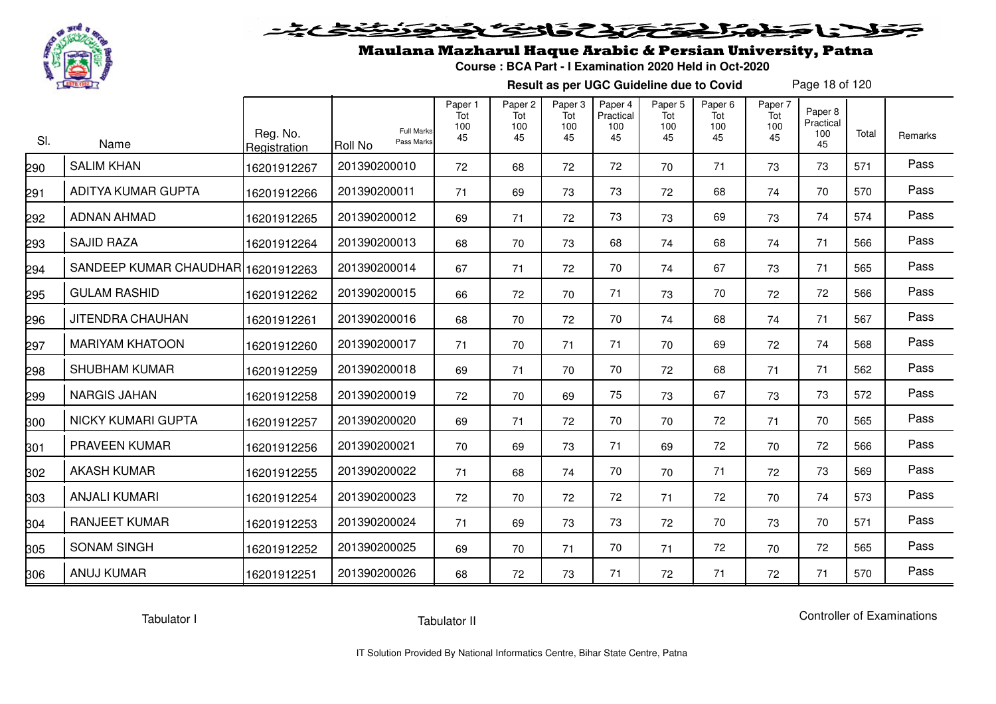

# فلأناخض المتخفض والخفائف

## Maulana Mazharul Haque Arabic & Persian University, Patna

**Course : BCA Part - I Examination 2020 Held in Oct-2020**

**Result as per UGC Guideline due to Covid**

Page 18 of 120

| SI. | Name                               | Reg. No.<br>Registration | <b>Full Marks</b><br>Pass Marks<br>Roll No | Paper 1<br>Tot<br>100<br>45 | Paper <sub>2</sub><br>Tot<br>100<br>45 | Paper 3<br>Tot<br>100<br>45 | Paper 4<br>Practical<br>100<br>45 | Paper 5<br>Tot<br>100<br>45 | Paper <sub>6</sub><br>Tot<br>100<br>45 | Paper 7<br>Tot<br>100<br>45 | Paper <sub>8</sub><br>Practical<br>100<br>45 | Total | Remarks |
|-----|------------------------------------|--------------------------|--------------------------------------------|-----------------------------|----------------------------------------|-----------------------------|-----------------------------------|-----------------------------|----------------------------------------|-----------------------------|----------------------------------------------|-------|---------|
| 290 | <b>SALIM KHAN</b>                  | 16201912267              | 201390200010                               | 72                          | 68                                     | 72                          | 72                                | 70                          | 71                                     | 73                          | 73                                           | 571   | Pass    |
| 291 | ADITYA KUMAR GUPTA                 | 16201912266              | 201390200011                               | 71                          | 69                                     | 73                          | 73                                | 72                          | 68                                     | 74                          | 70                                           | 570   | Pass    |
| 292 | <b>ADNAN AHMAD</b>                 | 16201912265              | 201390200012                               | 69                          | 71                                     | 72                          | 73                                | 73                          | 69                                     | 73                          | 74                                           | 574   | Pass    |
| 293 | <b>SAJID RAZA</b>                  | 16201912264              | 201390200013                               | 68                          | 70                                     | 73                          | 68                                | 74                          | 68                                     | 74                          | 71                                           | 566   | Pass    |
| 294 | SANDEEP KUMAR CHAUDHAR 16201912263 |                          | 201390200014                               | 67                          | 71                                     | 72                          | 70                                | 74                          | 67                                     | 73                          | 71                                           | 565   | Pass    |
| 295 | <b>GULAM RASHID</b>                | 16201912262              | 201390200015                               | 66                          | 72                                     | 70                          | 71                                | 73                          | 70                                     | 72                          | 72                                           | 566   | Pass    |
| 296 | JITENDRA CHAUHAN                   | 16201912261              | 201390200016                               | 68                          | 70                                     | 72                          | 70                                | 74                          | 68                                     | 74                          | 71                                           | 567   | Pass    |
| 297 | <b>MARIYAM KHATOON</b>             | 16201912260              | 201390200017                               | 71                          | 70                                     | 71                          | 71                                | 70                          | 69                                     | 72                          | 74                                           | 568   | Pass    |
| 298 | <b>SHUBHAM KUMAR</b>               | 16201912259              | 201390200018                               | 69                          | 71                                     | 70                          | 70                                | 72                          | 68                                     | 71                          | 71                                           | 562   | Pass    |
| 299 | <b>NARGIS JAHAN</b>                | 16201912258              | 201390200019                               | 72                          | 70                                     | 69                          | 75                                | 73                          | 67                                     | 73                          | 73                                           | 572   | Pass    |
| 300 | <b>NICKY KUMARI GUPTA</b>          | 16201912257              | 201390200020                               | 69                          | 71                                     | 72                          | 70                                | 70                          | 72                                     | 71                          | 70                                           | 565   | Pass    |
| 301 | <b>PRAVEEN KUMAR</b>               | 16201912256              | 201390200021                               | 70                          | 69                                     | 73                          | 71                                | 69                          | 72                                     | 70                          | 72                                           | 566   | Pass    |
| 302 | <b>AKASH KUMAR</b>                 | 16201912255              | 201390200022                               | 71                          | 68                                     | 74                          | 70                                | 70                          | 71                                     | 72                          | 73                                           | 569   | Pass    |
| 303 | <b>ANJALI KUMARI</b>               | 16201912254              | 201390200023                               | 72                          | 70                                     | 72                          | 72                                | 71                          | 72                                     | 70                          | 74                                           | 573   | Pass    |
| 304 | <b>RANJEET KUMAR</b>               | 16201912253              | 201390200024                               | 71                          | 69                                     | 73                          | 73                                | 72                          | 70                                     | 73                          | 70                                           | 571   | Pass    |
| 305 | <b>SONAM SINGH</b>                 | 16201912252              | 201390200025                               | 69                          | 70                                     | 71                          | 70                                | 71                          | 72                                     | 70                          | 72                                           | 565   | Pass    |
| 306 | <b>ANUJ KUMAR</b>                  | 16201912251              | 201390200026                               | 68                          | 72                                     | 73                          | 71                                | 72                          | 71                                     | 72                          | 71                                           | 570   | Pass    |

Tabulator I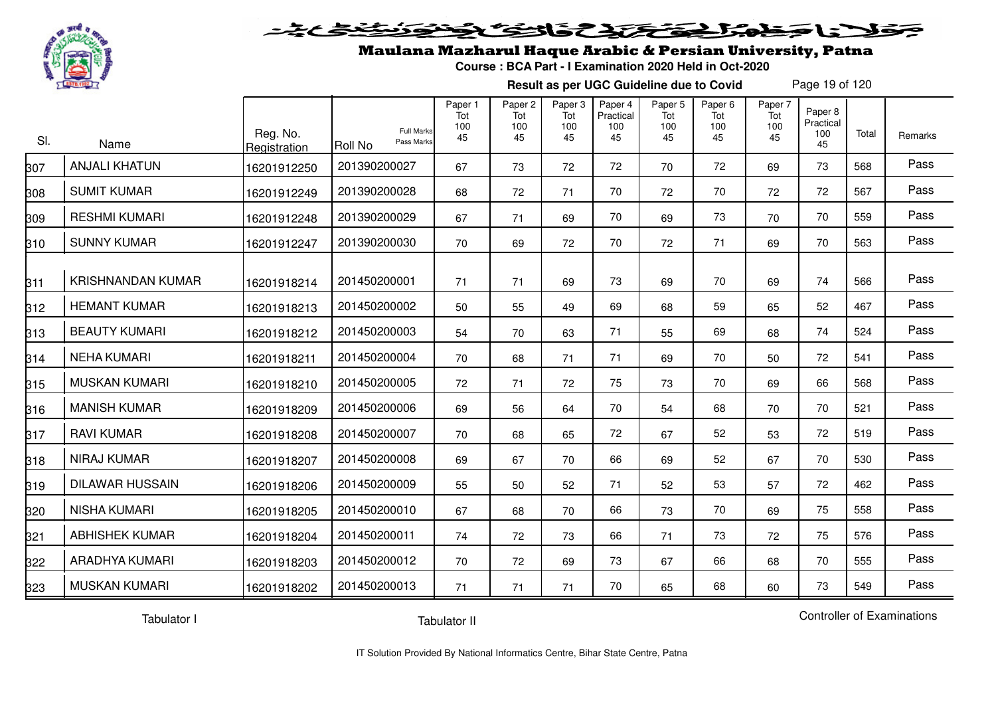

#### 2020 222225.00 Sels De

## Maulana Mazharul Haque Arabic & Persian University, Patna

**Course : BCA Part - I Examination 2020 Held in Oct-2020**

**Result as per UGC Guideline due to Covid**

Page 19 of 120

| SI. | Name                     | Reg. No.<br>Registration | <b>Full Marks</b><br>Pass Marks<br><b>Roll No</b> | Paper 1<br>Tot<br>100<br>45 | Paper 2<br>Tot<br>100<br>45 | Paper 3<br>Tot<br>100<br>45 | Paper 4<br>Practical<br>100<br>45 | Paper 5<br>Tot<br>100<br>45 | Paper 6<br>Tot<br>100<br>45 | Paper 7<br>Tot<br>100<br>45 | Paper 8<br>Practical<br>100<br>45 | Total | Remarks |
|-----|--------------------------|--------------------------|---------------------------------------------------|-----------------------------|-----------------------------|-----------------------------|-----------------------------------|-----------------------------|-----------------------------|-----------------------------|-----------------------------------|-------|---------|
| 307 | <b>ANJALI KHATUN</b>     | 16201912250              | 201390200027                                      | 67                          | 73                          | 72                          | 72                                | 70                          | 72                          | 69                          | 73                                | 568   | Pass    |
| 308 | <b>SUMIT KUMAR</b>       | 16201912249              | 201390200028                                      | 68                          | 72                          | 71                          | 70                                | 72                          | 70                          | 72                          | 72                                | 567   | Pass    |
| 309 | <b>RESHMI KUMARI</b>     | 16201912248              | 201390200029                                      | 67                          | 71                          | 69                          | 70                                | 69                          | 73                          | 70                          | 70                                | 559   | Pass    |
| 310 | <b>SUNNY KUMAR</b>       | 16201912247              | 201390200030                                      | 70                          | 69                          | 72                          | 70                                | 72                          | 71                          | 69                          | 70                                | 563   | Pass    |
| 311 | <b>KRISHNANDAN KUMAR</b> | 16201918214              | 201450200001                                      | 71                          | 71                          | 69                          | 73                                | 69                          | 70                          | 69                          | 74                                | 566   | Pass    |
| 312 | <b>HEMANT KUMAR</b>      | 16201918213              | 201450200002                                      | 50                          | 55                          | 49                          | 69                                | 68                          | 59                          | 65                          | 52                                | 467   | Pass    |
| 313 | <b>BEAUTY KUMARI</b>     | 16201918212              | 201450200003                                      | 54                          | 70                          | 63                          | 71                                | 55                          | 69                          | 68                          | 74                                | 524   | Pass    |
| 314 | <b>NEHA KUMARI</b>       | 16201918211              | 201450200004                                      | 70                          | 68                          | 71                          | 71                                | 69                          | 70                          | 50                          | 72                                | 541   | Pass    |
| 315 | <b>MUSKAN KUMARI</b>     | 16201918210              | 201450200005                                      | 72                          | 71                          | 72                          | 75                                | 73                          | 70                          | 69                          | 66                                | 568   | Pass    |
| 316 | <b>MANISH KUMAR</b>      | 16201918209              | 201450200006                                      | 69                          | 56                          | 64                          | 70                                | 54                          | 68                          | 70                          | 70                                | 521   | Pass    |
| 317 | <b>RAVI KUMAR</b>        | 16201918208              | 201450200007                                      | 70                          | 68                          | 65                          | 72                                | 67                          | 52                          | 53                          | 72                                | 519   | Pass    |
| 318 | <b>NIRAJ KUMAR</b>       | 16201918207              | 201450200008                                      | 69                          | 67                          | 70                          | 66                                | 69                          | 52                          | 67                          | 70                                | 530   | Pass    |
| 319 | <b>DILAWAR HUSSAIN</b>   | 16201918206              | 201450200009                                      | 55                          | 50                          | 52                          | 71                                | 52                          | 53                          | 57                          | 72                                | 462   | Pass    |
| 320 | <b>NISHA KUMARI</b>      | 16201918205              | 201450200010                                      | 67                          | 68                          | 70                          | 66                                | 73                          | 70                          | 69                          | 75                                | 558   | Pass    |
| 321 | <b>ABHISHEK KUMAR</b>    | 16201918204              | 201450200011                                      | 74                          | 72                          | 73                          | 66                                | 71                          | 73                          | 72                          | 75                                | 576   | Pass    |
| 322 | ARADHYA KUMARI           | 16201918203              | 201450200012                                      | 70                          | 72                          | 69                          | 73                                | 67                          | 66                          | 68                          | 70                                | 555   | Pass    |
| 323 | <b>MUSKAN KUMARI</b>     | 16201918202              | 201450200013                                      | 71                          | 71                          | 71                          | 70                                | 65                          | 68                          | 60                          | 73                                | 549   | Pass    |

Tabulator I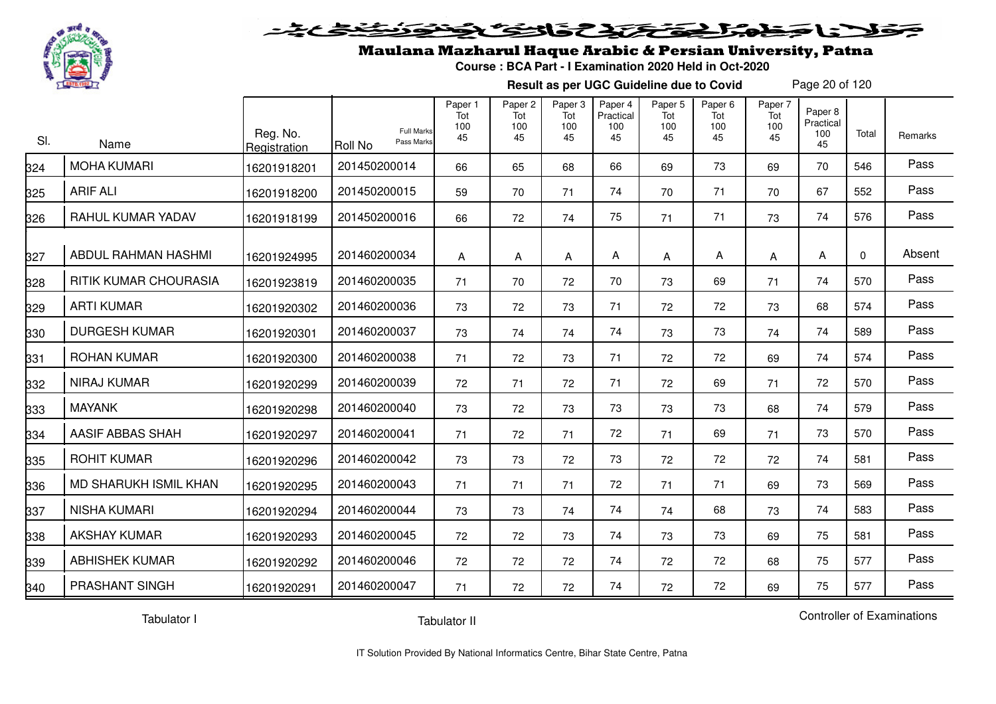

#### فتحتح تخافض  $\blacktriangleright$  15  $\blacktriangleright$

## Maulana Mazharul Haque Arabic & Persian University, Patna

**Course : BCA Part - I Examination 2020 Held in Oct-2020**

**Result as per UGC Guideline due to Covid**

Page 20 of 120

| SI. | Name                  | Reg. No.<br>Registration | <b>Full Marks</b><br>Pass Marks<br>Roll No | Paper 1<br>Tot<br>100<br>45 | Paper <sub>2</sub><br>Tot<br>100<br>45 | Paper 3<br>Tot<br>100<br>45 | Paper 4<br>Practical<br>100<br>45 | Paper 5<br>Tot<br>100<br>45 | Paper <sub>6</sub><br>Tot<br>100<br>45 | Paper 7<br>Tot<br>100<br>45 | Paper 8<br>Practical<br>100<br>45 | Total       | Remarks |
|-----|-----------------------|--------------------------|--------------------------------------------|-----------------------------|----------------------------------------|-----------------------------|-----------------------------------|-----------------------------|----------------------------------------|-----------------------------|-----------------------------------|-------------|---------|
| 324 | <b>MOHA KUMARI</b>    | 16201918201              | 201450200014                               | 66                          | 65                                     | 68                          | 66                                | 69                          | 73                                     | 69                          | 70                                | 546         | Pass    |
| 325 | <b>ARIF ALI</b>       | 16201918200              | 201450200015                               | 59                          | 70                                     | 71                          | 74                                | 70                          | 71                                     | 70                          | 67                                | 552         | Pass    |
| 326 | RAHUL KUMAR YADAV     | 16201918199              | 201450200016                               | 66                          | 72                                     | 74                          | 75                                | 71                          | 71                                     | 73                          | 74                                | 576         | Pass    |
| 327 | ABDUL RAHMAN HASHMI   | 16201924995              | 201460200034                               | A                           | A                                      | A                           | A                                 | A                           | Α                                      | A                           | A                                 | $\mathbf 0$ | Absent  |
| 328 | RITIK KUMAR CHOURASIA | 16201923819              | 201460200035                               | 71                          | 70                                     | 72                          | 70                                | 73                          | 69                                     | 71                          | 74                                | 570         | Pass    |
| 329 | <b>ARTI KUMAR</b>     | 16201920302              | 201460200036                               | 73                          | 72                                     | 73                          | 71                                | 72                          | 72                                     | 73                          | 68                                | 574         | Pass    |
| 330 | <b>DURGESH KUMAR</b>  | 16201920301              | 201460200037                               | 73                          | 74                                     | 74                          | 74                                | 73                          | 73                                     | 74                          | 74                                | 589         | Pass    |
| 331 | <b>ROHAN KUMAR</b>    | 16201920300              | 201460200038                               | 71                          | 72                                     | 73                          | 71                                | 72                          | 72                                     | 69                          | 74                                | 574         | Pass    |
| 332 | <b>NIRAJ KUMAR</b>    | 16201920299              | 201460200039                               | 72                          | 71                                     | 72                          | 71                                | 72                          | 69                                     | 71                          | 72                                | 570         | Pass    |
| 333 | <b>MAYANK</b>         | 16201920298              | 201460200040                               | 73                          | 72                                     | 73                          | 73                                | 73                          | 73                                     | 68                          | 74                                | 579         | Pass    |
| 334 | AASIF ABBAS SHAH      | 16201920297              | 201460200041                               | 71                          | 72                                     | 71                          | 72                                | 71                          | 69                                     | 71                          | 73                                | 570         | Pass    |
| 335 | <b>ROHIT KUMAR</b>    | 16201920296              | 201460200042                               | 73                          | 73                                     | 72                          | 73                                | 72                          | 72                                     | 72                          | 74                                | 581         | Pass    |
| 336 | MD SHARUKH ISMIL KHAN | 16201920295              | 201460200043                               | 71                          | 71                                     | 71                          | 72                                | 71                          | 71                                     | 69                          | 73                                | 569         | Pass    |
| 337 | <b>NISHA KUMARI</b>   | 16201920294              | 201460200044                               | 73                          | 73                                     | 74                          | 74                                | 74                          | 68                                     | 73                          | 74                                | 583         | Pass    |
| 338 | <b>AKSHAY KUMAR</b>   | 16201920293              | 201460200045                               | 72                          | 72                                     | 73                          | 74                                | 73                          | 73                                     | 69                          | 75                                | 581         | Pass    |
| 339 | <b>ABHISHEK KUMAR</b> | 16201920292              | 201460200046                               | 72                          | 72                                     | 72                          | 74                                | 72                          | 72                                     | 68                          | 75                                | 577         | Pass    |
| 340 | PRASHANT SINGH        | 16201920291              | 201460200047                               | 71                          | 72                                     | 72                          | 74                                | 72                          | 72                                     | 69                          | 75                                | 577         | Pass    |

Tabulator I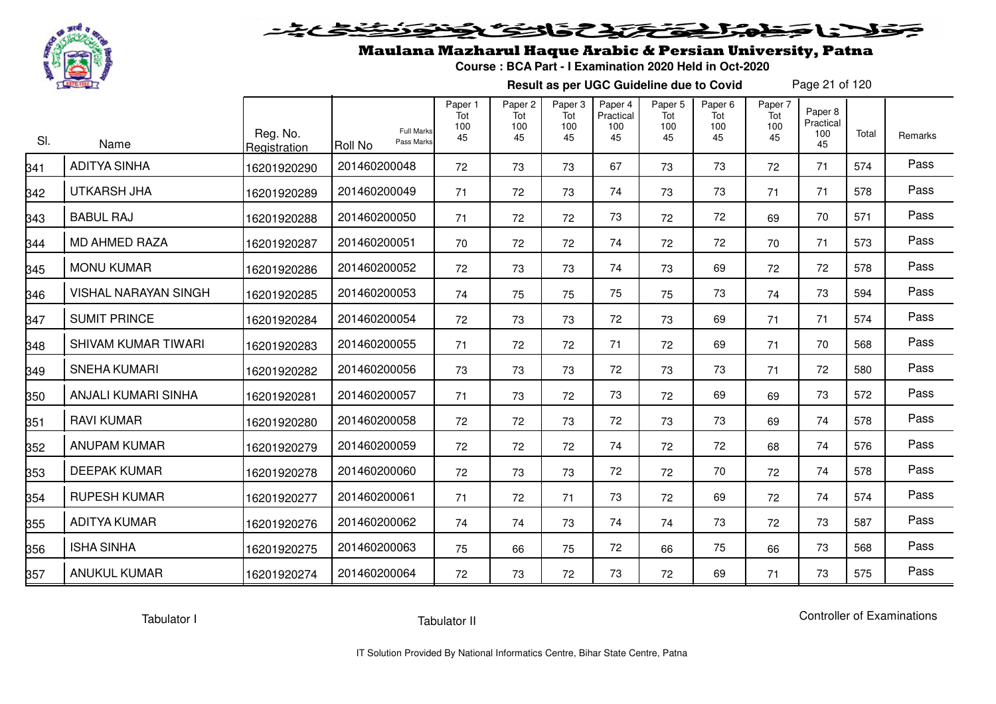

# فلأناخض المتخفض والخفائف

## Maulana Mazharul Haque Arabic & Persian University, Patna

**Course : BCA Part - I Examination 2020 Held in Oct-2020**

**Result as per UGC Guideline due to Covid**

Page 21 of 120

| SI.             | Name                        | Reg. No.<br>Registration | <b>Full Marks</b><br>Pass Marks<br>Roll No | Paper 1<br>Tot<br>100<br>45 | Paper <sub>2</sub><br>Tot<br>100<br>45 | Paper 3<br>Tot<br>100<br>45 | Paper 4<br>Practical<br>100<br>45 | Paper 5<br>Tot<br>100<br>45 | Paper <sub>6</sub><br>Tot<br>100<br>45 | Paper 7<br>Tot<br>100<br>45 | Paper 8<br>Practical<br>100<br>45 | Total | Remarks |
|-----------------|-----------------------------|--------------------------|--------------------------------------------|-----------------------------|----------------------------------------|-----------------------------|-----------------------------------|-----------------------------|----------------------------------------|-----------------------------|-----------------------------------|-------|---------|
| $\frac{341}{1}$ | <b>ADITYA SINHA</b>         | 16201920290              | 201460200048                               | 72                          | 73                                     | 73                          | 67                                | 73                          | 73                                     | 72                          | 71                                | 574   | Pass    |
| 342             | <b>UTKARSH JHA</b>          | 16201920289              | 201460200049                               | 71                          | 72                                     | 73                          | 74                                | 73                          | 73                                     | 71                          | 71                                | 578   | Pass    |
| 343             | <b>BABUL RAJ</b>            | 16201920288              | 201460200050                               | 71                          | 72                                     | 72                          | 73                                | 72                          | 72                                     | 69                          | 70                                | 571   | Pass    |
| 344             | <b>MD AHMED RAZA</b>        | 16201920287              | 201460200051                               | 70                          | 72                                     | 72                          | 74                                | 72                          | 72                                     | 70                          | 71                                | 573   | Pass    |
| 345             | <b>MONU KUMAR</b>           | 16201920286              | 201460200052                               | 72                          | 73                                     | 73                          | 74                                | 73                          | 69                                     | 72                          | 72                                | 578   | Pass    |
| 346             | <b>VISHAL NARAYAN SINGH</b> | 16201920285              | 201460200053                               | 74                          | 75                                     | 75                          | 75                                | 75                          | 73                                     | 74                          | 73                                | 594   | Pass    |
| 347             | <b>SUMIT PRINCE</b>         | 16201920284              | 201460200054                               | 72                          | 73                                     | 73                          | 72                                | 73                          | 69                                     | 71                          | 71                                | 574   | Pass    |
| 348             | <b>SHIVAM KUMAR TIWARI</b>  | 16201920283              | 201460200055                               | 71                          | 72                                     | 72                          | 71                                | 72                          | 69                                     | 71                          | 70                                | 568   | Pass    |
| 349             | <b>SNEHA KUMARI</b>         | 16201920282              | 201460200056                               | 73                          | 73                                     | 73                          | 72                                | 73                          | 73                                     | 71                          | 72                                | 580   | Pass    |
| 350             | ANJALI KUMARI SINHA         | 16201920281              | 201460200057                               | 71                          | 73                                     | 72                          | 73                                | 72                          | 69                                     | 69                          | 73                                | 572   | Pass    |
| 351             | <b>RAVI KUMAR</b>           | 16201920280              | 201460200058                               | 72                          | 72                                     | 73                          | 72                                | 73                          | 73                                     | 69                          | 74                                | 578   | Pass    |
| 352             | <b>ANUPAM KUMAR</b>         | 16201920279              | 201460200059                               | 72                          | 72                                     | 72                          | 74                                | 72                          | 72                                     | 68                          | 74                                | 576   | Pass    |
| 353             | <b>DEEPAK KUMAR</b>         | 16201920278              | 201460200060                               | 72                          | 73                                     | 73                          | 72                                | 72                          | 70                                     | 72                          | 74                                | 578   | Pass    |
| 354             | <b>RUPESH KUMAR</b>         | 16201920277              | 201460200061                               | 71                          | 72                                     | 71                          | 73                                | 72                          | 69                                     | 72                          | 74                                | 574   | Pass    |
| 355             | <b>ADITYA KUMAR</b>         | 16201920276              | 201460200062                               | 74                          | 74                                     | 73                          | 74                                | 74                          | 73                                     | 72                          | 73                                | 587   | Pass    |
| 356             | <b>ISHA SINHA</b>           | 16201920275              | 201460200063                               | 75                          | 66                                     | 75                          | 72                                | 66                          | 75                                     | 66                          | 73                                | 568   | Pass    |
| <u>357</u>      | <b>ANUKUL KUMAR</b>         | 16201920274              | 201460200064                               | 72                          | 73                                     | 72                          | 73                                | 72                          | 69                                     | 71                          | 73                                | 575   | Pass    |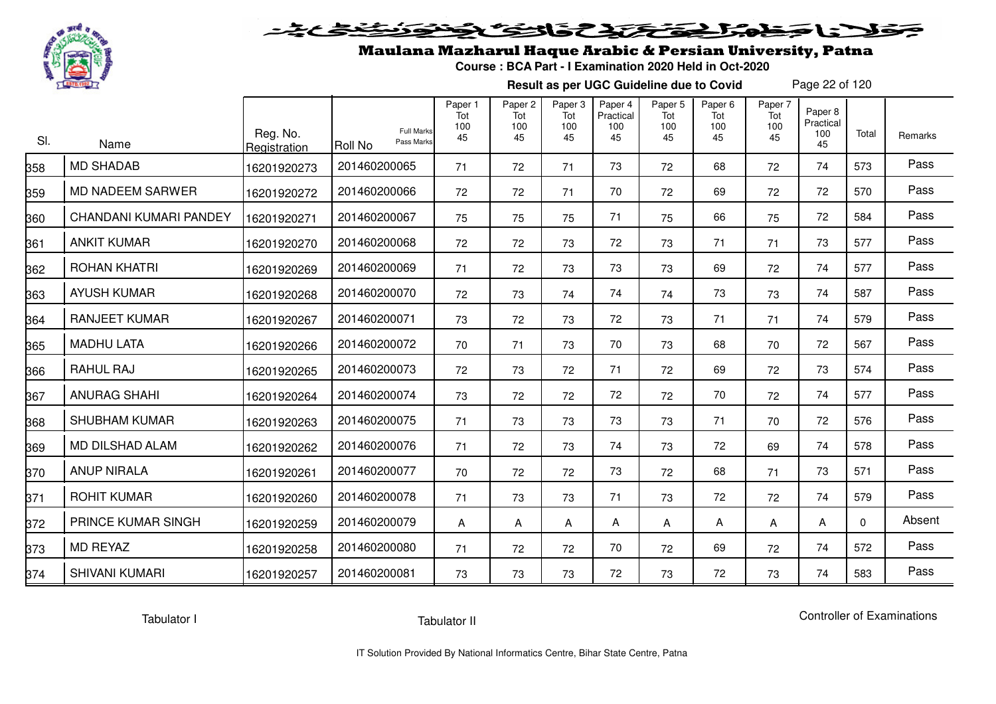

# فلأناخض كتحكيك فالتكناف

## Maulana Mazharul Haque Arabic & Persian University, Patna

**Course : BCA Part - I Examination 2020 Held in Oct-2020**

**Result as per UGC Guideline due to Covid**

Page 22 of 120

| SI. | Name                   | Reg. No.<br>Registration | <b>Full Marks</b><br>Pass Marks<br><b>Roll No</b> | Paper 1<br>Tot<br>100<br>45 | Paper <sub>2</sub><br>Tot<br>100<br>45 | Paper 3<br>Tot<br>100<br>45 | Paper 4<br>Practical<br>100<br>45 | Paper <sub>5</sub><br>Tot<br>100<br>45 | Paper <sub>6</sub><br>Tot<br>100<br>45 | Paper 7<br>Tot<br>100<br>45 | Paper 8<br>Practical<br>100<br>45 | Total    | Remarks |
|-----|------------------------|--------------------------|---------------------------------------------------|-----------------------------|----------------------------------------|-----------------------------|-----------------------------------|----------------------------------------|----------------------------------------|-----------------------------|-----------------------------------|----------|---------|
| 358 | <b>MD SHADAB</b>       | 16201920273              | 201460200065                                      | 71                          | 72                                     | 71                          | 73                                | 72                                     | 68                                     | 72                          | 74                                | 573      | Pass    |
| 359 | MD NADEEM SARWER       | 16201920272              | 201460200066                                      | 72                          | 72                                     | 71                          | 70                                | 72                                     | 69                                     | 72                          | 72                                | 570      | Pass    |
| 360 | CHANDANI KUMARI PANDEY | 16201920271              | 201460200067                                      | 75                          | 75                                     | 75                          | 71                                | 75                                     | 66                                     | 75                          | 72                                | 584      | Pass    |
| 361 | <b>ANKIT KUMAR</b>     | 16201920270              | 201460200068                                      | 72                          | 72                                     | 73                          | 72                                | 73                                     | 71                                     | 71                          | 73                                | 577      | Pass    |
| 362 | <b>ROHAN KHATRI</b>    | 16201920269              | 201460200069                                      | 71                          | 72                                     | 73                          | 73                                | 73                                     | 69                                     | 72                          | 74                                | 577      | Pass    |
| 363 | <b>AYUSH KUMAR</b>     | 16201920268              | 201460200070                                      | 72                          | 73                                     | 74                          | 74                                | 74                                     | 73                                     | 73                          | 74                                | 587      | Pass    |
| 364 | <b>RANJEET KUMAR</b>   | 16201920267              | 201460200071                                      | 73                          | 72                                     | 73                          | 72                                | 73                                     | 71                                     | 71                          | 74                                | 579      | Pass    |
| 365 | <b>MADHU LATA</b>      | 16201920266              | 201460200072                                      | 70                          | 71                                     | 73                          | 70                                | 73                                     | 68                                     | 70                          | 72                                | 567      | Pass    |
| 366 | <b>RAHUL RAJ</b>       | 16201920265              | 201460200073                                      | 72                          | 73                                     | 72                          | 71                                | 72                                     | 69                                     | 72                          | 73                                | 574      | Pass    |
| 367 | <b>ANURAG SHAHI</b>    | 16201920264              | 201460200074                                      | 73                          | 72                                     | 72                          | 72                                | 72                                     | 70                                     | 72                          | 74                                | 577      | Pass    |
| 368 | <b>SHUBHAM KUMAR</b>   | 16201920263              | 201460200075                                      | 71                          | 73                                     | 73                          | 73                                | 73                                     | 71                                     | 70                          | 72                                | 576      | Pass    |
| 369 | MD DILSHAD ALAM        | 16201920262              | 201460200076                                      | 71                          | 72                                     | 73                          | 74                                | 73                                     | 72                                     | 69                          | 74                                | 578      | Pass    |
| 370 | <b>ANUP NIRALA</b>     | 16201920261              | 201460200077                                      | 70                          | 72                                     | 72                          | 73                                | 72                                     | 68                                     | 71                          | 73                                | 571      | Pass    |
| 371 | <b>ROHIT KUMAR</b>     | 16201920260              | 201460200078                                      | 71                          | 73                                     | 73                          | 71                                | 73                                     | 72                                     | 72                          | 74                                | 579      | Pass    |
| 372 | PRINCE KUMAR SINGH     | 16201920259              | 201460200079                                      | A                           | A                                      | A                           | A                                 | A                                      | A                                      | A                           | A                                 | $\Omega$ | Absent  |
| 373 | <b>MD REYAZ</b>        | 16201920258              | 201460200080                                      | 71                          | 72                                     | 72                          | 70                                | 72                                     | 69                                     | 72                          | 74                                | 572      | Pass    |
| 374 | <b>SHIVANI KUMARI</b>  | 16201920257              | 201460200081                                      | 73                          | 73                                     | 73                          | 72                                | 73                                     | 72                                     | 73                          | 74                                | 583      | Pass    |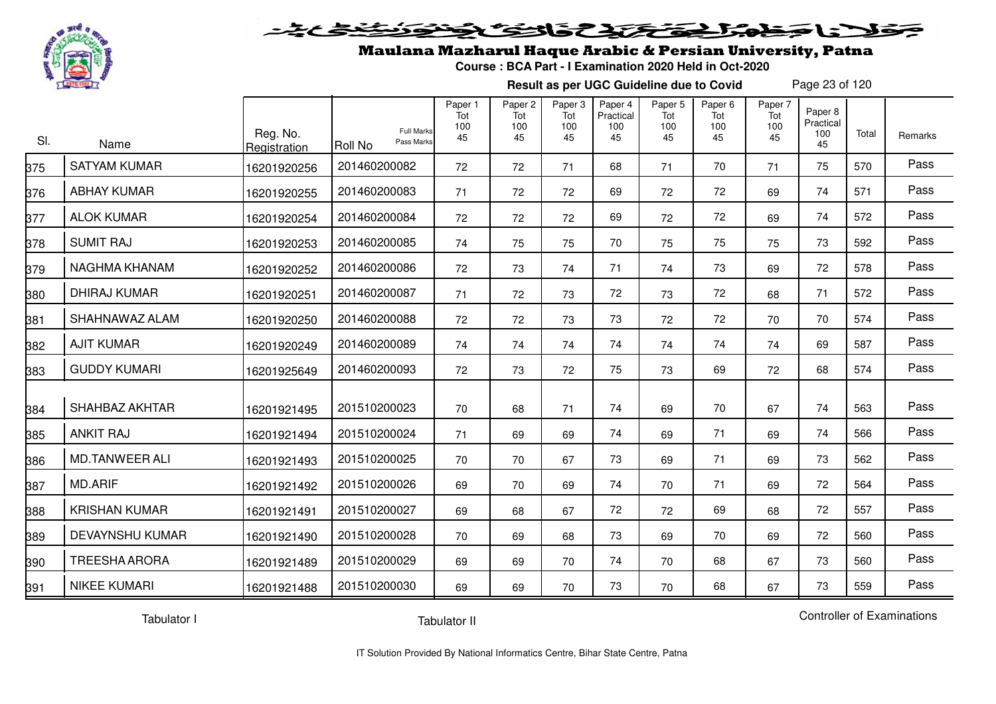

# فلأناخض المتخفخ بمفاق والخفائض

## Maulana Mazharul Haque Arabic & Persian University, Patna

**Course : BCA Part - I Examination 2020 Held in Oct-2020**

**Result as per UGC Guideline due to Covid**

Page 23 of 120

| SI. | Name                   | Reg. No.<br>Registration | <b>Full Marks</b><br>Pass Marks<br>Roll No | Paper 1<br>Tot<br>100<br>45 | Paper <sub>2</sub><br>Tot<br>100<br>45 | Paper 3<br>Tot<br>100<br>45 | Paper 4<br>Practical<br>100<br>45 | Paper <sub>5</sub><br>Tot<br>100<br>45 | Paper <sub>6</sub><br>Tot<br>100<br>45 | Paper 7<br>Tot<br>100<br>45 | Paper 8<br>Practical<br>100<br>45 | Total | Remarks |
|-----|------------------------|--------------------------|--------------------------------------------|-----------------------------|----------------------------------------|-----------------------------|-----------------------------------|----------------------------------------|----------------------------------------|-----------------------------|-----------------------------------|-------|---------|
| 375 | <b>SATYAM KUMAR</b>    | 16201920256              | 201460200082                               | 72                          | 72                                     | 71                          | 68                                | 71                                     | 70                                     | 71                          | 75                                | 570   | Pass    |
| 376 | <b>ABHAY KUMAR</b>     | 16201920255              | 201460200083                               | 71                          | 72                                     | 72                          | 69                                | 72                                     | 72                                     | 69                          | 74                                | 571   | Pass    |
| 377 | <b>ALOK KUMAR</b>      | 16201920254              | 201460200084                               | 72                          | 72                                     | 72                          | 69                                | 72                                     | 72                                     | 69                          | 74                                | 572   | Pass    |
| 378 | <b>SUMIT RAJ</b>       | 16201920253              | 201460200085                               | 74                          | 75                                     | 75                          | 70                                | 75                                     | 75                                     | 75                          | 73                                | 592   | Pass    |
| 379 | NAGHMA KHANAM          | 16201920252              | 201460200086                               | 72                          | 73                                     | 74                          | 71                                | 74                                     | 73                                     | 69                          | 72                                | 578   | Pass    |
| 380 | DHIRAJ KUMAR           | 16201920251              | 201460200087                               | 71                          | 72                                     | 73                          | 72                                | 73                                     | 72                                     | 68                          | 71                                | 572   | Pass    |
| 381 | SHAHNAWAZ ALAM         | 16201920250              | 201460200088                               | 72                          | 72                                     | 73                          | 73                                | 72                                     | 72                                     | 70                          | 70                                | 574   | Pass    |
| 382 | <b>AJIT KUMAR</b>      | 16201920249              | 201460200089                               | 74                          | 74                                     | 74                          | 74                                | 74                                     | 74                                     | 74                          | 69                                | 587   | Pass    |
| 383 | <b>GUDDY KUMARI</b>    | 16201925649              | 201460200093                               | 72                          | 73                                     | 72                          | 75                                | 73                                     | 69                                     | 72                          | 68                                | 574   | Pass    |
| 384 | <b>SHAHBAZ AKHTAR</b>  | 16201921495              | 201510200023                               | 70                          | 68                                     | 71                          | 74                                | 69                                     | 70                                     | 67                          | 74                                | 563   | Pass    |
| 385 | <b>ANKIT RAJ</b>       | 16201921494              | 201510200024                               | 71                          | 69                                     | 69                          | 74                                | 69                                     | 71                                     | 69                          | 74                                | 566   | Pass    |
| 386 | <b>MD.TANWEER ALI</b>  | 16201921493              | 201510200025                               | 70                          | 70                                     | 67                          | 73                                | 69                                     | 71                                     | 69                          | 73                                | 562   | Pass    |
| 387 | <b>MD.ARIF</b>         | 16201921492              | 201510200026                               | 69                          | 70                                     | 69                          | 74                                | 70                                     | 71                                     | 69                          | 72                                | 564   | Pass    |
| 388 | <b>KRISHAN KUMAR</b>   | 16201921491              | 201510200027                               | 69                          | 68                                     | 67                          | 72                                | 72                                     | 69                                     | 68                          | 72                                | 557   | Pass    |
| 389 | <b>DEVAYNSHU KUMAR</b> | 16201921490              | 201510200028                               | 70                          | 69                                     | 68                          | 73                                | 69                                     | 70                                     | 69                          | 72                                | 560   | Pass    |
| 390 | <b>TREESHA ARORA</b>   | 16201921489              | 201510200029                               | 69                          | 69                                     | 70                          | 74                                | 70                                     | 68                                     | 67                          | 73                                | 560   | Pass    |
| 391 | <b>NIKEE KUMARI</b>    | 16201921488              | 201510200030                               | 69                          | 69                                     | 70                          | 73                                | 70                                     | 68                                     | 67                          | 73                                | 559   | Pass    |

Tabulator I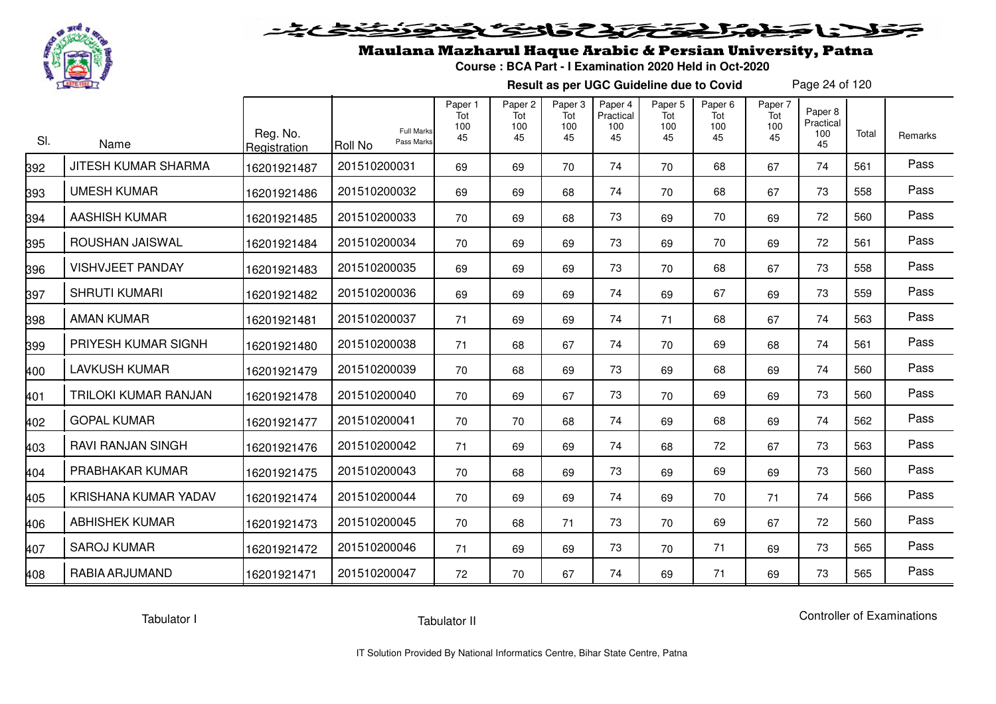

# فلانا حظما يحتكك كالخصي

## Maulana Mazharul Haque Arabic & Persian University, Patna

**Course : BCA Part - I Examination 2020 Held in Oct-2020**

**Result as per UGC Guideline due to Covid**

Page 24 of 120

| SI. | Name                       | Reg. No.<br>Registration | <b>Full Marks</b><br>Pass Marks<br><b>Roll No</b> | Paper 1<br>Tot<br>100<br>45 | Paper <sub>2</sub><br>Tot<br>100<br>45 | Paper <sub>3</sub><br>Tot<br>100<br>45 | Paper 4<br>Practical<br>100<br>45 | Paper <sub>5</sub><br>Tot<br>100<br>45 | Paper <sub>6</sub><br>Tot<br>100<br>45 | Paper 7<br>Tot<br>100<br>45 | Paper 8<br>Practical<br>100<br>45 | Total | Remarks |
|-----|----------------------------|--------------------------|---------------------------------------------------|-----------------------------|----------------------------------------|----------------------------------------|-----------------------------------|----------------------------------------|----------------------------------------|-----------------------------|-----------------------------------|-------|---------|
| 392 | <b>JITESH KUMAR SHARMA</b> | 16201921487              | 201510200031                                      | 69                          | 69                                     | 70                                     | 74                                | 70                                     | 68                                     | 67                          | 74                                | 561   | Pass    |
| 393 | <b>UMESH KUMAR</b>         | 16201921486              | 201510200032                                      | 69                          | 69                                     | 68                                     | 74                                | 70                                     | 68                                     | 67                          | 73                                | 558   | Pass    |
| 394 | <b>AASHISH KUMAR</b>       | 16201921485              | 201510200033                                      | 70                          | 69                                     | 68                                     | 73                                | 69                                     | 70                                     | 69                          | 72                                | 560   | Pass    |
| 395 | ROUSHAN JAISWAL            | 16201921484              | 201510200034                                      | 70                          | 69                                     | 69                                     | 73                                | 69                                     | 70                                     | 69                          | 72                                | 561   | Pass    |
| 396 | <b>VISHVJEET PANDAY</b>    | 16201921483              | 201510200035                                      | 69                          | 69                                     | 69                                     | 73                                | 70                                     | 68                                     | 67                          | 73                                | 558   | Pass    |
| 397 | <b>SHRUTI KUMARI</b>       | 16201921482              | 201510200036                                      | 69                          | 69                                     | 69                                     | 74                                | 69                                     | 67                                     | 69                          | 73                                | 559   | Pass    |
| 398 | <b>AMAN KUMAR</b>          | 16201921481              | 201510200037                                      | 71                          | 69                                     | 69                                     | 74                                | 71                                     | 68                                     | 67                          | 74                                | 563   | Pass    |
| 399 | PRIYESH KUMAR SIGNH        | 16201921480              | 201510200038                                      | 71                          | 68                                     | 67                                     | 74                                | 70                                     | 69                                     | 68                          | 74                                | 561   | Pass    |
| 400 | <b>LAVKUSH KUMAR</b>       | 16201921479              | 201510200039                                      | 70                          | 68                                     | 69                                     | 73                                | 69                                     | 68                                     | 69                          | 74                                | 560   | Pass    |
| 401 | TRILOKI KUMAR RANJAN       | 16201921478              | 201510200040                                      | 70                          | 69                                     | 67                                     | 73                                | 70                                     | 69                                     | 69                          | 73                                | 560   | Pass    |
| 402 | <b>GOPAL KUMAR</b>         | 16201921477              | 201510200041                                      | 70                          | 70                                     | 68                                     | 74                                | 69                                     | 68                                     | 69                          | 74                                | 562   | Pass    |
| 403 | <b>RAVI RANJAN SINGH</b>   | 16201921476              | 201510200042                                      | 71                          | 69                                     | 69                                     | 74                                | 68                                     | 72                                     | 67                          | 73                                | 563   | Pass    |
| 404 | PRABHAKAR KUMAR            | 16201921475              | 201510200043                                      | 70                          | 68                                     | 69                                     | 73                                | 69                                     | 69                                     | 69                          | 73                                | 560   | Pass    |
| 405 | KRISHANA KUMAR YADAV       | 16201921474              | 201510200044                                      | 70                          | 69                                     | 69                                     | 74                                | 69                                     | 70                                     | 71                          | 74                                | 566   | Pass    |
| 406 | <b>ABHISHEK KUMAR</b>      | 16201921473              | 201510200045                                      | 70                          | 68                                     | 71                                     | 73                                | 70                                     | 69                                     | 67                          | 72                                | 560   | Pass    |
| 407 | <b>SAROJ KUMAR</b>         | 16201921472              | 201510200046                                      | 71                          | 69                                     | 69                                     | 73                                | 70                                     | 71                                     | 69                          | 73                                | 565   | Pass    |
| 408 | RABIA ARJUMAND             | 16201921471              | 201510200047                                      | 72                          | 70                                     | 67                                     | 74                                | 69                                     | 71                                     | 69                          | 73                                | 565   | Pass    |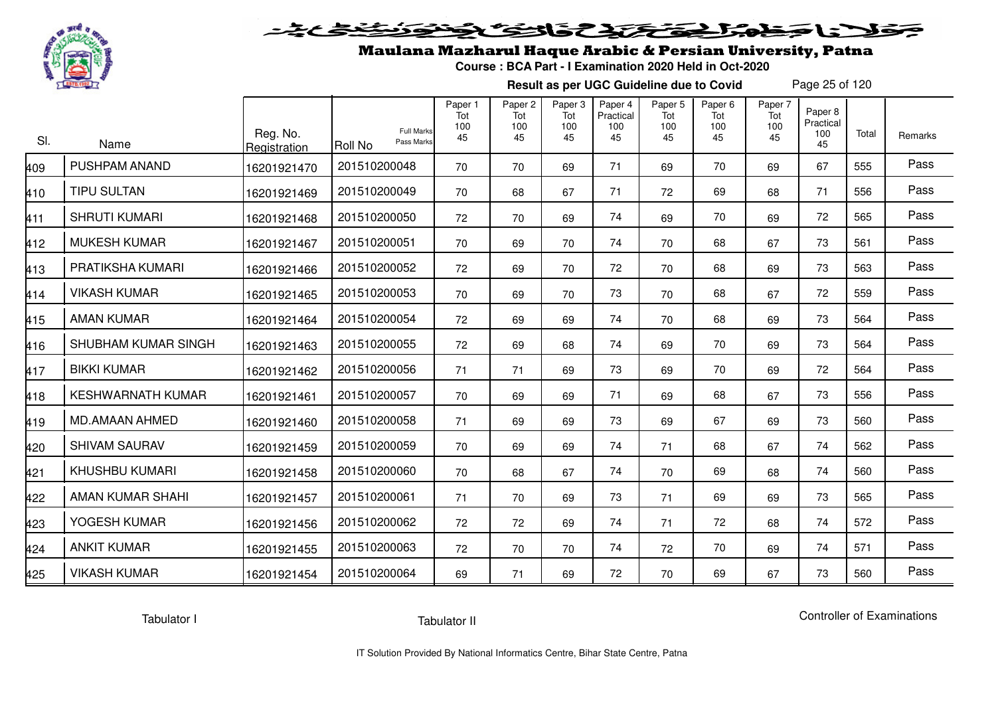

# فلأناخض المتعاطية فتخلفت فالخفض

## Maulana Mazharul Haque Arabic & Persian University, Patna

**Course : BCA Part - I Examination 2020 Held in Oct-2020**

**Result as per UGC Guideline due to Covid**

Page 25 of 120

| SI. | Name                     | Reg. No.<br>Registration | <b>Full Marks</b><br>Pass Marks<br><b>Roll No</b> | Paper 1<br>Tot<br>100<br>45 | Paper <sub>2</sub><br>Tot<br>100<br>45 | Paper 3<br>Tot<br>100<br>45 | Paper 4<br>Practical<br>100<br>45 | Paper <sub>5</sub><br>Tot<br>100<br>45 | Paper <sub>6</sub><br>Tot<br>100<br>45 | Paper 7<br>Tot<br>100<br>45 | Paper 8<br>Practical<br>100<br>45 | Total | Remarks |
|-----|--------------------------|--------------------------|---------------------------------------------------|-----------------------------|----------------------------------------|-----------------------------|-----------------------------------|----------------------------------------|----------------------------------------|-----------------------------|-----------------------------------|-------|---------|
| 409 | PUSHPAM ANAND            | 16201921470              | 201510200048                                      | 70                          | 70                                     | 69                          | 71                                | 69                                     | 70                                     | 69                          | 67                                | 555   | Pass    |
| 410 | <b>TIPU SULTAN</b>       | 16201921469              | 201510200049                                      | 70                          | 68                                     | 67                          | 71                                | 72                                     | 69                                     | 68                          | 71                                | 556   | Pass    |
| 411 | <b>SHRUTI KUMARI</b>     | 16201921468              | 201510200050                                      | 72                          | 70                                     | 69                          | 74                                | 69                                     | 70                                     | 69                          | 72                                | 565   | Pass    |
| 412 | <b>MUKESH KUMAR</b>      | 16201921467              | 201510200051                                      | 70                          | 69                                     | 70                          | 74                                | 70                                     | 68                                     | 67                          | 73                                | 561   | Pass    |
| 413 | PRATIKSHA KUMARI         | 16201921466              | 201510200052                                      | 72                          | 69                                     | 70                          | 72                                | 70                                     | 68                                     | 69                          | 73                                | 563   | Pass    |
| 414 | <b>VIKASH KUMAR</b>      | 16201921465              | 201510200053                                      | 70                          | 69                                     | 70                          | 73                                | 70                                     | 68                                     | 67                          | 72                                | 559   | Pass    |
| 415 | <b>AMAN KUMAR</b>        | 16201921464              | 201510200054                                      | 72                          | 69                                     | 69                          | 74                                | 70                                     | 68                                     | 69                          | 73                                | 564   | Pass    |
| 416 | SHUBHAM KUMAR SINGH      | 16201921463              | 201510200055                                      | 72                          | 69                                     | 68                          | 74                                | 69                                     | 70                                     | 69                          | 73                                | 564   | Pass    |
| 417 | <b>BIKKI KUMAR</b>       | 16201921462              | 201510200056                                      | 71                          | 71                                     | 69                          | 73                                | 69                                     | 70                                     | 69                          | 72                                | 564   | Pass    |
| 418 | <b>KESHWARNATH KUMAR</b> | 16201921461              | 201510200057                                      | 70                          | 69                                     | 69                          | 71                                | 69                                     | 68                                     | 67                          | 73                                | 556   | Pass    |
| 419 | <b>MD.AMAAN AHMED</b>    | 16201921460              | 201510200058                                      | 71                          | 69                                     | 69                          | 73                                | 69                                     | 67                                     | 69                          | 73                                | 560   | Pass    |
| 420 | <b>SHIVAM SAURAV</b>     | 16201921459              | 201510200059                                      | 70                          | 69                                     | 69                          | 74                                | 71                                     | 68                                     | 67                          | 74                                | 562   | Pass    |
| 421 | <b>KHUSHBU KUMARI</b>    | 16201921458              | 201510200060                                      | 70                          | 68                                     | 67                          | 74                                | 70                                     | 69                                     | 68                          | 74                                | 560   | Pass    |
| 422 | AMAN KUMAR SHAHI         | 16201921457              | 201510200061                                      | 71                          | 70                                     | 69                          | 73                                | 71                                     | 69                                     | 69                          | 73                                | 565   | Pass    |
| 423 | YOGESH KUMAR             | 16201921456              | 201510200062                                      | 72                          | 72                                     | 69                          | 74                                | 71                                     | 72                                     | 68                          | 74                                | 572   | Pass    |
| 424 | <b>ANKIT KUMAR</b>       | 16201921455              | 201510200063                                      | 72                          | 70                                     | 70                          | 74                                | 72                                     | 70                                     | 69                          | 74                                | 571   | Pass    |
| 425 | <b>VIKASH KUMAR</b>      | 16201921454              | 201510200064                                      | 69                          | 71                                     | 69                          | 72                                | 70                                     | 69                                     | 67                          | 73                                | 560   | Pass    |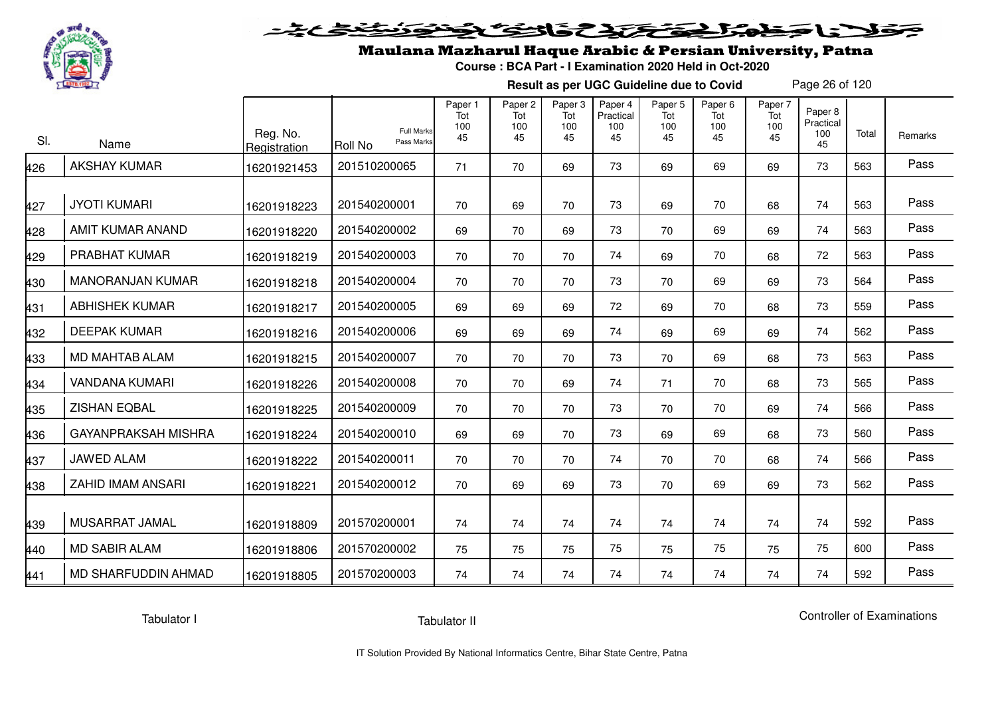

# فلأناخض المتخفض والخفائف

## Maulana Mazharul Haque Arabic & Persian University, Patna

**Course : BCA Part - I Examination 2020 Held in Oct-2020**

**Result as per UGC Guideline due to Covid**

Page 26 of 120

| SI. | Name                       | Reg. No.<br>Registration | <b>Full Marks</b><br>Pass Marks<br><b>Roll No</b> | Paper 1<br>Tot<br>100<br>45 | Paper 2<br>Tot<br>100<br>45 | Paper 3<br>Tot<br>100<br>45 | Paper 4<br>Practical<br>100<br>45 | Paper 5<br>Tot<br>100<br>45 | Paper <sub>6</sub><br>Tot<br>100<br>45 | Paper 7<br>Tot<br>100<br>45 | Paper 8<br>Practical<br>100<br>45 | Total | Remarks |
|-----|----------------------------|--------------------------|---------------------------------------------------|-----------------------------|-----------------------------|-----------------------------|-----------------------------------|-----------------------------|----------------------------------------|-----------------------------|-----------------------------------|-------|---------|
| 426 | <b>AKSHAY KUMAR</b>        | 16201921453              | 201510200065                                      | 71                          | 70                          | 69                          | 73                                | 69                          | 69                                     | 69                          | 73                                | 563   | Pass    |
| 427 | <b>JYOTI KUMARI</b>        | 16201918223              | 201540200001                                      | 70                          | 69                          | 70                          | 73                                | 69                          | 70                                     | 68                          | 74                                | 563   | Pass    |
| 428 | AMIT KUMAR ANAND           | 16201918220              | 201540200002                                      | 69                          | 70                          | 69                          | 73                                | 70                          | 69                                     | 69                          | 74                                | 563   | Pass    |
| 429 | PRABHAT KUMAR              | 16201918219              | 201540200003                                      | 70                          | 70                          | 70                          | 74                                | 69                          | 70                                     | 68                          | 72                                | 563   | Pass    |
| 430 | <b>MANORANJAN KUMAR</b>    | 16201918218              | 201540200004                                      | 70                          | 70                          | 70                          | 73                                | 70                          | 69                                     | 69                          | 73                                | 564   | Pass    |
| 431 | <b>ABHISHEK KUMAR</b>      | 16201918217              | 201540200005                                      | 69                          | 69                          | 69                          | 72                                | 69                          | 70                                     | 68                          | 73                                | 559   | Pass    |
| 432 | <b>DEEPAK KUMAR</b>        | 16201918216              | 201540200006                                      | 69                          | 69                          | 69                          | 74                                | 69                          | 69                                     | 69                          | 74                                | 562   | Pass    |
| 433 | MD MAHTAB ALAM             | 16201918215              | 201540200007                                      | 70                          | 70                          | 70                          | 73                                | 70                          | 69                                     | 68                          | 73                                | 563   | Pass    |
| 434 | <b>VANDANA KUMARI</b>      | 16201918226              | 201540200008                                      | 70                          | 70                          | 69                          | 74                                | 71                          | 70                                     | 68                          | 73                                | 565   | Pass    |
| 435 | <b>ZISHAN EQBAL</b>        | 16201918225              | 201540200009                                      | 70                          | 70                          | 70                          | 73                                | 70                          | 70                                     | 69                          | 74                                | 566   | Pass    |
| 436 | <b>GAYANPRAKSAH MISHRA</b> | 16201918224              | 201540200010                                      | 69                          | 69                          | 70                          | 73                                | 69                          | 69                                     | 68                          | 73                                | 560   | Pass    |
| 437 | JAWED ALAM                 | 16201918222              | 201540200011                                      | 70                          | 70                          | 70                          | 74                                | 70                          | 70                                     | 68                          | 74                                | 566   | Pass    |
| 438 | <b>ZAHID IMAM ANSARI</b>   | 16201918221              | 201540200012                                      | 70                          | 69                          | 69                          | 73                                | 70                          | 69                                     | 69                          | 73                                | 562   | Pass    |
| 439 | MUSARRAT JAMAL             | 16201918809              | 201570200001                                      | 74                          | 74                          | 74                          | 74                                | 74                          | 74                                     | 74                          | 74                                | 592   | Pass    |
| 440 | <b>MD SABIR ALAM</b>       | 16201918806              | 201570200002                                      | 75                          | 75                          | 75                          | 75                                | 75                          | 75                                     | 75                          | 75                                | 600   | Pass    |
| 441 | MD SHARFUDDIN AHMAD        | 16201918805              | 201570200003                                      | 74                          | 74                          | 74                          | 74                                | 74                          | 74                                     | 74                          | 74                                | 592   | Pass    |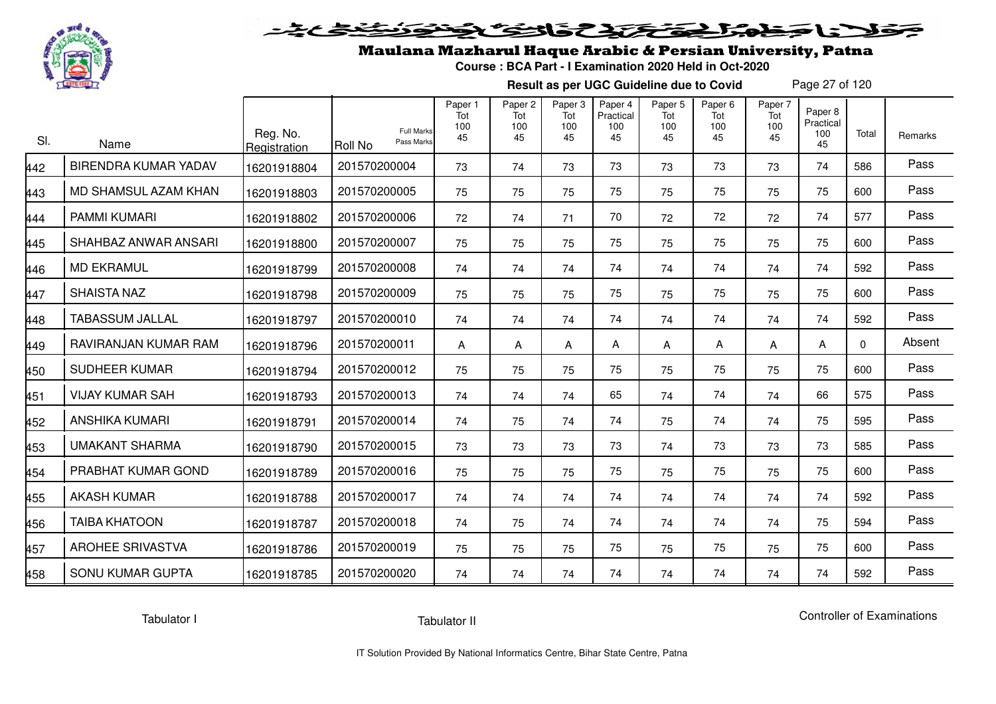

# فلأناخض المتعاطية فتخلفت فالخفض

## Maulana Mazharul Haque Arabic & Persian University, Patna

**Course : BCA Part - I Examination 2020 Held in Oct-2020**

**Result as per UGC Guideline due to Covid**

Page 27 of 120

| SI. | Name                        | Reg. No.<br>Registration | <b>Full Marks</b><br>Pass Marks<br>Roll No | Paper 1<br>Tot<br>100<br>45 | Paper <sub>2</sub><br>Tot<br>100<br>45 | Paper <sub>3</sub><br>Tot<br>100<br>45 | Paper 4<br>Practical<br>100<br>45 | Paper <sub>5</sub><br>Tot<br>100<br>45 | Paper <sub>6</sub><br>Tot<br>100<br>45 | Paper 7<br>Tot<br>100<br>45 | Paper 8<br>Practical<br>100<br>45 | Total    | Remarks |
|-----|-----------------------------|--------------------------|--------------------------------------------|-----------------------------|----------------------------------------|----------------------------------------|-----------------------------------|----------------------------------------|----------------------------------------|-----------------------------|-----------------------------------|----------|---------|
| 442 | <b>BIRENDRA KUMAR YADAV</b> | 16201918804              | 201570200004                               | 73                          | 74                                     | 73                                     | 73                                | 73                                     | 73                                     | 73                          | 74                                | 586      | Pass    |
| 443 | MD SHAMSUL AZAM KHAN        | 16201918803              | 201570200005                               | 75                          | 75                                     | 75                                     | 75                                | 75                                     | 75                                     | 75                          | 75                                | 600      | Pass    |
| 444 | <b>PAMMI KUMARI</b>         | 16201918802              | 201570200006                               | 72                          | 74                                     | 71                                     | 70                                | 72                                     | 72                                     | 72                          | 74                                | 577      | Pass    |
| 445 | SHAHBAZ ANWAR ANSARI        | 16201918800              | 201570200007                               | 75                          | 75                                     | 75                                     | 75                                | 75                                     | 75                                     | 75                          | 75                                | 600      | Pass    |
| 446 | <b>MD EKRAMUL</b>           | 16201918799              | 201570200008                               | 74                          | 74                                     | 74                                     | 74                                | 74                                     | 74                                     | 74                          | 74                                | 592      | Pass    |
| 447 | <b>SHAISTA NAZ</b>          | 16201918798              | 201570200009                               | 75                          | 75                                     | 75                                     | 75                                | 75                                     | 75                                     | 75                          | 75                                | 600      | Pass    |
| 448 | <b>TABASSUM JALLAL</b>      | 16201918797              | 201570200010                               | 74                          | 74                                     | 74                                     | 74                                | 74                                     | 74                                     | 74                          | 74                                | 592      | Pass    |
| 449 | RAVIRANJAN KUMAR RAM        | 16201918796              | 201570200011                               | A                           | A                                      | A                                      | A                                 | A                                      | A                                      | A                           | A                                 | $\Omega$ | Absent  |
| 450 | <b>SUDHEER KUMAR</b>        | 16201918794              | 201570200012                               | 75                          | 75                                     | 75                                     | 75                                | 75                                     | 75                                     | 75                          | 75                                | 600      | Pass    |
| 451 | <b>VIJAY KUMAR SAH</b>      | 16201918793              | 201570200013                               | 74                          | 74                                     | 74                                     | 65                                | 74                                     | 74                                     | 74                          | 66                                | 575      | Pass    |
| 452 | <b>ANSHIKA KUMARI</b>       | 16201918791              | 201570200014                               | 74                          | 75                                     | 74                                     | 74                                | 75                                     | 74                                     | 74                          | 75                                | 595      | Pass    |
| 453 | <b>UMAKANT SHARMA</b>       | 16201918790              | 201570200015                               | 73                          | 73                                     | 73                                     | 73                                | 74                                     | 73                                     | 73                          | 73                                | 585      | Pass    |
| 454 | PRABHAT KUMAR GOND          | 16201918789              | 201570200016                               | 75                          | 75                                     | 75                                     | 75                                | 75                                     | 75                                     | 75                          | 75                                | 600      | Pass    |
| 455 | <b>AKASH KUMAR</b>          | 16201918788              | 201570200017                               | 74                          | 74                                     | 74                                     | 74                                | 74                                     | 74                                     | 74                          | 74                                | 592      | Pass    |
| 456 | <b>TAIBA KHATOON</b>        | 16201918787              | 201570200018                               | 74                          | 75                                     | 74                                     | 74                                | 74                                     | 74                                     | 74                          | 75                                | 594      | Pass    |
| 457 | <b>AROHEE SRIVASTVA</b>     | 16201918786              | 201570200019                               | 75                          | 75                                     | 75                                     | 75                                | 75                                     | 75                                     | 75                          | 75                                | 600      | Pass    |
| 458 | <b>SONU KUMAR GUPTA</b>     | 16201918785              | 201570200020                               | 74                          | 74                                     | 74                                     | 74                                | 74                                     | 74                                     | 74                          | 74                                | 592      | Pass    |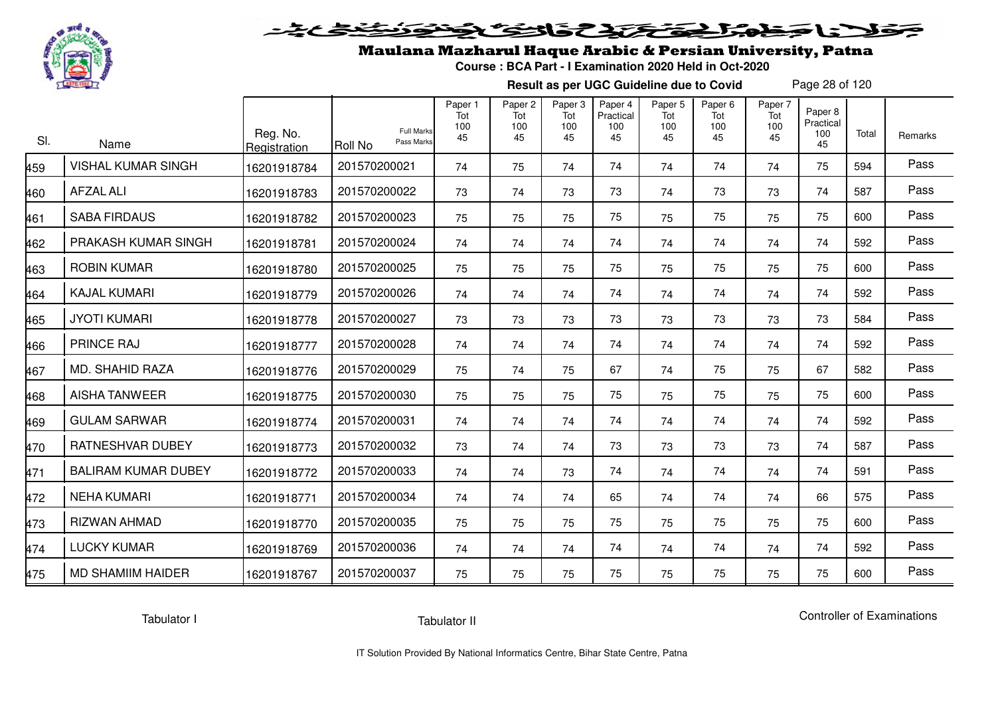

# فلأناخض المتعاطية فتخلفت فالخفض

## Maulana Mazharul Haque Arabic & Persian University, Patna

**Course : BCA Part - I Examination 2020 Held in Oct-2020**

**Result as per UGC Guideline due to Covid**

Page 28 of 120

| SI. | Name                       | Reg. No.<br>Registration | <b>Full Marks</b><br>Pass Marks<br>Roll No | Paper 1<br>Tot<br>100<br>45 | Paper <sub>2</sub><br>Tot<br>100<br>45 | Paper <sub>3</sub><br>Tot<br>100<br>45 | Paper 4<br>Practical<br>100<br>45 | Paper <sub>5</sub><br>Tot<br>100<br>45 | Paper <sub>6</sub><br>Tot<br>100<br>45 | Paper 7<br>Tot<br>100<br>45 | Paper 8<br>Practical<br>100<br>45 | Total | Remarks |
|-----|----------------------------|--------------------------|--------------------------------------------|-----------------------------|----------------------------------------|----------------------------------------|-----------------------------------|----------------------------------------|----------------------------------------|-----------------------------|-----------------------------------|-------|---------|
| 459 | <b>VISHAL KUMAR SINGH</b>  | 16201918784              | 201570200021                               | 74                          | 75                                     | 74                                     | 74                                | 74                                     | 74                                     | 74                          | 75                                | 594   | Pass    |
| 460 | <b>AFZAL ALI</b>           | 16201918783              | 201570200022                               | 73                          | 74                                     | 73                                     | 73                                | 74                                     | 73                                     | 73                          | 74                                | 587   | Pass    |
| 461 | <b>SABA FIRDAUS</b>        | 16201918782              | 201570200023                               | 75                          | 75                                     | 75                                     | 75                                | 75                                     | 75                                     | 75                          | 75                                | 600   | Pass    |
| 462 | PRAKASH KUMAR SINGH        | 16201918781              | 201570200024                               | 74                          | 74                                     | 74                                     | 74                                | 74                                     | 74                                     | 74                          | 74                                | 592   | Pass    |
| 463 | <b>ROBIN KUMAR</b>         | 16201918780              | 201570200025                               | 75                          | 75                                     | 75                                     | 75                                | 75                                     | 75                                     | 75                          | 75                                | 600   | Pass    |
| 464 | <b>KAJAL KUMARI</b>        | 16201918779              | 201570200026                               | 74                          | 74                                     | 74                                     | 74                                | 74                                     | 74                                     | 74                          | 74                                | 592   | Pass    |
| 465 | <b>JYOTI KUMARI</b>        | 16201918778              | 201570200027                               | 73                          | 73                                     | 73                                     | 73                                | 73                                     | 73                                     | 73                          | 73                                | 584   | Pass    |
| 466 | <b>PRINCE RAJ</b>          | 16201918777              | 201570200028                               | 74                          | 74                                     | 74                                     | 74                                | 74                                     | 74                                     | 74                          | 74                                | 592   | Pass    |
| 467 | MD. SHAHID RAZA            | 16201918776              | 201570200029                               | 75                          | 74                                     | 75                                     | 67                                | 74                                     | 75                                     | 75                          | 67                                | 582   | Pass    |
| 468 | <b>AISHA TANWEER</b>       | 16201918775              | 201570200030                               | 75                          | 75                                     | 75                                     | 75                                | 75                                     | 75                                     | 75                          | 75                                | 600   | Pass    |
| 469 | <b>GULAM SARWAR</b>        | 16201918774              | 201570200031                               | 74                          | 74                                     | 74                                     | 74                                | 74                                     | 74                                     | 74                          | 74                                | 592   | Pass    |
| 470 | <b>RATNESHVAR DUBEY</b>    | 16201918773              | 201570200032                               | 73                          | 74                                     | 74                                     | 73                                | 73                                     | 73                                     | 73                          | 74                                | 587   | Pass    |
| 471 | <b>BALIRAM KUMAR DUBEY</b> | 16201918772              | 201570200033                               | 74                          | 74                                     | 73                                     | 74                                | 74                                     | 74                                     | 74                          | 74                                | 591   | Pass    |
| 472 | <b>NEHA KUMARI</b>         | 16201918771              | 201570200034                               | 74                          | 74                                     | 74                                     | 65                                | 74                                     | 74                                     | 74                          | 66                                | 575   | Pass    |
| 473 | RIZWAN AHMAD               | 16201918770              | 201570200035                               | 75                          | 75                                     | 75                                     | 75                                | 75                                     | 75                                     | 75                          | 75                                | 600   | Pass    |
| 474 | <b>LUCKY KUMAR</b>         | 16201918769              | 201570200036                               | 74                          | 74                                     | 74                                     | 74                                | 74                                     | 74                                     | 74                          | 74                                | 592   | Pass    |
| 475 | <b>MD SHAMIIM HAIDER</b>   | 16201918767              | 201570200037                               | 75                          | 75                                     | 75                                     | 75                                | 75                                     | 75                                     | 75                          | 75                                | 600   | Pass    |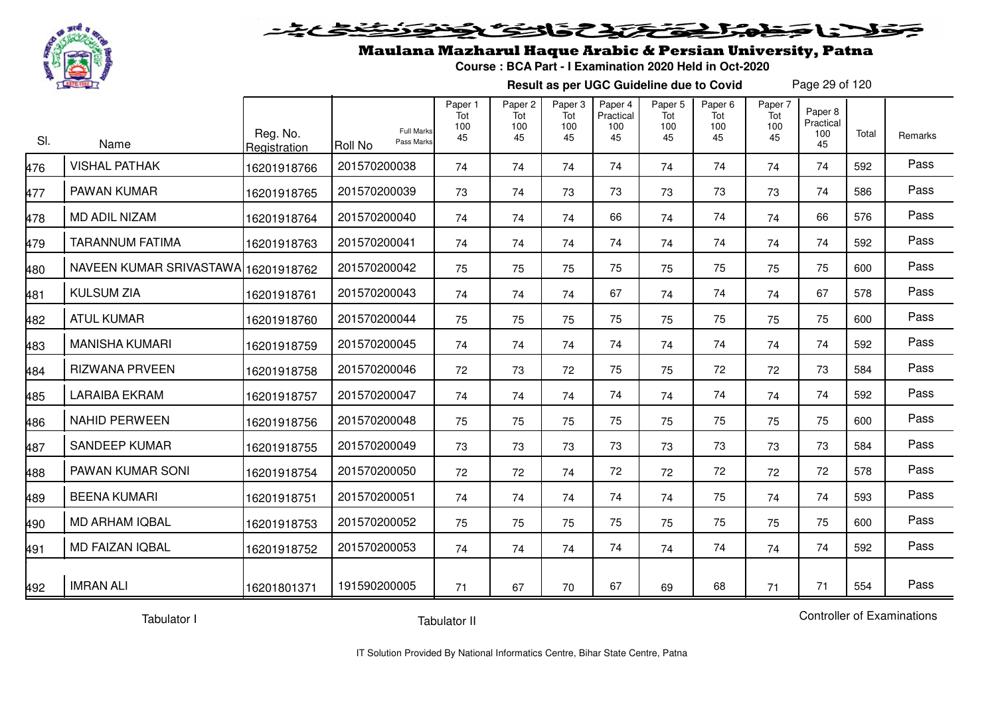

#### 20202222325.0  $\blacktriangleright$   $\blacktriangleright$   $\blacktriangleright$

## Maulana Mazharul Haque Arabic & Persian University, Patna

**Course : BCA Part - I Examination 2020 Held in Oct-2020**

**Result as per UGC Guideline due to Covid**

Page 29 of 120

| SI. | Name                                | Reg. No.<br>Registration | Roll No      | <b>Full Marks</b><br>Pass Marks | Paper 1<br>Tot<br>100<br>45 | Paper 2<br>Tot<br>100<br>45 | Paper 3<br>Tot<br>100<br>45 | Paper 4<br>Practical<br>100<br>45 | Paper <sub>5</sub><br>Tot<br>100<br>45 | Paper <sub>6</sub><br>Tot<br>100<br>45 | Paper 7<br>Tot<br>100<br>45 | Paper 8<br>Practical<br>100<br>45 | Total | Remarks |
|-----|-------------------------------------|--------------------------|--------------|---------------------------------|-----------------------------|-----------------------------|-----------------------------|-----------------------------------|----------------------------------------|----------------------------------------|-----------------------------|-----------------------------------|-------|---------|
| 476 | <b>VISHAL PATHAK</b>                | 16201918766              | 201570200038 |                                 | 74                          | 74                          | 74                          | 74                                | 74                                     | 74                                     | 74                          | 74                                | 592   | Pass    |
| 477 | PAWAN KUMAR                         | 16201918765              | 201570200039 |                                 | 73                          | 74                          | 73                          | 73                                | 73                                     | 73                                     | 73                          | 74                                | 586   | Pass    |
| 478 | <b>MD ADIL NIZAM</b>                | 16201918764              | 201570200040 |                                 | 74                          | 74                          | 74                          | 66                                | 74                                     | 74                                     | 74                          | 66                                | 576   | Pass    |
| 479 | <b>TARANNUM FATIMA</b>              | 16201918763              | 201570200041 |                                 | 74                          | 74                          | 74                          | 74                                | 74                                     | 74                                     | 74                          | 74                                | 592   | Pass    |
| 480 | NAVEEN KUMAR SRIVASTAWA 16201918762 |                          | 201570200042 |                                 | 75                          | 75                          | 75                          | 75                                | 75                                     | 75                                     | 75                          | 75                                | 600   | Pass    |
| 481 | <b>KULSUM ZIA</b>                   | 16201918761              | 201570200043 |                                 | 74                          | 74                          | 74                          | 67                                | 74                                     | 74                                     | 74                          | 67                                | 578   | Pass    |
| 482 | <b>ATUL KUMAR</b>                   | 16201918760              | 201570200044 |                                 | 75                          | 75                          | 75                          | 75                                | 75                                     | 75                                     | 75                          | 75                                | 600   | Pass    |
| 483 | <b>MANISHA KUMARI</b>               | 16201918759              | 201570200045 |                                 | 74                          | 74                          | 74                          | 74                                | 74                                     | 74                                     | 74                          | 74                                | 592   | Pass    |
| 484 | <b>RIZWANA PRVEEN</b>               | 16201918758              | 201570200046 |                                 | 72                          | 73                          | 72                          | 75                                | 75                                     | 72                                     | 72                          | 73                                | 584   | Pass    |
| 485 | <b>LARAIBA EKRAM</b>                | 16201918757              | 201570200047 |                                 | 74                          | 74                          | 74                          | 74                                | 74                                     | 74                                     | 74                          | 74                                | 592   | Pass    |
| 486 | <b>NAHID PERWEEN</b>                | 16201918756              | 201570200048 |                                 | 75                          | 75                          | 75                          | 75                                | 75                                     | 75                                     | 75                          | 75                                | 600   | Pass    |
| 487 | <b>SANDEEP KUMAR</b>                | 16201918755              | 201570200049 |                                 | 73                          | 73                          | 73                          | 73                                | 73                                     | 73                                     | 73                          | 73                                | 584   | Pass    |
| 488 | PAWAN KUMAR SONI                    | 16201918754              | 201570200050 |                                 | 72                          | 72                          | 74                          | 72                                | 72                                     | 72                                     | 72                          | 72                                | 578   | Pass    |
| 489 | <b>BEENA KUMARI</b>                 | 16201918751              | 201570200051 |                                 | 74                          | 74                          | 74                          | 74                                | 74                                     | 75                                     | 74                          | 74                                | 593   | Pass    |
| 490 | <b>MD ARHAM IQBAL</b>               | 16201918753              | 201570200052 |                                 | 75                          | 75                          | 75                          | 75                                | 75                                     | 75                                     | 75                          | 75                                | 600   | Pass    |
| 491 | MD FAIZAN IQBAL                     | 16201918752              | 201570200053 |                                 | 74                          | 74                          | 74                          | 74                                | 74                                     | 74                                     | 74                          | 74                                | 592   | Pass    |
| 492 | <b>IMRAN ALI</b>                    | 16201801371              | 191590200005 |                                 | 71                          | 67                          | 70                          | 67                                | 69                                     | 68                                     | 71                          | 71                                | 554   | Pass    |

Tabulator I

Tabulator II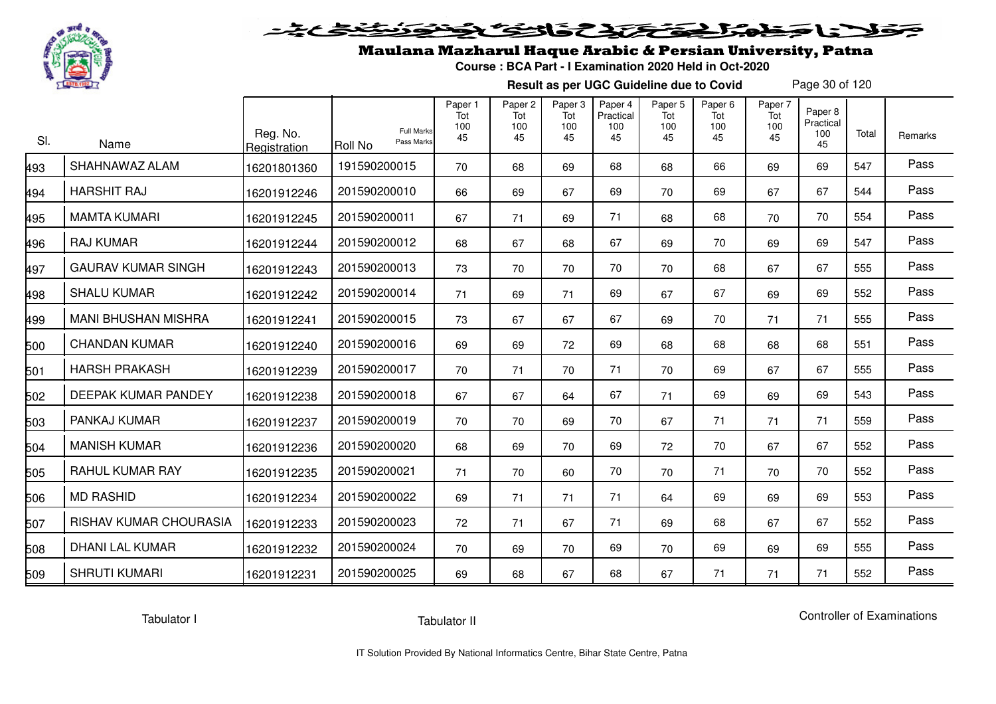

# فلأناخض المتعاطية فتخلفت فالخفض

## Maulana Mazharul Haque Arabic & Persian University, Patna

**Course : BCA Part - I Examination 2020 Held in Oct-2020**

**Result as per UGC Guideline due to Covid**

Page 30 of 120

| SI. | Name                       | Reg. No.<br>Registration | <b>Full Marks</b><br>Pass Marks<br>Roll No | Paper 1<br>Tot<br>100<br>45 | Paper <sub>2</sub><br>Tot<br>100<br>45 | Paper <sub>3</sub><br>Tot<br>100<br>45 | Paper 4<br>Practical<br>100<br>45 | Paper <sub>5</sub><br>Tot<br>100<br>45 | Paper <sub>6</sub><br>Tot<br>100<br>45 | Paper 7<br>Tot<br>100<br>45 | Paper 8<br>Practical<br>100<br>45 | Total | Remarks |
|-----|----------------------------|--------------------------|--------------------------------------------|-----------------------------|----------------------------------------|----------------------------------------|-----------------------------------|----------------------------------------|----------------------------------------|-----------------------------|-----------------------------------|-------|---------|
| 493 | SHAHNAWAZ ALAM             | 16201801360              | 191590200015                               | 70                          | 68                                     | 69                                     | 68                                | 68                                     | 66                                     | 69                          | 69                                | 547   | Pass    |
| 494 | <b>HARSHIT RAJ</b>         | 16201912246              | 201590200010                               | 66                          | 69                                     | 67                                     | 69                                | 70                                     | 69                                     | 67                          | 67                                | 544   | Pass    |
| 495 | <b>MAMTA KUMARI</b>        | 16201912245              | 201590200011                               | 67                          | 71                                     | 69                                     | 71                                | 68                                     | 68                                     | 70                          | 70                                | 554   | Pass    |
| 496 | <b>RAJ KUMAR</b>           | 16201912244              | 201590200012                               | 68                          | 67                                     | 68                                     | 67                                | 69                                     | 70                                     | 69                          | 69                                | 547   | Pass    |
| 497 | <b>GAURAV KUMAR SINGH</b>  | 16201912243              | 201590200013                               | 73                          | 70                                     | 70                                     | 70                                | 70                                     | 68                                     | 67                          | 67                                | 555   | Pass    |
| 498 | <b>SHALU KUMAR</b>         | 16201912242              | 201590200014                               | 71                          | 69                                     | 71                                     | 69                                | 67                                     | 67                                     | 69                          | 69                                | 552   | Pass    |
| 499 | <b>MANI BHUSHAN MISHRA</b> | 16201912241              | 201590200015                               | 73                          | 67                                     | 67                                     | 67                                | 69                                     | 70                                     | 71                          | 71                                | 555   | Pass    |
| 500 | <b>CHANDAN KUMAR</b>       | 16201912240              | 201590200016                               | 69                          | 69                                     | 72                                     | 69                                | 68                                     | 68                                     | 68                          | 68                                | 551   | Pass    |
| 501 | <b>HARSH PRAKASH</b>       | 16201912239              | 201590200017                               | 70                          | 71                                     | 70                                     | 71                                | 70                                     | 69                                     | 67                          | 67                                | 555   | Pass    |
| 502 | DEEPAK KUMAR PANDEY        | 16201912238              | 201590200018                               | 67                          | 67                                     | 64                                     | 67                                | 71                                     | 69                                     | 69                          | 69                                | 543   | Pass    |
| 503 | PANKAJ KUMAR               | 16201912237              | 201590200019                               | 70                          | 70                                     | 69                                     | 70                                | 67                                     | 71                                     | 71                          | 71                                | 559   | Pass    |
| 504 | <b>MANISH KUMAR</b>        | 16201912236              | 201590200020                               | 68                          | 69                                     | 70                                     | 69                                | 72                                     | 70                                     | 67                          | 67                                | 552   | Pass    |
| 505 | <b>RAHUL KUMAR RAY</b>     | 16201912235              | 201590200021                               | 71                          | 70                                     | 60                                     | 70                                | 70                                     | 71                                     | 70                          | 70                                | 552   | Pass    |
| 506 | <b>MD RASHID</b>           | 16201912234              | 201590200022                               | 69                          | 71                                     | 71                                     | 71                                | 64                                     | 69                                     | 69                          | 69                                | 553   | Pass    |
| 507 | RISHAV KUMAR CHOURASIA     | 16201912233              | 201590200023                               | 72                          | 71                                     | 67                                     | 71                                | 69                                     | 68                                     | 67                          | 67                                | 552   | Pass    |
| 508 | <b>DHANI LAL KUMAR</b>     | 16201912232              | 201590200024                               | 70                          | 69                                     | 70                                     | 69                                | 70                                     | 69                                     | 69                          | 69                                | 555   | Pass    |
| 509 | <b>SHRUTI KUMARI</b>       | 16201912231              | 201590200025                               | 69                          | 68                                     | 67                                     | 68                                | 67                                     | 71                                     | 71                          | 71                                | 552   | Pass    |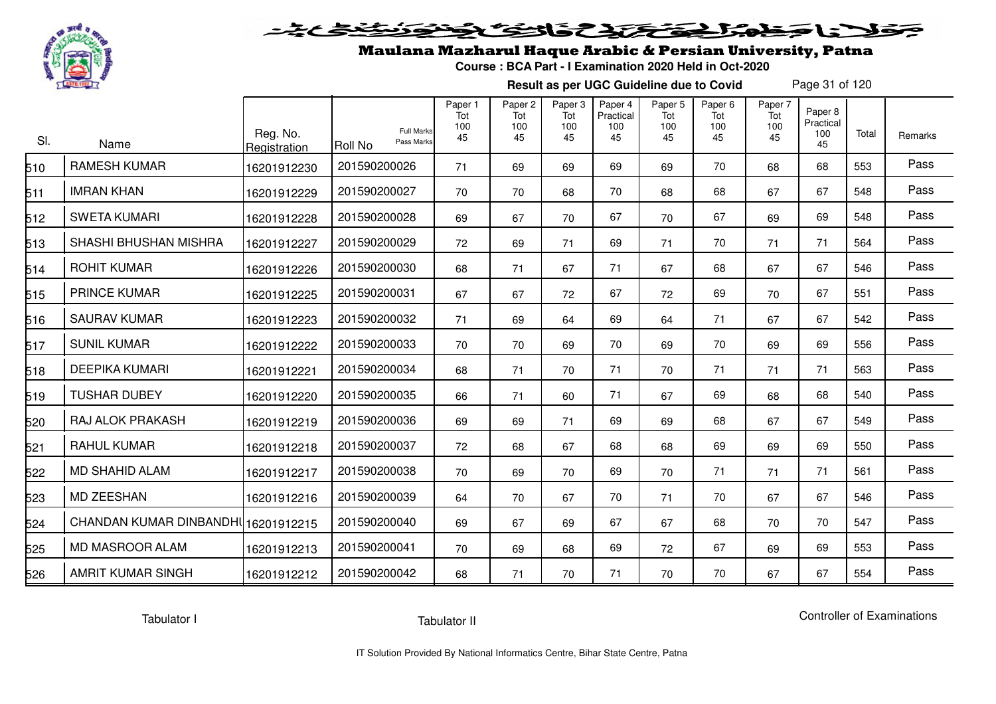

# فلأناخض بكتك كتفاف

## Maulana Mazharul Haque Arabic & Persian University, Patna

**Course : BCA Part - I Examination 2020 Held in Oct-2020**

**Result as per UGC Guideline due to Covid**

Page 31 of 120

| SI. | Name                                | Reg. No.<br>Registration | <b>Full Marks</b><br>Pass Marks<br><b>Roll No</b> | Paper 1<br>Tot<br>100<br>45 | Paper <sub>2</sub><br>Tot<br>100<br>45 | Paper 3<br>Tot<br>100<br>45 | Paper 4<br>Practical<br>100<br>45 | Paper <sub>5</sub><br>Tot<br>100<br>45 | Paper <sub>6</sub><br>Tot<br>100<br>45 | Paper 7<br>Tot<br>100<br>45 | Paper 8<br>Practical<br>100<br>45 | Total | Remarks |
|-----|-------------------------------------|--------------------------|---------------------------------------------------|-----------------------------|----------------------------------------|-----------------------------|-----------------------------------|----------------------------------------|----------------------------------------|-----------------------------|-----------------------------------|-------|---------|
| 510 | <b>RAMESH KUMAR</b>                 | 16201912230              | 201590200026                                      | 71                          | 69                                     | 69                          | 69                                | 69                                     | 70                                     | 68                          | 68                                | 553   | Pass    |
| 511 | <b>IMRAN KHAN</b>                   | 16201912229              | 201590200027                                      | 70                          | 70                                     | 68                          | 70                                | 68                                     | 68                                     | 67                          | 67                                | 548   | Pass    |
| 512 | <b>SWETA KUMARI</b>                 | 16201912228              | 201590200028                                      | 69                          | 67                                     | 70                          | 67                                | 70                                     | 67                                     | 69                          | 69                                | 548   | Pass    |
| 513 | SHASHI BHUSHAN MISHRA               | 16201912227              | 201590200029                                      | 72                          | 69                                     | 71                          | 69                                | 71                                     | 70                                     | 71                          | 71                                | 564   | Pass    |
| 514 | <b>ROHIT KUMAR</b>                  | 16201912226              | 201590200030                                      | 68                          | 71                                     | 67                          | 71                                | 67                                     | 68                                     | 67                          | 67                                | 546   | Pass    |
| 515 | <b>PRINCE KUMAR</b>                 | 16201912225              | 201590200031                                      | 67                          | 67                                     | 72                          | 67                                | 72                                     | 69                                     | 70                          | 67                                | 551   | Pass    |
| 516 | <b>SAURAV KUMAR</b>                 | 16201912223              | 201590200032                                      | 71                          | 69                                     | 64                          | 69                                | 64                                     | 71                                     | 67                          | 67                                | 542   | Pass    |
| 517 | <b>SUNIL KUMAR</b>                  | 16201912222              | 201590200033                                      | 70                          | 70                                     | 69                          | 70                                | 69                                     | 70                                     | 69                          | 69                                | 556   | Pass    |
| 518 | <b>DEEPIKA KUMARI</b>               | 16201912221              | 201590200034                                      | 68                          | 71                                     | 70                          | 71                                | 70                                     | 71                                     | 71                          | 71                                | 563   | Pass    |
| 519 | <b>TUSHAR DUBEY</b>                 | 16201912220              | 201590200035                                      | 66                          | 71                                     | 60                          | 71                                | 67                                     | 69                                     | 68                          | 68                                | 540   | Pass    |
| 520 | RAJ ALOK PRAKASH                    | 16201912219              | 201590200036                                      | 69                          | 69                                     | 71                          | 69                                | 69                                     | 68                                     | 67                          | 67                                | 549   | Pass    |
| 521 | <b>RAHUL KUMAR</b>                  | 16201912218              | 201590200037                                      | 72                          | 68                                     | 67                          | 68                                | 68                                     | 69                                     | 69                          | 69                                | 550   | Pass    |
| 522 | <b>MD SHAHID ALAM</b>               | 16201912217              | 201590200038                                      | 70                          | 69                                     | 70                          | 69                                | 70                                     | 71                                     | 71                          | 71                                | 561   | Pass    |
| 523 | <b>MD ZEESHAN</b>                   | 16201912216              | 201590200039                                      | 64                          | 70                                     | 67                          | 70                                | 71                                     | 70                                     | 67                          | 67                                | 546   | Pass    |
| 524 | CHANDAN KUMAR DINBANDHI 16201912215 |                          | 201590200040                                      | 69                          | 67                                     | 69                          | 67                                | 67                                     | 68                                     | 70                          | 70                                | 547   | Pass    |
| 525 | <b>MD MASROOR ALAM</b>              | 16201912213              | 201590200041                                      | 70                          | 69                                     | 68                          | 69                                | 72                                     | 67                                     | 69                          | 69                                | 553   | Pass    |
| 526 | <b>AMRIT KUMAR SINGH</b>            | 16201912212              | 201590200042                                      | 68                          | 71                                     | 70                          | 71                                | 70                                     | 70                                     | 67                          | 67                                | 554   | Pass    |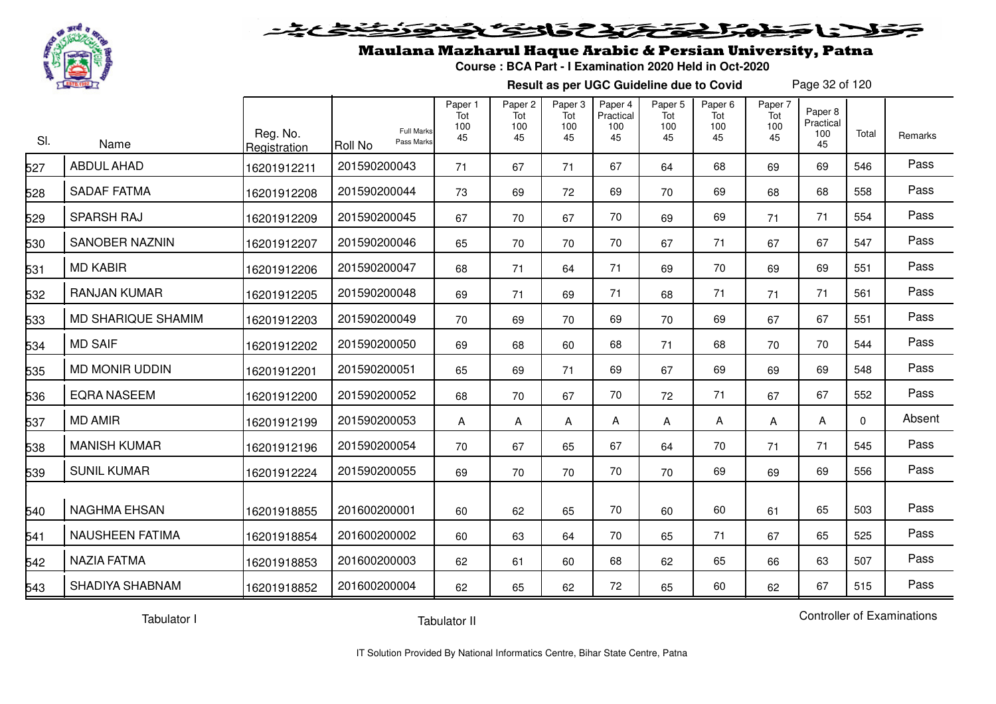

#### فتحتحلنك فالخف  $\blacktriangleright$  1:  $\blacktriangleright$

## Maulana Mazharul Haque Arabic & Persian University, Patna

**Course : BCA Part - I Examination 2020 Held in Oct-2020**

**Result as per UGC Guideline due to Covid**

Page 32 of 120

| SI. | Name                   | Reg. No.<br>Registration | <b>Full Marks</b><br>Pass Marks<br>Roll No | Paper 1<br>Tot<br>100<br>45 | Paper 2<br>Tot<br>100<br>45 | Paper 3<br>Tot<br>100<br>45 | Paper 4<br>Practical<br>100<br>45 | Paper 5<br>Tot<br>100<br>45 | Paper <sub>6</sub><br>Tot<br>100<br>45 | Paper 7<br>Tot<br>100<br>45 | Paper 8<br>Practical<br>100<br>45 | Total    | Remarks |
|-----|------------------------|--------------------------|--------------------------------------------|-----------------------------|-----------------------------|-----------------------------|-----------------------------------|-----------------------------|----------------------------------------|-----------------------------|-----------------------------------|----------|---------|
| 527 | <b>ABDUL AHAD</b>      | 16201912211              | 201590200043                               | 71                          | 67                          | 71                          | 67                                | 64                          | 68                                     | 69                          | 69                                | 546      | Pass    |
| 528 | <b>SADAF FATMA</b>     | 16201912208              | 201590200044                               | 73                          | 69                          | 72                          | 69                                | 70                          | 69                                     | 68                          | 68                                | 558      | Pass    |
| 529 | <b>SPARSH RAJ</b>      | 16201912209              | 201590200045                               | 67                          | 70                          | 67                          | 70                                | 69                          | 69                                     | 71                          | 71                                | 554      | Pass    |
| 530 | <b>SANOBER NAZNIN</b>  | 16201912207              | 201590200046                               | 65                          | 70                          | 70                          | 70                                | 67                          | 71                                     | 67                          | 67                                | 547      | Pass    |
| 531 | <b>MD KABIR</b>        | 16201912206              | 201590200047                               | 68                          | 71                          | 64                          | 71                                | 69                          | 70                                     | 69                          | 69                                | 551      | Pass    |
| 532 | <b>RANJAN KUMAR</b>    | 16201912205              | 201590200048                               | 69                          | 71                          | 69                          | 71                                | 68                          | 71                                     | 71                          | 71                                | 561      | Pass    |
| 533 | MD SHARIQUE SHAMIM     | 16201912203              | 201590200049                               | 70                          | 69                          | 70                          | 69                                | 70                          | 69                                     | 67                          | 67                                | 551      | Pass    |
| 534 | <b>MD SAIF</b>         | 16201912202              | 201590200050                               | 69                          | 68                          | 60                          | 68                                | 71                          | 68                                     | 70                          | 70                                | 544      | Pass    |
| 535 | <b>MD MONIR UDDIN</b>  | 16201912201              | 201590200051                               | 65                          | 69                          | 71                          | 69                                | 67                          | 69                                     | 69                          | 69                                | 548      | Pass    |
| 536 | <b>EQRA NASEEM</b>     | 16201912200              | 201590200052                               | 68                          | 70                          | 67                          | 70                                | 72                          | 71                                     | 67                          | 67                                | 552      | Pass    |
| 537 | <b>MD AMIR</b>         | 16201912199              | 201590200053                               | A                           | A                           | A                           | A                                 | A                           | A                                      | A                           | Α                                 | $\Omega$ | Absent  |
| 538 | <b>MANISH KUMAR</b>    | 16201912196              | 201590200054                               | 70                          | 67                          | 65                          | 67                                | 64                          | 70                                     | 71                          | 71                                | 545      | Pass    |
| 539 | <b>SUNIL KUMAR</b>     | 16201912224              | 201590200055                               | 69                          | 70                          | 70                          | 70                                | 70                          | 69                                     | 69                          | 69                                | 556      | Pass    |
| 540 | <b>NAGHMA EHSAN</b>    | 16201918855              | 201600200001                               | 60                          | 62                          | 65                          | 70                                | 60                          | 60                                     | 61                          | 65                                | 503      | Pass    |
| 541 | <b>NAUSHEEN FATIMA</b> | 16201918854              | 201600200002                               | 60                          | 63                          | 64                          | 70                                | 65                          | 71                                     | 67                          | 65                                | 525      | Pass    |
| 542 | NAZIA FATMA            | 16201918853              | 201600200003                               | 62                          | 61                          | 60                          | 68                                | 62                          | 65                                     | 66                          | 63                                | 507      | Pass    |
| 543 | SHADIYA SHABNAM        | 16201918852              | 201600200004                               | 62                          | 65                          | 62                          | 72                                | 65                          | 60                                     | 62                          | 67                                | 515      | Pass    |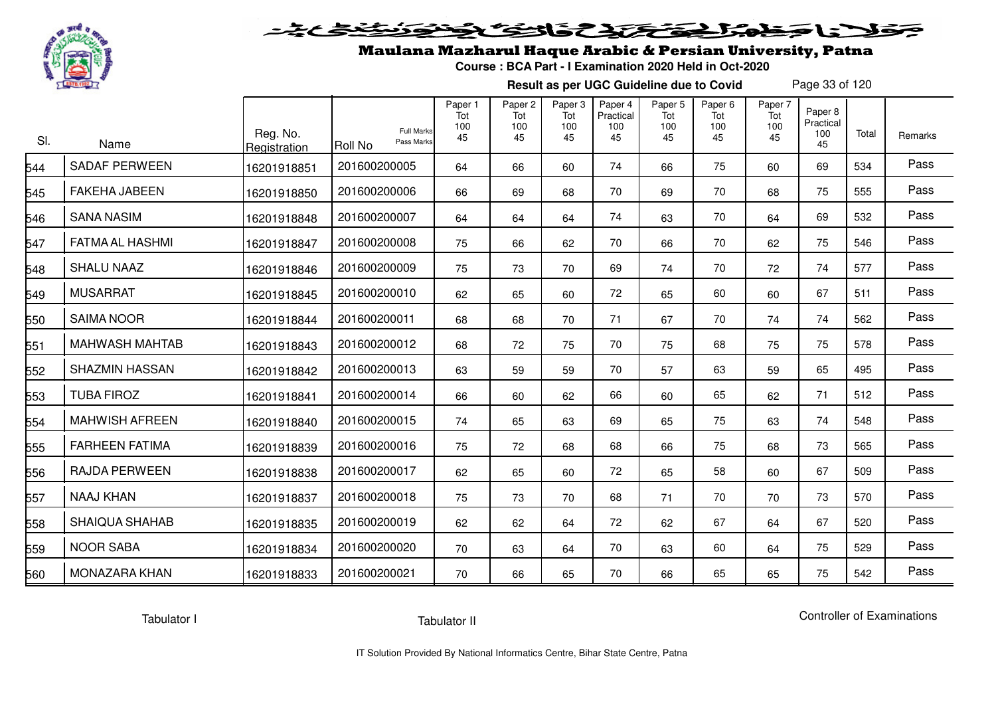

# فلأناخض المتخفض والخفائف

## Maulana Mazharul Haque Arabic & Persian University, Patna

**Course : BCA Part - I Examination 2020 Held in Oct-2020**

**Result as per UGC Guideline due to Covid**

Page 33 of 120

| SI. | Name                   | Reg. No.<br>Registration | <b>Full Marks</b><br>Pass Marks<br><b>Roll No</b> | Paper 1<br>Tot<br>100<br>45 | Paper <sub>2</sub><br>Tot<br>100<br>45 | Paper <sub>3</sub><br>Tot<br>100<br>45 | Paper 4<br>Practical<br>100<br>45 | Paper 5<br>Tot<br>100<br>45 | Paper <sub>6</sub><br>Tot<br>100<br>45 | Paper 7<br>Tot<br>100<br>45 | Paper 8<br>Practical<br>100<br>45 | Total | Remarks |
|-----|------------------------|--------------------------|---------------------------------------------------|-----------------------------|----------------------------------------|----------------------------------------|-----------------------------------|-----------------------------|----------------------------------------|-----------------------------|-----------------------------------|-------|---------|
| 544 | <b>SADAF PERWEEN</b>   | 16201918851              | 201600200005                                      | 64                          | 66                                     | 60                                     | 74                                | 66                          | 75                                     | 60                          | 69                                | 534   | Pass    |
| 545 | <b>FAKEHA JABEEN</b>   | 16201918850              | 201600200006                                      | 66                          | 69                                     | 68                                     | 70                                | 69                          | 70                                     | 68                          | 75                                | 555   | Pass    |
| 546 | <b>SANA NASIM</b>      | 16201918848              | 201600200007                                      | 64                          | 64                                     | 64                                     | 74                                | 63                          | 70                                     | 64                          | 69                                | 532   | Pass    |
| 547 | <b>FATMA AL HASHMI</b> | 16201918847              | 201600200008                                      | 75                          | 66                                     | 62                                     | 70                                | 66                          | 70                                     | 62                          | 75                                | 546   | Pass    |
| 548 | <b>SHALU NAAZ</b>      | 16201918846              | 201600200009                                      | 75                          | 73                                     | 70                                     | 69                                | 74                          | 70                                     | 72                          | 74                                | 577   | Pass    |
| 549 | <b>MUSARRAT</b>        | 16201918845              | 201600200010                                      | 62                          | 65                                     | 60                                     | 72                                | 65                          | 60                                     | 60                          | 67                                | 511   | Pass    |
| 550 | <b>SAIMA NOOR</b>      | 16201918844              | 201600200011                                      | 68                          | 68                                     | 70                                     | 71                                | 67                          | 70                                     | 74                          | 74                                | 562   | Pass    |
| 551 | <b>MAHWASH MAHTAB</b>  | 16201918843              | 201600200012                                      | 68                          | 72                                     | 75                                     | 70                                | 75                          | 68                                     | 75                          | 75                                | 578   | Pass    |
| 552 | <b>SHAZMIN HASSAN</b>  | 16201918842              | 201600200013                                      | 63                          | 59                                     | 59                                     | 70                                | 57                          | 63                                     | 59                          | 65                                | 495   | Pass    |
| 553 | <b>TUBA FIROZ</b>      | 16201918841              | 201600200014                                      | 66                          | 60                                     | 62                                     | 66                                | 60                          | 65                                     | 62                          | 71                                | 512   | Pass    |
| 554 | <b>MAHWISH AFREEN</b>  | 16201918840              | 201600200015                                      | 74                          | 65                                     | 63                                     | 69                                | 65                          | 75                                     | 63                          | 74                                | 548   | Pass    |
| 555 | <b>FARHEEN FATIMA</b>  | 16201918839              | 201600200016                                      | 75                          | 72                                     | 68                                     | 68                                | 66                          | 75                                     | 68                          | 73                                | 565   | Pass    |
| 556 | <b>RAJDA PERWEEN</b>   | 16201918838              | 201600200017                                      | 62                          | 65                                     | 60                                     | 72                                | 65                          | 58                                     | 60                          | 67                                | 509   | Pass    |
| 557 | <b>NAAJ KHAN</b>       | 16201918837              | 201600200018                                      | 75                          | 73                                     | 70                                     | 68                                | 71                          | 70                                     | 70                          | 73                                | 570   | Pass    |
| 558 | <b>SHAIQUA SHAHAB</b>  | 16201918835              | 201600200019                                      | 62                          | 62                                     | 64                                     | 72                                | 62                          | 67                                     | 64                          | 67                                | 520   | Pass    |
| 559 | <b>NOOR SABA</b>       | 16201918834              | 201600200020                                      | 70                          | 63                                     | 64                                     | 70                                | 63                          | 60                                     | 64                          | 75                                | 529   | Pass    |
| 560 | <b>MONAZARA KHAN</b>   | 16201918833              | 201600200021                                      | 70                          | 66                                     | 65                                     | 70                                | 66                          | 65                                     | 65                          | 75                                | 542   | Pass    |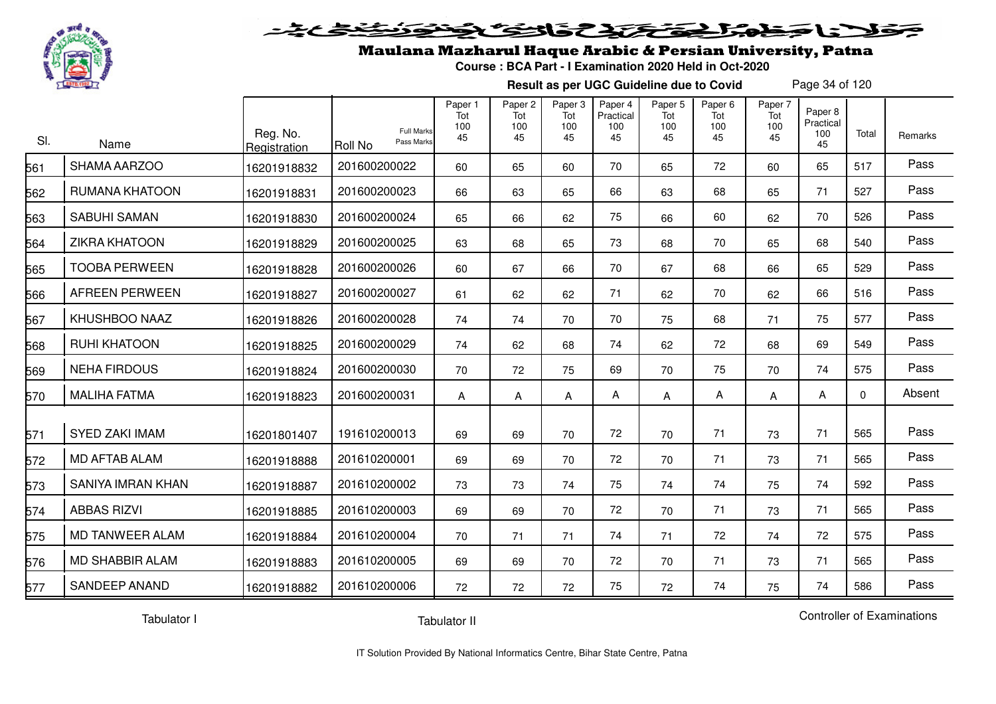

#### 20030302525.  $\blacktriangleright$  15  $\blacktriangleright$

## Maulana Mazharul Haque Arabic & Persian University, Patna

**Course : BCA Part - I Examination 2020 Held in Oct-2020**

**Result as per UGC Guideline due to Covid**

Page 34 of 120

| SI. | Name                     | Reg. No.<br>Registration | <b>Full Marks</b><br>Pass Marks<br><b>Roll No</b> | Paper 1<br>Tot<br>100<br>45 | Paper 2<br>Tot<br>100<br>45 | Paper 3<br>Tot<br>100<br>45 | Paper 4<br>Practical<br>100<br>45 | Paper <sub>5</sub><br>Tot<br>100<br>45 | Paper <sub>6</sub><br>Tot<br>100<br>45 | Paper 7<br>Tot<br>100<br>45 | Paper 8<br>Practical<br>100<br>45 | Total    | Remarks |
|-----|--------------------------|--------------------------|---------------------------------------------------|-----------------------------|-----------------------------|-----------------------------|-----------------------------------|----------------------------------------|----------------------------------------|-----------------------------|-----------------------------------|----------|---------|
| 561 | SHAMA AARZOO             | 16201918832              | 201600200022                                      | 60                          | 65                          | 60                          | 70                                | 65                                     | 72                                     | 60                          | 65                                | 517      | Pass    |
| 562 | RUMANA KHATOON           | 16201918831              | 201600200023                                      | 66                          | 63                          | 65                          | 66                                | 63                                     | 68                                     | 65                          | 71                                | 527      | Pass    |
| 563 | <b>SABUHI SAMAN</b>      | 16201918830              | 201600200024                                      | 65                          | 66                          | 62                          | 75                                | 66                                     | 60                                     | 62                          | 70                                | 526      | Pass    |
| 564 | <b>ZIKRA KHATOON</b>     | 16201918829              | 201600200025                                      | 63                          | 68                          | 65                          | 73                                | 68                                     | 70                                     | 65                          | 68                                | 540      | Pass    |
| 565 | <b>TOOBA PERWEEN</b>     | 16201918828              | 201600200026                                      | 60                          | 67                          | 66                          | 70                                | 67                                     | 68                                     | 66                          | 65                                | 529      | Pass    |
| 566 | <b>AFREEN PERWEEN</b>    | 16201918827              | 201600200027                                      | 61                          | 62                          | 62                          | 71                                | 62                                     | 70                                     | 62                          | 66                                | 516      | Pass    |
| 567 | KHUSHBOO NAAZ            | 16201918826              | 201600200028                                      | 74                          | 74                          | 70                          | 70                                | 75                                     | 68                                     | 71                          | 75                                | 577      | Pass    |
| 568 | <b>RUHI KHATOON</b>      | 16201918825              | 201600200029                                      | 74                          | 62                          | 68                          | 74                                | 62                                     | 72                                     | 68                          | 69                                | 549      | Pass    |
| 569 | <b>NEHA FIRDOUS</b>      | 16201918824              | 201600200030                                      | 70                          | 72                          | 75                          | 69                                | 70                                     | 75                                     | 70                          | 74                                | 575      | Pass    |
| 570 | <b>MALIHA FATMA</b>      | 16201918823              | 201600200031                                      | A                           | Α                           | Α                           | A                                 | Α                                      | Α                                      | Α                           | A                                 | $\Omega$ | Absent  |
| 571 | <b>SYED ZAKI IMAM</b>    | 16201801407              | 191610200013                                      | 69                          | 69                          | 70                          | 72                                | 70                                     | 71                                     | 73                          | 71                                | 565      | Pass    |
| 572 | <b>MD AFTAB ALAM</b>     | 16201918888              | 201610200001                                      | 69                          | 69                          | 70                          | 72                                | 70                                     | 71                                     | 73                          | 71                                | 565      | Pass    |
| 573 | <b>SANIYA IMRAN KHAN</b> | 16201918887              | 201610200002                                      | 73                          | 73                          | 74                          | 75                                | 74                                     | 74                                     | 75                          | 74                                | 592      | Pass    |
| 574 | <b>ABBAS RIZVI</b>       | 16201918885              | 201610200003                                      | 69                          | 69                          | 70                          | 72                                | 70                                     | 71                                     | 73                          | 71                                | 565      | Pass    |
| 575 | <b>MD TANWEER ALAM</b>   | 16201918884              | 201610200004                                      | 70                          | 71                          | 71                          | 74                                | 71                                     | 72                                     | 74                          | 72                                | 575      | Pass    |
| 576 | <b>MD SHABBIR ALAM</b>   | 16201918883              | 201610200005                                      | 69                          | 69                          | 70                          | 72                                | 70                                     | 71                                     | 73                          | 71                                | 565      | Pass    |
| 577 | <b>SANDEEP ANAND</b>     | 16201918882              | 201610200006                                      | 72                          | 72                          | 72                          | 75                                | 72                                     | 74                                     | 75                          | 74                                | 586      | Pass    |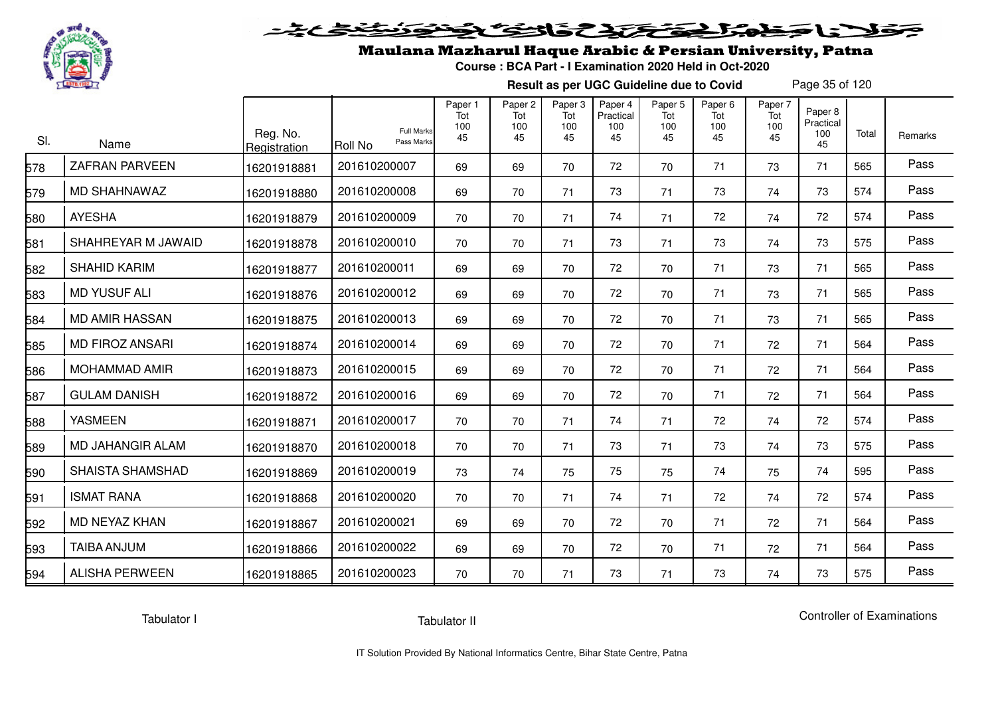

# فلأناخض بكتك كتفاف

## Maulana Mazharul Haque Arabic & Persian University, Patna

**Course : BCA Part - I Examination 2020 Held in Oct-2020**

**Result as per UGC Guideline due to Covid**

Page 35 of 120

| SI. | Name                    | Reg. No.<br>Registration | <b>Full Marks</b><br>Pass Marks<br>Roll No | Paper 1<br>Tot<br>100<br>45 | Paper <sub>2</sub><br>Tot<br>100<br>45 | Paper <sub>3</sub><br>Tot<br>100<br>45 | Paper 4<br>Practical<br>100<br>45 | Paper <sub>5</sub><br>Tot<br>100<br>45 | Paper <sub>6</sub><br>Tot<br>100<br>45 | Paper 7<br>Tot<br>100<br>45 | Paper 8<br>Practical<br>100<br>45 | Total | Remarks |
|-----|-------------------------|--------------------------|--------------------------------------------|-----------------------------|----------------------------------------|----------------------------------------|-----------------------------------|----------------------------------------|----------------------------------------|-----------------------------|-----------------------------------|-------|---------|
| 578 | <b>ZAFRAN PARVEEN</b>   | 16201918881              | 201610200007                               | 69                          | 69                                     | 70                                     | 72                                | 70                                     | 71                                     | 73                          | 71                                | 565   | Pass    |
| 579 | MD SHAHNAWAZ            | 16201918880              | 201610200008                               | 69                          | 70                                     | 71                                     | 73                                | 71                                     | 73                                     | 74                          | 73                                | 574   | Pass    |
| 580 | <b>AYESHA</b>           | 16201918879              | 201610200009                               | 70                          | 70                                     | 71                                     | 74                                | 71                                     | 72                                     | 74                          | 72                                | 574   | Pass    |
| 581 | SHAHREYAR M JAWAID      | 16201918878              | 201610200010                               | 70                          | 70                                     | 71                                     | 73                                | 71                                     | 73                                     | 74                          | 73                                | 575   | Pass    |
| 582 | SHAHID KARIM            | 16201918877              | 201610200011                               | 69                          | 69                                     | 70                                     | 72                                | 70                                     | 71                                     | 73                          | 71                                | 565   | Pass    |
| 583 | <b>MD YUSUF ALI</b>     | 16201918876              | 201610200012                               | 69                          | 69                                     | 70                                     | 72                                | 70                                     | 71                                     | 73                          | 71                                | 565   | Pass    |
| 584 | <b>MD AMIR HASSAN</b>   | 16201918875              | 201610200013                               | 69                          | 69                                     | 70                                     | 72                                | 70                                     | 71                                     | 73                          | 71                                | 565   | Pass    |
| 585 | <b>MD FIROZ ANSARI</b>  | 16201918874              | 201610200014                               | 69                          | 69                                     | 70                                     | 72                                | 70                                     | 71                                     | 72                          | 71                                | 564   | Pass    |
| 586 | <b>MOHAMMAD AMIR</b>    | 16201918873              | 201610200015                               | 69                          | 69                                     | 70                                     | 72                                | 70                                     | 71                                     | 72                          | 71                                | 564   | Pass    |
| 587 | <b>GULAM DANISH</b>     | 16201918872              | 201610200016                               | 69                          | 69                                     | 70                                     | 72                                | 70                                     | 71                                     | 72                          | 71                                | 564   | Pass    |
| 588 | <b>YASMEEN</b>          | 16201918871              | 201610200017                               | 70                          | 70                                     | 71                                     | 74                                | 71                                     | 72                                     | 74                          | 72                                | 574   | Pass    |
| 589 | <b>MD JAHANGIR ALAM</b> | 16201918870              | 201610200018                               | 70                          | 70                                     | 71                                     | 73                                | 71                                     | 73                                     | 74                          | 73                                | 575   | Pass    |
| 590 | <b>SHAISTA SHAMSHAD</b> | 16201918869              | 201610200019                               | 73                          | 74                                     | 75                                     | 75                                | 75                                     | 74                                     | 75                          | 74                                | 595   | Pass    |
| 591 | <b>ISMAT RANA</b>       | 16201918868              | 201610200020                               | 70                          | 70                                     | 71                                     | 74                                | 71                                     | 72                                     | 74                          | 72                                | 574   | Pass    |
| 592 | MD NEYAZ KHAN           | 16201918867              | 201610200021                               | 69                          | 69                                     | 70                                     | 72                                | 70                                     | 71                                     | 72                          | 71                                | 564   | Pass    |
| 593 | <b>TAIBA ANJUM</b>      | 16201918866              | 201610200022                               | 69                          | 69                                     | 70                                     | 72                                | 70                                     | 71                                     | 72                          | 71                                | 564   | Pass    |
| 594 | <b>ALISHA PERWEEN</b>   | 16201918865              | 201610200023                               | 70                          | 70                                     | 71                                     | 73                                | 71                                     | 73                                     | 74                          | 73                                | 575   | Pass    |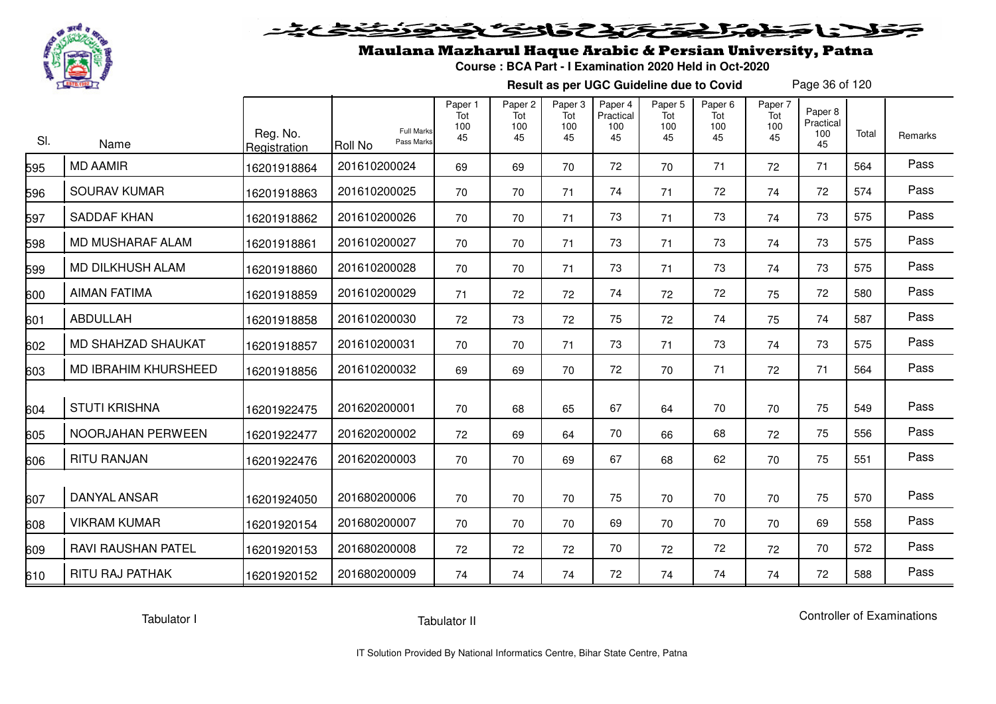

# فلأناخض المتخفض والخفائف

## Maulana Mazharul Haque Arabic & Persian University, Patna

**Course : BCA Part - I Examination 2020 Held in Oct-2020**

**Result as per UGC Guideline due to Covid**

Page 36 of 120

| SI. | Name                        | Reg. No.<br>Registration | <b>Full Marks</b><br>Pass Marks<br><b>Roll No</b> | Paper 1<br>Tot<br>100<br>45 | Paper <sub>2</sub><br>Tot<br>100<br>45 | Paper <sub>3</sub><br>Tot<br>100<br>45 | Paper 4<br>Practical<br>100<br>45 | Paper <sub>5</sub><br>Tot<br>100<br>45 | Paper <sub>6</sub><br>Tot<br>100<br>45 | Paper 7<br>Tot<br>100<br>45 | Paper 8<br>Practical<br>100<br>45 | Total | Remarks |
|-----|-----------------------------|--------------------------|---------------------------------------------------|-----------------------------|----------------------------------------|----------------------------------------|-----------------------------------|----------------------------------------|----------------------------------------|-----------------------------|-----------------------------------|-------|---------|
| 595 | <b>MD AAMIR</b>             | 16201918864              | 201610200024                                      | 69                          | 69                                     | 70                                     | 72                                | 70                                     | 71                                     | 72                          | 71                                | 564   | Pass    |
| 596 | <b>SOURAV KUMAR</b>         | 16201918863              | 201610200025                                      | 70                          | 70                                     | 71                                     | 74                                | 71                                     | 72                                     | 74                          | 72                                | 574   | Pass    |
| 597 | <b>SADDAF KHAN</b>          | 16201918862              | 201610200026                                      | 70                          | 70                                     | 71                                     | 73                                | 71                                     | 73                                     | 74                          | 73                                | 575   | Pass    |
| 598 | MD MUSHARAF ALAM            | 16201918861              | 201610200027                                      | 70                          | 70                                     | 71                                     | 73                                | 71                                     | 73                                     | 74                          | 73                                | 575   | Pass    |
| 599 | MD DILKHUSH ALAM            | 16201918860              | 201610200028                                      | 70                          | 70                                     | 71                                     | 73                                | 71                                     | 73                                     | 74                          | 73                                | 575   | Pass    |
| 600 | <b>AIMAN FATIMA</b>         | 16201918859              | 201610200029                                      | 71                          | 72                                     | 72                                     | 74                                | 72                                     | 72                                     | 75                          | 72                                | 580   | Pass    |
| 601 | ABDULLAH                    | 16201918858              | 201610200030                                      | 72                          | 73                                     | 72                                     | 75                                | 72                                     | 74                                     | 75                          | 74                                | 587   | Pass    |
| 602 | MD SHAHZAD SHAUKAT          | 16201918857              | 201610200031                                      | 70                          | 70                                     | 71                                     | 73                                | 71                                     | 73                                     | 74                          | 73                                | 575   | Pass    |
| 603 | <b>MD IBRAHIM KHURSHEED</b> | 16201918856              | 201610200032                                      | 69                          | 69                                     | 70                                     | 72                                | 70                                     | 71                                     | 72                          | 71                                | 564   | Pass    |
| 604 | <b>STUTI KRISHNA</b>        | 16201922475              | 201620200001                                      | 70                          | 68                                     | 65                                     | 67                                | 64                                     | 70                                     | 70                          | 75                                | 549   | Pass    |
| 605 | NOORJAHAN PERWEEN           | 16201922477              | 201620200002                                      | 72                          | 69                                     | 64                                     | 70                                | 66                                     | 68                                     | 72                          | 75                                | 556   | Pass    |
| 606 | <b>RITU RANJAN</b>          | 16201922476              | 201620200003                                      | 70                          | 70                                     | 69                                     | 67                                | 68                                     | 62                                     | 70                          | 75                                | 551   | Pass    |
| 607 | <b>DANYAL ANSAR</b>         | 16201924050              | 201680200006                                      | 70                          | 70                                     | 70                                     | 75                                | 70                                     | 70                                     | 70                          | 75                                | 570   | Pass    |
| 608 | <b>VIKRAM KUMAR</b>         | 16201920154              | 201680200007                                      | 70                          | 70                                     | 70                                     | 69                                | 70                                     | 70                                     | 70                          | 69                                | 558   | Pass    |
| 609 | <b>RAVI RAUSHAN PATEL</b>   | 16201920153              | 201680200008                                      | 72                          | 72                                     | 72                                     | 70                                | 72                                     | 72                                     | 72                          | 70                                | 572   | Pass    |
| 610 | <b>RITU RAJ PATHAK</b>      | 16201920152              | 201680200009                                      | 74                          | 74                                     | 74                                     | 72                                | 74                                     | 74                                     | 74                          | 72                                | 588   | Pass    |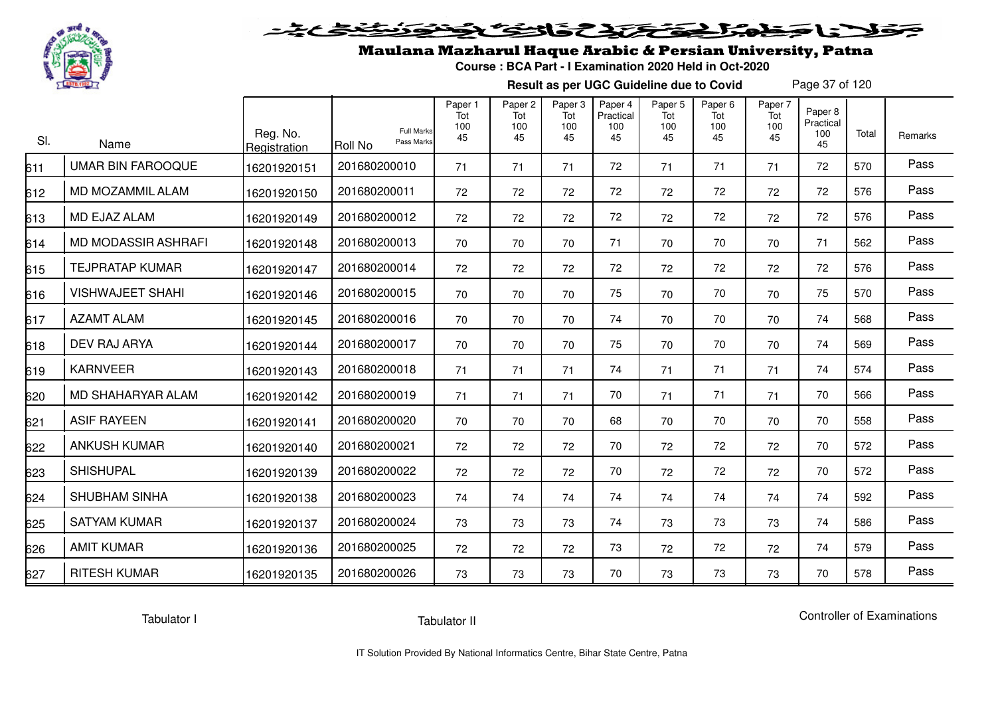

# فلأناخض بكتك كتفاف

## Maulana Mazharul Haque Arabic & Persian University, Patna

**Course : BCA Part - I Examination 2020 Held in Oct-2020**

**Result as per UGC Guideline due to Covid**

Page 37 of 120

| SI. | Name                     | Reg. No.<br>Registration | <b>Full Marks</b><br>Pass Marks<br><b>Roll No</b> | Paper 1<br>Tot<br>100<br>45 | Paper <sub>2</sub><br>Tot<br>100<br>45 | Paper <sub>3</sub><br>Tot<br>100<br>45 | Paper 4<br>Practical<br>100<br>45 | Paper <sub>5</sub><br>Tot<br>100<br>45 | Paper <sub>6</sub><br>Tot<br>100<br>45 | Paper 7<br>Tot<br>100<br>45 | Paper 8<br>Practical<br>100<br>45 | Total | Remarks |
|-----|--------------------------|--------------------------|---------------------------------------------------|-----------------------------|----------------------------------------|----------------------------------------|-----------------------------------|----------------------------------------|----------------------------------------|-----------------------------|-----------------------------------|-------|---------|
| 611 | <b>UMAR BIN FAROOQUE</b> | 16201920151              | 201680200010                                      | 71                          | 71                                     | 71                                     | 72                                | 71                                     | 71                                     | 71                          | 72                                | 570   | Pass    |
| 612 | MD MOZAMMIL ALAM         | 16201920150              | 201680200011                                      | 72                          | 72                                     | 72                                     | 72                                | 72                                     | 72                                     | 72                          | 72                                | 576   | Pass    |
| 613 | MD EJAZ ALAM             | 16201920149              | 201680200012                                      | 72                          | 72                                     | 72                                     | 72                                | 72                                     | 72                                     | 72                          | 72                                | 576   | Pass    |
| 614 | MD MODASSIR ASHRAFI      | 16201920148              | 201680200013                                      | 70                          | 70                                     | 70                                     | 71                                | 70                                     | 70                                     | 70                          | 71                                | 562   | Pass    |
| 615 | <b>TEJPRATAP KUMAR</b>   | 16201920147              | 201680200014                                      | 72                          | 72                                     | 72                                     | 72                                | 72                                     | 72                                     | 72                          | 72                                | 576   | Pass    |
| 616 | <b>VISHWAJEET SHAHI</b>  | 16201920146              | 201680200015                                      | 70                          | 70                                     | 70                                     | 75                                | 70                                     | 70                                     | 70                          | 75                                | 570   | Pass    |
| 617 | <b>AZAMT ALAM</b>        | 16201920145              | 201680200016                                      | 70                          | 70                                     | 70                                     | 74                                | 70                                     | 70                                     | 70                          | 74                                | 568   | Pass    |
| 618 | DEV RAJ ARYA             | 16201920144              | 201680200017                                      | 70                          | 70                                     | 70                                     | 75                                | 70                                     | 70                                     | 70                          | 74                                | 569   | Pass    |
| 619 | <b>KARNVEER</b>          | 16201920143              | 201680200018                                      | 71                          | 71                                     | 71                                     | 74                                | 71                                     | 71                                     | 71                          | 74                                | 574   | Pass    |
| 620 | MD SHAHARYAR ALAM        | 16201920142              | 201680200019                                      | 71                          | 71                                     | 71                                     | 70                                | 71                                     | 71                                     | 71                          | 70                                | 566   | Pass    |
| 621 | <b>ASIF RAYEEN</b>       | 16201920141              | 201680200020                                      | 70                          | 70                                     | 70                                     | 68                                | 70                                     | 70                                     | 70                          | 70                                | 558   | Pass    |
| 622 | <b>ANKUSH KUMAR</b>      | 16201920140              | 201680200021                                      | 72                          | 72                                     | 72                                     | 70                                | 72                                     | 72                                     | 72                          | 70                                | 572   | Pass    |
| 623 | <b>SHISHUPAL</b>         | 16201920139              | 201680200022                                      | 72                          | 72                                     | 72                                     | 70                                | 72                                     | 72                                     | 72                          | 70                                | 572   | Pass    |
| 624 | <b>SHUBHAM SINHA</b>     | 16201920138              | 201680200023                                      | 74                          | 74                                     | 74                                     | 74                                | 74                                     | 74                                     | 74                          | 74                                | 592   | Pass    |
| 625 | <b>SATYAM KUMAR</b>      | 16201920137              | 201680200024                                      | 73                          | 73                                     | 73                                     | 74                                | 73                                     | 73                                     | 73                          | 74                                | 586   | Pass    |
| 626 | <b>AMIT KUMAR</b>        | 16201920136              | 201680200025                                      | 72                          | 72                                     | 72                                     | 73                                | 72                                     | 72                                     | 72                          | 74                                | 579   | Pass    |
| 627 | <b>RITESH KUMAR</b>      | 16201920135              | 201680200026                                      | 73                          | 73                                     | 73                                     | 70                                | 73                                     | 73                                     | 73                          | 70                                | 578   | Pass    |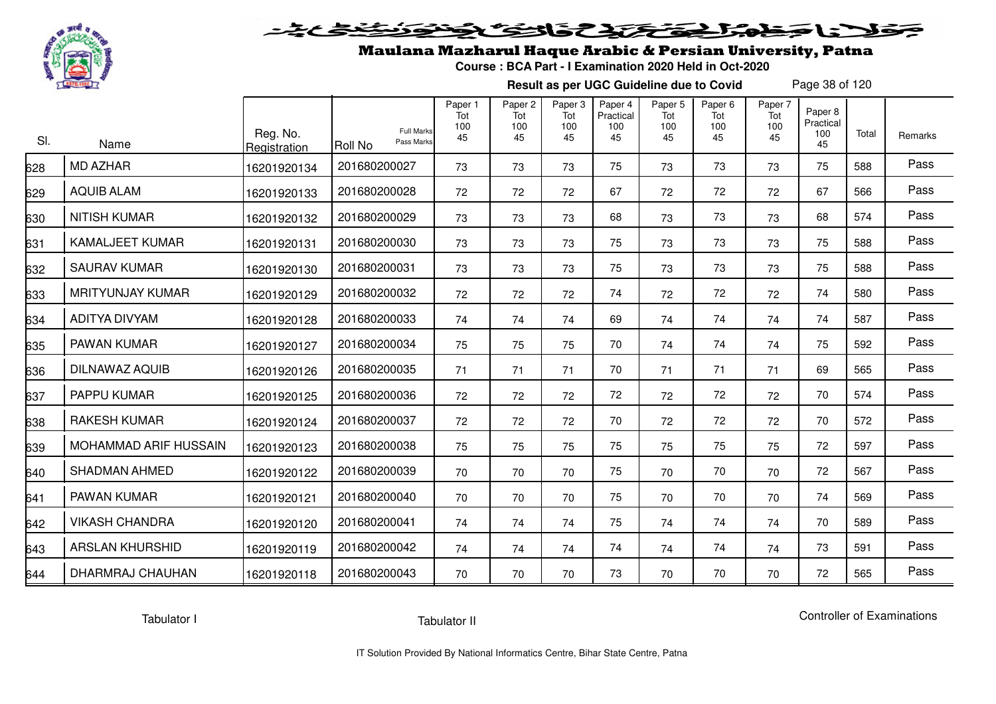

# فلأناخض المتحقح كتحافظ

## Maulana Mazharul Haque Arabic & Persian University, Patna

**Course : BCA Part - I Examination 2020 Held in Oct-2020**

**Result as per UGC Guideline due to Covid**

Page 38 of 120

| SI. | Name                    | Reg. No.<br>Registration | <b>Full Marks</b><br>Pass Marks<br><b>Roll No</b> | Paper 1<br>Tot<br>100<br>45 | Paper <sub>2</sub><br>Tot<br>100<br>45 | Paper <sub>3</sub><br>Tot<br>100<br>45 | Paper 4<br>Practical<br>100<br>45 | Paper <sub>5</sub><br>Tot<br>100<br>45 | Paper <sub>6</sub><br>Tot<br>100<br>45 | Paper 7<br>Tot<br>100<br>45 | Paper 8<br>Practical<br>100<br>45 | Total | Remarks |
|-----|-------------------------|--------------------------|---------------------------------------------------|-----------------------------|----------------------------------------|----------------------------------------|-----------------------------------|----------------------------------------|----------------------------------------|-----------------------------|-----------------------------------|-------|---------|
| 628 | <b>MD AZHAR</b>         | 16201920134              | 201680200027                                      | 73                          | 73                                     | 73                                     | 75                                | 73                                     | 73                                     | 73                          | 75                                | 588   | Pass    |
| 629 | <b>AQUIB ALAM</b>       | 16201920133              | 201680200028                                      | 72                          | 72                                     | 72                                     | 67                                | 72                                     | 72                                     | 72                          | 67                                | 566   | Pass    |
| 630 | <b>NITISH KUMAR</b>     | 16201920132              | 201680200029                                      | 73                          | 73                                     | 73                                     | 68                                | 73                                     | 73                                     | 73                          | 68                                | 574   | Pass    |
| 631 | <b>KAMALJEET KUMAR</b>  | 16201920131              | 201680200030                                      | 73                          | 73                                     | 73                                     | 75                                | 73                                     | 73                                     | 73                          | 75                                | 588   | Pass    |
| 632 | <b>SAURAV KUMAR</b>     | 16201920130              | 201680200031                                      | 73                          | 73                                     | 73                                     | 75                                | 73                                     | 73                                     | 73                          | 75                                | 588   | Pass    |
| 633 | <b>MRITYUNJAY KUMAR</b> | 16201920129              | 201680200032                                      | 72                          | 72                                     | 72                                     | 74                                | 72                                     | 72                                     | 72                          | 74                                | 580   | Pass    |
| 634 | ADITYA DIVYAM           | 16201920128              | 201680200033                                      | 74                          | 74                                     | 74                                     | 69                                | 74                                     | 74                                     | 74                          | 74                                | 587   | Pass    |
| 635 | PAWAN KUMAR             | 16201920127              | 201680200034                                      | 75                          | 75                                     | 75                                     | 70                                | 74                                     | 74                                     | 74                          | 75                                | 592   | Pass    |
| 636 | DILNAWAZ AQUIB          | 16201920126              | 201680200035                                      | 71                          | 71                                     | 71                                     | 70                                | 71                                     | 71                                     | 71                          | 69                                | 565   | Pass    |
| 637 | PAPPU KUMAR             | 16201920125              | 201680200036                                      | 72                          | 72                                     | 72                                     | 72                                | 72                                     | 72                                     | 72                          | 70                                | 574   | Pass    |
| 638 | RAKESH KUMAR            | 16201920124              | 201680200037                                      | 72                          | 72                                     | 72                                     | 70                                | 72                                     | 72                                     | 72                          | 70                                | 572   | Pass    |
| 639 | MOHAMMAD ARIF HUSSAIN   | 16201920123              | 201680200038                                      | 75                          | 75                                     | 75                                     | 75                                | 75                                     | 75                                     | 75                          | 72                                | 597   | Pass    |
| 640 | <b>SHADMAN AHMED</b>    | 16201920122              | 201680200039                                      | 70                          | 70                                     | 70                                     | 75                                | 70                                     | 70                                     | 70                          | 72                                | 567   | Pass    |
| 641 | PAWAN KUMAR             | 16201920121              | 201680200040                                      | 70                          | 70                                     | 70                                     | 75                                | 70                                     | 70                                     | 70                          | 74                                | 569   | Pass    |
| 642 | <b>VIKASH CHANDRA</b>   | 16201920120              | 201680200041                                      | 74                          | 74                                     | 74                                     | 75                                | 74                                     | 74                                     | 74                          | 70                                | 589   | Pass    |
| 643 | <b>ARSLAN KHURSHID</b>  | 16201920119              | 201680200042                                      | 74                          | 74                                     | 74                                     | 74                                | 74                                     | 74                                     | 74                          | 73                                | 591   | Pass    |
| 644 | DHARMRAJ CHAUHAN        | 16201920118              | 201680200043                                      | 70                          | 70                                     | 70                                     | 73                                | 70                                     | 70                                     | 70                          | 72                                | 565   | Pass    |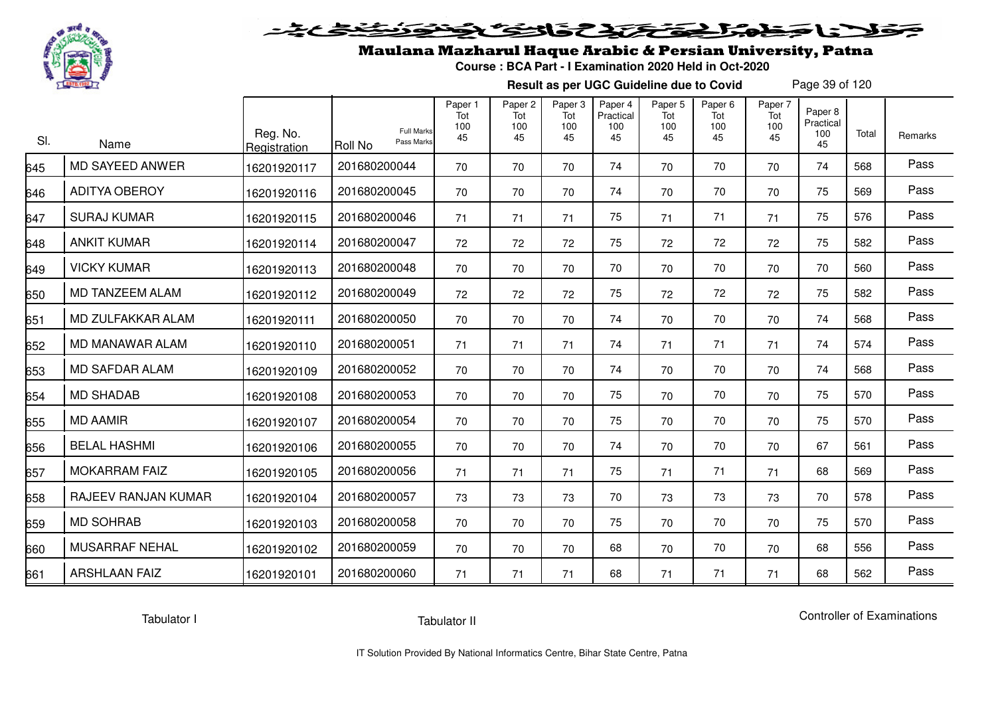

## Maulana Mazharul Haque Arabic & Persian University, Patna

**Course : BCA Part - I Examination 2020 Held in Oct-2020**

**Result as per UGC Guideline due to Covid**

Page 39 of 120

| SI. | Name                   | Reg. No.<br>Registration | <b>Full Marks</b><br>Pass Marks<br><b>Roll No</b> | Paper 1<br>Tot<br>100<br>45 | Paper <sub>2</sub><br>Tot<br>100<br>45 | Paper <sub>3</sub><br>Tot<br>100<br>45 | Paper 4<br>Practical<br>100<br>45 | Paper <sub>5</sub><br>Tot<br>100<br>45 | Paper <sub>6</sub><br>Tot<br>100<br>45 | Paper 7<br>Tot<br>100<br>45 | Paper 8<br>Practical<br>100<br>45 | Total | Remarks |
|-----|------------------------|--------------------------|---------------------------------------------------|-----------------------------|----------------------------------------|----------------------------------------|-----------------------------------|----------------------------------------|----------------------------------------|-----------------------------|-----------------------------------|-------|---------|
| 645 | MD SAYEED ANWER        | 16201920117              | 201680200044                                      | 70                          | 70                                     | 70                                     | 74                                | 70                                     | 70                                     | 70                          | 74                                | 568   | Pass    |
| 646 | <b>ADITYA OBEROY</b>   | 16201920116              | 201680200045                                      | 70                          | 70                                     | 70                                     | 74                                | 70                                     | 70                                     | 70                          | 75                                | 569   | Pass    |
| 647 | <b>SURAJ KUMAR</b>     | 16201920115              | 201680200046                                      | 71                          | 71                                     | 71                                     | 75                                | 71                                     | 71                                     | 71                          | 75                                | 576   | Pass    |
| 648 | <b>ANKIT KUMAR</b>     | 16201920114              | 201680200047                                      | 72                          | 72                                     | 72                                     | 75                                | 72                                     | 72                                     | 72                          | 75                                | 582   | Pass    |
| 649 | <b>VICKY KUMAR</b>     | 16201920113              | 201680200048                                      | 70                          | 70                                     | 70                                     | 70                                | 70                                     | 70                                     | 70                          | 70                                | 560   | Pass    |
| 650 | MD TANZEEM ALAM        | 16201920112              | 201680200049                                      | 72                          | 72                                     | 72                                     | 75                                | 72                                     | 72                                     | 72                          | 75                                | 582   | Pass    |
| 651 | MD ZULFAKKAR ALAM      | 16201920111              | 201680200050                                      | 70                          | 70                                     | 70                                     | 74                                | 70                                     | 70                                     | 70                          | 74                                | 568   | Pass    |
| 652 | <b>MD MANAWAR ALAM</b> | 16201920110              | 201680200051                                      | 71                          | 71                                     | 71                                     | 74                                | 71                                     | 71                                     | 71                          | 74                                | 574   | Pass    |
| 653 | <b>MD SAFDAR ALAM</b>  | 16201920109              | 201680200052                                      | 70                          | 70                                     | 70                                     | 74                                | 70                                     | 70                                     | 70                          | 74                                | 568   | Pass    |
| 654 | <b>MD SHADAB</b>       | 16201920108              | 201680200053                                      | 70                          | 70                                     | 70                                     | 75                                | 70                                     | 70                                     | 70                          | 75                                | 570   | Pass    |
| 655 | <b>MD AAMIR</b>        | 16201920107              | 201680200054                                      | 70                          | 70                                     | 70                                     | 75                                | 70                                     | 70                                     | 70                          | 75                                | 570   | Pass    |
| 656 | <b>BELAL HASHMI</b>    | 16201920106              | 201680200055                                      | 70                          | 70                                     | 70                                     | 74                                | 70                                     | 70                                     | 70                          | 67                                | 561   | Pass    |
| 657 | <b>MOKARRAM FAIZ</b>   | 16201920105              | 201680200056                                      | 71                          | 71                                     | 71                                     | 75                                | 71                                     | 71                                     | 71                          | 68                                | 569   | Pass    |
| 658 | RAJEEV RANJAN KUMAR    | 16201920104              | 201680200057                                      | 73                          | 73                                     | 73                                     | 70                                | 73                                     | 73                                     | 73                          | 70                                | 578   | Pass    |
| 659 | <b>MD SOHRAB</b>       | 16201920103              | 201680200058                                      | 70                          | 70                                     | 70                                     | 75                                | 70                                     | 70                                     | 70                          | 75                                | 570   | Pass    |
| 660 | <b>MUSARRAF NEHAL</b>  | 16201920102              | 201680200059                                      | 70                          | 70                                     | 70                                     | 68                                | 70                                     | 70                                     | 70                          | 68                                | 556   | Pass    |
| 661 | <b>ARSHLAAN FAIZ</b>   | 16201920101              | 201680200060                                      | 71                          | 71                                     | 71                                     | 68                                | 71                                     | 71                                     | 71                          | 68                                | 562   | Pass    |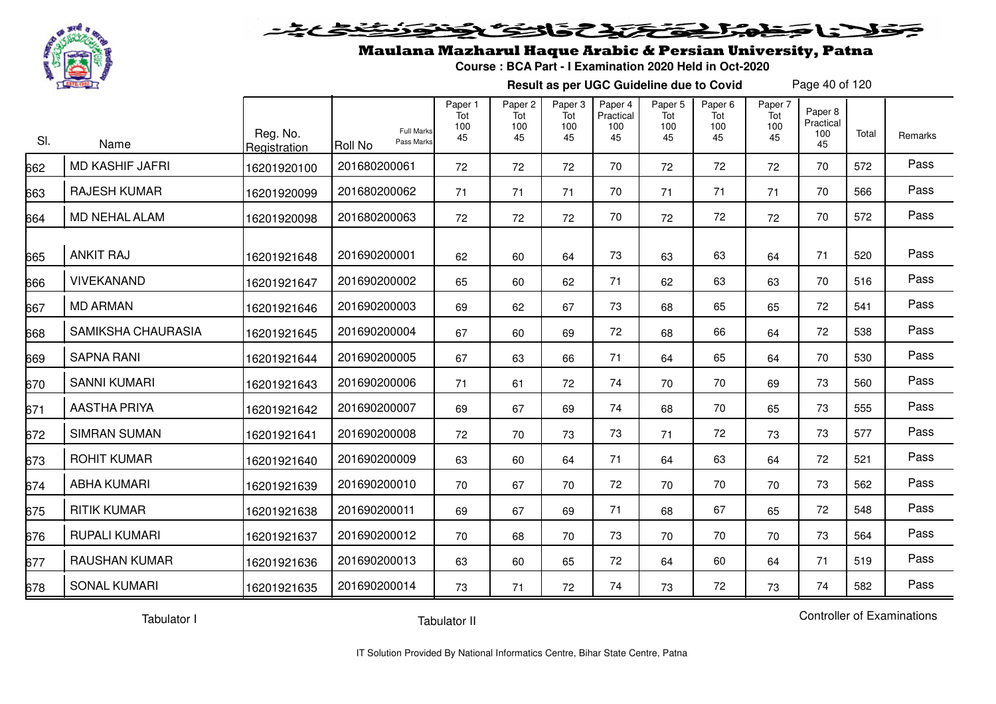

#### 2020222225.0  $\simeq$

## Maulana Mazharul Haque Arabic & Persian University, Patna

**Course : BCA Part - I Examination 2020 Held in Oct-2020**

**Result as per UGC Guideline due to Covid**

Page 40 of 120

| SI. | Name                   | Reg. No.<br>Registration | <b>Full Marks</b><br>Pass Marks<br>Roll No | Paper 1<br>Tot<br>100<br>45 | Paper <sub>2</sub><br>Tot<br>100<br>45 | Paper 3<br>Tot<br>100<br>45 | Paper 4<br>Practical<br>100<br>45 | Paper 5<br>Tot<br>100<br>45 | Paper 6<br>Tot<br>100<br>45 | Paper 7<br>Tot<br>100<br>45 | Paper 8<br>Practical<br>100<br>45 | Total | Remarks |
|-----|------------------------|--------------------------|--------------------------------------------|-----------------------------|----------------------------------------|-----------------------------|-----------------------------------|-----------------------------|-----------------------------|-----------------------------|-----------------------------------|-------|---------|
| 662 | <b>MD KASHIF JAFRI</b> | 16201920100              | 201680200061                               | 72                          | 72                                     | 72                          | 70                                | 72                          | 72                          | 72                          | 70                                | 572   | Pass    |
| 663 | <b>RAJESH KUMAR</b>    | 16201920099              | 201680200062                               | 71                          | 71                                     | 71                          | 70                                | 71                          | 71                          | 71                          | 70                                | 566   | Pass    |
| 664 | MD NEHAL ALAM          | 16201920098              | 201680200063                               | 72                          | 72                                     | 72                          | 70                                | 72                          | 72                          | 72                          | 70                                | 572   | Pass    |
| 665 | <b>ANKIT RAJ</b>       | 16201921648              | 201690200001                               | 62                          | 60                                     | 64                          | 73                                | 63                          | 63                          | 64                          | 71                                | 520   | Pass    |
| 666 | <b>VIVEKANAND</b>      | 16201921647              | 201690200002                               | 65                          | 60                                     | 62                          | 71                                | 62                          | 63                          | 63                          | 70                                | 516   | Pass    |
| 667 | <b>MD ARMAN</b>        | 16201921646              | 201690200003                               | 69                          | 62                                     | 67                          | 73                                | 68                          | 65                          | 65                          | 72                                | 541   | Pass    |
| 668 | SAMIKSHA CHAURASIA     | 16201921645              | 201690200004                               | 67                          | 60                                     | 69                          | 72                                | 68                          | 66                          | 64                          | 72                                | 538   | Pass    |
| 669 | <b>SAPNA RANI</b>      | 16201921644              | 201690200005                               | 67                          | 63                                     | 66                          | 71                                | 64                          | 65                          | 64                          | 70                                | 530   | Pass    |
| 670 | <b>SANNI KUMARI</b>    | 16201921643              | 201690200006                               | 71                          | 61                                     | 72                          | 74                                | 70                          | 70                          | 69                          | 73                                | 560   | Pass    |
| 671 | <b>AASTHA PRIYA</b>    | 16201921642              | 201690200007                               | 69                          | 67                                     | 69                          | 74                                | 68                          | 70                          | 65                          | 73                                | 555   | Pass    |
| 672 | <b>SIMRAN SUMAN</b>    | 16201921641              | 201690200008                               | 72                          | 70                                     | 73                          | 73                                | 71                          | 72                          | 73                          | 73                                | 577   | Pass    |
| 673 | <b>ROHIT KUMAR</b>     | 16201921640              | 201690200009                               | 63                          | 60                                     | 64                          | 71                                | 64                          | 63                          | 64                          | 72                                | 521   | Pass    |
| 674 | <b>ABHA KUMARI</b>     | 16201921639              | 201690200010                               | 70                          | 67                                     | 70                          | 72                                | 70                          | 70                          | 70                          | 73                                | 562   | Pass    |
| 675 | <b>RITIK KUMAR</b>     | 16201921638              | 201690200011                               | 69                          | 67                                     | 69                          | 71                                | 68                          | 67                          | 65                          | 72                                | 548   | Pass    |
| 676 | <b>RUPALI KUMARI</b>   | 16201921637              | 201690200012                               | 70                          | 68                                     | 70                          | 73                                | 70                          | 70                          | 70                          | 73                                | 564   | Pass    |
| 677 | <b>RAUSHAN KUMAR</b>   | 16201921636              | 201690200013                               | 63                          | 60                                     | 65                          | 72                                | 64                          | 60                          | 64                          | 71                                | 519   | Pass    |
| 678 | <b>SONAL KUMARI</b>    | 16201921635              | 201690200014                               | 73                          | 71                                     | 72                          | 74                                | 73                          | 72                          | 73                          | 74                                | 582   | Pass    |

Tabulator I

Tabulator II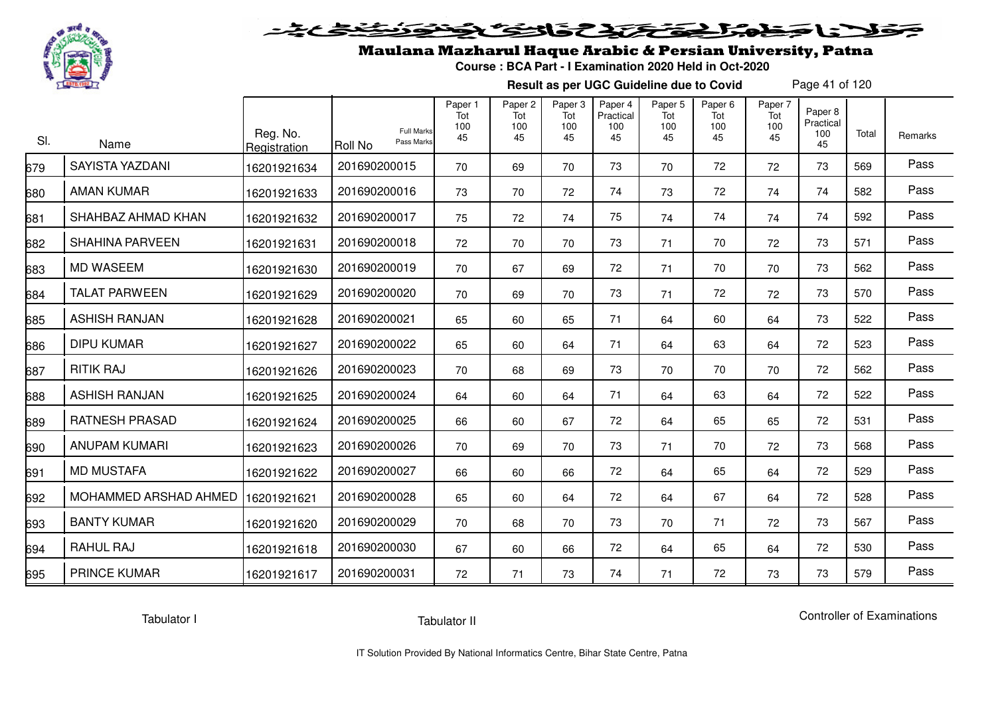

### Maulana Mazharul Haque Arabic & Persian University, Patna

**Course : BCA Part - I Examination 2020 Held in Oct-2020**

**Result as per UGC Guideline due to Covid**

Page 41 of 120

| SI. | Name                   | Reg. No.<br>Registration | <b>Full Marks</b><br>Pass Marks<br>Roll No | Paper 1<br>Tot<br>100<br>45 | Paper <sub>2</sub><br>Tot<br>100<br>45 | Paper <sub>3</sub><br>Tot<br>100<br>45 | Paper 4<br>Practical<br>100<br>45 | Paper <sub>5</sub><br>Tot<br>100<br>45 | Paper <sub>6</sub><br>Tot<br>100<br>45 | Paper 7<br>Tot<br>100<br>45 | Paper 8<br>Practical<br>100<br>45 | Total | Remarks |
|-----|------------------------|--------------------------|--------------------------------------------|-----------------------------|----------------------------------------|----------------------------------------|-----------------------------------|----------------------------------------|----------------------------------------|-----------------------------|-----------------------------------|-------|---------|
| 679 | <b>SAYISTA YAZDANI</b> | 16201921634              | 201690200015                               | 70                          | 69                                     | 70                                     | 73                                | 70                                     | 72                                     | 72                          | 73                                | 569   | Pass    |
| 680 | <b>AMAN KUMAR</b>      | 16201921633              | 201690200016                               | 73                          | 70                                     | 72                                     | 74                                | 73                                     | 72                                     | 74                          | 74                                | 582   | Pass    |
| 681 | SHAHBAZ AHMAD KHAN     | 16201921632              | 201690200017                               | 75                          | 72                                     | 74                                     | 75                                | 74                                     | 74                                     | 74                          | 74                                | 592   | Pass    |
| 682 | <b>SHAHINA PARVEEN</b> | 16201921631              | 201690200018                               | 72                          | 70                                     | 70                                     | 73                                | 71                                     | 70                                     | 72                          | 73                                | 571   | Pass    |
| 683 | <b>MD WASEEM</b>       | 16201921630              | 201690200019                               | 70                          | 67                                     | 69                                     | 72                                | 71                                     | 70                                     | 70                          | 73                                | 562   | Pass    |
| 684 | <b>TALAT PARWEEN</b>   | 16201921629              | 201690200020                               | 70                          | 69                                     | 70                                     | 73                                | 71                                     | 72                                     | 72                          | 73                                | 570   | Pass    |
| 685 | <b>ASHISH RANJAN</b>   | 16201921628              | 201690200021                               | 65                          | 60                                     | 65                                     | 71                                | 64                                     | 60                                     | 64                          | 73                                | 522   | Pass    |
| 686 | <b>DIPU KUMAR</b>      | 16201921627              | 201690200022                               | 65                          | 60                                     | 64                                     | 71                                | 64                                     | 63                                     | 64                          | 72                                | 523   | Pass    |
| 687 | <b>RITIK RAJ</b>       | 16201921626              | 201690200023                               | 70                          | 68                                     | 69                                     | 73                                | 70                                     | 70                                     | 70                          | 72                                | 562   | Pass    |
| 688 | <b>ASHISH RANJAN</b>   | 16201921625              | 201690200024                               | 64                          | 60                                     | 64                                     | 71                                | 64                                     | 63                                     | 64                          | 72                                | 522   | Pass    |
| 689 | <b>RATNESH PRASAD</b>  | 16201921624              | 201690200025                               | 66                          | 60                                     | 67                                     | 72                                | 64                                     | 65                                     | 65                          | 72                                | 531   | Pass    |
| 690 | <b>ANUPAM KUMARI</b>   | 16201921623              | 201690200026                               | 70                          | 69                                     | 70                                     | 73                                | 71                                     | 70                                     | 72                          | 73                                | 568   | Pass    |
| 691 | <b>MD MUSTAFA</b>      | 16201921622              | 201690200027                               | 66                          | 60                                     | 66                                     | 72                                | 64                                     | 65                                     | 64                          | 72                                | 529   | Pass    |
| 692 | MOHAMMED ARSHAD AHMED  | 16201921621              | 201690200028                               | 65                          | 60                                     | 64                                     | 72                                | 64                                     | 67                                     | 64                          | 72                                | 528   | Pass    |
| 693 | <b>BANTY KUMAR</b>     | 16201921620              | 201690200029                               | 70                          | 68                                     | 70                                     | 73                                | 70                                     | 71                                     | 72                          | 73                                | 567   | Pass    |
| 694 | RAHUL RAJ              | 16201921618              | 201690200030                               | 67                          | 60                                     | 66                                     | 72                                | 64                                     | 65                                     | 64                          | 72                                | 530   | Pass    |
| 695 | <b>PRINCE KUMAR</b>    | 16201921617              | 201690200031                               | 72                          | 71                                     | 73                                     | 74                                | 71                                     | 72                                     | 73                          | 73                                | 579   | Pass    |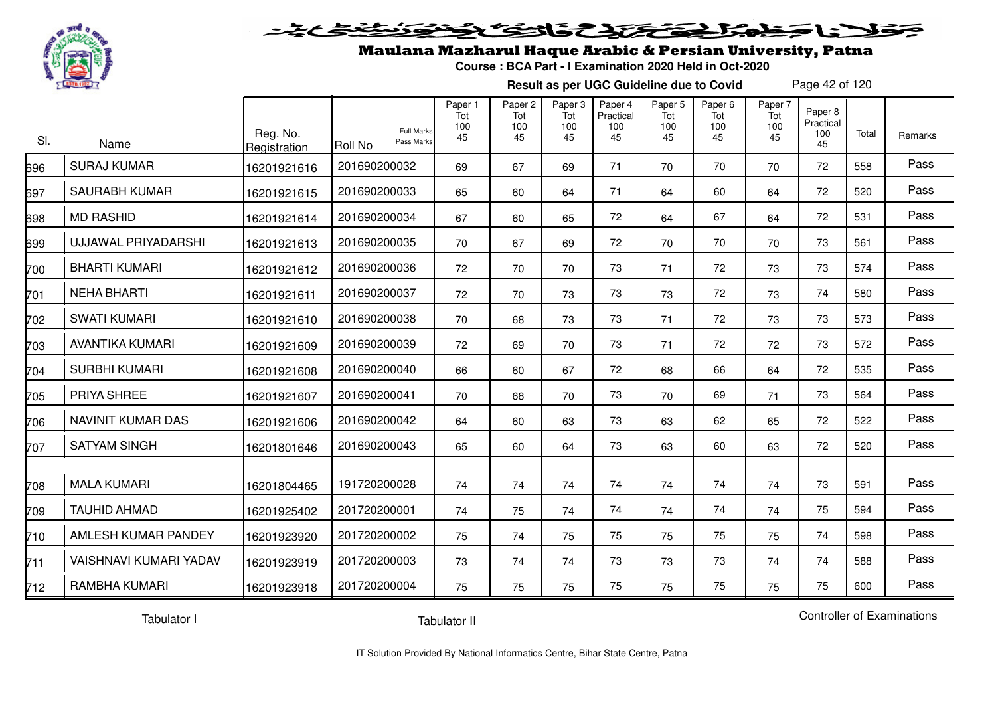

#### فمزلج تحتك تكافئ كالتنك  $\geq$

### Maulana Mazharul Haque Arabic & Persian University, Patna

**Course : BCA Part - I Examination 2020 Held in Oct-2020**

**Result as per UGC Guideline due to Covid**

Page 42 of 120

| SI. | Name                       | Reg. No.<br>Registration | <b>Full Marks</b><br>Pass Marks<br><b>Roll No</b> | Paper 1<br>Tot<br>100<br>45 | Paper <sub>2</sub><br>Tot<br>100<br>45 | Paper 3<br>Tot<br>100<br>45 | Paper 4<br>Practical<br>100<br>45 | Paper 5<br>Tot<br>100<br>45 | Paper <sub>6</sub><br>Tot<br>100<br>45 | Paper 7<br>Tot<br>100<br>45 | Paper 8<br>Practical<br>100<br>45 | Total | Remarks |
|-----|----------------------------|--------------------------|---------------------------------------------------|-----------------------------|----------------------------------------|-----------------------------|-----------------------------------|-----------------------------|----------------------------------------|-----------------------------|-----------------------------------|-------|---------|
| 696 | <b>SURAJ KUMAR</b>         | 16201921616              | 201690200032                                      | 69                          | 67                                     | 69                          | 71                                | 70                          | 70                                     | 70                          | 72                                | 558   | Pass    |
| 697 | <b>SAURABH KUMAR</b>       | 16201921615              | 201690200033                                      | 65                          | 60                                     | 64                          | 71                                | 64                          | 60                                     | 64                          | 72                                | 520   | Pass    |
| 698 | <b>MD RASHID</b>           | 16201921614              | 201690200034                                      | 67                          | 60                                     | 65                          | 72                                | 64                          | 67                                     | 64                          | 72                                | 531   | Pass    |
| 699 | <b>UJJAWAL PRIYADARSHI</b> | 16201921613              | 201690200035                                      | 70                          | 67                                     | 69                          | 72                                | 70                          | 70                                     | 70                          | 73                                | 561   | Pass    |
| 700 | <b>BHARTI KUMARI</b>       | 16201921612              | 201690200036                                      | 72                          | 70                                     | 70                          | 73                                | 71                          | 72                                     | 73                          | 73                                | 574   | Pass    |
| 701 | <b>NEHA BHARTI</b>         | 16201921611              | 201690200037                                      | 72                          | 70                                     | 73                          | 73                                | 73                          | 72                                     | 73                          | 74                                | 580   | Pass    |
| 702 | <b>SWATI KUMARI</b>        | 16201921610              | 201690200038                                      | 70                          | 68                                     | 73                          | 73                                | 71                          | 72                                     | 73                          | 73                                | 573   | Pass    |
| 703 | <b>AVANTIKA KUMARI</b>     | 16201921609              | 201690200039                                      | 72                          | 69                                     | 70                          | 73                                | 71                          | 72                                     | 72                          | 73                                | 572   | Pass    |
| 704 | <b>SURBHI KUMARI</b>       | 16201921608              | 201690200040                                      | 66                          | 60                                     | 67                          | 72                                | 68                          | 66                                     | 64                          | 72                                | 535   | Pass    |
| 705 | PRIYA SHREE                | 16201921607              | 201690200041                                      | 70                          | 68                                     | 70                          | 73                                | 70                          | 69                                     | 71                          | 73                                | 564   | Pass    |
| 706 | NAVINIT KUMAR DAS          | 16201921606              | 201690200042                                      | 64                          | 60                                     | 63                          | 73                                | 63                          | 62                                     | 65                          | 72                                | 522   | Pass    |
| 707 | <b>SATYAM SINGH</b>        | 16201801646              | 201690200043                                      | 65                          | 60                                     | 64                          | 73                                | 63                          | 60                                     | 63                          | 72                                | 520   | Pass    |
| 708 | <b>MALA KUMARI</b>         | 16201804465              | 191720200028                                      | 74                          | 74                                     | 74                          | 74                                | 74                          | 74                                     | 74                          | 73                                | 591   | Pass    |
| 709 | <b>TAUHID AHMAD</b>        | 16201925402              | 201720200001                                      | 74                          | 75                                     | 74                          | 74                                | 74                          | 74                                     | 74                          | 75                                | 594   | Pass    |
| 710 | AMLESH KUMAR PANDEY        | 16201923920              | 201720200002                                      | 75                          | 74                                     | 75                          | 75                                | 75                          | 75                                     | 75                          | 74                                | 598   | Pass    |
| 711 | VAISHNAVI KUMARI YADAV     | 16201923919              | 201720200003                                      | 73                          | 74                                     | 74                          | 73                                | 73                          | 73                                     | 74                          | 74                                | 588   | Pass    |
| 712 | RAMBHA KUMARI              | 16201923918              | 201720200004                                      | 75                          | 75                                     | 75                          | 75                                | 75                          | 75                                     | 75                          | 75                                | 600   | Pass    |

Tabulator I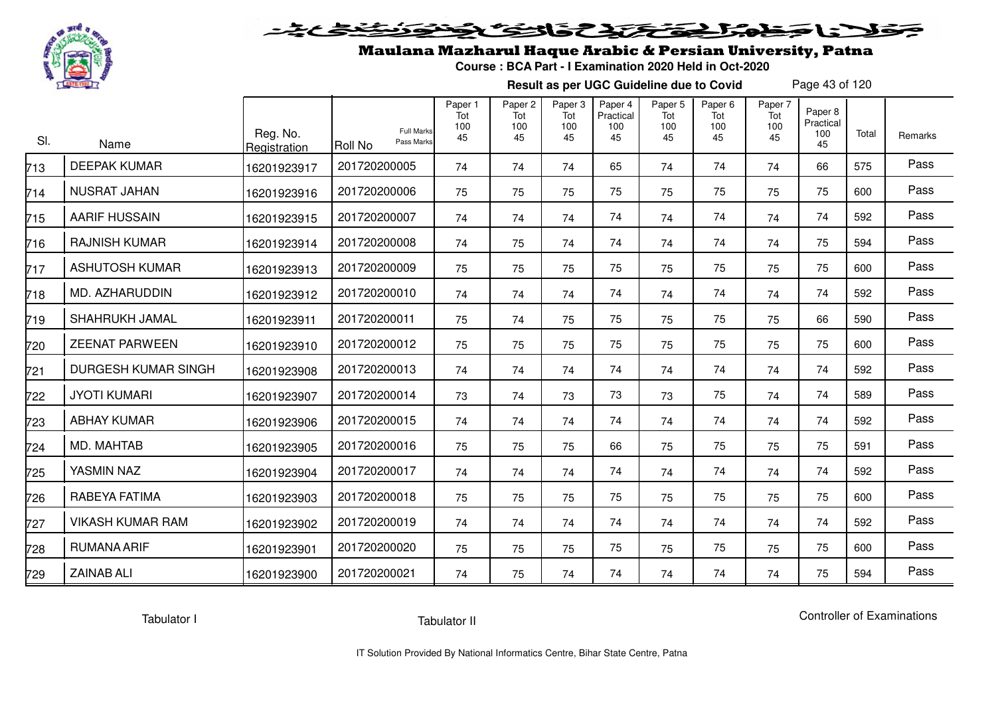

## Maulana Mazharul Haque Arabic & Persian University, Patna

**Course : BCA Part - I Examination 2020 Held in Oct-2020**

**Result as per UGC Guideline due to Covid**

Page 43 of 120

| SI. | Name                       | Reg. No.<br>Registration | <b>Full Marks</b><br>Pass Marks<br><b>Roll No</b> | Paper 1<br>Tot<br>100<br>45 | Paper <sub>2</sub><br>Tot<br>100<br>45 | Paper <sub>3</sub><br>Tot<br>100<br>45 | Paper 4<br>Practical<br>100<br>45 | Paper 5<br>Tot<br>100<br>45 | Paper <sub>6</sub><br>Tot<br>100<br>45 | Paper 7<br>Tot<br>100<br>45 | Paper 8<br>Practical<br>100<br>45 | Total | Remarks |
|-----|----------------------------|--------------------------|---------------------------------------------------|-----------------------------|----------------------------------------|----------------------------------------|-----------------------------------|-----------------------------|----------------------------------------|-----------------------------|-----------------------------------|-------|---------|
| 713 | <b>DEEPAK KUMAR</b>        | 16201923917              | 201720200005                                      | 74                          | 74                                     | 74                                     | 65                                | 74                          | 74                                     | 74                          | 66                                | 575   | Pass    |
| 714 | <b>NUSRAT JAHAN</b>        | 16201923916              | 201720200006                                      | 75                          | 75                                     | 75                                     | 75                                | 75                          | 75                                     | 75                          | 75                                | 600   | Pass    |
| 715 | <b>AARIF HUSSAIN</b>       | 16201923915              | 201720200007                                      | 74                          | 74                                     | 74                                     | 74                                | 74                          | 74                                     | 74                          | 74                                | 592   | Pass    |
| 716 | <b>RAJNISH KUMAR</b>       | 16201923914              | 201720200008                                      | 74                          | 75                                     | 74                                     | 74                                | 74                          | 74                                     | 74                          | 75                                | 594   | Pass    |
| 717 | <b>ASHUTOSH KUMAR</b>      | 16201923913              | 201720200009                                      | 75                          | 75                                     | 75                                     | 75                                | 75                          | 75                                     | 75                          | 75                                | 600   | Pass    |
| 718 | MD. AZHARUDDIN             | 16201923912              | 201720200010                                      | 74                          | 74                                     | 74                                     | 74                                | 74                          | 74                                     | 74                          | 74                                | 592   | Pass    |
| 719 | SHAHRUKH JAMAL             | 16201923911              | 201720200011                                      | 75                          | 74                                     | 75                                     | 75                                | 75                          | 75                                     | 75                          | 66                                | 590   | Pass    |
| 720 | <b>ZEENAT PARWEEN</b>      | 16201923910              | 201720200012                                      | 75                          | 75                                     | 75                                     | 75                                | 75                          | 75                                     | 75                          | 75                                | 600   | Pass    |
| 721 | <b>DURGESH KUMAR SINGH</b> | 16201923908              | 201720200013                                      | 74                          | 74                                     | 74                                     | 74                                | 74                          | 74                                     | 74                          | 74                                | 592   | Pass    |
| 722 | <b>JYOTI KUMARI</b>        | 16201923907              | 201720200014                                      | 73                          | 74                                     | 73                                     | 73                                | 73                          | 75                                     | 74                          | 74                                | 589   | Pass    |
| 723 | <b>ABHAY KUMAR</b>         | 16201923906              | 201720200015                                      | 74                          | 74                                     | 74                                     | 74                                | 74                          | 74                                     | 74                          | 74                                | 592   | Pass    |
| 724 | MD. MAHTAB                 | 16201923905              | 201720200016                                      | 75                          | 75                                     | 75                                     | 66                                | 75                          | 75                                     | 75                          | 75                                | 591   | Pass    |
| 725 | YASMIN NAZ                 | 16201923904              | 201720200017                                      | 74                          | 74                                     | 74                                     | 74                                | 74                          | 74                                     | 74                          | 74                                | 592   | Pass    |
| 726 | RABEYA FATIMA              | 16201923903              | 201720200018                                      | 75                          | 75                                     | 75                                     | 75                                | 75                          | 75                                     | 75                          | 75                                | 600   | Pass    |
| 727 | <b>VIKASH KUMAR RAM</b>    | 16201923902              | 201720200019                                      | 74                          | 74                                     | 74                                     | 74                                | 74                          | 74                                     | 74                          | 74                                | 592   | Pass    |
| 728 | <b>RUMANA ARIF</b>         | 16201923901              | 201720200020                                      | 75                          | 75                                     | 75                                     | 75                                | 75                          | 75                                     | 75                          | 75                                | 600   | Pass    |
| 729 | <b>ZAINAB ALI</b>          | 16201923900              | 201720200021                                      | 74                          | 75                                     | 74                                     | 74                                | 74                          | 74                                     | 74                          | 75                                | 594   | Pass    |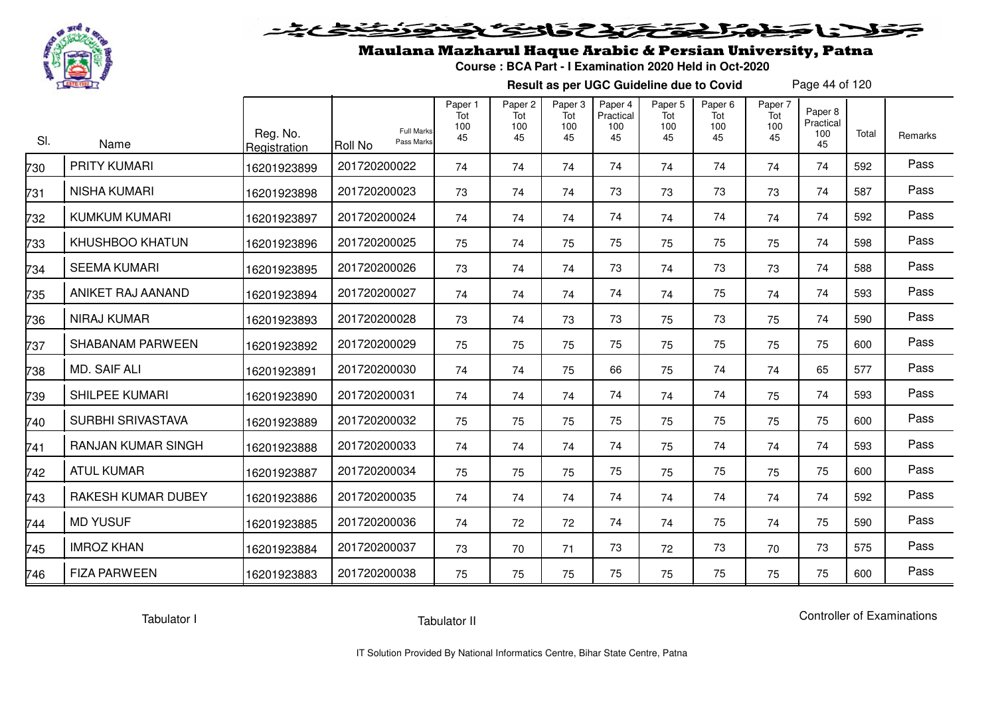

# فلأناخض المتعاطية فتخلفت فالخفض

### Maulana Mazharul Haque Arabic & Persian University, Patna

**Course : BCA Part - I Examination 2020 Held in Oct-2020**

**Result as per UGC Guideline due to Covid**

Page 44 of 120

| SI. | Name                      | Reg. No.<br>Registration | <b>Full Marks</b><br>Pass Marks<br>Roll No | Paper 1<br>Tot<br>100<br>45 | Paper <sub>2</sub><br>Tot<br>100<br>45 | Paper <sub>3</sub><br>Tot<br>100<br>45 | Paper 4<br>Practical<br>100<br>45 | Paper 5<br>Tot<br>100<br>45 | Paper <sub>6</sub><br>Tot<br>100<br>45 | Paper 7<br>Tot<br>100<br>45 | Paper 8<br>Practical<br>100<br>45 | Total | Remarks |
|-----|---------------------------|--------------------------|--------------------------------------------|-----------------------------|----------------------------------------|----------------------------------------|-----------------------------------|-----------------------------|----------------------------------------|-----------------------------|-----------------------------------|-------|---------|
| 730 | <b>PRITY KUMARI</b>       | 16201923899              | 201720200022                               | 74                          | 74                                     | 74                                     | 74                                | 74                          | 74                                     | 74                          | 74                                | 592   | Pass    |
| 731 | NISHA KUMARI              | 16201923898              | 201720200023                               | 73                          | 74                                     | 74                                     | 73                                | 73                          | 73                                     | 73                          | 74                                | 587   | Pass    |
| 732 | <b>KUMKUM KUMARI</b>      | 16201923897              | 201720200024                               | 74                          | 74                                     | 74                                     | 74                                | 74                          | 74                                     | 74                          | 74                                | 592   | Pass    |
| 733 | <b>KHUSHBOO KHATUN</b>    | 16201923896              | 201720200025                               | 75                          | 74                                     | 75                                     | 75                                | 75                          | 75                                     | 75                          | 74                                | 598   | Pass    |
| 734 | <b>SEEMA KUMARI</b>       | 16201923895              | 201720200026                               | 73                          | 74                                     | 74                                     | 73                                | 74                          | 73                                     | 73                          | 74                                | 588   | Pass    |
| 735 | ANIKET RAJ AANAND         | 16201923894              | 201720200027                               | 74                          | 74                                     | 74                                     | 74                                | 74                          | 75                                     | 74                          | 74                                | 593   | Pass    |
| 736 | <b>NIRAJ KUMAR</b>        | 16201923893              | 201720200028                               | 73                          | 74                                     | 73                                     | 73                                | 75                          | 73                                     | 75                          | 74                                | 590   | Pass    |
| 737 | <b>SHABANAM PARWEEN</b>   | 16201923892              | 201720200029                               | 75                          | 75                                     | 75                                     | 75                                | 75                          | 75                                     | 75                          | 75                                | 600   | Pass    |
| 738 | <b>MD. SAIF ALI</b>       | 16201923891              | 201720200030                               | 74                          | 74                                     | 75                                     | 66                                | 75                          | 74                                     | 74                          | 65                                | 577   | Pass    |
| 739 | <b>SHILPEE KUMARI</b>     | 16201923890              | 201720200031                               | 74                          | 74                                     | 74                                     | 74                                | 74                          | 74                                     | 75                          | 74                                | 593   | Pass    |
| 740 | <b>SURBHI SRIVASTAVA</b>  | 16201923889              | 201720200032                               | 75                          | 75                                     | 75                                     | 75                                | 75                          | 75                                     | 75                          | 75                                | 600   | Pass    |
| 741 | <b>RANJAN KUMAR SINGH</b> | 16201923888              | 201720200033                               | 74                          | 74                                     | 74                                     | 74                                | 75                          | 74                                     | 74                          | 74                                | 593   | Pass    |
| 742 | <b>ATUL KUMAR</b>         | 16201923887              | 201720200034                               | 75                          | 75                                     | 75                                     | 75                                | 75                          | 75                                     | 75                          | 75                                | 600   | Pass    |
| 743 | RAKESH KUMAR DUBEY        | 16201923886              | 201720200035                               | 74                          | 74                                     | 74                                     | 74                                | 74                          | 74                                     | 74                          | 74                                | 592   | Pass    |
| 744 | <b>MD YUSUF</b>           | 16201923885              | 201720200036                               | 74                          | 72                                     | 72                                     | 74                                | 74                          | 75                                     | 74                          | 75                                | 590   | Pass    |
| 745 | <b>IMROZ KHAN</b>         | 16201923884              | 201720200037                               | 73                          | 70                                     | 71                                     | 73                                | 72                          | 73                                     | 70                          | 73                                | 575   | Pass    |
| 746 | <b>FIZA PARWEEN</b>       | 16201923883              | 201720200038                               | 75                          | 75                                     | 75                                     | 75                                | 75                          | 75                                     | 75                          | 75                                | 600   | Pass    |

Tabulator I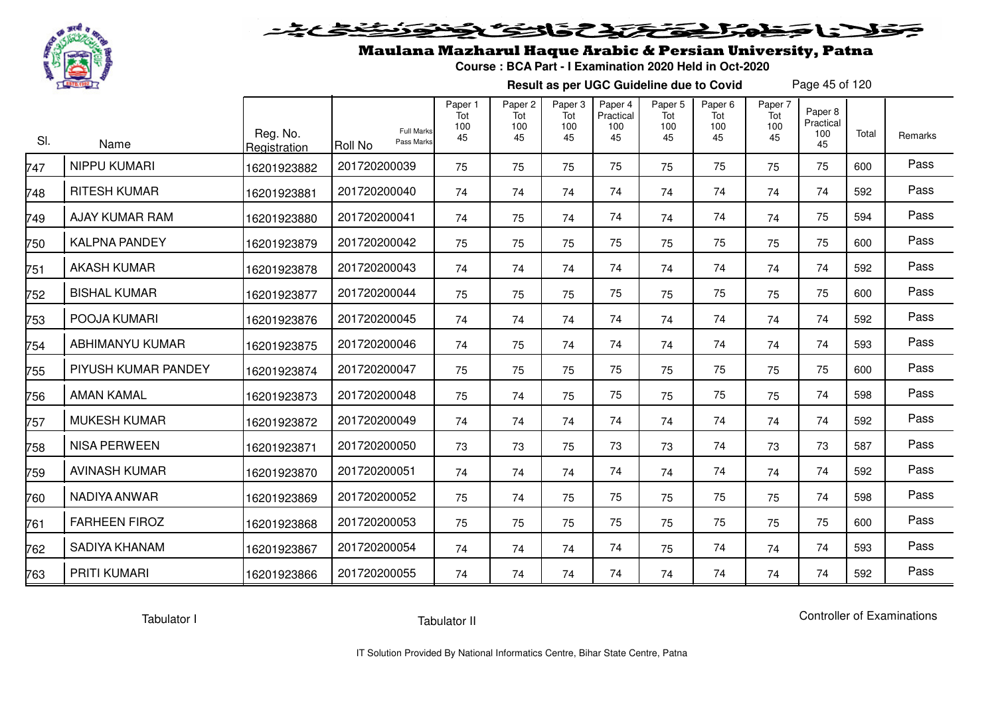

# فلأناخض المتحقح كتحافظ

### Maulana Mazharul Haque Arabic & Persian University, Patna

**Course : BCA Part - I Examination 2020 Held in Oct-2020**

**Result as per UGC Guideline due to Covid**

Page 45 of 120

| SI. | Name                  | Reg. No.<br>Registration | <b>Full Marks</b><br>Pass Marks<br>Roll No | Paper 1<br>Tot<br>100<br>45 | Paper <sub>2</sub><br>Tot<br>100<br>45 | Paper <sub>3</sub><br>Tot<br>100<br>45 | Paper 4<br>Practical<br>100<br>45 | Paper <sub>5</sub><br>Tot<br>100<br>45 | Paper <sub>6</sub><br>Tot<br>100<br>45 | Paper 7<br>Tot<br>100<br>45 | Paper 8<br>Practical<br>100<br>45 | Total | Remarks |
|-----|-----------------------|--------------------------|--------------------------------------------|-----------------------------|----------------------------------------|----------------------------------------|-----------------------------------|----------------------------------------|----------------------------------------|-----------------------------|-----------------------------------|-------|---------|
| 747 | NIPPU KUMARI          | 16201923882              | 201720200039                               | 75                          | 75                                     | 75                                     | 75                                | 75                                     | 75                                     | 75                          | 75                                | 600   | Pass    |
| 748 | <b>RITESH KUMAR</b>   | 16201923881              | 201720200040                               | 74                          | 74                                     | 74                                     | 74                                | 74                                     | 74                                     | 74                          | 74                                | 592   | Pass    |
| 749 | <b>AJAY KUMAR RAM</b> | 16201923880              | 201720200041                               | 74                          | 75                                     | 74                                     | 74                                | 74                                     | 74                                     | 74                          | 75                                | 594   | Pass    |
| 750 | <b>KALPNA PANDEY</b>  | 16201923879              | 201720200042                               | 75                          | 75                                     | 75                                     | 75                                | 75                                     | 75                                     | 75                          | 75                                | 600   | Pass    |
| 751 | <b>AKASH KUMAR</b>    | 16201923878              | 201720200043                               | 74                          | 74                                     | 74                                     | 74                                | 74                                     | 74                                     | 74                          | 74                                | 592   | Pass    |
| 752 | <b>BISHAL KUMAR</b>   | 16201923877              | 201720200044                               | 75                          | 75                                     | 75                                     | 75                                | 75                                     | 75                                     | 75                          | 75                                | 600   | Pass    |
| 753 | POOJA KUMARI          | 16201923876              | 201720200045                               | 74                          | 74                                     | 74                                     | 74                                | 74                                     | 74                                     | 74                          | 74                                | 592   | Pass    |
| 754 | ABHIMANYU KUMAR       | 16201923875              | 201720200046                               | 74                          | 75                                     | 74                                     | 74                                | 74                                     | 74                                     | 74                          | 74                                | 593   | Pass    |
| 755 | PIYUSH KUMAR PANDEY   | 16201923874              | 201720200047                               | 75                          | 75                                     | 75                                     | 75                                | 75                                     | 75                                     | 75                          | 75                                | 600   | Pass    |
| 756 | <b>AMAN KAMAL</b>     | 16201923873              | 201720200048                               | 75                          | 74                                     | 75                                     | 75                                | 75                                     | 75                                     | 75                          | 74                                | 598   | Pass    |
| 757 | <b>MUKESH KUMAR</b>   | 16201923872              | 201720200049                               | 74                          | 74                                     | 74                                     | 74                                | 74                                     | 74                                     | 74                          | 74                                | 592   | Pass    |
| 758 | <b>NISA PERWEEN</b>   | 16201923871              | 201720200050                               | 73                          | 73                                     | 75                                     | 73                                | 73                                     | 74                                     | 73                          | 73                                | 587   | Pass    |
| 759 | <b>AVINASH KUMAR</b>  | 16201923870              | 201720200051                               | 74                          | 74                                     | 74                                     | 74                                | 74                                     | 74                                     | 74                          | 74                                | 592   | Pass    |
| 760 | NADIYA ANWAR          | 16201923869              | 201720200052                               | 75                          | 74                                     | 75                                     | 75                                | 75                                     | 75                                     | 75                          | 74                                | 598   | Pass    |
| 761 | <b>FARHEEN FIROZ</b>  | 16201923868              | 201720200053                               | 75                          | 75                                     | 75                                     | 75                                | 75                                     | 75                                     | 75                          | 75                                | 600   | Pass    |
| 762 | <b>SADIYA KHANAM</b>  | 16201923867              | 201720200054                               | 74                          | 74                                     | 74                                     | 74                                | 75                                     | 74                                     | 74                          | 74                                | 593   | Pass    |
| 763 | PRITI KUMARI          | 16201923866              | 201720200055                               | 74                          | 74                                     | 74                                     | 74                                | 74                                     | 74                                     | 74                          | 74                                | 592   | Pass    |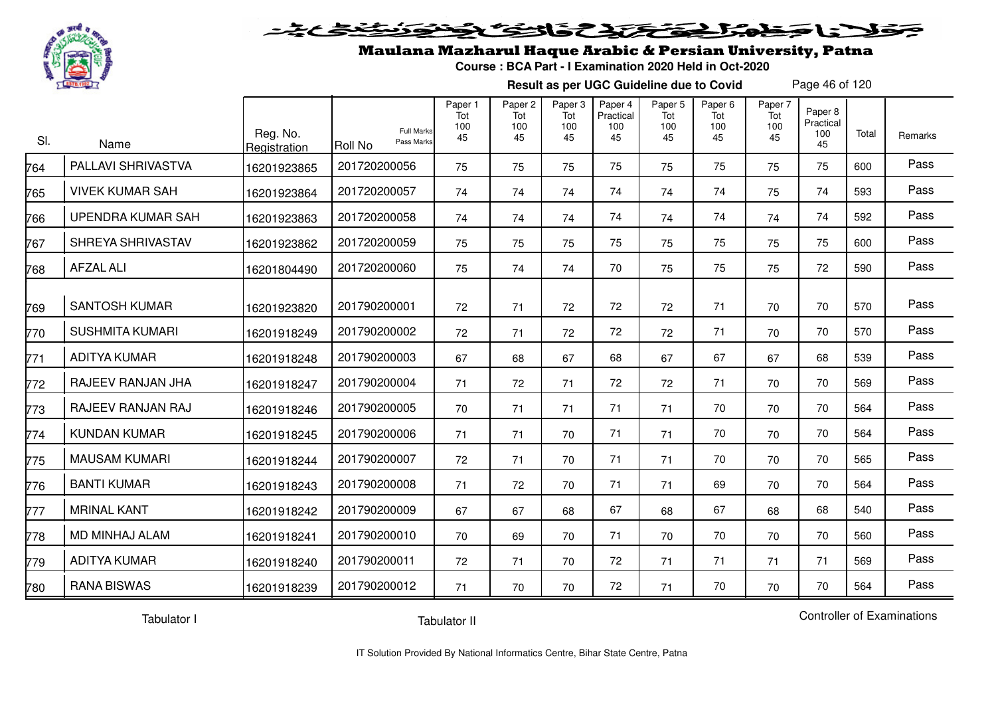

#### 20202222325.0  $\blacktriangleright$   $\blacktriangleright$   $\blacktriangleright$

### Maulana Mazharul Haque Arabic & Persian University, Patna

**Course : BCA Part - I Examination 2020 Held in Oct-2020**

**Result as per UGC Guideline due to Covid**

Page 46 of 120

| SI. | Name                     | Reg. No.<br>Registration | Roll No      | <b>Full Marks</b><br>Pass Marks | Paper 1<br>Tot<br>100<br>45 | Paper <sub>2</sub><br>Tot<br>100<br>45 | Paper 3<br>Tot<br>100<br>45 | Paper 4<br>Practical<br>100<br>45 | Paper 5<br>Tot<br>100<br>45 | Paper 6<br>Tot<br>100<br>45 | Paper 7<br>Tot<br>100<br>45 | Paper 8<br>Practical<br>100<br>45 | Total | Remarks |
|-----|--------------------------|--------------------------|--------------|---------------------------------|-----------------------------|----------------------------------------|-----------------------------|-----------------------------------|-----------------------------|-----------------------------|-----------------------------|-----------------------------------|-------|---------|
| 764 | PALLAVI SHRIVASTVA       | 16201923865              | 201720200056 |                                 | 75                          | 75                                     | 75                          | 75                                | 75                          | 75                          | 75                          | 75                                | 600   | Pass    |
| 765 | <b>VIVEK KUMAR SAH</b>   | 16201923864              | 201720200057 |                                 | 74                          | 74                                     | 74                          | 74                                | 74                          | 74                          | 75                          | 74                                | 593   | Pass    |
| 766 | <b>UPENDRA KUMAR SAH</b> | 16201923863              | 201720200058 |                                 | 74                          | 74                                     | 74                          | 74                                | 74                          | 74                          | 74                          | 74                                | 592   | Pass    |
| 767 | SHREYA SHRIVASTAV        | 16201923862              | 201720200059 |                                 | 75                          | 75                                     | 75                          | 75                                | 75                          | 75                          | 75                          | 75                                | 600   | Pass    |
| 768 | <b>AFZAL ALI</b>         | 16201804490              | 201720200060 |                                 | 75                          | 74                                     | 74                          | 70                                | 75                          | 75                          | 75                          | 72                                | 590   | Pass    |
| 769 | <b>SANTOSH KUMAR</b>     | 16201923820              | 201790200001 |                                 | 72                          | 71                                     | 72                          | 72                                | 72                          | 71                          | 70                          | 70                                | 570   | Pass    |
| 770 | <b>SUSHMITA KUMARI</b>   | 16201918249              | 201790200002 |                                 | 72                          | 71                                     | 72                          | 72                                | 72                          | 71                          | 70                          | 70                                | 570   | Pass    |
| 771 | <b>ADITYA KUMAR</b>      | 16201918248              | 201790200003 |                                 | 67                          | 68                                     | 67                          | 68                                | 67                          | 67                          | 67                          | 68                                | 539   | Pass    |
| 772 | RAJEEV RANJAN JHA        | 16201918247              | 201790200004 |                                 | 71                          | 72                                     | 71                          | 72                                | 72                          | 71                          | 70                          | 70                                | 569   | Pass    |
| 773 | RAJEEV RANJAN RAJ        | 16201918246              | 201790200005 |                                 | 70                          | 71                                     | 71                          | 71                                | 71                          | 70                          | 70                          | 70                                | 564   | Pass    |
| 774 | <b>KUNDAN KUMAR</b>      | 16201918245              | 201790200006 |                                 | 71                          | 71                                     | 70                          | 71                                | 71                          | 70                          | 70                          | 70                                | 564   | Pass    |
| 775 | <b>MAUSAM KUMARI</b>     | 16201918244              | 201790200007 |                                 | 72                          | 71                                     | 70                          | 71                                | 71                          | 70                          | 70                          | 70                                | 565   | Pass    |
| 776 | <b>BANTI KUMAR</b>       | 16201918243              | 201790200008 |                                 | 71                          | 72                                     | 70                          | 71                                | 71                          | 69                          | 70                          | 70                                | 564   | Pass    |
| 777 | <b>MRINAL KANT</b>       | 16201918242              | 201790200009 |                                 | 67                          | 67                                     | 68                          | 67                                | 68                          | 67                          | 68                          | 68                                | 540   | Pass    |
| 778 | MD MINHAJ ALAM           | 16201918241              | 201790200010 |                                 | 70                          | 69                                     | 70                          | 71                                | 70                          | 70                          | 70                          | 70                                | 560   | Pass    |
| 779 | <b>ADITYA KUMAR</b>      | 16201918240              | 201790200011 |                                 | 72                          | 71                                     | 70                          | 72                                | 71                          | 71                          | 71                          | 71                                | 569   | Pass    |
| 780 | <b>RANA BISWAS</b>       | 16201918239              | 201790200012 |                                 | 71                          | 70                                     | 70                          | 72                                | 71                          | 70                          | 70                          | 70                                | 564   | Pass    |

Tabulator I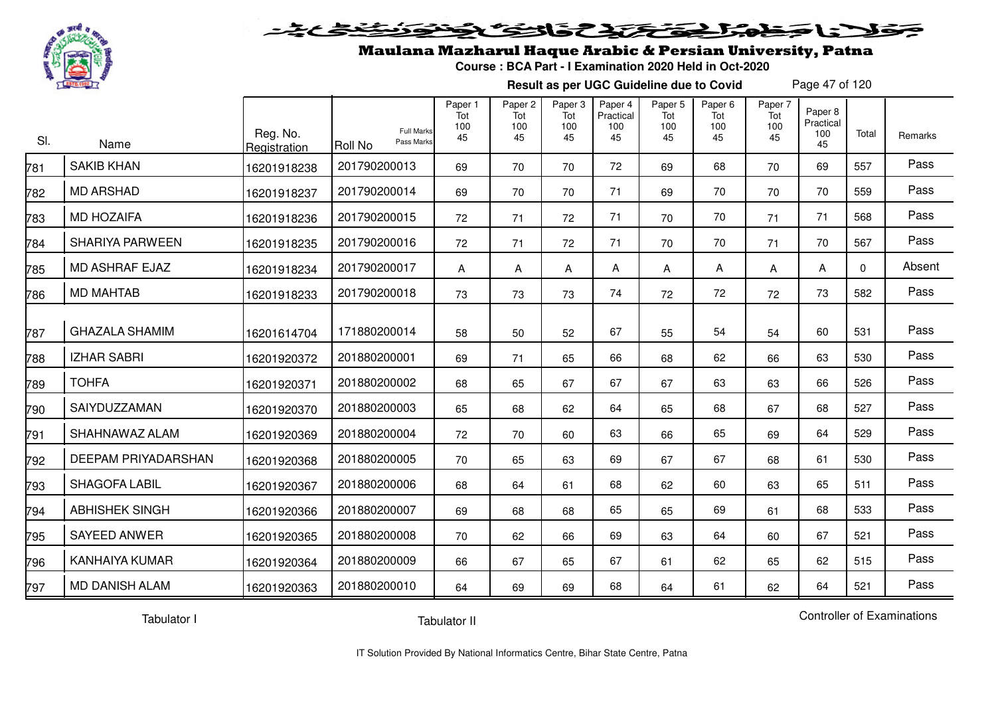

#### وكالحق تحقي فالتفك  $\blacktriangleright$  1:  $\blacktriangleright$

## Maulana Mazharul Haque Arabic & Persian University, Patna

**Course : BCA Part - I Examination 2020 Held in Oct-2020**

**Result as per UGC Guideline due to Covid**

Page 47 of 120

| SI. | Name                   | Reg. No.<br>Registration | <b>Full Marks</b><br>Pass Marks<br>Roll No | Paper 1<br>Tot<br>100<br>45 | Paper 2<br>Tot<br>100<br>45 | Paper 3<br>Tot<br>100<br>45 | Paper 4<br>Practical<br>100<br>45 | Paper 5<br>Tot<br>100<br>45 | Paper 6<br>Tot<br>100<br>45 | Paper 7<br>Tot<br>100<br>45 | Paper 8<br>Practical<br>100<br>45 | Total    | <b>Remarks</b> |
|-----|------------------------|--------------------------|--------------------------------------------|-----------------------------|-----------------------------|-----------------------------|-----------------------------------|-----------------------------|-----------------------------|-----------------------------|-----------------------------------|----------|----------------|
| 781 | <b>SAKIB KHAN</b>      | 16201918238              | 201790200013                               | 69                          | 70                          | 70                          | 72                                | 69                          | 68                          | 70                          | 69                                | 557      | Pass           |
| 782 | <b>MD ARSHAD</b>       | 16201918237              | 201790200014                               | 69                          | 70                          | 70                          | 71                                | 69                          | 70                          | 70                          | 70                                | 559      | Pass           |
| 783 | <b>MD HOZAIFA</b>      | 16201918236              | 201790200015                               | 72                          | 71                          | 72                          | 71                                | 70                          | 70                          | 71                          | 71                                | 568      | Pass           |
| 784 | <b>SHARIYA PARWEEN</b> | 16201918235              | 201790200016                               | 72                          | 71                          | 72                          | 71                                | 70                          | 70                          | 71                          | 70                                | 567      | Pass           |
| 785 | <b>MD ASHRAF EJAZ</b>  | 16201918234              | 201790200017                               | A                           | Α                           | A                           | A                                 | Α                           | A                           | Α                           | A                                 | $\Omega$ | Absent         |
| 786 | <b>MD MAHTAB</b>       | 16201918233              | 201790200018                               | 73                          | 73                          | 73                          | 74                                | 72                          | 72                          | 72                          | 73                                | 582      | Pass           |
| 787 | <b>GHAZALA SHAMIM</b>  | 16201614704              | 171880200014                               | 58                          | 50                          | 52                          | 67                                | 55                          | 54                          | 54                          | 60                                | 531      | Pass           |
| 788 | <b>IZHAR SABRI</b>     | 16201920372              | 201880200001                               | 69                          | 71                          | 65                          | 66                                | 68                          | 62                          | 66                          | 63                                | 530      | Pass           |
| 789 | <b>TOHFA</b>           | 16201920371              | 201880200002                               | 68                          | 65                          | 67                          | 67                                | 67                          | 63                          | 63                          | 66                                | 526      | Pass           |
| 790 | SAIYDUZZAMAN           | 16201920370              | 201880200003                               | 65                          | 68                          | 62                          | 64                                | 65                          | 68                          | 67                          | 68                                | 527      | Pass           |
| 791 | SHAHNAWAZ ALAM         | 16201920369              | 201880200004                               | 72                          | 70                          | 60                          | 63                                | 66                          | 65                          | 69                          | 64                                | 529      | Pass           |
| 792 | DEEPAM PRIYADARSHAN    | 16201920368              | 201880200005                               | 70                          | 65                          | 63                          | 69                                | 67                          | 67                          | 68                          | 61                                | 530      | Pass           |
| 793 | <b>SHAGOFA LABIL</b>   | 16201920367              | 201880200006                               | 68                          | 64                          | 61                          | 68                                | 62                          | 60                          | 63                          | 65                                | 511      | Pass           |
| 794 | <b>ABHISHEK SINGH</b>  | 16201920366              | 201880200007                               | 69                          | 68                          | 68                          | 65                                | 65                          | 69                          | 61                          | 68                                | 533      | Pass           |
| 795 | <b>SAYEED ANWER</b>    | 16201920365              | 201880200008                               | 70                          | 62                          | 66                          | 69                                | 63                          | 64                          | 60                          | 67                                | 521      | Pass           |
| 796 | <b>KANHAIYA KUMAR</b>  | 16201920364              | 201880200009                               | 66                          | 67                          | 65                          | 67                                | 61                          | 62                          | 65                          | 62                                | 515      | Pass           |
| 797 | <b>MD DANISH ALAM</b>  | 16201920363              | 201880200010                               | 64                          | 69                          | 69                          | 68                                | 64                          | 61                          | 62                          | 64                                | 521      | Pass           |

Tabulator I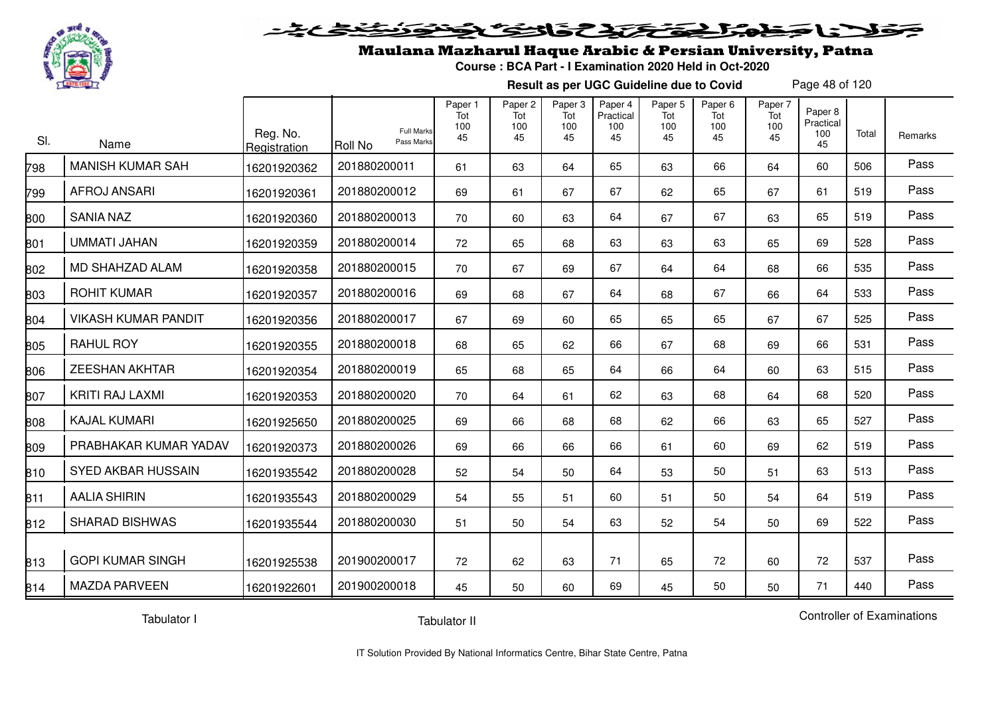

#### 2020 2020 2020 لاتناجيز

## Maulana Mazharul Haque Arabic & Persian University, Patna

**Course : BCA Part - I Examination 2020 Held in Oct-2020**

**Result as per UGC Guideline due to Covid**

Page 48 of 120

| SI. | Name                       | Reg. No.<br>Registration | <b>Full Marks</b><br>Pass Marks<br>Roll No | Paper 1<br>Tot<br>100<br>45 | Paper 2<br>Tot<br>100<br>45 | Paper 3<br>Tot<br>100<br>45 | Paper 4<br>Practical<br>100<br>45 | Paper 5<br>Tot<br>100<br>45 | Paper 6<br>Tot<br>100<br>45 | Paper 7<br>Tot<br>100<br>45 | Paper 8<br>Practical<br>100<br>45 | Total | Remarks |
|-----|----------------------------|--------------------------|--------------------------------------------|-----------------------------|-----------------------------|-----------------------------|-----------------------------------|-----------------------------|-----------------------------|-----------------------------|-----------------------------------|-------|---------|
| 798 | <b>MANISH KUMAR SAH</b>    | 16201920362              | 201880200011                               | 61                          | 63                          | 64                          | 65                                | 63                          | 66                          | 64                          | 60                                | 506   | Pass    |
| 799 | <b>AFROJ ANSARI</b>        | 16201920361              | 201880200012                               | 69                          | 61                          | 67                          | 67                                | 62                          | 65                          | 67                          | 61                                | 519   | Pass    |
| 800 | <b>SANIA NAZ</b>           | 16201920360              | 201880200013                               | 70                          | 60                          | 63                          | 64                                | 67                          | 67                          | 63                          | 65                                | 519   | Pass    |
| 801 | <b>UMMATI JAHAN</b>        | 16201920359              | 201880200014                               | 72                          | 65                          | 68                          | 63                                | 63                          | 63                          | 65                          | 69                                | 528   | Pass    |
| 802 | MD SHAHZAD ALAM            | 16201920358              | 201880200015                               | 70                          | 67                          | 69                          | 67                                | 64                          | 64                          | 68                          | 66                                | 535   | Pass    |
| 803 | <b>ROHIT KUMAR</b>         | 16201920357              | 201880200016                               | 69                          | 68                          | 67                          | 64                                | 68                          | 67                          | 66                          | 64                                | 533   | Pass    |
| 804 | <b>VIKASH KUMAR PANDIT</b> | 16201920356              | 201880200017                               | 67                          | 69                          | 60                          | 65                                | 65                          | 65                          | 67                          | 67                                | 525   | Pass    |
| 805 | <b>RAHUL ROY</b>           | 16201920355              | 201880200018                               | 68                          | 65                          | 62                          | 66                                | 67                          | 68                          | 69                          | 66                                | 531   | Pass    |
| 806 | <b>ZEESHAN AKHTAR</b>      | 16201920354              | 201880200019                               | 65                          | 68                          | 65                          | 64                                | 66                          | 64                          | 60                          | 63                                | 515   | Pass    |
| 807 | <b>KRITI RAJ LAXMI</b>     | 16201920353              | 201880200020                               | 70                          | 64                          | 61                          | 62                                | 63                          | 68                          | 64                          | 68                                | 520   | Pass    |
| 808 | <b>KAJAL KUMARI</b>        | 16201925650              | 201880200025                               | 69                          | 66                          | 68                          | 68                                | 62                          | 66                          | 63                          | 65                                | 527   | Pass    |
| 809 | PRABHAKAR KUMAR YADAV      | 16201920373              | 201880200026                               | 69                          | 66                          | 66                          | 66                                | 61                          | 60                          | 69                          | 62                                | 519   | Pass    |
| 810 | SYED AKBAR HUSSAIN         | 16201935542              | 201880200028                               | 52                          | 54                          | 50                          | 64                                | 53                          | 50                          | 51                          | 63                                | 513   | Pass    |
| 811 | <b>AALIA SHIRIN</b>        | 16201935543              | 201880200029                               | 54                          | 55                          | 51                          | 60                                | 51                          | 50                          | 54                          | 64                                | 519   | Pass    |
| 812 | <b>SHARAD BISHWAS</b>      | 16201935544              | 201880200030                               | 51                          | 50                          | 54                          | 63                                | 52                          | 54                          | 50                          | 69                                | 522   | Pass    |
| 813 | <b>GOPI KUMAR SINGH</b>    | 16201925538              | 201900200017                               | 72                          | 62                          | 63                          | 71                                | 65                          | 72                          | 60                          | 72                                | 537   | Pass    |
| 814 | <b>MAZDA PARVEEN</b>       | 16201922601              | 201900200018                               | 45                          | 50                          | 60                          | 69                                | 45                          | 50                          | 50                          | 71                                | 440   | Pass    |

Tabulator I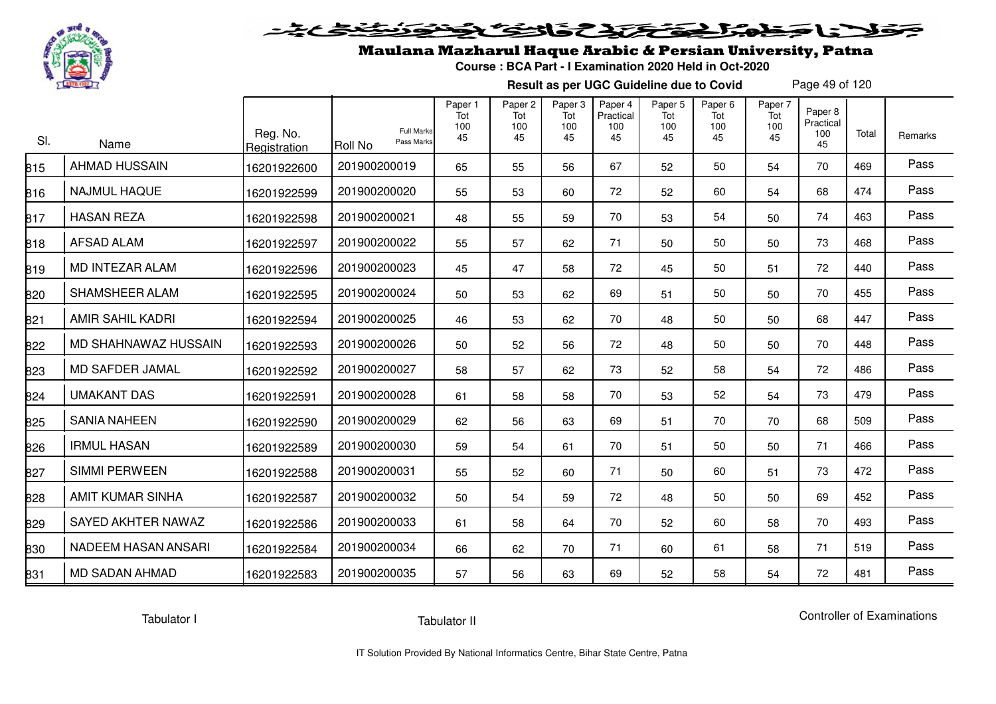

## فلأناخض المتحقح كتحافظ

## Maulana Mazharul Haque Arabic & Persian University, Patna

**Course : BCA Part - I Examination 2020 Held in Oct-2020**

**Result as per UGC Guideline due to Covid**

Page 49 of 120

| SI. | Name                       | Reg. No.<br>Registration | <b>Full Marks</b><br>Pass Marks<br>Roll No | Paper 1<br>Tot<br>100<br>45 | Paper <sub>2</sub><br>Tot<br>100<br>45 | Paper <sub>3</sub><br>Tot<br>100<br>45 | Paper 4<br>Practical<br>100<br>45 | Paper <sub>5</sub><br>Tot<br>100<br>45 | Paper <sub>6</sub><br>Tot<br>100<br>45 | Paper 7<br>Tot<br>100<br>45 | Paper 8<br>Practical<br>100<br>45 | Total | Remarks |
|-----|----------------------------|--------------------------|--------------------------------------------|-----------------------------|----------------------------------------|----------------------------------------|-----------------------------------|----------------------------------------|----------------------------------------|-----------------------------|-----------------------------------|-------|---------|
| 815 | <b>AHMAD HUSSAIN</b>       | 16201922600              | 201900200019                               | 65                          | 55                                     | 56                                     | 67                                | 52                                     | 50                                     | 54                          | 70                                | 469   | Pass    |
| 816 | <b>NAJMUL HAQUE</b>        | 16201922599              | 201900200020                               | 55                          | 53                                     | 60                                     | 72                                | 52                                     | 60                                     | 54                          | 68                                | 474   | Pass    |
| 817 | <b>HASAN REZA</b>          | 16201922598              | 201900200021                               | 48                          | 55                                     | 59                                     | 70                                | 53                                     | 54                                     | 50                          | 74                                | 463   | Pass    |
| 818 | <b>AFSAD ALAM</b>          | 16201922597              | 201900200022                               | 55                          | 57                                     | 62                                     | 71                                | 50                                     | 50                                     | 50                          | 73                                | 468   | Pass    |
| 819 | MD INTEZAR ALAM            | 16201922596              | 201900200023                               | 45                          | 47                                     | 58                                     | 72                                | 45                                     | 50                                     | 51                          | 72                                | 440   | Pass    |
| 820 | SHAMSHEER ALAM             | 16201922595              | 201900200024                               | 50                          | 53                                     | 62                                     | 69                                | 51                                     | 50                                     | 50                          | 70                                | 455   | Pass    |
| 821 | AMIR SAHIL KADRI           | 16201922594              | 201900200025                               | 46                          | 53                                     | 62                                     | 70                                | 48                                     | 50                                     | 50                          | 68                                | 447   | Pass    |
| 822 | MD SHAHNAWAZ HUSSAIN       | 16201922593              | 201900200026                               | 50                          | 52                                     | 56                                     | 72                                | 48                                     | 50                                     | 50                          | 70                                | 448   | Pass    |
| 823 | MD SAFDER JAMAL            | 16201922592              | 201900200027                               | 58                          | 57                                     | 62                                     | 73                                | 52                                     | 58                                     | 54                          | 72                                | 486   | Pass    |
| 824 | <b>UMAKANT DAS</b>         | 16201922591              | 201900200028                               | 61                          | 58                                     | 58                                     | 70                                | 53                                     | 52                                     | 54                          | 73                                | 479   | Pass    |
| 825 | <b>SANIA NAHEEN</b>        | 16201922590              | 201900200029                               | 62                          | 56                                     | 63                                     | 69                                | 51                                     | 70                                     | 70                          | 68                                | 509   | Pass    |
| 826 | <b>IRMUL HASAN</b>         | 16201922589              | 201900200030                               | 59                          | 54                                     | 61                                     | 70                                | 51                                     | 50                                     | 50                          | 71                                | 466   | Pass    |
| 827 | <b>SIMMI PERWEEN</b>       | 16201922588              | 201900200031                               | 55                          | 52                                     | 60                                     | 71                                | 50                                     | 60                                     | 51                          | 73                                | 472   | Pass    |
| 828 | <b>AMIT KUMAR SINHA</b>    | 16201922587              | 201900200032                               | 50                          | 54                                     | 59                                     | 72                                | 48                                     | 50                                     | 50                          | 69                                | 452   | Pass    |
| 829 | SAYED AKHTER NAWAZ         | 16201922586              | 201900200033                               | 61                          | 58                                     | 64                                     | 70                                | 52                                     | 60                                     | 58                          | 70                                | 493   | Pass    |
| 830 | <b>NADEEM HASAN ANSARI</b> | 16201922584              | 201900200034                               | 66                          | 62                                     | 70                                     | 71                                | 60                                     | 61                                     | 58                          | 71                                | 519   | Pass    |
| 831 | <b>MD SADAN AHMAD</b>      | 16201922583              | 201900200035                               | 57                          | 56                                     | 63                                     | 69                                | 52                                     | 58                                     | 54                          | 72                                | 481   | Pass    |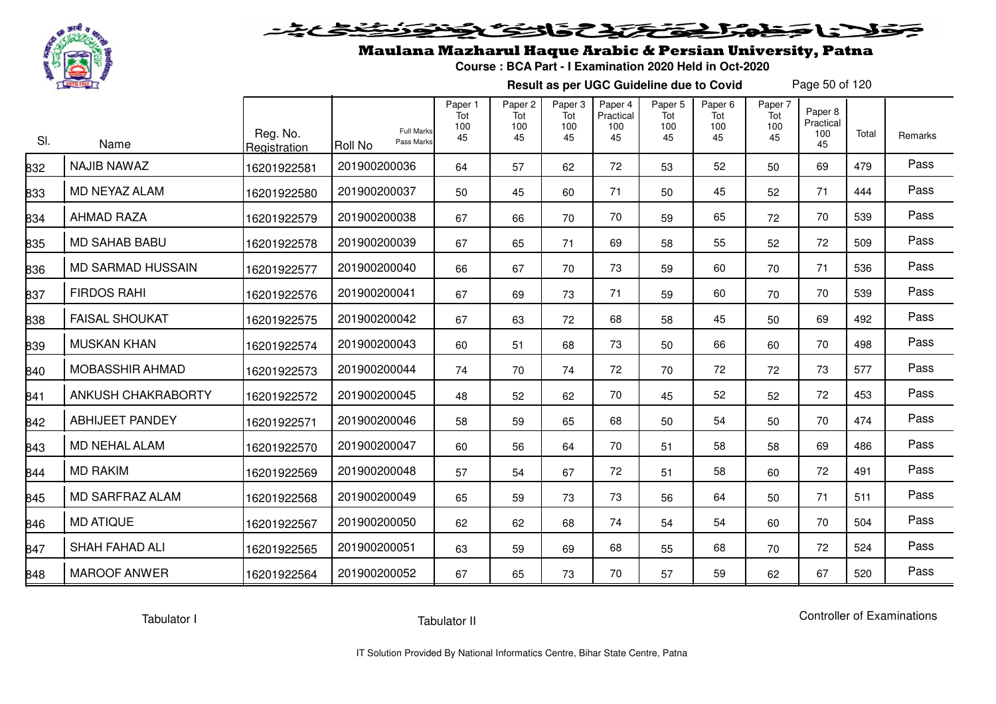

## Maulana Mazharul Haque Arabic & Persian University, Patna

**Course : BCA Part - I Examination 2020 Held in Oct-2020**

**Result as per UGC Guideline due to Covid**

Page 50 of 120

| SI. | Name                   | Reg. No.<br>Registration | <b>Full Marks</b><br>Pass Marks<br>Roll No | Paper 1<br>Tot<br>100<br>45 | Paper <sub>2</sub><br>Tot<br>100<br>45 | Paper <sub>3</sub><br>Tot<br>100<br>45 | Paper 4<br>Practical<br>100<br>45 | Paper 5<br>Tot<br>100<br>45 | Paper 6<br>Tot<br>100<br>45 | Paper 7<br>Tot<br>100<br>45 | Paper 8<br>Practical<br>100<br>45 | Total | Remarks |
|-----|------------------------|--------------------------|--------------------------------------------|-----------------------------|----------------------------------------|----------------------------------------|-----------------------------------|-----------------------------|-----------------------------|-----------------------------|-----------------------------------|-------|---------|
| 832 | <b>NAJIB NAWAZ</b>     | 16201922581              | 201900200036                               | 64                          | 57                                     | 62                                     | 72                                | 53                          | 52                          | 50                          | 69                                | 479   | Pass    |
| 833 | MD NEYAZ ALAM          | 16201922580              | 201900200037                               | 50                          | 45                                     | 60                                     | 71                                | 50                          | 45                          | 52                          | 71                                | 444   | Pass    |
| 834 | <b>AHMAD RAZA</b>      | 16201922579              | 201900200038                               | 67                          | 66                                     | 70                                     | 70                                | 59                          | 65                          | 72                          | 70                                | 539   | Pass    |
| 835 | <b>MD SAHAB BABU</b>   | 16201922578              | 201900200039                               | 67                          | 65                                     | 71                                     | 69                                | 58                          | 55                          | 52                          | 72                                | 509   | Pass    |
| 836 | MD SARMAD HUSSAIN      | 16201922577              | 201900200040                               | 66                          | 67                                     | 70                                     | 73                                | 59                          | 60                          | 70                          | 71                                | 536   | Pass    |
| 837 | <b>FIRDOS RAHI</b>     | 16201922576              | 201900200041                               | 67                          | 69                                     | 73                                     | 71                                | 59                          | 60                          | 70                          | 70                                | 539   | Pass    |
| 838 | <b>FAISAL SHOUKAT</b>  | 16201922575              | 201900200042                               | 67                          | 63                                     | 72                                     | 68                                | 58                          | 45                          | 50                          | 69                                | 492   | Pass    |
| 839 | <b>MUSKAN KHAN</b>     | 16201922574              | 201900200043                               | 60                          | 51                                     | 68                                     | 73                                | 50                          | 66                          | 60                          | 70                                | 498   | Pass    |
| 840 | MOBASSHIR AHMAD        | 16201922573              | 201900200044                               | 74                          | 70                                     | 74                                     | 72                                | 70                          | 72                          | 72                          | 73                                | 577   | Pass    |
| 841 | ANKUSH CHAKRABORTY     | 16201922572              | 201900200045                               | 48                          | 52                                     | 62                                     | 70                                | 45                          | 52                          | 52                          | 72                                | 453   | Pass    |
| 842 | <b>ABHIJEET PANDEY</b> | 16201922571              | 201900200046                               | 58                          | 59                                     | 65                                     | 68                                | 50                          | 54                          | 50                          | 70                                | 474   | Pass    |
| 843 | <b>MD NEHAL ALAM</b>   | 16201922570              | 201900200047                               | 60                          | 56                                     | 64                                     | 70                                | 51                          | 58                          | 58                          | 69                                | 486   | Pass    |
| 844 | <b>MD RAKIM</b>        | 16201922569              | 201900200048                               | 57                          | 54                                     | 67                                     | 72                                | 51                          | 58                          | 60                          | 72                                | 491   | Pass    |
| 845 | <b>MD SARFRAZ ALAM</b> | 16201922568              | 201900200049                               | 65                          | 59                                     | 73                                     | 73                                | 56                          | 64                          | 50                          | 71                                | 511   | Pass    |
| 846 | <b>MD ATIQUE</b>       | 16201922567              | 201900200050                               | 62                          | 62                                     | 68                                     | 74                                | 54                          | 54                          | 60                          | 70                                | 504   | Pass    |
| 847 | <b>SHAH FAHAD ALI</b>  | 16201922565              | 201900200051                               | 63                          | 59                                     | 69                                     | 68                                | 55                          | 68                          | 70                          | 72                                | 524   | Pass    |
| 848 | <b>MAROOF ANWER</b>    | 16201922564              | 201900200052                               | 67                          | 65                                     | 73                                     | 70                                | 57                          | 59                          | 62                          | 67                                | 520   | Pass    |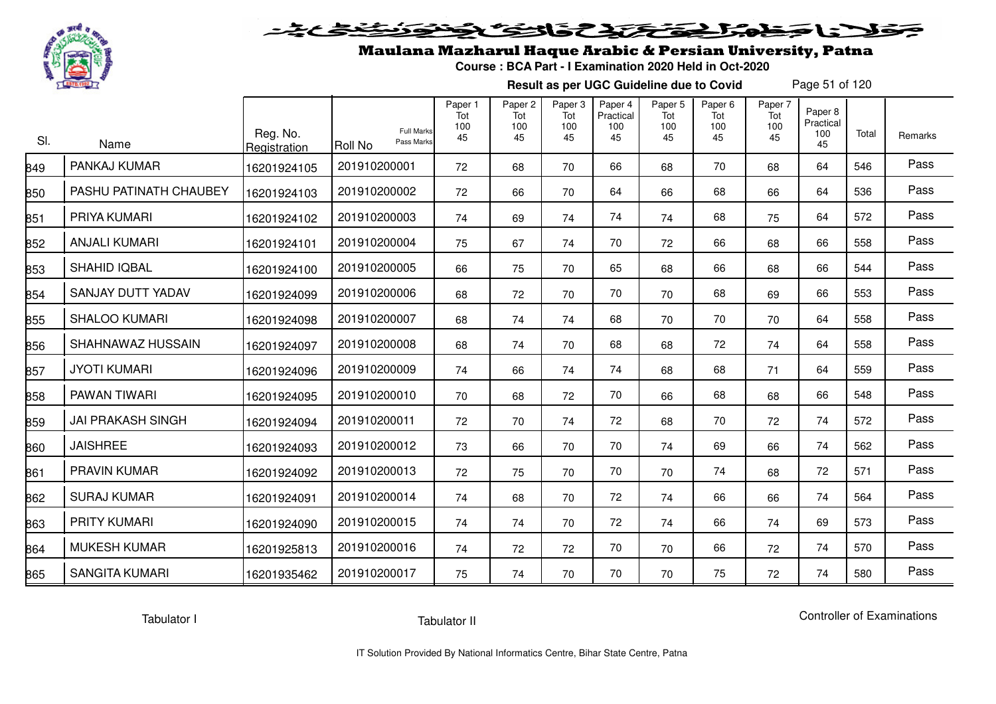

## Maulana Mazharul Haque Arabic & Persian University, Patna

**Course : BCA Part - I Examination 2020 Held in Oct-2020**

**Result as per UGC Guideline due to Covid**

Page 51 of 120

| SI. | Name                     | Reg. No.<br>Registration | <b>Full Marks</b><br>Pass Marks<br>Roll No | Paper 1<br>Tot<br>100<br>45 | Paper <sub>2</sub><br>Tot<br>100<br>45 | Paper 3<br>Tot<br>100<br>45 | Paper 4<br>Practical<br>100<br>45 | Paper 5<br>Tot<br>100<br>45 | Paper 6<br>Tot<br>100<br>45 | Paper 7<br>Tot<br>100<br>45 | Paper <sub>8</sub><br>Practical<br>100<br>45 | Total | Remarks |
|-----|--------------------------|--------------------------|--------------------------------------------|-----------------------------|----------------------------------------|-----------------------------|-----------------------------------|-----------------------------|-----------------------------|-----------------------------|----------------------------------------------|-------|---------|
| 849 | PANKAJ KUMAR             | 16201924105              | 201910200001                               | 72                          | 68                                     | 70                          | 66                                | 68                          | 70                          | 68                          | 64                                           | 546   | Pass    |
| 850 | PASHU PATINATH CHAUBEY   | 16201924103              | 201910200002                               | 72                          | 66                                     | 70                          | 64                                | 66                          | 68                          | 66                          | 64                                           | 536   | Pass    |
| 851 | PRIYA KUMARI             | 16201924102              | 201910200003                               | 74                          | 69                                     | 74                          | 74                                | 74                          | 68                          | 75                          | 64                                           | 572   | Pass    |
| 852 | <b>ANJALI KUMARI</b>     | 16201924101              | 201910200004                               | 75                          | 67                                     | 74                          | 70                                | 72                          | 66                          | 68                          | 66                                           | 558   | Pass    |
| 853 | SHAHID IQBAL             | 16201924100              | 201910200005                               | 66                          | 75                                     | 70                          | 65                                | 68                          | 66                          | 68                          | 66                                           | 544   | Pass    |
| 854 | SANJAY DUTT YADAV        | 16201924099              | 201910200006                               | 68                          | 72                                     | 70                          | 70                                | 70                          | 68                          | 69                          | 66                                           | 553   | Pass    |
| 855 | <b>SHALOO KUMARI</b>     | 16201924098              | 201910200007                               | 68                          | 74                                     | 74                          | 68                                | 70                          | 70                          | 70                          | 64                                           | 558   | Pass    |
| 856 | SHAHNAWAZ HUSSAIN        | 16201924097              | 201910200008                               | 68                          | 74                                     | 70                          | 68                                | 68                          | 72                          | 74                          | 64                                           | 558   | Pass    |
| 857 | <b>JYOTI KUMARI</b>      | 16201924096              | 201910200009                               | 74                          | 66                                     | 74                          | 74                                | 68                          | 68                          | 71                          | 64                                           | 559   | Pass    |
| 858 | PAWAN TIWARI             | 16201924095              | 201910200010                               | 70                          | 68                                     | 72                          | 70                                | 66                          | 68                          | 68                          | 66                                           | 548   | Pass    |
| 859 | <b>JAI PRAKASH SINGH</b> | 16201924094              | 201910200011                               | 72                          | 70                                     | 74                          | 72                                | 68                          | 70                          | 72                          | 74                                           | 572   | Pass    |
| 860 | <b>JAISHREE</b>          | 16201924093              | 201910200012                               | 73                          | 66                                     | 70                          | 70                                | 74                          | 69                          | 66                          | 74                                           | 562   | Pass    |
| 861 | PRAVIN KUMAR             | 16201924092              | 201910200013                               | 72                          | 75                                     | 70                          | 70                                | 70                          | 74                          | 68                          | 72                                           | 571   | Pass    |
| 862 | <b>SURAJ KUMAR</b>       | 16201924091              | 201910200014                               | 74                          | 68                                     | 70                          | 72                                | 74                          | 66                          | 66                          | 74                                           | 564   | Pass    |
| 863 | <b>PRITY KUMARI</b>      | 16201924090              | 201910200015                               | 74                          | 74                                     | 70                          | 72                                | 74                          | 66                          | 74                          | 69                                           | 573   | Pass    |
| 864 | <b>MUKESH KUMAR</b>      | 16201925813              | 201910200016                               | 74                          | 72                                     | 72                          | 70                                | 70                          | 66                          | 72                          | 74                                           | 570   | Pass    |
| 865 | <b>SANGITA KUMARI</b>    | 16201935462              | 201910200017                               | 75                          | 74                                     | 70                          | 70                                | 70                          | 75                          | 72                          | 74                                           | 580   | Pass    |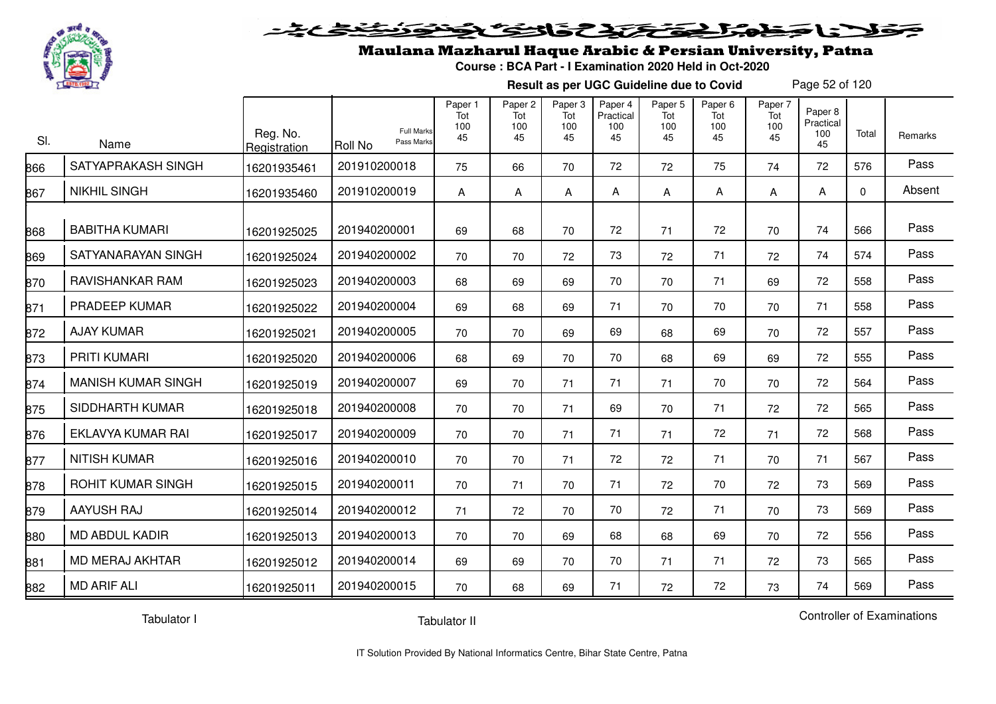

#### 2020 222225.00 Sels De

## Maulana Mazharul Haque Arabic & Persian University, Patna

**Course : BCA Part - I Examination 2020 Held in Oct-2020**

**Result as per UGC Guideline due to Covid**

Page 52 of 120

| SI. | Name                      | Reg. No.<br>Registration | <b>Full Marks</b><br>Pass Marks<br>Roll No | Paper 1<br>Tot<br>100<br>45 | Paper 2<br>Tot<br>100<br>45 | Paper 3<br>Tot<br>100<br>45 | Paper 4<br>Practical<br>100<br>45 | Paper 5<br>Tot<br>100<br>45 | Paper 6<br>Tot<br>100<br>45 | Paper 7<br>Tot<br>100<br>45 | Paper 8<br>Practical<br>100<br>45 | Total       | Remarks |
|-----|---------------------------|--------------------------|--------------------------------------------|-----------------------------|-----------------------------|-----------------------------|-----------------------------------|-----------------------------|-----------------------------|-----------------------------|-----------------------------------|-------------|---------|
| 866 | SATYAPRAKASH SINGH        | 16201935461              | 201910200018                               | 75                          | 66                          | 70                          | 72                                | 72                          | 75                          | 74                          | 72                                | 576         | Pass    |
| 867 | <b>NIKHIL SINGH</b>       | 16201935460              | 201910200019                               | A                           | A                           | A                           | A                                 | A                           | Α                           | A                           | A                                 | $\mathbf 0$ | Absent  |
| 868 | <b>BABITHA KUMARI</b>     | 16201925025              | 201940200001                               | 69                          | 68                          | 70                          | 72                                | 71                          | 72                          | 70                          | 74                                | 566         | Pass    |
| 869 | SATYANARAYAN SINGH        | 16201925024              | 201940200002                               | 70                          | 70                          | 72                          | 73                                | 72                          | 71                          | 72                          | 74                                | 574         | Pass    |
| 870 | RAVISHANKAR RAM           | 16201925023              | 201940200003                               | 68                          | 69                          | 69                          | 70                                | 70                          | 71                          | 69                          | 72                                | 558         | Pass    |
| 871 | PRADEEP KUMAR             | 16201925022              | 201940200004                               | 69                          | 68                          | 69                          | 71                                | 70                          | 70                          | 70                          | 71                                | 558         | Pass    |
| 872 | <b>AJAY KUMAR</b>         | 16201925021              | 201940200005                               | 70                          | 70                          | 69                          | 69                                | 68                          | 69                          | 70                          | 72                                | 557         | Pass    |
| 873 | PRITI KUMARI              | 16201925020              | 201940200006                               | 68                          | 69                          | 70                          | 70                                | 68                          | 69                          | 69                          | 72                                | 555         | Pass    |
| 874 | <b>MANISH KUMAR SINGH</b> | 16201925019              | 201940200007                               | 69                          | 70                          | 71                          | 71                                | 71                          | 70                          | 70                          | 72                                | 564         | Pass    |
| 875 | SIDDHARTH KUMAR           | 16201925018              | 201940200008                               | 70                          | 70                          | 71                          | 69                                | 70                          | 71                          | 72                          | 72                                | 565         | Pass    |
| 876 | EKLAVYA KUMAR RAI         | 16201925017              | 201940200009                               | 70                          | 70                          | 71                          | 71                                | 71                          | 72                          | 71                          | 72                                | 568         | Pass    |
| 877 | <b>NITISH KUMAR</b>       | 16201925016              | 201940200010                               | 70                          | 70                          | 71                          | 72                                | 72                          | 71                          | 70                          | 71                                | 567         | Pass    |
| 878 | ROHIT KUMAR SINGH         | 16201925015              | 201940200011                               | 70                          | 71                          | 70                          | 71                                | 72                          | 70                          | 72                          | 73                                | 569         | Pass    |
| 879 | <b>AAYUSH RAJ</b>         | 16201925014              | 201940200012                               | 71                          | 72                          | 70                          | 70                                | 72                          | 71                          | 70                          | 73                                | 569         | Pass    |
| 880 | <b>MD ABDUL KADIR</b>     | 16201925013              | 201940200013                               | 70                          | 70                          | 69                          | 68                                | 68                          | 69                          | 70                          | 72                                | 556         | Pass    |
| 881 | <b>MD MERAJ AKHTAR</b>    | 16201925012              | 201940200014                               | 69                          | 69                          | 70                          | 70                                | 71                          | 71                          | 72                          | 73                                | 565         | Pass    |
| 882 | <b>MD ARIF ALI</b>        | 16201925011              | 201940200015                               | 70                          | 68                          | 69                          | 71                                | 72                          | 72                          | 73                          | 74                                | 569         | Pass    |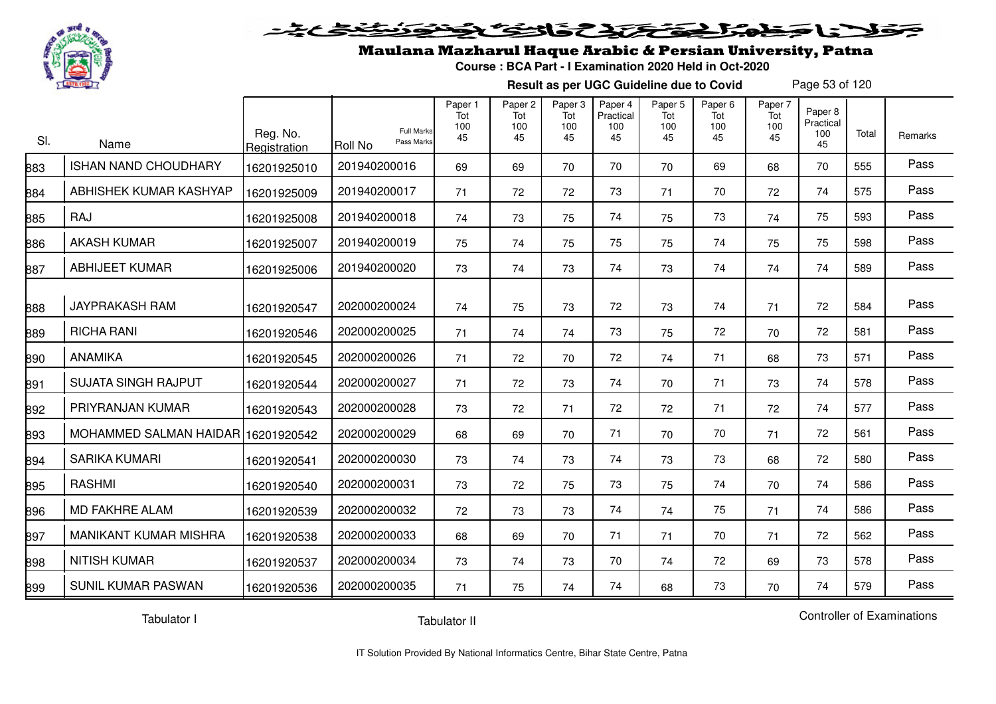

#### 2 5 3 2 2 2 2 2 2  $\blacktriangleright$  15  $\blacktriangleright$

## Maulana Mazharul Haque Arabic & Persian University, Patna

**Course : BCA Part - I Examination 2020 Held in Oct-2020**

**Result as per UGC Guideline due to Covid**

Page 53 of 120

| SI. | Name                               | Reg. No.<br>Registration | <b>Roll No</b> | <b>Full Marks</b><br>Pass Marks | Paper 1<br>Tot<br>100<br>45 | Paper 2<br>Tot<br>100<br>45 | Paper 3<br>Tot<br>100<br>45 | Paper 4<br>Practical<br>100<br>45 | Paper 5<br>Tot<br>100<br>45 | Paper 6<br>Tot<br>100<br>45 | Paper 7<br>Tot<br>100<br>45 | Paper 8<br>Practical<br>100<br>45 | Total | <b>Remarks</b> |
|-----|------------------------------------|--------------------------|----------------|---------------------------------|-----------------------------|-----------------------------|-----------------------------|-----------------------------------|-----------------------------|-----------------------------|-----------------------------|-----------------------------------|-------|----------------|
| 883 | <b>ISHAN NAND CHOUDHARY</b>        | 16201925010              | 201940200016   |                                 | 69                          | 69                          | 70                          | 70                                | 70                          | 69                          | 68                          | 70                                | 555   | Pass           |
| 884 | ABHISHEK KUMAR KASHYAP             | 16201925009              | 201940200017   |                                 | 71                          | 72                          | 72                          | 73                                | 71                          | 70                          | 72                          | 74                                | 575   | Pass           |
| 885 | RAJ                                | 16201925008              | 201940200018   |                                 | 74                          | 73                          | 75                          | 74                                | 75                          | 73                          | 74                          | 75                                | 593   | Pass           |
| 886 | <b>AKASH KUMAR</b>                 | 16201925007              | 201940200019   |                                 | 75                          | 74                          | 75                          | 75                                | 75                          | 74                          | 75                          | 75                                | 598   | Pass           |
| 887 | <b>ABHIJEET KUMAR</b>              | 16201925006              | 201940200020   |                                 | 73                          | 74                          | 73                          | 74                                | 73                          | 74                          | 74                          | 74                                | 589   | Pass           |
| 888 | <b>JAYPRAKASH RAM</b>              | 16201920547              | 202000200024   |                                 | 74                          | 75                          | 73                          | 72                                | 73                          | 74                          | 71                          | 72                                | 584   | Pass           |
| 889 | <b>RICHA RANI</b>                  | 16201920546              | 202000200025   |                                 | 71                          | 74                          | 74                          | 73                                | 75                          | 72                          | 70                          | 72                                | 581   | Pass           |
| 890 | ANAMIKA                            | 16201920545              | 202000200026   |                                 | 71                          | 72                          | 70                          | 72                                | 74                          | 71                          | 68                          | 73                                | 571   | Pass           |
| 891 | <b>SUJATA SINGH RAJPUT</b>         | 16201920544              | 202000200027   |                                 | 71                          | 72                          | 73                          | 74                                | 70                          | 71                          | 73                          | 74                                | 578   | Pass           |
| 892 | PRIYRANJAN KUMAR                   | 16201920543              | 202000200028   |                                 | 73                          | 72                          | 71                          | 72                                | 72                          | 71                          | 72                          | 74                                | 577   | Pass           |
| 893 | MOHAMMED SALMAN HAIDAR 16201920542 |                          | 202000200029   |                                 | 68                          | 69                          | 70                          | 71                                | 70                          | 70                          | 71                          | 72                                | 561   | Pass           |
| 894 | <b>SARIKA KUMARI</b>               | 16201920541              | 202000200030   |                                 | 73                          | 74                          | 73                          | 74                                | 73                          | 73                          | 68                          | 72                                | 580   | Pass           |
| 895 | <b>RASHMI</b>                      | 16201920540              | 202000200031   |                                 | 73                          | 72                          | 75                          | 73                                | 75                          | 74                          | 70                          | 74                                | 586   | Pass           |
| 896 | <b>MD FAKHRE ALAM</b>              | 16201920539              | 202000200032   |                                 | 72                          | 73                          | 73                          | 74                                | 74                          | 75                          | 71                          | 74                                | 586   | Pass           |
| 897 | <b>MANIKANT KUMAR MISHRA</b>       | 16201920538              | 202000200033   |                                 | 68                          | 69                          | 70                          | 71                                | 71                          | 70                          | 71                          | 72                                | 562   | Pass           |
| 898 | <b>NITISH KUMAR</b>                | 16201920537              | 202000200034   |                                 | 73                          | 74                          | 73                          | 70                                | 74                          | 72                          | 69                          | 73                                | 578   | Pass           |
| 899 | <b>SUNIL KUMAR PASWAN</b>          | 16201920536              | 202000200035   |                                 | 71                          | 75                          | 74                          | 74                                | 68                          | 73                          | 70                          | 74                                | 579   | Pass           |

Tabulator I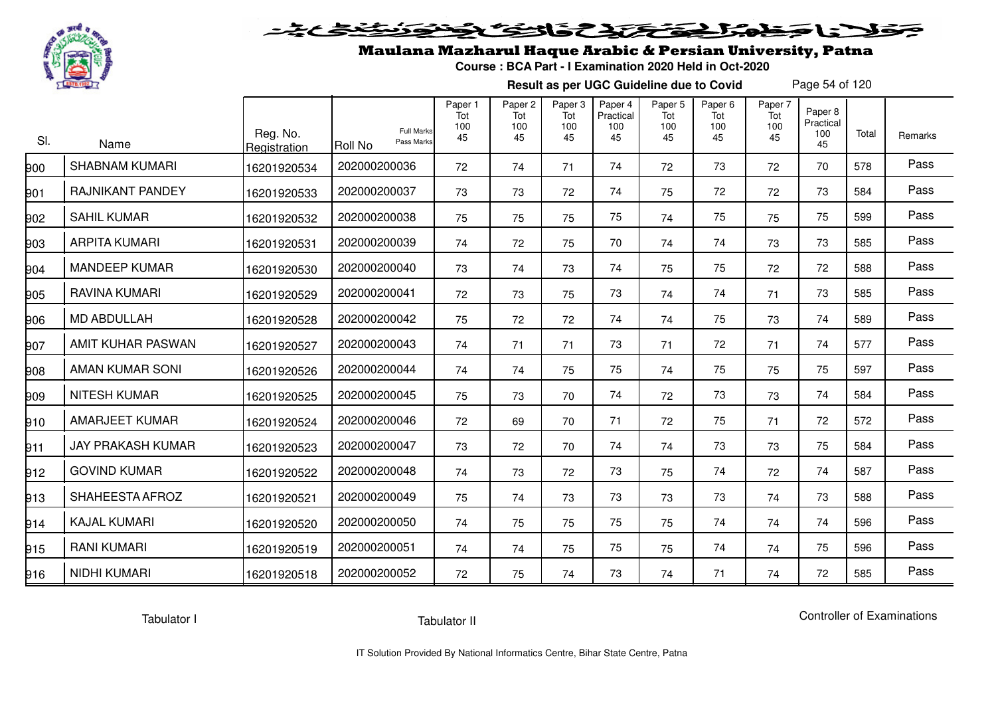

## Maulana Mazharul Haque Arabic & Persian University, Patna

**Course : BCA Part - I Examination 2020 Held in Oct-2020**

**Result as per UGC Guideline due to Covid**

Page 54 of 120

| SI. | Name                     | Reg. No.<br>Registration | <b>Full Marks</b><br>Pass Marks<br><b>Roll No</b> | Paper 1<br>Tot<br>100<br>45 | Paper <sub>2</sub><br>Tot<br>100<br>45 | Paper <sub>3</sub><br>Tot<br>100<br>45 | Paper 4<br>Practical<br>100<br>45 | Paper <sub>5</sub><br>Tot<br>100<br>45 | Paper <sub>6</sub><br>Tot<br>100<br>45 | Paper 7<br>Tot<br>100<br>45 | Paper 8<br>Practical<br>100<br>45 | Total | Remarks |
|-----|--------------------------|--------------------------|---------------------------------------------------|-----------------------------|----------------------------------------|----------------------------------------|-----------------------------------|----------------------------------------|----------------------------------------|-----------------------------|-----------------------------------|-------|---------|
| 900 | <b>SHABNAM KUMARI</b>    | 16201920534              | 202000200036                                      | 72                          | 74                                     | 71                                     | 74                                | 72                                     | 73                                     | 72                          | 70                                | 578   | Pass    |
| 901 | RAJNIKANT PANDEY         | 16201920533              | 202000200037                                      | 73                          | 73                                     | 72                                     | 74                                | 75                                     | 72                                     | 72                          | 73                                | 584   | Pass    |
| 902 | <b>SAHIL KUMAR</b>       | 16201920532              | 202000200038                                      | 75                          | 75                                     | 75                                     | 75                                | 74                                     | 75                                     | 75                          | 75                                | 599   | Pass    |
| 903 | <b>ARPITA KUMARI</b>     | 16201920531              | 202000200039                                      | 74                          | 72                                     | 75                                     | 70                                | 74                                     | 74                                     | 73                          | 73                                | 585   | Pass    |
| 904 | <b>MANDEEP KUMAR</b>     | 16201920530              | 202000200040                                      | 73                          | 74                                     | 73                                     | 74                                | 75                                     | 75                                     | 72                          | 72                                | 588   | Pass    |
| 905 | RAVINA KUMARI            | 16201920529              | 202000200041                                      | 72                          | 73                                     | 75                                     | 73                                | 74                                     | 74                                     | 71                          | 73                                | 585   | Pass    |
| 906 | <b>MD ABDULLAH</b>       | 16201920528              | 202000200042                                      | 75                          | 72                                     | 72                                     | 74                                | 74                                     | 75                                     | 73                          | 74                                | 589   | Pass    |
| 907 | AMIT KUHAR PASWAN        | 16201920527              | 202000200043                                      | 74                          | 71                                     | 71                                     | 73                                | 71                                     | 72                                     | 71                          | 74                                | 577   | Pass    |
| 908 | AMAN KUMAR SONI          | 16201920526              | 202000200044                                      | 74                          | 74                                     | 75                                     | 75                                | 74                                     | 75                                     | 75                          | 75                                | 597   | Pass    |
| 909 | <b>NITESH KUMAR</b>      | 16201920525              | 202000200045                                      | 75                          | 73                                     | 70                                     | 74                                | 72                                     | 73                                     | 73                          | 74                                | 584   | Pass    |
| 910 | <b>AMARJEET KUMAR</b>    | 16201920524              | 202000200046                                      | 72                          | 69                                     | 70                                     | 71                                | 72                                     | 75                                     | 71                          | 72                                | 572   | Pass    |
| 911 | <b>JAY PRAKASH KUMAR</b> | 16201920523              | 202000200047                                      | 73                          | 72                                     | 70                                     | 74                                | 74                                     | 73                                     | 73                          | 75                                | 584   | Pass    |
| 912 | <b>GOVIND KUMAR</b>      | 16201920522              | 202000200048                                      | 74                          | 73                                     | 72                                     | 73                                | 75                                     | 74                                     | 72                          | 74                                | 587   | Pass    |
| 913 | SHAHEESTA AFROZ          | 16201920521              | 202000200049                                      | 75                          | 74                                     | 73                                     | 73                                | 73                                     | 73                                     | 74                          | 73                                | 588   | Pass    |
| 914 | <b>KAJAL KUMARI</b>      | 16201920520              | 202000200050                                      | 74                          | 75                                     | 75                                     | 75                                | 75                                     | 74                                     | 74                          | 74                                | 596   | Pass    |
| 915 | <b>RANI KUMARI</b>       | 16201920519              | 202000200051                                      | 74                          | 74                                     | 75                                     | 75                                | 75                                     | 74                                     | 74                          | 75                                | 596   | Pass    |
| 916 | NIDHI KUMARI             | 16201920518              | 202000200052                                      | 72                          | 75                                     | 74                                     | 73                                | 74                                     | 71                                     | 74                          | 72                                | 585   | Pass    |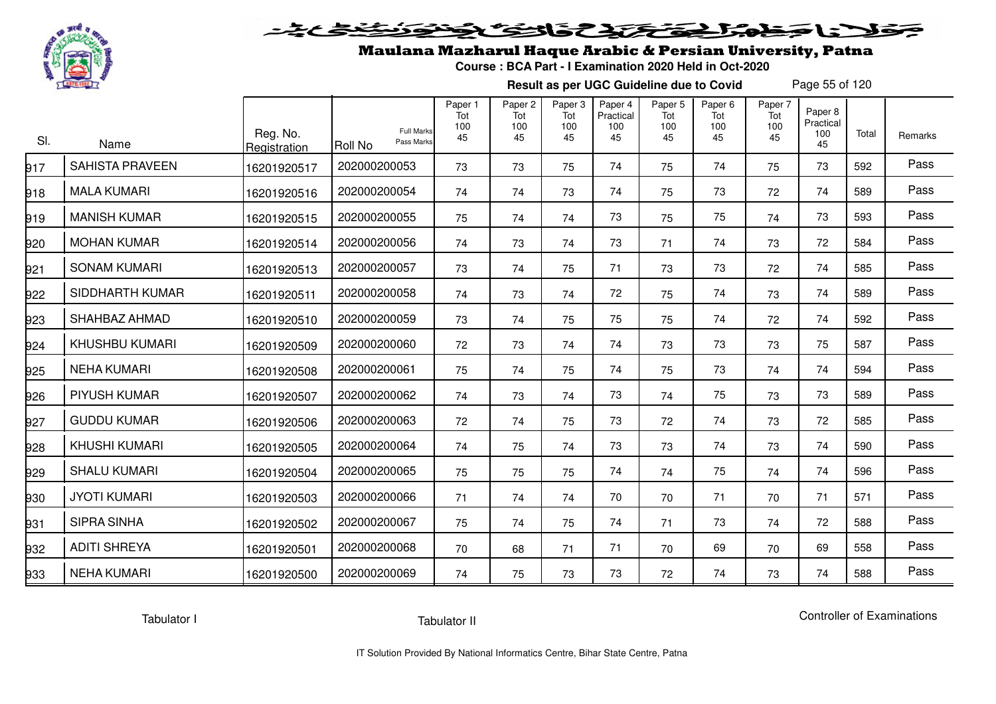

# فلأناخض المتعاطية فتخلفت فالخفض

## Maulana Mazharul Haque Arabic & Persian University, Patna

**Course : BCA Part - I Examination 2020 Held in Oct-2020**

**Result as per UGC Guideline due to Covid**

Page 55 of 120

| SI. | Name                   | Reg. No.<br>Registration | <b>Full Marks</b><br>Pass Marks<br>Roll No | Paper 1<br>Tot<br>100<br>45 | Paper <sub>2</sub><br>Tot<br>100<br>45 | Paper <sub>3</sub><br>Tot<br>100<br>45 | Paper 4<br>Practical<br>100<br>45 | Paper <sub>5</sub><br>Tot<br>100<br>45 | Paper <sub>6</sub><br>Tot<br>100<br>45 | Paper 7<br>Tot<br>100<br>45 | Paper 8<br>Practical<br>100<br>45 | Total | Remarks |
|-----|------------------------|--------------------------|--------------------------------------------|-----------------------------|----------------------------------------|----------------------------------------|-----------------------------------|----------------------------------------|----------------------------------------|-----------------------------|-----------------------------------|-------|---------|
| 917 | <b>SAHISTA PRAVEEN</b> | 16201920517              | 202000200053                               | 73                          | 73                                     | 75                                     | 74                                | 75                                     | 74                                     | 75                          | 73                                | 592   | Pass    |
| 918 | <b>MALA KUMARI</b>     | 16201920516              | 202000200054                               | 74                          | 74                                     | 73                                     | 74                                | 75                                     | 73                                     | 72                          | 74                                | 589   | Pass    |
| 919 | <b>MANISH KUMAR</b>    | 16201920515              | 202000200055                               | 75                          | 74                                     | 74                                     | 73                                | 75                                     | 75                                     | 74                          | 73                                | 593   | Pass    |
| 920 | <b>MOHAN KUMAR</b>     | 16201920514              | 202000200056                               | 74                          | 73                                     | 74                                     | 73                                | 71                                     | 74                                     | 73                          | 72                                | 584   | Pass    |
| 921 | <b>SONAM KUMARI</b>    | 16201920513              | 202000200057                               | 73                          | 74                                     | 75                                     | 71                                | 73                                     | 73                                     | 72                          | 74                                | 585   | Pass    |
| 922 | SIDDHARTH KUMAR        | 16201920511              | 202000200058                               | 74                          | 73                                     | 74                                     | 72                                | 75                                     | 74                                     | 73                          | 74                                | 589   | Pass    |
| 923 | SHAHBAZ AHMAD          | 16201920510              | 202000200059                               | 73                          | 74                                     | 75                                     | 75                                | 75                                     | 74                                     | 72                          | 74                                | 592   | Pass    |
| 924 | <b>KHUSHBU KUMARI</b>  | 16201920509              | 202000200060                               | 72                          | 73                                     | 74                                     | 74                                | 73                                     | 73                                     | 73                          | 75                                | 587   | Pass    |
| 925 | <b>NEHA KUMARI</b>     | 16201920508              | 202000200061                               | 75                          | 74                                     | 75                                     | 74                                | 75                                     | 73                                     | 74                          | 74                                | 594   | Pass    |
| 926 | <b>PIYUSH KUMAR</b>    | 16201920507              | 202000200062                               | 74                          | 73                                     | 74                                     | 73                                | 74                                     | 75                                     | 73                          | 73                                | 589   | Pass    |
| 927 | <b>GUDDU KUMAR</b>     | 16201920506              | 202000200063                               | 72                          | 74                                     | 75                                     | 73                                | 72                                     | 74                                     | 73                          | 72                                | 585   | Pass    |
| 928 | <b>KHUSHI KUMARI</b>   | 16201920505              | 202000200064                               | 74                          | 75                                     | 74                                     | 73                                | 73                                     | 74                                     | 73                          | 74                                | 590   | Pass    |
| 929 | <b>SHALU KUMARI</b>    | 16201920504              | 202000200065                               | 75                          | 75                                     | 75                                     | 74                                | 74                                     | 75                                     | 74                          | 74                                | 596   | Pass    |
| 930 | <b>JYOTI KUMARI</b>    | 16201920503              | 202000200066                               | 71                          | 74                                     | 74                                     | 70                                | 70                                     | 71                                     | 70                          | 71                                | 571   | Pass    |
| 931 | <b>SIPRA SINHA</b>     | 16201920502              | 202000200067                               | 75                          | 74                                     | 75                                     | 74                                | 71                                     | 73                                     | 74                          | 72                                | 588   | Pass    |
| 932 | <b>ADITI SHREYA</b>    | 16201920501              | 202000200068                               | 70                          | 68                                     | 71                                     | 71                                | 70                                     | 69                                     | 70                          | 69                                | 558   | Pass    |
| 933 | <b>NEHA KUMARI</b>     | 16201920500              | 202000200069                               | 74                          | 75                                     | 73                                     | 73                                | 72                                     | 74                                     | 73                          | 74                                | 588   | Pass    |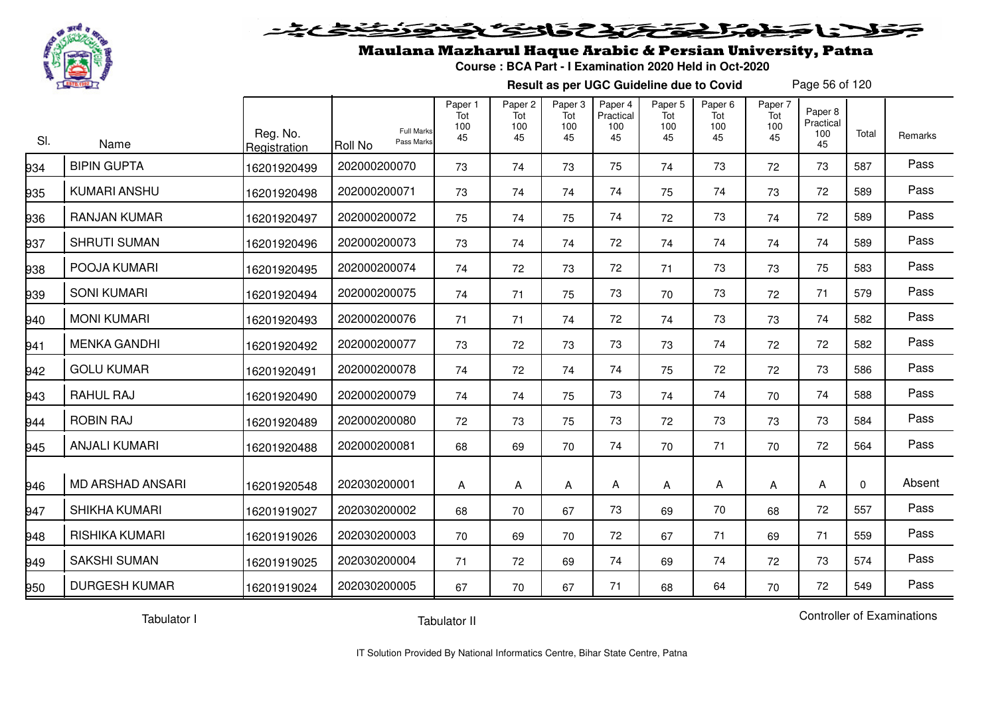

#### فتحتحن فالخفا  $\blacktriangleright$  15  $\blacktriangleright$

## Maulana Mazharul Haque Arabic & Persian University, Patna

**Course : BCA Part - I Examination 2020 Held in Oct-2020**

**Result as per UGC Guideline due to Covid**

Page 56 of 120

| SI. | Name                    | Reg. No.<br>Registration | <b>Full Marks</b><br>Pass Marks<br>Roll No | Paper 1<br>Tot<br>100<br>45 | Paper 2<br>Tot<br>100<br>45 | Paper 3<br>Tot<br>100<br>45 | Paper 4<br>Practical<br>100<br>45 | Paper 5<br>Tot<br>100<br>45 | Paper 6<br>Tot<br>100<br>45 | Paper 7<br>Tot<br>100<br>45 | Paper 8<br>Practical<br>100<br>45 | Total        | Remarks |
|-----|-------------------------|--------------------------|--------------------------------------------|-----------------------------|-----------------------------|-----------------------------|-----------------------------------|-----------------------------|-----------------------------|-----------------------------|-----------------------------------|--------------|---------|
| 934 | <b>BIPIN GUPTA</b>      | 16201920499              | 202000200070                               | 73                          | 74                          | 73                          | 75                                | 74                          | 73                          | 72                          | 73                                | 587          | Pass    |
| 935 | <b>KUMARI ANSHU</b>     | 16201920498              | 202000200071                               | 73                          | 74                          | 74                          | 74                                | 75                          | 74                          | 73                          | 72                                | 589          | Pass    |
| 936 | <b>RANJAN KUMAR</b>     | 16201920497              | 202000200072                               | 75                          | 74                          | 75                          | 74                                | 72                          | 73                          | 74                          | 72                                | 589          | Pass    |
| 937 | <b>SHRUTI SUMAN</b>     | 16201920496              | 202000200073                               | 73                          | 74                          | 74                          | 72                                | 74                          | 74                          | 74                          | 74                                | 589          | Pass    |
| 938 | POOJA KUMARI            | 16201920495              | 202000200074                               | 74                          | 72                          | 73                          | 72                                | 71                          | 73                          | 73                          | 75                                | 583          | Pass    |
| 939 | <b>SONI KUMARI</b>      | 16201920494              | 202000200075                               | 74                          | 71                          | 75                          | 73                                | 70                          | 73                          | 72                          | 71                                | 579          | Pass    |
| 940 | <b>MONI KUMARI</b>      | 16201920493              | 202000200076                               | 71                          | 71                          | 74                          | 72                                | 74                          | 73                          | 73                          | 74                                | 582          | Pass    |
| 941 | <b>MENKA GANDHI</b>     | 16201920492              | 202000200077                               | 73                          | 72                          | 73                          | 73                                | 73                          | 74                          | 72                          | 72                                | 582          | Pass    |
| 942 | <b>GOLU KUMAR</b>       | 16201920491              | 202000200078                               | 74                          | 72                          | 74                          | 74                                | 75                          | 72                          | 72                          | 73                                | 586          | Pass    |
| 943 | RAHUL RAJ               | 16201920490              | 202000200079                               | 74                          | 74                          | 75                          | 73                                | 74                          | 74                          | 70                          | 74                                | 588          | Pass    |
| 944 | <b>ROBIN RAJ</b>        | 16201920489              | 202000200080                               | 72                          | 73                          | 75                          | 73                                | 72                          | 73                          | 73                          | 73                                | 584          | Pass    |
| 945 | <b>ANJALI KUMARI</b>    | 16201920488              | 202000200081                               | 68                          | 69                          | 70                          | 74                                | 70                          | 71                          | 70                          | 72                                | 564          | Pass    |
| 946 | <b>MD ARSHAD ANSARI</b> | 16201920548              | 202030200001                               | A                           | Α                           | Α                           | Α                                 | Α                           | Α                           | Α                           | Α                                 | $\mathbf{0}$ | Absent  |
| 947 | SHIKHA KUMARI           | 16201919027              | 202030200002                               | 68                          | 70                          | 67                          | 73                                | 69                          | 70                          | 68                          | 72                                | 557          | Pass    |
| 948 | RISHIKA KUMARI          | 16201919026              | 202030200003                               | 70                          | 69                          | 70                          | 72                                | 67                          | 71                          | 69                          | 71                                | 559          | Pass    |
| 949 | <b>SAKSHI SUMAN</b>     | 16201919025              | 202030200004                               | 71                          | 72                          | 69                          | 74                                | 69                          | 74                          | 72                          | 73                                | 574          | Pass    |
| 950 | <b>DURGESH KUMAR</b>    | 16201919024              | 202030200005                               | 67                          | 70                          | 67                          | 71                                | 68                          | 64                          | 70                          | 72                                | 549          | Pass    |

Tabulator I

Tabulator II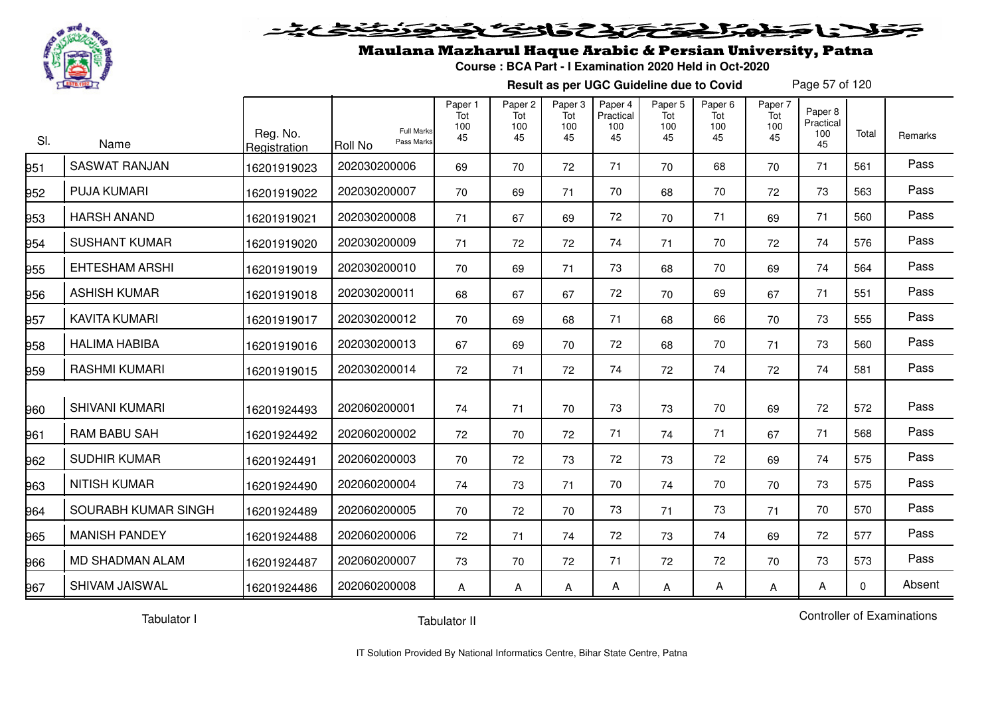

#### 20202222325.0  $\blacktriangleright$   $\blacktriangleright$   $\blacktriangleright$

### Maulana Mazharul Haque Arabic & Persian University, Patna

**Course : BCA Part - I Examination 2020 Held in Oct-2020**

**Result as per UGC Guideline due to Covid**

Page 57 of 120

| SI. | Name                   | Reg. No.<br>Registration | <b>Full Marks</b><br>Pass Marks<br>Roll No | Paper 1<br>Tot<br>100<br>45 | Paper 2<br>Tot<br>100<br>45 | Paper 3<br>Tot<br>100<br>45 | Paper 4<br>Practical<br>100<br>45 | Paper 5<br>Tot<br>100<br>45 | Paper 6<br>Tot<br>100<br>45 | Paper 7<br>Tot<br>100<br>45 | Paper 8<br>Practical<br>100<br>45 | Total    | Remarks |
|-----|------------------------|--------------------------|--------------------------------------------|-----------------------------|-----------------------------|-----------------------------|-----------------------------------|-----------------------------|-----------------------------|-----------------------------|-----------------------------------|----------|---------|
| 951 | <b>SASWAT RANJAN</b>   | 16201919023              | 202030200006                               | 69                          | 70                          | 72                          | 71                                | 70                          | 68                          | 70                          | 71                                | 561      | Pass    |
| 952 | <b>PUJA KUMARI</b>     | 16201919022              | 202030200007                               | 70                          | 69                          | 71                          | 70                                | 68                          | 70                          | 72                          | 73                                | 563      | Pass    |
| 953 | <b>HARSH ANAND</b>     | 16201919021              | 202030200008                               | 71                          | 67                          | 69                          | 72                                | 70                          | 71                          | 69                          | 71                                | 560      | Pass    |
| 954 | <b>SUSHANT KUMAR</b>   | 16201919020              | 202030200009                               | 71                          | 72                          | 72                          | 74                                | 71                          | 70                          | 72                          | 74                                | 576      | Pass    |
| 955 | <b>EHTESHAM ARSHI</b>  | 16201919019              | 202030200010                               | 70                          | 69                          | 71                          | 73                                | 68                          | 70                          | 69                          | 74                                | 564      | Pass    |
| 956 | <b>ASHISH KUMAR</b>    | 16201919018              | 202030200011                               | 68                          | 67                          | 67                          | 72                                | 70                          | 69                          | 67                          | 71                                | 551      | Pass    |
| 957 | <b>KAVITA KUMARI</b>   | 16201919017              | 202030200012                               | 70                          | 69                          | 68                          | 71                                | 68                          | 66                          | 70                          | 73                                | 555      | Pass    |
| 958 | <b>HALIMA HABIBA</b>   | 16201919016              | 202030200013                               | 67                          | 69                          | 70                          | 72                                | 68                          | 70                          | 71                          | 73                                | 560      | Pass    |
| 959 | <b>RASHMI KUMARI</b>   | 16201919015              | 202030200014                               | 72                          | 71                          | 72                          | 74                                | 72                          | 74                          | 72                          | 74                                | 581      | Pass    |
| 960 | <b>SHIVANI KUMARI</b>  | 16201924493              | 202060200001                               | 74                          | 71                          | 70                          | 73                                | 73                          | 70                          | 69                          | 72                                | 572      | Pass    |
| 961 | <b>RAM BABU SAH</b>    | 16201924492              | 202060200002                               | 72                          | 70                          | 72                          | 71                                | 74                          | 71                          | 67                          | 71                                | 568      | Pass    |
| 962 | <b>SUDHIR KUMAR</b>    | 16201924491              | 202060200003                               | 70                          | 72                          | 73                          | 72                                | 73                          | 72                          | 69                          | 74                                | 575      | Pass    |
| 963 | <b>NITISH KUMAR</b>    | 16201924490              | 202060200004                               | 74                          | 73                          | 71                          | 70                                | 74                          | 70                          | 70                          | 73                                | 575      | Pass    |
| 964 | SOURABH KUMAR SINGH    | 16201924489              | 202060200005                               | 70                          | 72                          | 70                          | 73                                | 71                          | 73                          | 71                          | 70                                | 570      | Pass    |
| 965 | <b>MANISH PANDEY</b>   | 16201924488              | 202060200006                               | 72                          | 71                          | 74                          | 72                                | 73                          | 74                          | 69                          | 72                                | 577      | Pass    |
| 966 | <b>MD SHADMAN ALAM</b> | 16201924487              | 202060200007                               | 73                          | 70                          | 72                          | 71                                | 72                          | 72                          | 70                          | 73                                | 573      | Pass    |
| 967 | <b>SHIVAM JAISWAL</b>  | 16201924486              | 202060200008                               | А                           | Α                           | A                           | Α                                 | Α                           | A                           | Α                           | Α                                 | $\Omega$ | Absent  |

Tabulator I

Tabulator II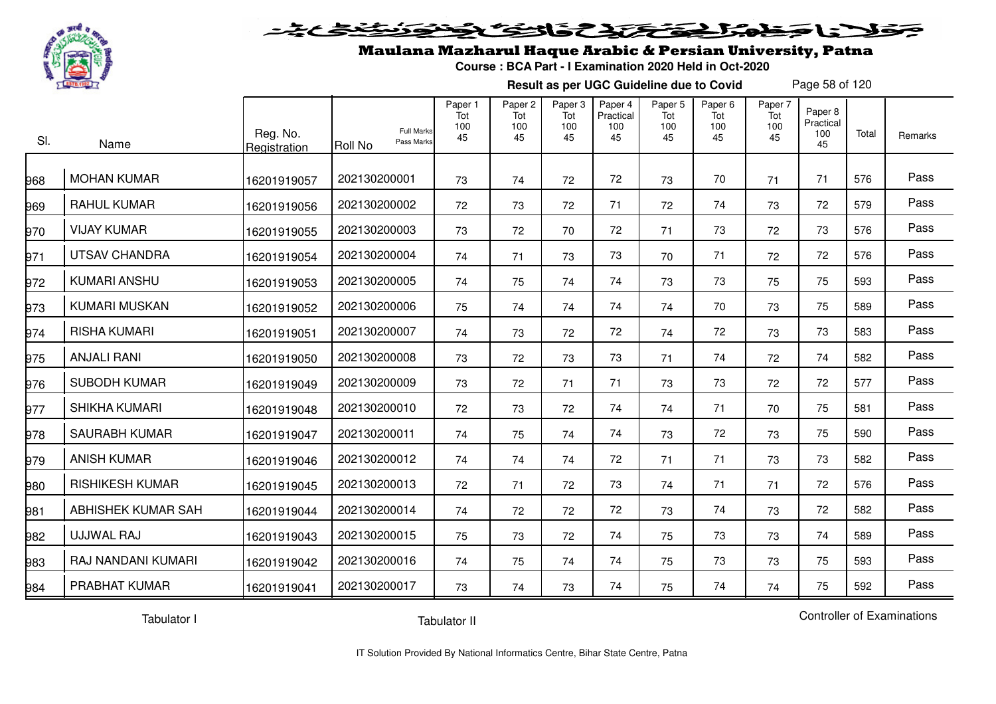

#### 2020 222525.00  $\geq$

## Maulana Mazharul Haque Arabic & Persian University, Patna

**Course : BCA Part - I Examination 2020 Held in Oct-2020**

**Result as per UGC Guideline due to Covid**

Page 58 of 120

| SI. | Name                   | Reg. No.<br>Registration | <b>Full Marks</b><br>Pass Marks<br><b>Roll No</b> | Paper 1<br>Tot<br>100<br>45 | Paper 2<br>Tot<br>100<br>45 | Paper 3<br>Tot<br>100<br>45 | Paper 4<br>Practical<br>100<br>45 | Paper 5<br>Tot<br>100<br>45 | Paper 6<br>Tot<br>100<br>45 | Paper 7<br>Tot<br>100<br>45 | Paper 8<br>Practical<br>100<br>45 | Total | <b>Remarks</b> |
|-----|------------------------|--------------------------|---------------------------------------------------|-----------------------------|-----------------------------|-----------------------------|-----------------------------------|-----------------------------|-----------------------------|-----------------------------|-----------------------------------|-------|----------------|
| 968 | <b>MOHAN KUMAR</b>     | 16201919057              | 202130200001                                      | 73                          | 74                          | 72                          | 72                                | 73                          | 70                          | 71                          | 71                                | 576   | Pass           |
| 969 | <b>RAHUL KUMAR</b>     | 16201919056              | 202130200002                                      | 72                          | 73                          | 72                          | 71                                | 72                          | 74                          | 73                          | 72                                | 579   | Pass           |
| 970 | <b>VIJAY KUMAR</b>     | 16201919055              | 202130200003                                      | 73                          | 72                          | 70                          | 72                                | 71                          | 73                          | 72                          | 73                                | 576   | Pass           |
| 971 | <b>UTSAV CHANDRA</b>   | 16201919054              | 202130200004                                      | 74                          | 71                          | 73                          | 73                                | 70                          | 71                          | 72                          | 72                                | 576   | Pass           |
| 972 | <b>KUMARI ANSHU</b>    | 16201919053              | 202130200005                                      | 74                          | 75                          | 74                          | 74                                | 73                          | 73                          | 75                          | 75                                | 593   | Pass           |
| 973 | <b>KUMARI MUSKAN</b>   | 16201919052              | 202130200006                                      | 75                          | 74                          | 74                          | 74                                | 74                          | 70                          | 73                          | 75                                | 589   | Pass           |
| 974 | <b>RISHA KUMARI</b>    | 16201919051              | 202130200007                                      | 74                          | 73                          | 72                          | 72                                | 74                          | 72                          | 73                          | 73                                | 583   | Pass           |
| 975 | <b>ANJALI RANI</b>     | 16201919050              | 202130200008                                      | 73                          | 72                          | 73                          | 73                                | 71                          | 74                          | 72                          | 74                                | 582   | Pass           |
| 976 | <b>SUBODH KUMAR</b>    | 16201919049              | 202130200009                                      | 73                          | 72                          | 71                          | 71                                | 73                          | 73                          | 72                          | 72                                | 577   | Pass           |
| 977 | SHIKHA KUMARI          | 16201919048              | 202130200010                                      | 72                          | 73                          | 72                          | 74                                | 74                          | 71                          | 70                          | 75                                | 581   | Pass           |
| 978 | <b>SAURABH KUMAR</b>   | 16201919047              | 202130200011                                      | 74                          | 75                          | 74                          | 74                                | 73                          | 72                          | 73                          | 75                                | 590   | Pass           |
| 979 | <b>ANISH KUMAR</b>     | 16201919046              | 202130200012                                      | 74                          | 74                          | 74                          | 72                                | 71                          | 71                          | 73                          | 73                                | 582   | Pass           |
| 980 | <b>RISHIKESH KUMAR</b> | 16201919045              | 202130200013                                      | 72                          | 71                          | 72                          | 73                                | 74                          | 71                          | 71                          | 72                                | 576   | Pass           |
| 981 | ABHISHEK KUMAR SAH     | 16201919044              | 202130200014                                      | 74                          | 72                          | 72                          | 72                                | 73                          | 74                          | 73                          | 72                                | 582   | Pass           |
| 982 | UJJWAL RAJ             | 16201919043              | 202130200015                                      | 75                          | 73                          | 72                          | 74                                | 75                          | 73                          | 73                          | 74                                | 589   | Pass           |
| 983 | RAJ NANDANI KUMARI     | 16201919042              | 202130200016                                      | 74                          | 75                          | 74                          | 74                                | 75                          | 73                          | 73                          | 75                                | 593   | Pass           |
| 984 | PRABHAT KUMAR          | 16201919041              | 202130200017                                      | 73                          | 74                          | 73                          | 74                                | 75                          | 74                          | 74                          | 75                                | 592   | Pass           |

Tabulator I

Tabulator II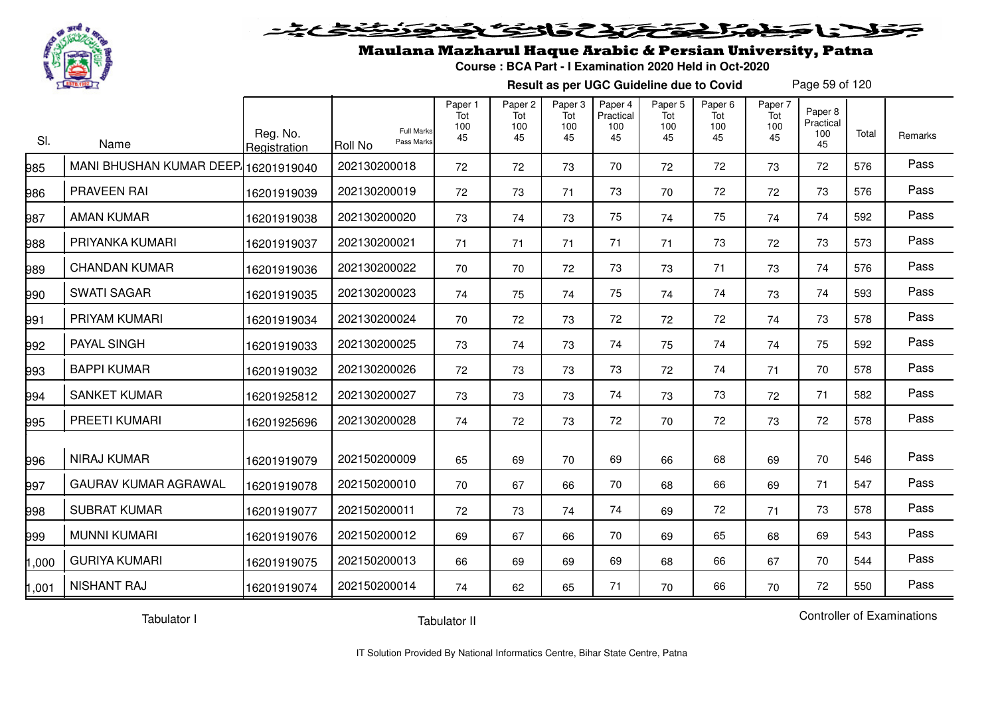

### Maulana Mazharul Haque Arabic & Persian University, Patna

**Course : BCA Part - I Examination 2020 Held in Oct-2020**

**Result as per UGC Guideline due to Covid**

Page 59 of 120

| SI.   | Name                        | Reg. No.<br>Registration | <b>Full Marks</b><br>Pass Marks<br>Roll No | Paper 1<br>Tot<br>100<br>45 | Paper 2<br>Tot<br>100<br>45 | Paper 3<br>Tot<br>100<br>45 | Paper 4<br>Practical<br>100<br>45 | Paper 5<br>Tot<br>100<br>45 | Paper <sub>6</sub><br>Tot<br>100<br>45 | Paper 7<br>Tot<br>100<br>45 | Paper 8<br>Practical<br>100<br>45 | Total | Remarks |
|-------|-----------------------------|--------------------------|--------------------------------------------|-----------------------------|-----------------------------|-----------------------------|-----------------------------------|-----------------------------|----------------------------------------|-----------------------------|-----------------------------------|-------|---------|
| 985   | MANI BHUSHAN KUMAR DEEP.    | 16201919040              | 202130200018                               | 72                          | 72                          | 73                          | 70                                | 72                          | 72                                     | 73                          | 72                                | 576   | Pass    |
| 986   | PRAVEEN RAI                 | 16201919039              | 202130200019                               | 72                          | 73                          | 71                          | 73                                | 70                          | 72                                     | 72                          | 73                                | 576   | Pass    |
| 987   | <b>AMAN KUMAR</b>           | 16201919038              | 202130200020                               | 73                          | 74                          | 73                          | 75                                | 74                          | 75                                     | 74                          | 74                                | 592   | Pass    |
| 988   | PRIYANKA KUMARI             | 16201919037              | 202130200021                               | 71                          | 71                          | 71                          | 71                                | 71                          | 73                                     | 72                          | 73                                | 573   | Pass    |
| 989   | <b>CHANDAN KUMAR</b>        | 16201919036              | 202130200022                               | 70                          | 70                          | 72                          | 73                                | 73                          | 71                                     | 73                          | 74                                | 576   | Pass    |
| 990   | <b>SWATI SAGAR</b>          | 16201919035              | 202130200023                               | 74                          | 75                          | 74                          | 75                                | 74                          | 74                                     | 73                          | 74                                | 593   | Pass    |
| 991   | PRIYAM KUMARI               | 16201919034              | 202130200024                               | 70                          | 72                          | 73                          | 72                                | 72                          | 72                                     | 74                          | 73                                | 578   | Pass    |
| 992   | PAYAL SINGH                 | 16201919033              | 202130200025                               | 73                          | 74                          | 73                          | 74                                | 75                          | 74                                     | 74                          | 75                                | 592   | Pass    |
| 993   | <b>BAPPI KUMAR</b>          | 16201919032              | 202130200026                               | 72                          | 73                          | 73                          | 73                                | 72                          | 74                                     | 71                          | 70                                | 578   | Pass    |
| 994   | <b>SANKET KUMAR</b>         | 16201925812              | 202130200027                               | 73                          | 73                          | 73                          | 74                                | 73                          | 73                                     | 72                          | 71                                | 582   | Pass    |
| 995   | <b>PREETI KUMARI</b>        | 16201925696              | 202130200028                               | 74                          | 72                          | 73                          | 72                                | 70                          | 72                                     | 73                          | 72                                | 578   | Pass    |
| 996   | <b>NIRAJ KUMAR</b>          | 16201919079              | 202150200009                               | 65                          | 69                          | 70                          | 69                                | 66                          | 68                                     | 69                          | 70                                | 546   | Pass    |
| 997   | <b>GAURAV KUMAR AGRAWAL</b> | 16201919078              | 202150200010                               | 70                          | 67                          | 66                          | 70                                | 68                          | 66                                     | 69                          | 71                                | 547   | Pass    |
| 998   | <b>SUBRAT KUMAR</b>         | 16201919077              | 202150200011                               | 72                          | 73                          | 74                          | 74                                | 69                          | 72                                     | 71                          | 73                                | 578   | Pass    |
| 999   | <b>MUNNI KUMARI</b>         | 16201919076              | 202150200012                               | 69                          | 67                          | 66                          | 70                                | 69                          | 65                                     | 68                          | 69                                | 543   | Pass    |
| 1,000 | <b>GURIYA KUMARI</b>        | 16201919075              | 202150200013                               | 66                          | 69                          | 69                          | 69                                | 68                          | 66                                     | 67                          | 70                                | 544   | Pass    |
| 1,001 | <b>NISHANT RAJ</b>          | 16201919074              | 202150200014                               | 74                          | 62                          | 65                          | 71                                | 70                          | 66                                     | 70                          | 72                                | 550   | Pass    |

Tabulator I

Tabulator II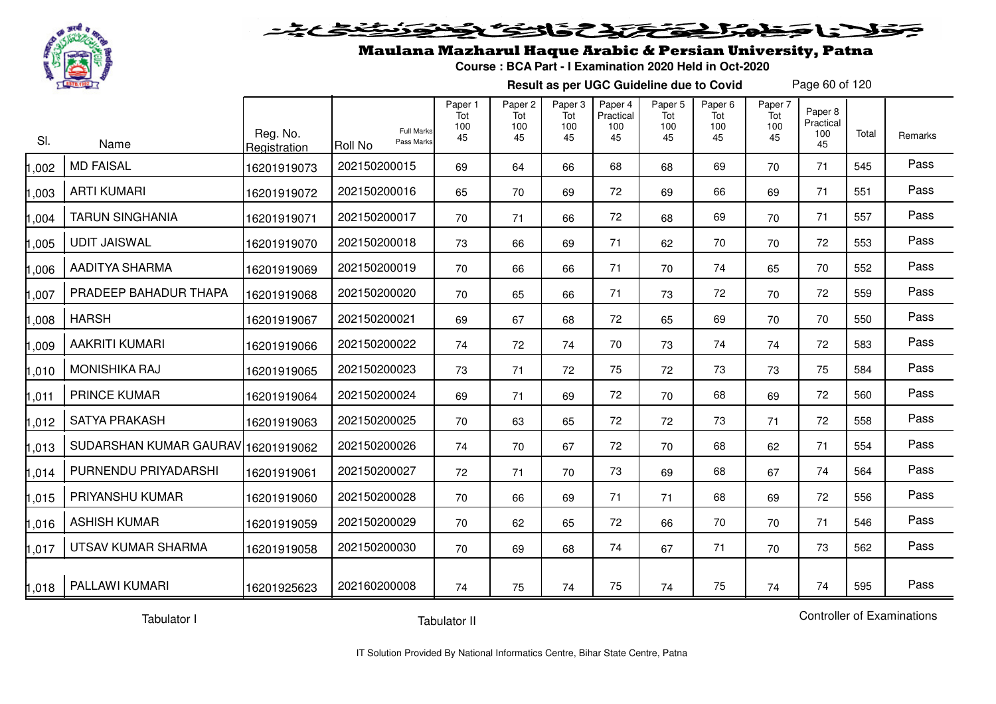

#### 20202222325.0  $\blacktriangleright$   $\blacktriangleright$   $\blacktriangleright$

## Maulana Mazharul Haque Arabic & Persian University, Patna

**Course : BCA Part - I Examination 2020 Held in Oct-2020**

**Result as per UGC Guideline due to Covid**

Page 60 of 120

| SI.   | Name                   | Reg. No.<br>Registration | <b>Full Marks</b><br>Pass Marks<br><b>Roll No</b> | Paper 1<br>Tot<br>100<br>45 | Paper 2<br>Tot<br>100<br>45 | Paper 3<br>Tot<br>100<br>45 | Paper 4<br>Practical<br>100<br>45 | Paper 5<br>Tot<br>100<br>45 | Paper 6<br>Tot<br>100<br>45 | Paper 7<br>Tot<br>100<br>45 | Paper 8<br>Practical<br>100<br>45 | Total | Remarks |
|-------|------------------------|--------------------------|---------------------------------------------------|-----------------------------|-----------------------------|-----------------------------|-----------------------------------|-----------------------------|-----------------------------|-----------------------------|-----------------------------------|-------|---------|
| ,002  | <b>MD FAISAL</b>       | 16201919073              | 202150200015                                      | 69                          | 64                          | 66                          | 68                                | 68                          | 69                          | 70                          | 71                                | 545   | Pass    |
| ,003  | <b>ARTI KUMARI</b>     | 16201919072              | 202150200016                                      | 65                          | 70                          | 69                          | 72                                | 69                          | 66                          | 69                          | 71                                | 551   | Pass    |
| ,004  | <b>TARUN SINGHANIA</b> | 16201919071              | 202150200017                                      | 70                          | 71                          | 66                          | 72                                | 68                          | 69                          | 70                          | 71                                | 557   | Pass    |
| ,005  | <b>UDIT JAISWAL</b>    | 16201919070              | 202150200018                                      | 73                          | 66                          | 69                          | 71                                | 62                          | 70                          | 70                          | 72                                | 553   | Pass    |
| ,006  | AADITYA SHARMA         | 16201919069              | 202150200019                                      | 70                          | 66                          | 66                          | 71                                | 70                          | 74                          | 65                          | 70                                | 552   | Pass    |
| ,007  | PRADEEP BAHADUR THAPA  | 16201919068              | 202150200020                                      | 70                          | 65                          | 66                          | 71                                | 73                          | 72                          | 70                          | 72                                | 559   | Pass    |
| 008   | <b>HARSH</b>           | 16201919067              | 202150200021                                      | 69                          | 67                          | 68                          | 72                                | 65                          | 69                          | 70                          | 70                                | 550   | Pass    |
| ,009  | <b>AAKRITI KUMARI</b>  | 16201919066              | 202150200022                                      | 74                          | 72                          | 74                          | 70                                | 73                          | 74                          | 74                          | 72                                | 583   | Pass    |
| 1,010 | <b>MONISHIKA RAJ</b>   | 16201919065              | 202150200023                                      | 73                          | 71                          | 72                          | 75                                | 72                          | 73                          | 73                          | 75                                | 584   | Pass    |
| ,011  | <b>PRINCE KUMAR</b>    | 16201919064              | 202150200024                                      | 69                          | 71                          | 69                          | 72                                | 70                          | 68                          | 69                          | 72                                | 560   | Pass    |
| ,012  | <b>SATYA PRAKASH</b>   | 16201919063              | 202150200025                                      | 70                          | 63                          | 65                          | 72                                | 72                          | 73                          | 71                          | 72                                | 558   | Pass    |
| 1,013 | SUDARSHAN KUMAR GAURAV | 16201919062              | 202150200026                                      | 74                          | 70                          | 67                          | 72                                | 70                          | 68                          | 62                          | 71                                | 554   | Pass    |
| 1,014 | PURNENDU PRIYADARSHI   | 16201919061              | 202150200027                                      | 72                          | 71                          | 70                          | 73                                | 69                          | 68                          | 67                          | 74                                | 564   | Pass    |
| 1,015 | PRIYANSHU KUMAR        | 16201919060              | 202150200028                                      | 70                          | 66                          | 69                          | 71                                | 71                          | 68                          | 69                          | 72                                | 556   | Pass    |
| 1,016 | <b>ASHISH KUMAR</b>    | 16201919059              | 202150200029                                      | 70                          | 62                          | 65                          | 72                                | 66                          | 70                          | 70                          | 71                                | 546   | Pass    |
| 1,017 | UTSAV KUMAR SHARMA     | 16201919058              | 202150200030                                      | 70                          | 69                          | 68                          | 74                                | 67                          | 71                          | 70                          | 73                                | 562   | Pass    |
| 1,018 | PALLAWI KUMARI         | 16201925623              | 202160200008                                      | 74                          | 75                          | 74                          | 75                                | 74                          | 75                          | 74                          | 74                                | 595   | Pass    |

Tabulator I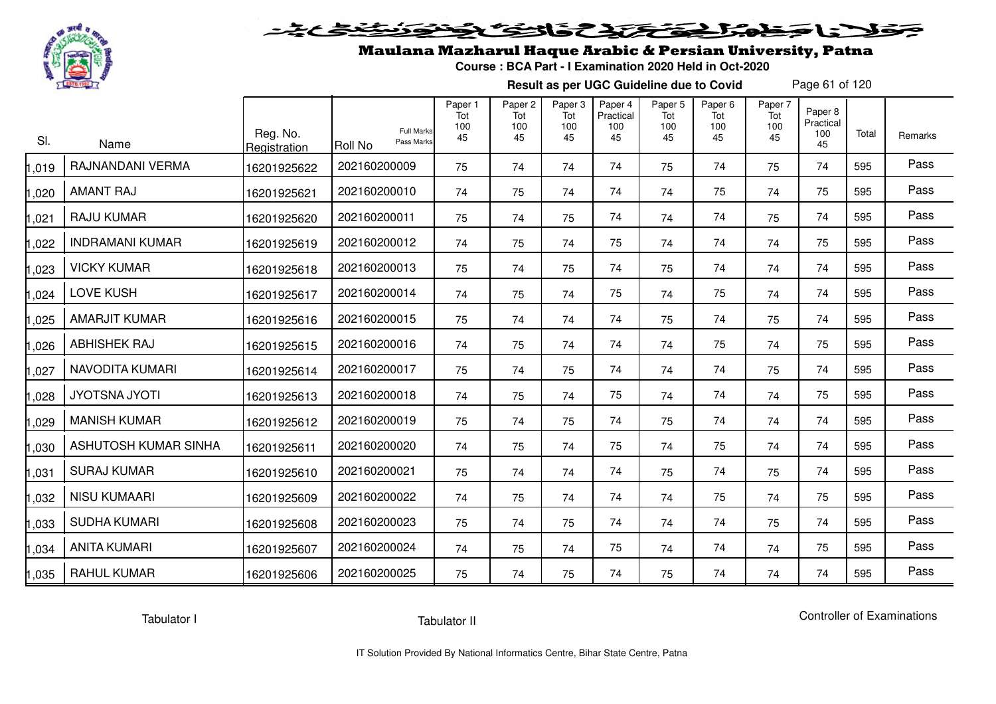

## فلأناخض بكتك كتفاف

## Maulana Mazharul Haque Arabic & Persian University, Patna

**Course : BCA Part - I Examination 2020 Held in Oct-2020**

**Result as per UGC Guideline due to Covid**

Page 61 of 120

| SI.   | Name                   | Reg. No.<br>Registration | <b>Full Marks</b><br>Pass Marks<br>Roll No | Paper 1<br>Tot<br>100<br>45 | Paper <sub>2</sub><br>Tot<br>100<br>45 | Paper 3<br>Tot<br>100<br>45 | Paper 4<br>Practical<br>100<br>45 | Paper 5<br>Tot<br>100<br>45 | Paper <sub>6</sub><br>Tot<br>100<br>45 | Paper 7<br>Tot<br>100<br>45 | Paper 8<br>Practical<br>100<br>45 | Total | Remarks |
|-------|------------------------|--------------------------|--------------------------------------------|-----------------------------|----------------------------------------|-----------------------------|-----------------------------------|-----------------------------|----------------------------------------|-----------------------------|-----------------------------------|-------|---------|
| ,019  | RAJNANDANI VERMA       | 16201925622              | 202160200009                               | 75                          | 74                                     | 74                          | 74                                | 75                          | 74                                     | 75                          | 74                                | 595   | Pass    |
| ,020  | <b>AMANT RAJ</b>       | 16201925621              | 202160200010                               | 74                          | 75                                     | 74                          | 74                                | 74                          | 75                                     | 74                          | 75                                | 595   | Pass    |
| ,021  | RAJU KUMAR             | 16201925620              | 202160200011                               | 75                          | 74                                     | 75                          | 74                                | 74                          | 74                                     | 75                          | 74                                | 595   | Pass    |
| ,022  | <b>INDRAMANI KUMAR</b> | 16201925619              | 202160200012                               | 74                          | 75                                     | 74                          | 75                                | 74                          | 74                                     | 74                          | 75                                | 595   | Pass    |
| ,023  | <b>VICKY KUMAR</b>     | 16201925618              | 202160200013                               | 75                          | 74                                     | 75                          | 74                                | 75                          | 74                                     | 74                          | 74                                | 595   | Pass    |
| ,024  | <b>LOVE KUSH</b>       | 16201925617              | 202160200014                               | 74                          | 75                                     | 74                          | 75                                | 74                          | 75                                     | 74                          | 74                                | 595   | Pass    |
| ,025  | <b>AMARJIT KUMAR</b>   | 16201925616              | 202160200015                               | 75                          | 74                                     | 74                          | 74                                | 75                          | 74                                     | 75                          | 74                                | 595   | Pass    |
| ,026  | <b>ABHISHEK RAJ</b>    | 16201925615              | 202160200016                               | 74                          | 75                                     | 74                          | 74                                | 74                          | 75                                     | 74                          | 75                                | 595   | Pass    |
| ,027  | NAVODITA KUMARI        | 16201925614              | 202160200017                               | 75                          | 74                                     | 75                          | 74                                | 74                          | 74                                     | 75                          | 74                                | 595   | Pass    |
| ,028  | <b>JYOTSNA JYOTI</b>   | 16201925613              | 202160200018                               | 74                          | 75                                     | 74                          | 75                                | 74                          | 74                                     | 74                          | 75                                | 595   | Pass    |
| ,029  | <b>MANISH KUMAR</b>    | 16201925612              | 202160200019                               | 75                          | 74                                     | 75                          | 74                                | 75                          | 74                                     | 74                          | 74                                | 595   | Pass    |
| ,030  | ASHUTOSH KUMAR SINHA   | 16201925611              | 202160200020                               | 74                          | 75                                     | 74                          | 75                                | 74                          | 75                                     | 74                          | 74                                | 595   | Pass    |
| ,031  | <b>SURAJ KUMAR</b>     | 16201925610              | 202160200021                               | 75                          | 74                                     | 74                          | 74                                | 75                          | 74                                     | 75                          | 74                                | 595   | Pass    |
| ,032  | <b>NISU KUMAARI</b>    | 16201925609              | 202160200022                               | 74                          | 75                                     | 74                          | 74                                | 74                          | 75                                     | 74                          | 75                                | 595   | Pass    |
| ,033  | <b>SUDHA KUMARI</b>    | 16201925608              | 202160200023                               | 75                          | 74                                     | 75                          | 74                                | 74                          | 74                                     | 75                          | 74                                | 595   | Pass    |
| ,034  | <b>ANITA KUMARI</b>    | 16201925607              | 202160200024                               | 74                          | 75                                     | 74                          | 75                                | 74                          | 74                                     | 74                          | 75                                | 595   | Pass    |
| 1,035 | <b>RAHUL KUMAR</b>     | 16201925606              | 202160200025                               | 75                          | 74                                     | 75                          | 74                                | 75                          | 74                                     | 74                          | 74                                | 595   | Pass    |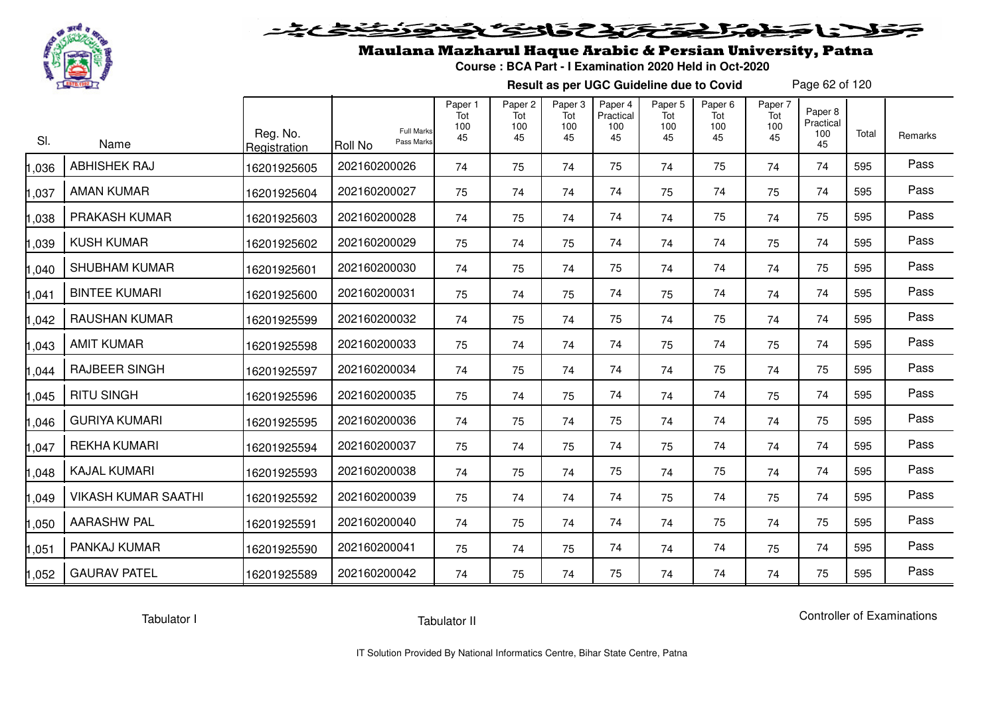

## Maulana Mazharul Haque Arabic & Persian University, Patna

**Course : BCA Part - I Examination 2020 Held in Oct-2020**

**Result as per UGC Guideline due to Covid**

Page 62 of 120

| SI.   | Name                       | Reg. No.<br>Registration | <b>Full Marks</b><br>Pass Marks<br>Roll No | Paper 1<br>Tot<br>100<br>45 | Paper 2<br>Tot<br>100<br>45 | Paper 3<br>Tot<br>100<br>45 | Paper 4<br>Practical<br>100<br>45 | Paper <sub>5</sub><br>Tot<br>100<br>45 | Paper <sub>6</sub><br>Tot<br>100<br>45 | Paper 7<br>Tot<br>100<br>45 | Paper 8<br>Practical<br>100<br>45 | Total | Remarks |
|-------|----------------------------|--------------------------|--------------------------------------------|-----------------------------|-----------------------------|-----------------------------|-----------------------------------|----------------------------------------|----------------------------------------|-----------------------------|-----------------------------------|-------|---------|
| ,036  | <b>ABHISHEK RAJ</b>        | 16201925605              | 202160200026                               | 74                          | 75                          | 74                          | 75                                | 74                                     | 75                                     | 74                          | 74                                | 595   | Pass    |
| ,037  | <b>AMAN KUMAR</b>          | 16201925604              | 202160200027                               | 75                          | 74                          | 74                          | 74                                | 75                                     | 74                                     | 75                          | 74                                | 595   | Pass    |
| 1,038 | PRAKASH KUMAR              | 16201925603              | 202160200028                               | 74                          | 75                          | 74                          | 74                                | 74                                     | 75                                     | 74                          | 75                                | 595   | Pass    |
| ,039  | <b>KUSH KUMAR</b>          | 16201925602              | 202160200029                               | 75                          | 74                          | 75                          | 74                                | 74                                     | 74                                     | 75                          | 74                                | 595   | Pass    |
| 1,040 | <b>SHUBHAM KUMAR</b>       | 16201925601              | 202160200030                               | 74                          | 75                          | 74                          | 75                                | 74                                     | 74                                     | 74                          | 75                                | 595   | Pass    |
| 1,041 | <b>BINTEE KUMARI</b>       | 16201925600              | 202160200031                               | 75                          | 74                          | 75                          | 74                                | 75                                     | 74                                     | 74                          | 74                                | 595   | Pass    |
| 1,042 | <b>RAUSHAN KUMAR</b>       | 16201925599              | 202160200032                               | 74                          | 75                          | 74                          | 75                                | 74                                     | 75                                     | 74                          | 74                                | 595   | Pass    |
| ,043  | <b>AMIT KUMAR</b>          | 16201925598              | 202160200033                               | 75                          | 74                          | 74                          | 74                                | 75                                     | 74                                     | 75                          | 74                                | 595   | Pass    |
| 1,044 | <b>RAJBEER SINGH</b>       | 16201925597              | 202160200034                               | 74                          | 75                          | 74                          | 74                                | 74                                     | 75                                     | 74                          | 75                                | 595   | Pass    |
| 1,045 | <b>RITU SINGH</b>          | 16201925596              | 202160200035                               | 75                          | 74                          | 75                          | 74                                | 74                                     | 74                                     | 75                          | 74                                | 595   | Pass    |
| ,046  | <b>GURIYA KUMARI</b>       | 16201925595              | 202160200036                               | 74                          | 75                          | 74                          | 75                                | 74                                     | 74                                     | 74                          | 75                                | 595   | Pass    |
| 1,047 | <b>REKHA KUMARI</b>        | 16201925594              | 202160200037                               | 75                          | 74                          | 75                          | 74                                | 75                                     | 74                                     | 74                          | 74                                | 595   | Pass    |
| ,048  | <b>KAJAL KUMARI</b>        | 16201925593              | 202160200038                               | 74                          | 75                          | 74                          | 75                                | 74                                     | 75                                     | 74                          | 74                                | 595   | Pass    |
| 1,049 | <b>VIKASH KUMAR SAATHI</b> | 16201925592              | 202160200039                               | 75                          | 74                          | 74                          | 74                                | 75                                     | 74                                     | 75                          | 74                                | 595   | Pass    |
| 1,050 | <b>AARASHW PAL</b>         | 16201925591              | 202160200040                               | 74                          | 75                          | 74                          | 74                                | 74                                     | 75                                     | 74                          | 75                                | 595   | Pass    |
| 1,051 | PANKAJ KUMAR               | 16201925590              | 202160200041                               | 75                          | 74                          | 75                          | 74                                | 74                                     | 74                                     | 75                          | 74                                | 595   | Pass    |
| 1,052 | <b>GAURAV PATEL</b>        | 16201925589              | 202160200042                               | 74                          | 75                          | 74                          | 75                                | 74                                     | 74                                     | 74                          | 75                                | 595   | Pass    |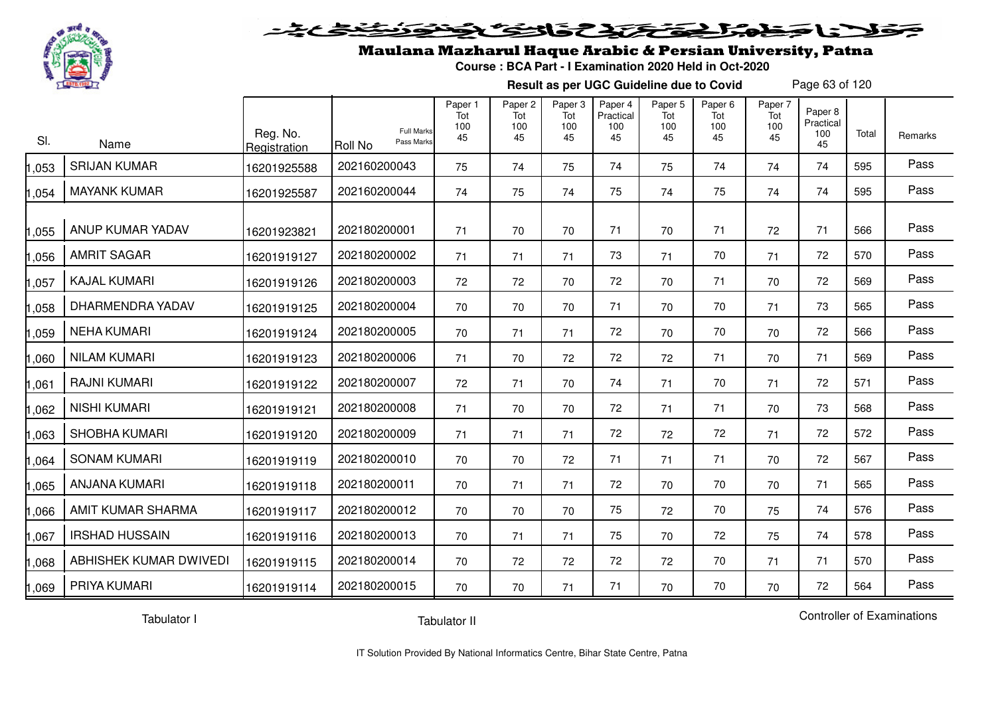

#### فتحتحلن فالحفظ  $\geq$

## Maulana Mazharul Haque Arabic & Persian University, Patna

**Course : BCA Part - I Examination 2020 Held in Oct-2020**

**Result as per UGC Guideline due to Covid**

Page 63 of 120

| SI.   | Name                   | Reg. No.<br>Registration | <b>Full Marks</b><br>Pass Marks<br><b>Roll No</b> | Paper 1<br>Tot<br>100<br>45 | Paper 2<br>Tot<br>100<br>45 | Paper 3<br>Tot<br>100<br>45 | Paper 4<br>Practical<br>100<br>45 | Paper 5<br>Tot<br>100<br>45 | Paper 6<br>Tot<br>100<br>45 | Paper 7<br>Tot<br>100<br>45 | Paper 8<br>Practical<br>100<br>45 | Total | Remarks |
|-------|------------------------|--------------------------|---------------------------------------------------|-----------------------------|-----------------------------|-----------------------------|-----------------------------------|-----------------------------|-----------------------------|-----------------------------|-----------------------------------|-------|---------|
| ,053  | <b>SRIJAN KUMAR</b>    | 16201925588              | 202160200043                                      | 75                          | 74                          | 75                          | 74                                | 75                          | 74                          | 74                          | 74                                | 595   | Pass    |
| 1,054 | <b>MAYANK KUMAR</b>    | 16201925587              | 202160200044                                      | 74                          | 75                          | 74                          | 75                                | 74                          | 75                          | 74                          | 74                                | 595   | Pass    |
| 1,055 | ANUP KUMAR YADAV       | 16201923821              | 202180200001                                      | 71                          | 70                          | 70                          | 71                                | 70                          | 71                          | 72                          | 71                                | 566   | Pass    |
| 1,056 | <b>AMRIT SAGAR</b>     | 16201919127              | 202180200002                                      | 71                          | 71                          | 71                          | 73                                | 71                          | 70                          | 71                          | 72                                | 570   | Pass    |
| 1,057 | <b>KAJAL KUMARI</b>    | 16201919126              | 202180200003                                      | 72                          | 72                          | 70                          | 72                                | 70                          | 71                          | 70                          | 72                                | 569   | Pass    |
| 1,058 | DHARMENDRA YADAV       | 16201919125              | 202180200004                                      | 70                          | 70                          | 70                          | 71                                | 70                          | 70                          | 71                          | 73                                | 565   | Pass    |
| 1,059 | <b>NEHA KUMARI</b>     | 16201919124              | 202180200005                                      | 70                          | 71                          | 71                          | 72                                | 70                          | 70                          | 70                          | 72                                | 566   | Pass    |
| 1,060 | <b>NILAM KUMARI</b>    | 16201919123              | 202180200006                                      | 71                          | 70                          | 72                          | 72                                | 72                          | 71                          | 70                          | 71                                | 569   | Pass    |
| 1,061 | <b>RAJNI KUMARI</b>    | 16201919122              | 202180200007                                      | 72                          | 71                          | 70                          | 74                                | 71                          | 70                          | 71                          | 72                                | 571   | Pass    |
| ,062  | <b>NISHI KUMARI</b>    | 16201919121              | 202180200008                                      | 71                          | 70                          | 70                          | 72                                | 71                          | 71                          | 70                          | 73                                | 568   | Pass    |
| 1,063 | <b>SHOBHA KUMARI</b>   | 16201919120              | 202180200009                                      | 71                          | 71                          | 71                          | 72                                | 72                          | 72                          | 71                          | 72                                | 572   | Pass    |
| 1,064 | <b>SONAM KUMARI</b>    | 16201919119              | 202180200010                                      | 70                          | 70                          | 72                          | 71                                | 71                          | 71                          | 70                          | 72                                | 567   | Pass    |
| 1,065 | <b>ANJANA KUMARI</b>   | 16201919118              | 202180200011                                      | 70                          | 71                          | 71                          | 72                                | 70                          | 70                          | 70                          | 71                                | 565   | Pass    |
| 1,066 | AMIT KUMAR SHARMA      | 16201919117              | 202180200012                                      | 70                          | 70                          | 70                          | 75                                | 72                          | 70                          | 75                          | 74                                | 576   | Pass    |
| 1,067 | <b>IRSHAD HUSSAIN</b>  | 16201919116              | 202180200013                                      | 70                          | 71                          | 71                          | 75                                | 70                          | 72                          | 75                          | 74                                | 578   | Pass    |
| 1,068 | ABHISHEK KUMAR DWIVEDI | 16201919115              | 202180200014                                      | 70                          | 72                          | 72                          | 72                                | 72                          | 70                          | 71                          | 71                                | 570   | Pass    |
| 1,069 | PRIYA KUMARI           | 16201919114              | 202180200015                                      | 70                          | 70                          | 71                          | 71                                | 70                          | 70                          | 70                          | 72                                | 564   | Pass    |

Tabulator I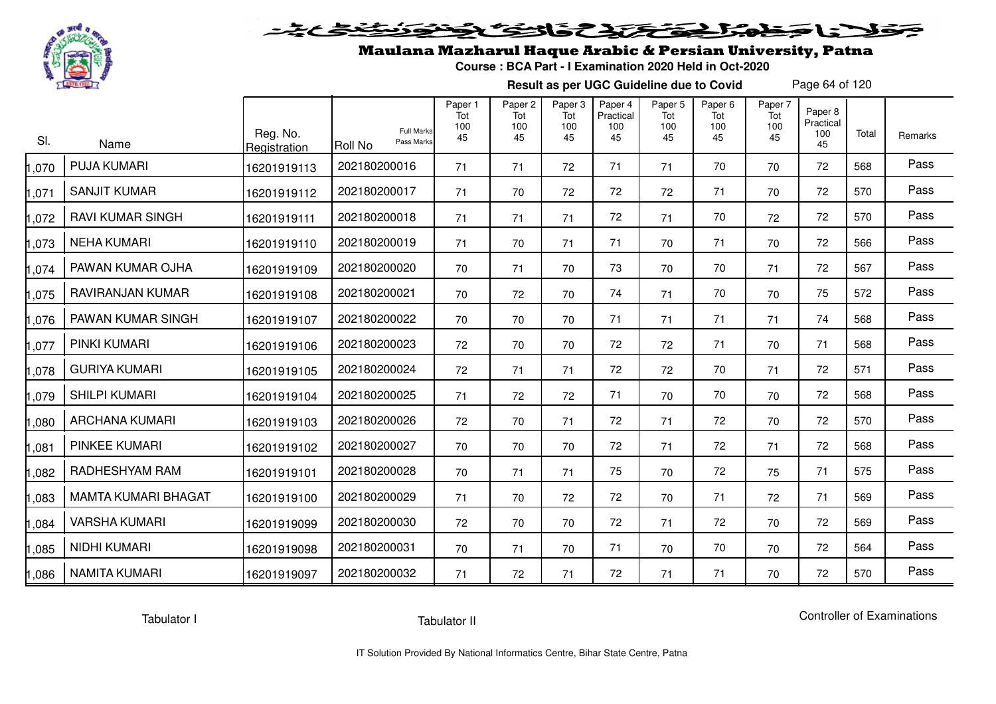

### Maulana Mazharul Haque Arabic & Persian University, Patna

**Course : BCA Part - I Examination 2020 Held in Oct-2020**

**Result as per UGC Guideline due to Covid**

Page 64 of 120

| SI.   | Name                    | Reg. No.<br>Registration | <b>Full Marks</b><br>Pass Marks<br><b>Roll No</b> | Paper 1<br>Tot<br>100<br>45 | Paper <sub>2</sub><br>Tot<br>100<br>45 | Paper 3<br>Tot<br>100<br>45 | Paper <sub>4</sub><br>Practical<br>100<br>45 | Paper <sub>5</sub><br>Tot<br>100<br>45 | Paper <sub>6</sub><br>Tot<br>100<br>45 | Paper 7<br>Tot<br>100<br>45 | Paper 8<br>Practical<br>100<br>45 | Total | Remarks |
|-------|-------------------------|--------------------------|---------------------------------------------------|-----------------------------|----------------------------------------|-----------------------------|----------------------------------------------|----------------------------------------|----------------------------------------|-----------------------------|-----------------------------------|-------|---------|
| 1,070 | <b>PUJA KUMARI</b>      | 16201919113              | 202180200016                                      | 71                          | 71                                     | 72                          | 71                                           | 71                                     | 70                                     | 70                          | 72                                | 568   | Pass    |
| 1,071 | <b>SANJIT KUMAR</b>     | 16201919112              | 202180200017                                      | 71                          | 70                                     | 72                          | 72                                           | 72                                     | 71                                     | 70                          | 72                                | 570   | Pass    |
| 1,072 | <b>RAVI KUMAR SINGH</b> | 16201919111              | 202180200018                                      | 71                          | 71                                     | 71                          | 72                                           | 71                                     | 70                                     | 72                          | 72                                | 570   | Pass    |
| 1,073 | <b>NEHA KUMARI</b>      | 16201919110              | 202180200019                                      | 71                          | 70                                     | 71                          | 71                                           | 70                                     | 71                                     | 70                          | 72                                | 566   | Pass    |
| 1,074 | PAWAN KUMAR OJHA        | 16201919109              | 202180200020                                      | 70                          | 71                                     | 70                          | 73                                           | 70                                     | 70                                     | 71                          | 72                                | 567   | Pass    |
| 1,075 | RAVIRANJAN KUMAR        | 16201919108              | 202180200021                                      | 70                          | 72                                     | 70                          | 74                                           | 71                                     | 70                                     | 70                          | 75                                | 572   | Pass    |
| 1,076 | PAWAN KUMAR SINGH       | 16201919107              | 202180200022                                      | 70                          | 70                                     | 70                          | 71                                           | 71                                     | 71                                     | 71                          | 74                                | 568   | Pass    |
| 1,077 | PINKI KUMARI            | 16201919106              | 202180200023                                      | 72                          | 70                                     | 70                          | 72                                           | 72                                     | 71                                     | 70                          | 71                                | 568   | Pass    |
| 1,078 | <b>GURIYA KUMARI</b>    | 16201919105              | 202180200024                                      | 72                          | 71                                     | 71                          | 72                                           | 72                                     | 70                                     | 71                          | 72                                | 571   | Pass    |
| 1,079 | <b>SHILPI KUMARI</b>    | 16201919104              | 202180200025                                      | 71                          | 72                                     | 72                          | 71                                           | 70                                     | 70                                     | 70                          | 72                                | 568   | Pass    |
| 1,080 | <b>ARCHANA KUMARI</b>   | 16201919103              | 202180200026                                      | 72                          | 70                                     | 71                          | 72                                           | 71                                     | 72                                     | 70                          | 72                                | 570   | Pass    |
| 1,081 | <b>PINKEE KUMARI</b>    | 16201919102              | 202180200027                                      | 70                          | 70                                     | 70                          | 72                                           | 71                                     | 72                                     | 71                          | 72                                | 568   | Pass    |
| 1,082 | RADHESHYAM RAM          | 16201919101              | 202180200028                                      | 70                          | 71                                     | 71                          | 75                                           | 70                                     | 72                                     | 75                          | 71                                | 575   | Pass    |
| 1,083 | MAMTA KUMARI BHAGAT     | 16201919100              | 202180200029                                      | 71                          | 70                                     | 72                          | 72                                           | 70                                     | 71                                     | 72                          | 71                                | 569   | Pass    |
| 1,084 | <b>VARSHA KUMARI</b>    | 16201919099              | 202180200030                                      | 72                          | 70                                     | 70                          | 72                                           | 71                                     | 72                                     | 70                          | 72                                | 569   | Pass    |
| 1,085 | NIDHI KUMARI            | 16201919098              | 202180200031                                      | 70                          | 71                                     | 70                          | 71                                           | 70                                     | 70                                     | 70                          | 72                                | 564   | Pass    |
| 1,086 | <b>NAMITA KUMARI</b>    | 16201919097              | 202180200032                                      | 71                          | 72                                     | 71                          | 72                                           | 71                                     | 71                                     | 70                          | 72                                | 570   | Pass    |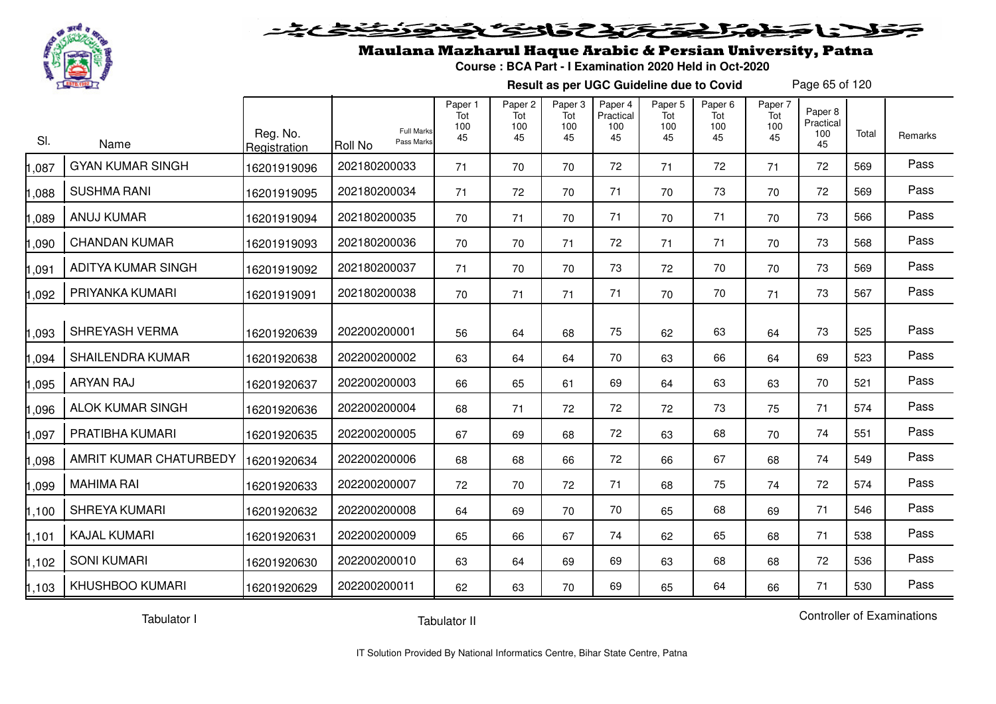

#### 2020 2020 2020  $\blacktriangleright$   $\blacktriangleright$   $\blacktriangleright$

### Maulana Mazharul Haque Arabic & Persian University, Patna

**Course : BCA Part - I Examination 2020 Held in Oct-2020**

**Result as per UGC Guideline due to Covid**

Page 65 of 120

| SI.   | Name                    | Reg. No.<br>Registration | <b>Full Marks</b><br>Pass Marks<br>Roll No | Paper 1<br>Tot<br>100<br>45 | Paper 2<br>Tot<br>100<br>45 | Paper 3<br>Tot<br>100<br>45 | Paper 4<br>Practical<br>100<br>45 | Paper 5<br>Tot<br>100<br>45 | Paper <sub>6</sub><br>Tot<br>100<br>45 | Paper 7<br>Tot<br>100<br>45 | Paper 8<br>Practical<br>100<br>45 | Total | Remarks |
|-------|-------------------------|--------------------------|--------------------------------------------|-----------------------------|-----------------------------|-----------------------------|-----------------------------------|-----------------------------|----------------------------------------|-----------------------------|-----------------------------------|-------|---------|
| 1,087 | <b>GYAN KUMAR SINGH</b> | 16201919096              | 202180200033                               | 71                          | 70                          | 70                          | 72                                | 71                          | 72                                     | 71                          | 72                                | 569   | Pass    |
| 1,088 | <b>SUSHMA RANI</b>      | 16201919095              | 202180200034                               | 71                          | 72                          | 70                          | 71                                | 70                          | 73                                     | 70                          | 72                                | 569   | Pass    |
| 1,089 | <b>ANUJ KUMAR</b>       | 16201919094              | 202180200035                               | 70                          | 71                          | 70                          | 71                                | 70                          | 71                                     | 70                          | 73                                | 566   | Pass    |
| 1,090 | <b>CHANDAN KUMAR</b>    | 16201919093              | 202180200036                               | 70                          | 70                          | 71                          | 72                                | 71                          | 71                                     | 70                          | 73                                | 568   | Pass    |
| 1,091 | ADITYA KUMAR SINGH      | 16201919092              | 202180200037                               | 71                          | 70                          | 70                          | 73                                | 72                          | 70                                     | 70                          | 73                                | 569   | Pass    |
| 1,092 | PRIYANKA KUMARI         | 16201919091              | 202180200038                               | 70                          | 71                          | 71                          | 71                                | 70                          | 70                                     | 71                          | 73                                | 567   | Pass    |
| 1,093 | SHREYASH VERMA          | 16201920639              | 202200200001                               | 56                          | 64                          | 68                          | 75                                | 62                          | 63                                     | 64                          | 73                                | 525   | Pass    |
| 1,094 | <b>SHAILENDRA KUMAR</b> | 16201920638              | 202200200002                               | 63                          | 64                          | 64                          | 70                                | 63                          | 66                                     | 64                          | 69                                | 523   | Pass    |
| 1,095 | <b>ARYAN RAJ</b>        | 16201920637              | 202200200003                               | 66                          | 65                          | 61                          | 69                                | 64                          | 63                                     | 63                          | 70                                | 521   | Pass    |
| 1,096 | <b>ALOK KUMAR SINGH</b> | 16201920636              | 202200200004                               | 68                          | 71                          | 72                          | 72                                | 72                          | 73                                     | 75                          | 71                                | 574   | Pass    |
| 1,097 | PRATIBHA KUMARI         | 16201920635              | 202200200005                               | 67                          | 69                          | 68                          | 72                                | 63                          | 68                                     | 70                          | 74                                | 551   | Pass    |
| 1,098 | AMRIT KUMAR CHATURBEDY  | 16201920634              | 202200200006                               | 68                          | 68                          | 66                          | 72                                | 66                          | 67                                     | 68                          | 74                                | 549   | Pass    |
| 1,099 | <b>MAHIMA RAI</b>       | 16201920633              | 202200200007                               | 72                          | 70                          | 72                          | 71                                | 68                          | 75                                     | 74                          | 72                                | 574   | Pass    |
| 1,100 | <b>SHREYA KUMARI</b>    | 16201920632              | 202200200008                               | 64                          | 69                          | 70                          | 70                                | 65                          | 68                                     | 69                          | 71                                | 546   | Pass    |
| 1,101 | <b>KAJAL KUMARI</b>     | 16201920631              | 202200200009                               | 65                          | 66                          | 67                          | 74                                | 62                          | 65                                     | 68                          | 71                                | 538   | Pass    |
| 1,102 | <b>SONI KUMARI</b>      | 16201920630              | 202200200010                               | 63                          | 64                          | 69                          | 69                                | 63                          | 68                                     | 68                          | 72                                | 536   | Pass    |
| 1,103 | <b>KHUSHBOO KUMARI</b>  | 16201920629              | 202200200011                               | 62                          | 63                          | 70                          | 69                                | 65                          | 64                                     | 66                          | 71                                | 530   | Pass    |

Tabulator I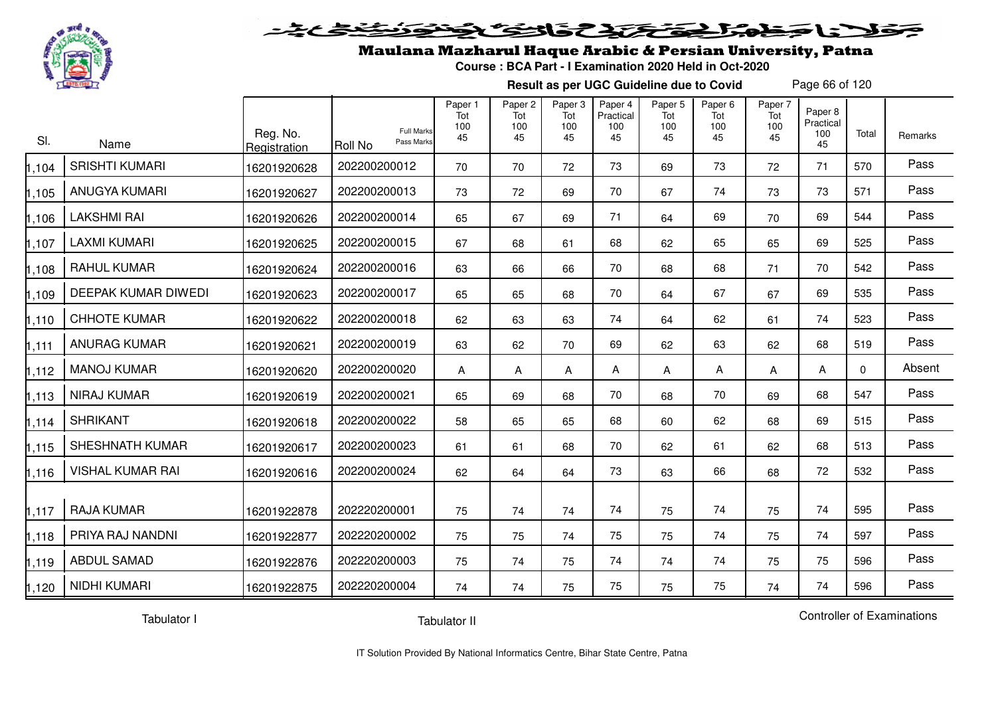

## Maulana Mazharul Haque Arabic & Persian University, Patna

**Course : BCA Part - I Examination 2020 Held in Oct-2020**

**Result as per UGC Guideline due to Covid**

Page 66 of 120

| SI.   | Name                    | Reg. No.<br>Registration | <b>Full Marks</b><br>Pass Marks<br>Roll No | Paper 1<br>Tot<br>100<br>45 | Paper 2<br>Tot<br>100<br>45 | Paper 3<br>Tot<br>100<br>45 | Paper 4<br>Practical<br>100<br>45 | Paper 5<br>Tot<br>100<br>45 | Paper <sub>6</sub><br>Tot<br>100<br>45 | Paper 7<br>Tot<br>100<br>45 | Paper 8<br>Practical<br>100<br>45 | Total    | Remarks |
|-------|-------------------------|--------------------------|--------------------------------------------|-----------------------------|-----------------------------|-----------------------------|-----------------------------------|-----------------------------|----------------------------------------|-----------------------------|-----------------------------------|----------|---------|
| 1,104 | <b>SRISHTI KUMARI</b>   | 16201920628              | 202200200012                               | 70                          | 70                          | 72                          | 73                                | 69                          | 73                                     | 72                          | 71                                | 570      | Pass    |
| 1,105 | <b>ANUGYA KUMARI</b>    | 16201920627              | 202200200013                               | 73                          | 72                          | 69                          | 70                                | 67                          | 74                                     | 73                          | 73                                | 571      | Pass    |
| 1,106 | <b>LAKSHMI RAI</b>      | 16201920626              | 202200200014                               | 65                          | 67                          | 69                          | 71                                | 64                          | 69                                     | 70                          | 69                                | 544      | Pass    |
| 1,107 | <b>LAXMI KUMARI</b>     | 16201920625              | 202200200015                               | 67                          | 68                          | 61                          | 68                                | 62                          | 65                                     | 65                          | 69                                | 525      | Pass    |
| 1,108 | <b>RAHUL KUMAR</b>      | 16201920624              | 202200200016                               | 63                          | 66                          | 66                          | 70                                | 68                          | 68                                     | 71                          | 70                                | 542      | Pass    |
| 1,109 | DEEPAK KUMAR DIWEDI     | 16201920623              | 202200200017                               | 65                          | 65                          | 68                          | 70                                | 64                          | 67                                     | 67                          | 69                                | 535      | Pass    |
| 1,110 | <b>CHHOTE KUMAR</b>     | 16201920622              | 202200200018                               | 62                          | 63                          | 63                          | 74                                | 64                          | 62                                     | 61                          | 74                                | 523      | Pass    |
| 1,111 | <b>ANURAG KUMAR</b>     | 16201920621              | 202200200019                               | 63                          | 62                          | 70                          | 69                                | 62                          | 63                                     | 62                          | 68                                | 519      | Pass    |
| 1,112 | <b>MANOJ KUMAR</b>      | 16201920620              | 202200200020                               | A                           | A                           | A                           | A                                 | A                           | A                                      | A                           | A                                 | $\Omega$ | Absent  |
| 1,113 | <b>NIRAJ KUMAR</b>      | 16201920619              | 202200200021                               | 65                          | 69                          | 68                          | 70                                | 68                          | 70                                     | 69                          | 68                                | 547      | Pass    |
| 1,114 | <b>SHRIKANT</b>         | 16201920618              | 202200200022                               | 58                          | 65                          | 65                          | 68                                | 60                          | 62                                     | 68                          | 69                                | 515      | Pass    |
| 1,115 | SHESHNATH KUMAR         | 16201920617              | 202200200023                               | 61                          | 61                          | 68                          | 70                                | 62                          | 61                                     | 62                          | 68                                | 513      | Pass    |
| 1,116 | <b>VISHAL KUMAR RAI</b> | 16201920616              | 202200200024                               | 62                          | 64                          | 64                          | 73                                | 63                          | 66                                     | 68                          | 72                                | 532      | Pass    |
| 1,117 | <b>RAJA KUMAR</b>       | 16201922878              | 202220200001                               | 75                          | 74                          | 74                          | 74                                | 75                          | 74                                     | 75                          | 74                                | 595      | Pass    |
| 1,118 | PRIYA RAJ NANDNI        | 16201922877              | 202220200002                               | 75                          | 75                          | 74                          | 75                                | 75                          | 74                                     | 75                          | 74                                | 597      | Pass    |
| 1,119 | <b>ABDUL SAMAD</b>      | 16201922876              | 202220200003                               | 75                          | 74                          | 75                          | 74                                | 74                          | 74                                     | 75                          | 75                                | 596      | Pass    |
| 1,120 | <b>NIDHI KUMARI</b>     | 16201922875              | 202220200004                               | 74                          | 74                          | 75                          | 75                                | 75                          | 75                                     | 74                          | 74                                | 596      | Pass    |

Tabulator I

Tabulator II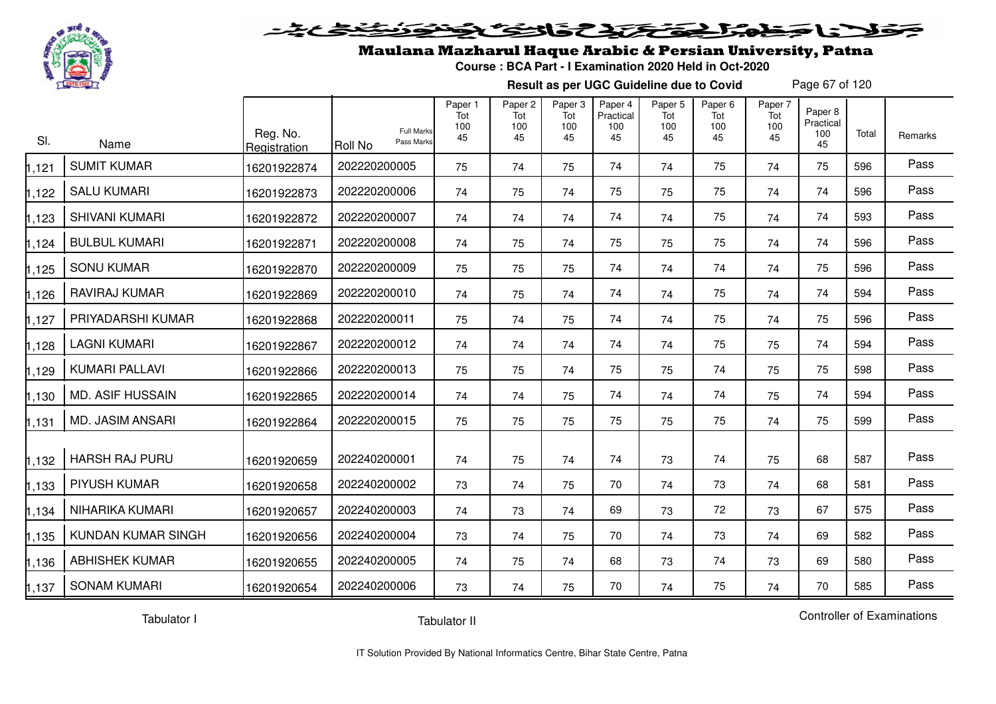

#### 20202222325.0  $\blacktriangleright$  15  $\blacktriangleright$

## Maulana Mazharul Haque Arabic & Persian University, Patna

**Course : BCA Part - I Examination 2020 Held in Oct-2020**

**Result as per UGC Guideline due to Covid**

Page 67 of 120

| SI.   | Name                      | Reg. No.<br>Registration | <b>Full Marks</b><br>Pass Marks<br>Roll No | Paper 1<br>Tot<br>100<br>45 | Paper <sub>2</sub><br>Tot<br>100<br>45 | Paper <sub>3</sub><br>Tot<br>100<br>45 | Paper 4<br>Practical<br>100<br>45 | Paper 5<br>Tot<br>100<br>45 | Paper <sub>6</sub><br>Tot<br>100<br>45 | Paper 7<br>Tot<br>100<br>45 | Paper 8<br>Practical<br>100<br>45 | Total | Remarks |
|-------|---------------------------|--------------------------|--------------------------------------------|-----------------------------|----------------------------------------|----------------------------------------|-----------------------------------|-----------------------------|----------------------------------------|-----------------------------|-----------------------------------|-------|---------|
| ,121  | <b>SUMIT KUMAR</b>        | 16201922874              | 202220200005                               | 75                          | 74                                     | 75                                     | 74                                | 74                          | 75                                     | 74                          | 75                                | 596   | Pass    |
| 1,122 | <b>SALU KUMARI</b>        | 16201922873              | 202220200006                               | 74                          | 75                                     | 74                                     | 75                                | 75                          | 75                                     | 74                          | 74                                | 596   | Pass    |
| 1,123 | <b>SHIVANI KUMARI</b>     | 16201922872              | 202220200007                               | 74                          | 74                                     | 74                                     | 74                                | 74                          | 75                                     | 74                          | 74                                | 593   | Pass    |
| 124   | <b>BULBUL KUMARI</b>      | 16201922871              | 202220200008                               | 74                          | 75                                     | 74                                     | 75                                | 75                          | 75                                     | 74                          | 74                                | 596   | Pass    |
| 1,125 | <b>SONU KUMAR</b>         | 16201922870              | 202220200009                               | 75                          | 75                                     | 75                                     | 74                                | 74                          | 74                                     | 74                          | 75                                | 596   | Pass    |
| ,126  | RAVIRAJ KUMAR             | 16201922869              | 202220200010                               | 74                          | 75                                     | 74                                     | 74                                | 74                          | 75                                     | 74                          | 74                                | 594   | Pass    |
| 1,127 | PRIYADARSHI KUMAR         | 16201922868              | 202220200011                               | 75                          | 74                                     | 75                                     | 74                                | 74                          | 75                                     | 74                          | 75                                | 596   | Pass    |
| 1,128 | <b>LAGNI KUMARI</b>       | 16201922867              | 202220200012                               | 74                          | 74                                     | 74                                     | 74                                | 74                          | 75                                     | 75                          | 74                                | 594   | Pass    |
| 1,129 | KUMARI PALLAVI            | 16201922866              | 202220200013                               | 75                          | 75                                     | 74                                     | 75                                | 75                          | 74                                     | 75                          | 75                                | 598   | Pass    |
| 1,130 | <b>MD. ASIF HUSSAIN</b>   | 16201922865              | 202220200014                               | 74                          | 74                                     | 75                                     | 74                                | 74                          | 74                                     | 75                          | 74                                | 594   | Pass    |
| ,131  | MD. JASIM ANSARI          | 16201922864              | 202220200015                               | 75                          | 75                                     | 75                                     | 75                                | 75                          | 75                                     | 74                          | 75                                | 599   | Pass    |
| 1,132 | <b>HARSH RAJ PURU</b>     | 16201920659              | 202240200001                               | 74                          | 75                                     | 74                                     | 74                                | 73                          | 74                                     | 75                          | 68                                | 587   | Pass    |
| 1,133 | PIYUSH KUMAR              | 16201920658              | 202240200002                               | 73                          | 74                                     | 75                                     | 70                                | 74                          | 73                                     | 74                          | 68                                | 581   | Pass    |
| 1,134 | NIHARIKA KUMARI           | 16201920657              | 202240200003                               | 74                          | 73                                     | 74                                     | 69                                | 73                          | 72                                     | 73                          | 67                                | 575   | Pass    |
| 1,135 | <b>KUNDAN KUMAR SINGH</b> | 16201920656              | 202240200004                               | 73                          | 74                                     | 75                                     | 70                                | 74                          | 73                                     | 74                          | 69                                | 582   | Pass    |
| 1,136 | <b>ABHISHEK KUMAR</b>     | 16201920655              | 202240200005                               | 74                          | 75                                     | 74                                     | 68                                | 73                          | 74                                     | 73                          | 69                                | 580   | Pass    |
| 1,137 | <b>SONAM KUMARI</b>       | 16201920654              | 202240200006                               | 73                          | 74                                     | 75                                     | 70                                | 74                          | 75                                     | 74                          | 70                                | 585   | Pass    |

Tabulator I

Tabulator II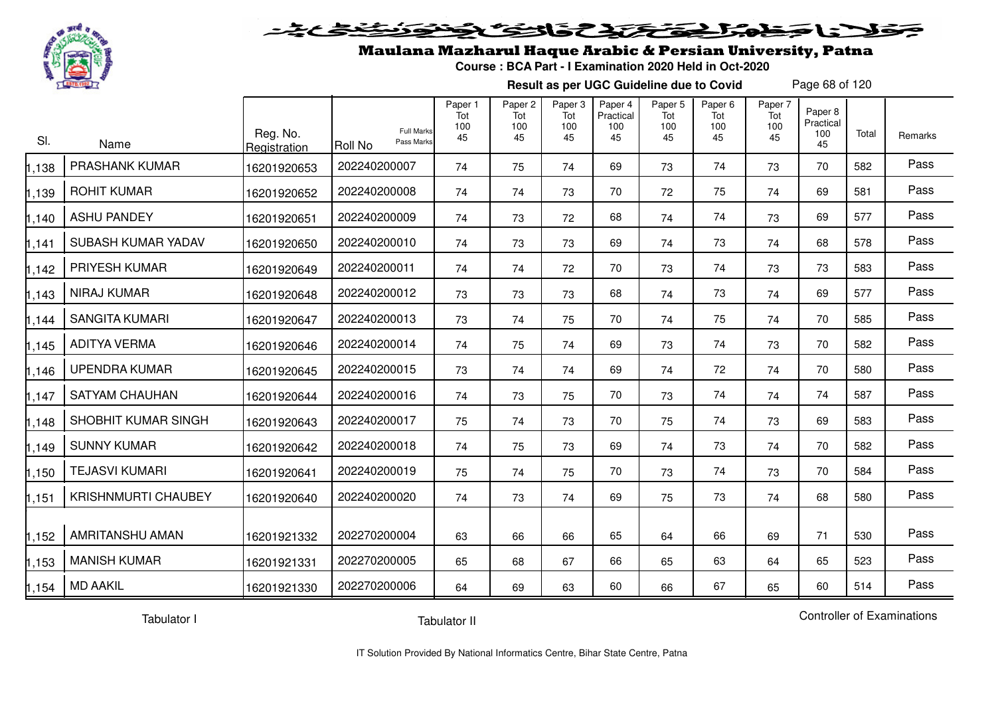

#### 2 3 3 2 2 2 2 2 2  $\blacktriangleright$  15  $\blacktriangleright$  $-2$

## Maulana Mazharul Haque Arabic & Persian University, Patna

**Course : BCA Part - I Examination 2020 Held in Oct-2020**

**Result as per UGC Guideline due to Covid**

Page 68 of 120

| SI.   | Name                       | Reg. No.<br>Registration | <b>Full Marks</b><br>Pass Marks<br><b>Roll No</b> | Paper 1<br>Tot<br>100<br>45 | Paper 2<br>Tot<br>100<br>45 | Paper 3<br>Tot<br>100<br>45 | Paper 4<br>Practical<br>100<br>45 | Paper 5<br>Tot<br>100<br>45 | Paper 6<br>Tot<br>100<br>45 | Paper 7<br>Tot<br>100<br>45 | Paper 8<br>Practical<br>100<br>45 | Total | Remarks |
|-------|----------------------------|--------------------------|---------------------------------------------------|-----------------------------|-----------------------------|-----------------------------|-----------------------------------|-----------------------------|-----------------------------|-----------------------------|-----------------------------------|-------|---------|
| 1,138 | PRASHANK KUMAR             | 16201920653              | 202240200007                                      | 74                          | 75                          | 74                          | 69                                | 73                          | 74                          | 73                          | 70                                | 582   | Pass    |
| 1,139 | <b>ROHIT KUMAR</b>         | 16201920652              | 202240200008                                      | 74                          | 74                          | 73                          | 70                                | 72                          | 75                          | 74                          | 69                                | 581   | Pass    |
| 1,140 | <b>ASHU PANDEY</b>         | 16201920651              | 202240200009                                      | 74                          | 73                          | 72                          | 68                                | 74                          | 74                          | 73                          | 69                                | 577   | Pass    |
| 1,141 | SUBASH KUMAR YADAV         | 16201920650              | 202240200010                                      | 74                          | 73                          | 73                          | 69                                | 74                          | 73                          | 74                          | 68                                | 578   | Pass    |
| 1,142 | PRIYESH KUMAR              | 16201920649              | 202240200011                                      | 74                          | 74                          | 72                          | 70                                | 73                          | 74                          | 73                          | 73                                | 583   | Pass    |
| 1,143 | NIRAJ KUMAR                | 16201920648              | 202240200012                                      | 73                          | 73                          | 73                          | 68                                | 74                          | 73                          | 74                          | 69                                | 577   | Pass    |
| 1,144 | <b>SANGITA KUMARI</b>      | 16201920647              | 202240200013                                      | 73                          | 74                          | 75                          | 70                                | 74                          | 75                          | 74                          | 70                                | 585   | Pass    |
| 1,145 | <b>ADITYA VERMA</b>        | 16201920646              | 202240200014                                      | 74                          | 75                          | 74                          | 69                                | 73                          | 74                          | 73                          | 70                                | 582   | Pass    |
| 1,146 | <b>UPENDRA KUMAR</b>       | 16201920645              | 202240200015                                      | 73                          | 74                          | 74                          | 69                                | 74                          | 72                          | 74                          | 70                                | 580   | Pass    |
| 1,147 | <b>SATYAM CHAUHAN</b>      | 16201920644              | 202240200016                                      | 74                          | 73                          | 75                          | 70                                | 73                          | 74                          | 74                          | 74                                | 587   | Pass    |
| 1,148 | SHOBHIT KUMAR SINGH        | 16201920643              | 202240200017                                      | 75                          | 74                          | 73                          | 70                                | 75                          | 74                          | 73                          | 69                                | 583   | Pass    |
| 1,149 | <b>SUNNY KUMAR</b>         | 16201920642              | 202240200018                                      | 74                          | 75                          | 73                          | 69                                | 74                          | 73                          | 74                          | 70                                | 582   | Pass    |
| 1,150 | <b>TEJASVI KUMARI</b>      | 16201920641              | 202240200019                                      | 75                          | 74                          | 75                          | 70                                | 73                          | 74                          | 73                          | 70                                | 584   | Pass    |
| 1,151 | <b>KRISHNMURTI CHAUBEY</b> | 16201920640              | 202240200020                                      | 74                          | 73                          | 74                          | 69                                | 75                          | 73                          | 74                          | 68                                | 580   | Pass    |
| 1,152 | AMRITANSHU AMAN            | 16201921332              | 202270200004                                      | 63                          | 66                          | 66                          | 65                                | 64                          | 66                          | 69                          | 71                                | 530   | Pass    |
| 1,153 | <b>MANISH KUMAR</b>        | 16201921331              | 202270200005                                      | 65                          | 68                          | 67                          | 66                                | 65                          | 63                          | 64                          | 65                                | 523   | Pass    |
| 1,154 | <b>MD AAKIL</b>            | 16201921330              | 202270200006                                      | 64                          | 69                          | 63                          | 60                                | 66                          | 67                          | 65                          | 60                                | 514   | Pass    |

Tabulator I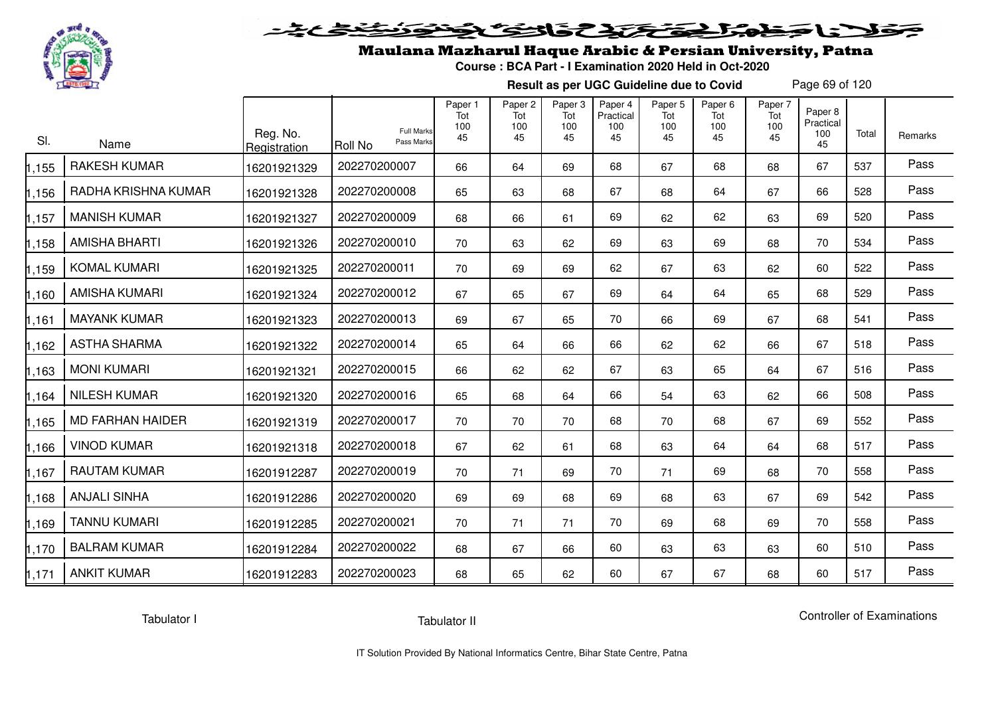

# فلأناخض المتحقح كتحافظ

## Maulana Mazharul Haque Arabic & Persian University, Patna

**Course : BCA Part - I Examination 2020 Held in Oct-2020**

**Result as per UGC Guideline due to Covid**

Page 69 of 120

| SI.   | Name                    | Reg. No.<br>Registration | <b>Full Marks</b><br>Pass Marks<br><b>Roll No</b> | Paper 1<br>Tot<br>100<br>45 | Paper <sub>2</sub><br>Tot<br>100<br>45 | Paper <sub>3</sub><br>Tot<br>100<br>45 | Paper 4<br>Practical<br>100<br>45 | Paper <sub>5</sub><br>Tot<br>100<br>45 | Paper <sub>6</sub><br>Tot<br>100<br>45 | Paper 7<br>Tot<br>100<br>45 | Paper 8<br>Practical<br>100<br>45 | Total | Remarks |
|-------|-------------------------|--------------------------|---------------------------------------------------|-----------------------------|----------------------------------------|----------------------------------------|-----------------------------------|----------------------------------------|----------------------------------------|-----------------------------|-----------------------------------|-------|---------|
| ,155  | <b>RAKESH KUMAR</b>     | 16201921329              | 202270200007                                      | 66                          | 64                                     | 69                                     | 68                                | 67                                     | 68                                     | 68                          | 67                                | 537   | Pass    |
| ,156  | RADHA KRISHNA KUMAR     | 16201921328              | 202270200008                                      | 65                          | 63                                     | 68                                     | 67                                | 68                                     | 64                                     | 67                          | 66                                | 528   | Pass    |
| ,157  | <b>MANISH KUMAR</b>     | 16201921327              | 202270200009                                      | 68                          | 66                                     | 61                                     | 69                                | 62                                     | 62                                     | 63                          | 69                                | 520   | Pass    |
| 1,158 | <b>AMISHA BHARTI</b>    | 16201921326              | 202270200010                                      | 70                          | 63                                     | 62                                     | 69                                | 63                                     | 69                                     | 68                          | 70                                | 534   | Pass    |
| 1,159 | <b>KOMAL KUMARI</b>     | 16201921325              | 202270200011                                      | 70                          | 69                                     | 69                                     | 62                                | 67                                     | 63                                     | 62                          | 60                                | 522   | Pass    |
| 1,160 | <b>AMISHA KUMARI</b>    | 16201921324              | 202270200012                                      | 67                          | 65                                     | 67                                     | 69                                | 64                                     | 64                                     | 65                          | 68                                | 529   | Pass    |
| ,161  | <b>MAYANK KUMAR</b>     | 16201921323              | 202270200013                                      | 69                          | 67                                     | 65                                     | 70                                | 66                                     | 69                                     | 67                          | 68                                | 541   | Pass    |
| 1,162 | <b>ASTHA SHARMA</b>     | 16201921322              | 202270200014                                      | 65                          | 64                                     | 66                                     | 66                                | 62                                     | 62                                     | 66                          | 67                                | 518   | Pass    |
| 1,163 | <b>MONI KUMARI</b>      | 16201921321              | 202270200015                                      | 66                          | 62                                     | 62                                     | 67                                | 63                                     | 65                                     | 64                          | 67                                | 516   | Pass    |
| 1,164 | <b>NILESH KUMAR</b>     | 16201921320              | 202270200016                                      | 65                          | 68                                     | 64                                     | 66                                | 54                                     | 63                                     | 62                          | 66                                | 508   | Pass    |
| ,165  | <b>MD FARHAN HAIDER</b> | 16201921319              | 202270200017                                      | 70                          | 70                                     | 70                                     | 68                                | 70                                     | 68                                     | 67                          | 69                                | 552   | Pass    |
| 1,166 | <b>VINOD KUMAR</b>      | 16201921318              | 202270200018                                      | 67                          | 62                                     | 61                                     | 68                                | 63                                     | 64                                     | 64                          | 68                                | 517   | Pass    |
| 1,167 | <b>RAUTAM KUMAR</b>     | 16201912287              | 202270200019                                      | 70                          | 71                                     | 69                                     | 70                                | 71                                     | 69                                     | 68                          | 70                                | 558   | Pass    |
| 1,168 | <b>ANJALI SINHA</b>     | 16201912286              | 202270200020                                      | 69                          | 69                                     | 68                                     | 69                                | 68                                     | 63                                     | 67                          | 69                                | 542   | Pass    |
| 1,169 | <b>TANNU KUMARI</b>     | 16201912285              | 202270200021                                      | 70                          | 71                                     | 71                                     | 70                                | 69                                     | 68                                     | 69                          | 70                                | 558   | Pass    |
| 1,170 | <b>BALRAM KUMAR</b>     | 16201912284              | 202270200022                                      | 68                          | 67                                     | 66                                     | 60                                | 63                                     | 63                                     | 63                          | 60                                | 510   | Pass    |
| 1,171 | <b>ANKIT KUMAR</b>      | 16201912283              | 202270200023                                      | 68                          | 65                                     | 62                                     | 60                                | 67                                     | 67                                     | 68                          | 60                                | 517   | Pass    |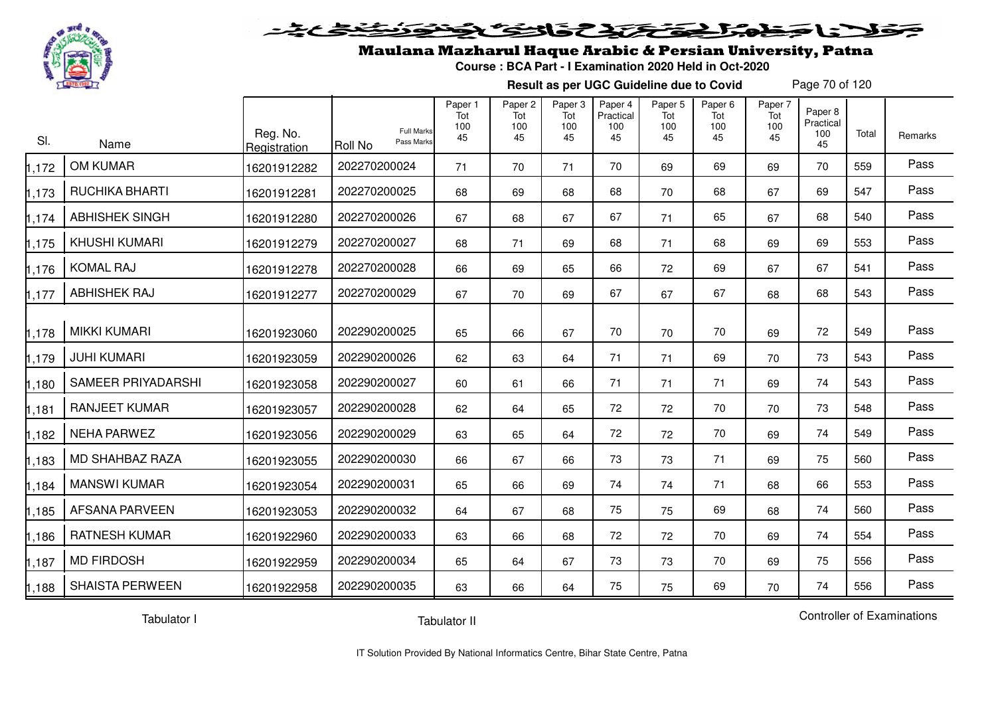

#### فتحتحن فالخفا  $\blacktriangleright$  15  $\blacktriangleright$

## Maulana Mazharul Haque Arabic & Persian University, Patna

**Course : BCA Part - I Examination 2020 Held in Oct-2020**

**Result as per UGC Guideline due to Covid**

Page 70 of 120

| SI.   | Name                   | Reg. No.<br>Registration | <b>Full Marks</b><br>Pass Marks<br>Roll No | Paper 1<br>Tot<br>100<br>45 | Paper 2<br>Tot<br>100<br>45 | Paper 3<br>Tot<br>100<br>45 | Paper 4<br>Practical<br>100<br>45 | Paper 5<br>Tot<br>100<br>45 | Paper 6<br>Tot<br>100<br>45 | Paper 7<br>Tot<br>100<br>45 | Paper 8<br>Practical<br>100<br>45 | Total | Remarks |
|-------|------------------------|--------------------------|--------------------------------------------|-----------------------------|-----------------------------|-----------------------------|-----------------------------------|-----------------------------|-----------------------------|-----------------------------|-----------------------------------|-------|---------|
| 1,172 | OM KUMAR               | 16201912282              | 202270200024                               | 71                          | 70                          | 71                          | 70                                | 69                          | 69                          | 69                          | 70                                | 559   | Pass    |
| 1,173 | <b>RUCHIKA BHARTI</b>  | 16201912281              | 202270200025                               | 68                          | 69                          | 68                          | 68                                | 70                          | 68                          | 67                          | 69                                | 547   | Pass    |
| 1,174 | <b>ABHISHEK SINGH</b>  | 16201912280              | 202270200026                               | 67                          | 68                          | 67                          | 67                                | 71                          | 65                          | 67                          | 68                                | 540   | Pass    |
| 1,175 | <b>KHUSHI KUMARI</b>   | 16201912279              | 202270200027                               | 68                          | 71                          | 69                          | 68                                | 71                          | 68                          | 69                          | 69                                | 553   | Pass    |
| 1,176 | <b>KOMAL RAJ</b>       | 16201912278              | 202270200028                               | 66                          | 69                          | 65                          | 66                                | 72                          | 69                          | 67                          | 67                                | 541   | Pass    |
| 1,177 | ABHISHEK RAJ           | 16201912277              | 202270200029                               | 67                          | 70                          | 69                          | 67                                | 67                          | 67                          | 68                          | 68                                | 543   | Pass    |
| 1,178 | <b>MIKKI KUMARI</b>    | 16201923060              | 202290200025                               | 65                          | 66                          | 67                          | 70                                | 70                          | 70                          | 69                          | 72                                | 549   | Pass    |
| 1,179 | <b>JUHI KUMARI</b>     | 16201923059              | 202290200026                               | 62                          | 63                          | 64                          | 71                                | 71                          | 69                          | 70                          | 73                                | 543   | Pass    |
| 1,180 | SAMEER PRIYADARSHI     | 16201923058              | 202290200027                               | 60                          | 61                          | 66                          | 71                                | 71                          | 71                          | 69                          | 74                                | 543   | Pass    |
| 1,181 | <b>RANJEET KUMAR</b>   | 16201923057              | 202290200028                               | 62                          | 64                          | 65                          | 72                                | 72                          | 70                          | 70                          | 73                                | 548   | Pass    |
| 1,182 | <b>NEHA PARWEZ</b>     | 16201923056              | 202290200029                               | 63                          | 65                          | 64                          | 72                                | 72                          | 70                          | 69                          | 74                                | 549   | Pass    |
| 1,183 | <b>MD SHAHBAZ RAZA</b> | 16201923055              | 202290200030                               | 66                          | 67                          | 66                          | 73                                | 73                          | 71                          | 69                          | 75                                | 560   | Pass    |
| 1,184 | <b>MANSWI KUMAR</b>    | 16201923054              | 202290200031                               | 65                          | 66                          | 69                          | 74                                | 74                          | 71                          | 68                          | 66                                | 553   | Pass    |
| 1,185 | <b>AFSANA PARVEEN</b>  | 16201923053              | 202290200032                               | 64                          | 67                          | 68                          | 75                                | 75                          | 69                          | 68                          | 74                                | 560   | Pass    |
| 1,186 | <b>RATNESH KUMAR</b>   | 16201922960              | 202290200033                               | 63                          | 66                          | 68                          | 72                                | 72                          | 70                          | 69                          | 74                                | 554   | Pass    |
| 1,187 | <b>MD FIRDOSH</b>      | 16201922959              | 202290200034                               | 65                          | 64                          | 67                          | 73                                | 73                          | 70                          | 69                          | 75                                | 556   | Pass    |
| 1,188 | <b>SHAISTA PERWEEN</b> | 16201922958              | 202290200035                               | 63                          | 66                          | 64                          | 75                                | 75                          | 69                          | 70                          | 74                                | 556   | Pass    |

Tabulator I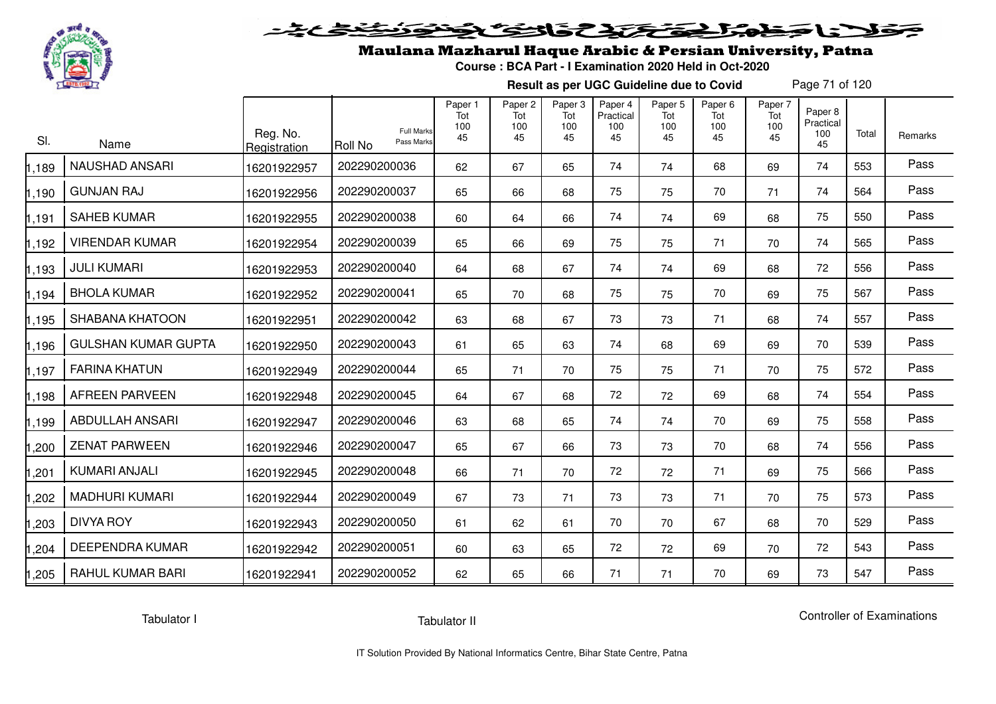

# فلأناخض بكتك كتفاف

## Maulana Mazharul Haque Arabic & Persian University, Patna

**Course : BCA Part - I Examination 2020 Held in Oct-2020**

**Result as per UGC Guideline due to Covid**

Page 71 of 120

| SI.   | Name                       | Reg. No.<br>Registration | <b>Roll No</b> | <b>Full Marks</b><br>Pass Marks | Paper 1<br>Tot<br>100<br>45 | Paper <sub>2</sub><br>Tot<br>100<br>45 | Paper 3<br>Tot<br>100<br>45 | Paper 4<br>Practical<br>100<br>45 | Paper <sub>5</sub><br>Tot<br>100<br>45 | Paper <sub>6</sub><br>Tot<br>100<br>45 | Paper 7<br>Tot<br>100<br>45 | Paper 8<br>Practical<br>100<br>45 | Total | Remarks |
|-------|----------------------------|--------------------------|----------------|---------------------------------|-----------------------------|----------------------------------------|-----------------------------|-----------------------------------|----------------------------------------|----------------------------------------|-----------------------------|-----------------------------------|-------|---------|
| 1,189 | <b>NAUSHAD ANSARI</b>      | 16201922957              | 202290200036   |                                 | 62                          | 67                                     | 65                          | 74                                | 74                                     | 68                                     | 69                          | 74                                | 553   | Pass    |
| 1,190 | <b>GUNJAN RAJ</b>          | 16201922956              | 202290200037   |                                 | 65                          | 66                                     | 68                          | 75                                | 75                                     | 70                                     | 71                          | 74                                | 564   | Pass    |
| 1.191 | <b>SAHEB KUMAR</b>         | 16201922955              | 202290200038   |                                 | 60                          | 64                                     | 66                          | 74                                | 74                                     | 69                                     | 68                          | 75                                | 550   | Pass    |
| 1,192 | <b>VIRENDAR KUMAR</b>      | 16201922954              | 202290200039   |                                 | 65                          | 66                                     | 69                          | 75                                | 75                                     | 71                                     | 70                          | 74                                | 565   | Pass    |
| 1,193 | <b>JULI KUMARI</b>         | 16201922953              | 202290200040   |                                 | 64                          | 68                                     | 67                          | 74                                | 74                                     | 69                                     | 68                          | 72                                | 556   | Pass    |
| 1,194 | <b>BHOLA KUMAR</b>         | 16201922952              | 202290200041   |                                 | 65                          | 70                                     | 68                          | 75                                | 75                                     | 70                                     | 69                          | 75                                | 567   | Pass    |
| 1,195 | <b>SHABANA KHATOON</b>     | 16201922951              | 202290200042   |                                 | 63                          | 68                                     | 67                          | 73                                | 73                                     | 71                                     | 68                          | 74                                | 557   | Pass    |
| 1,196 | <b>GULSHAN KUMAR GUPTA</b> | 16201922950              | 202290200043   |                                 | 61                          | 65                                     | 63                          | 74                                | 68                                     | 69                                     | 69                          | 70                                | 539   | Pass    |
| 1,197 | <b>FARINA KHATUN</b>       | 16201922949              | 202290200044   |                                 | 65                          | 71                                     | 70                          | 75                                | 75                                     | 71                                     | 70                          | 75                                | 572   | Pass    |
| 1,198 | <b>AFREEN PARVEEN</b>      | 16201922948              | 202290200045   |                                 | 64                          | 67                                     | 68                          | 72                                | 72                                     | 69                                     | 68                          | 74                                | 554   | Pass    |
| 1,199 | ABDULLAH ANSARI            | 16201922947              | 202290200046   |                                 | 63                          | 68                                     | 65                          | 74                                | 74                                     | 70                                     | 69                          | 75                                | 558   | Pass    |
| ,200  | <b>ZENAT PARWEEN</b>       | 16201922946              | 202290200047   |                                 | 65                          | 67                                     | 66                          | 73                                | 73                                     | 70                                     | 68                          | 74                                | 556   | Pass    |
| 1,201 | KUMARI ANJALI              | 16201922945              | 202290200048   |                                 | 66                          | 71                                     | 70                          | 72                                | 72                                     | 71                                     | 69                          | 75                                | 566   | Pass    |
| 1,202 | <b>MADHURI KUMARI</b>      | 16201922944              | 202290200049   |                                 | 67                          | 73                                     | 71                          | 73                                | 73                                     | 71                                     | 70                          | 75                                | 573   | Pass    |
| 1,203 | <b>DIVYA ROY</b>           | 16201922943              | 202290200050   |                                 | 61                          | 62                                     | 61                          | 70                                | 70                                     | 67                                     | 68                          | 70                                | 529   | Pass    |
| 1,204 | DEEPENDRA KUMAR            | 16201922942              | 202290200051   |                                 | 60                          | 63                                     | 65                          | 72                                | 72                                     | 69                                     | 70                          | 72                                | 543   | Pass    |
| 1,205 | <b>RAHUL KUMAR BARI</b>    | 16201922941              | 202290200052   |                                 | 62                          | 65                                     | 66                          | 71                                | 71                                     | 70                                     | 69                          | 73                                | 547   | Pass    |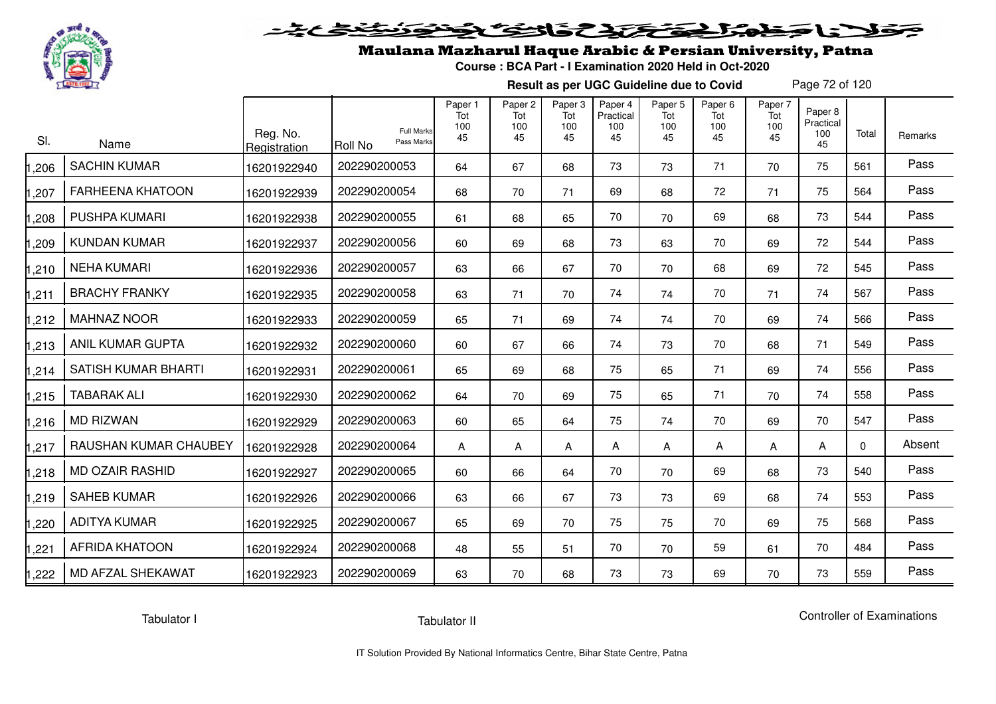

# فلانا حظما يحتكك كالخصي

## Maulana Mazharul Haque Arabic & Persian University, Patna

**Course : BCA Part - I Examination 2020 Held in Oct-2020**

**Result as per UGC Guideline due to Covid**

Page 72 of 120

| SI.  | Name                       | Reg. No.<br>Registration | <b>Full Marks</b><br>Pass Marks<br><b>Roll No</b> | Paper 1<br>Tot<br>100<br>45 | Paper <sub>2</sub><br>Tot<br>100<br>45 | Paper <sub>3</sub><br>Tot<br>100<br>45 | Paper 4<br>Practical<br>100<br>45 | Paper 5<br>Tot<br>100<br>45 | Paper <sub>6</sub><br>Tot<br>100<br>45 | Paper 7<br>Tot<br>100<br>45 | Paper <sub>8</sub><br>Practical<br>100<br>45 | Total    | Remarks |
|------|----------------------------|--------------------------|---------------------------------------------------|-----------------------------|----------------------------------------|----------------------------------------|-----------------------------------|-----------------------------|----------------------------------------|-----------------------------|----------------------------------------------|----------|---------|
| ,206 | <b>SACHIN KUMAR</b>        | 16201922940              | 202290200053                                      | 64                          | 67                                     | 68                                     | 73                                | 73                          | 71                                     | 70                          | 75                                           | 561      | Pass    |
| ,207 | <b>FARHEENA KHATOON</b>    | 16201922939              | 202290200054                                      | 68                          | 70                                     | 71                                     | 69                                | 68                          | 72                                     | 71                          | 75                                           | 564      | Pass    |
| ,208 | <b>PUSHPA KUMARI</b>       | 16201922938              | 202290200055                                      | 61                          | 68                                     | 65                                     | 70                                | 70                          | 69                                     | 68                          | 73                                           | 544      | Pass    |
| ,209 | <b>KUNDAN KUMAR</b>        | 16201922937              | 202290200056                                      | 60                          | 69                                     | 68                                     | 73                                | 63                          | 70                                     | 69                          | 72                                           | 544      | Pass    |
| ,210 | <b>NEHA KUMARI</b>         | 16201922936              | 202290200057                                      | 63                          | 66                                     | 67                                     | 70                                | 70                          | 68                                     | 69                          | 72                                           | 545      | Pass    |
| ,211 | <b>BRACHY FRANKY</b>       | 16201922935              | 202290200058                                      | 63                          | 71                                     | 70                                     | 74                                | 74                          | 70                                     | 71                          | 74                                           | 567      | Pass    |
| ,212 | <b>MAHNAZ NOOR</b>         | 16201922933              | 202290200059                                      | 65                          | 71                                     | 69                                     | 74                                | 74                          | 70                                     | 69                          | 74                                           | 566      | Pass    |
| ,213 | <b>ANIL KUMAR GUPTA</b>    | 16201922932              | 202290200060                                      | 60                          | 67                                     | 66                                     | 74                                | 73                          | 70                                     | 68                          | 71                                           | 549      | Pass    |
| ,214 | <b>SATISH KUMAR BHARTI</b> | 16201922931              | 202290200061                                      | 65                          | 69                                     | 68                                     | 75                                | 65                          | 71                                     | 69                          | 74                                           | 556      | Pass    |
| ,215 | <b>TABARAK ALI</b>         | 16201922930              | 202290200062                                      | 64                          | 70                                     | 69                                     | 75                                | 65                          | 71                                     | 70                          | 74                                           | 558      | Pass    |
| ,216 | <b>MD RIZWAN</b>           | 16201922929              | 202290200063                                      | 60                          | 65                                     | 64                                     | 75                                | 74                          | 70                                     | 69                          | 70                                           | 547      | Pass    |
| ,217 | RAUSHAN KUMAR CHAUBEY      | 16201922928              | 202290200064                                      | Α                           | Α                                      | A                                      | A                                 | A                           | A                                      | А                           | А                                            | $\Omega$ | Absent  |
| ,218 | <b>MD OZAIR RASHID</b>     | 16201922927              | 202290200065                                      | 60                          | 66                                     | 64                                     | 70                                | 70                          | 69                                     | 68                          | 73                                           | 540      | Pass    |
| ,219 | <b>SAHEB KUMAR</b>         | 16201922926              | 202290200066                                      | 63                          | 66                                     | 67                                     | 73                                | 73                          | 69                                     | 68                          | 74                                           | 553      | Pass    |
| ,220 | <b>ADITYA KUMAR</b>        | 16201922925              | 202290200067                                      | 65                          | 69                                     | 70                                     | 75                                | 75                          | 70                                     | 69                          | 75                                           | 568      | Pass    |
| ,221 | <b>AFRIDA KHATOON</b>      | 16201922924              | 202290200068                                      | 48                          | 55                                     | 51                                     | 70                                | 70                          | 59                                     | 61                          | 70                                           | 484      | Pass    |
| ,222 | MD AFZAL SHEKAWAT          | 16201922923              | 202290200069                                      | 63                          | 70                                     | 68                                     | 73                                | 73                          | 69                                     | 70                          | 73                                           | 559      | Pass    |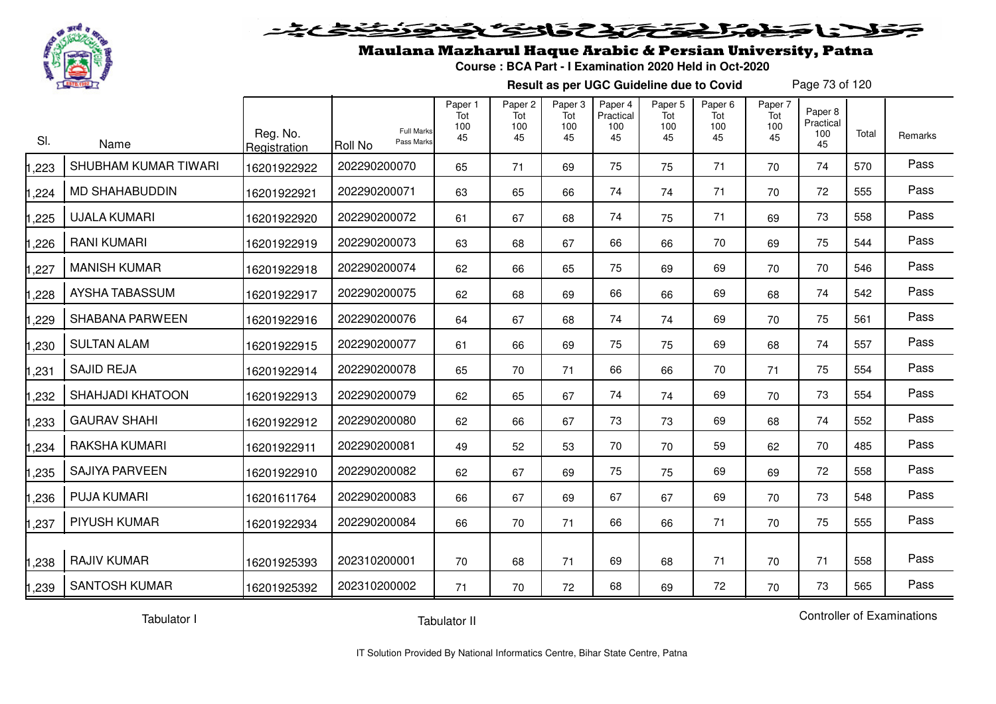

#### 2020 2020 2020  $555$

### Maulana Mazharul Haque Arabic & Persian University, Patna

**Course : BCA Part - I Examination 2020 Held in Oct-2020**

**Result as per UGC Guideline due to Covid**

Page 73 of 120

| SI.   | Name                    | Reg. No.<br>Registration | <b>Full Marks</b><br>Pass Marks<br>Roll No | Paper 1<br>Tot<br>100<br>45 | Paper 2<br>Tot<br>100<br>45 | Paper 3<br>Tot<br>100<br>45 | Paper 4<br>Practical<br>100<br>45 | Paper 5<br>Tot<br>100<br>45 | Paper 6<br>Tot<br>100<br>45 | Paper 7<br>Tot<br>100<br>45 | Paper 8<br>Practical<br>100<br>45 | Total | Remarks |
|-------|-------------------------|--------------------------|--------------------------------------------|-----------------------------|-----------------------------|-----------------------------|-----------------------------------|-----------------------------|-----------------------------|-----------------------------|-----------------------------------|-------|---------|
| ,223  | SHUBHAM KUMAR TIWARI    | 16201922922              | 202290200070                               | 65                          | 71                          | 69                          | 75                                | 75                          | 71                          | 70                          | 74                                | 570   | Pass    |
| ,224  | <b>MD SHAHABUDDIN</b>   | 16201922921              | 202290200071                               | 63                          | 65                          | 66                          | 74                                | 74                          | 71                          | 70                          | 72                                | 555   | Pass    |
| ,225  | <b>UJALA KUMARI</b>     | 16201922920              | 202290200072                               | 61                          | 67                          | 68                          | 74                                | 75                          | 71                          | 69                          | 73                                | 558   | Pass    |
| ,226  | <b>RANI KUMARI</b>      | 16201922919              | 202290200073                               | 63                          | 68                          | 67                          | 66                                | 66                          | 70                          | 69                          | 75                                | 544   | Pass    |
| ,227  | <b>MANISH KUMAR</b>     | 16201922918              | 202290200074                               | 62                          | 66                          | 65                          | 75                                | 69                          | 69                          | 70                          | 70                                | 546   | Pass    |
| ,228  | AYSHA TABASSUM          | 16201922917              | 202290200075                               | 62                          | 68                          | 69                          | 66                                | 66                          | 69                          | 68                          | 74                                | 542   | Pass    |
| ,229  | <b>SHABANA PARWEEN</b>  | 16201922916              | 202290200076                               | 64                          | 67                          | 68                          | 74                                | 74                          | 69                          | 70                          | 75                                | 561   | Pass    |
| ,230  | <b>SULTAN ALAM</b>      | 16201922915              | 202290200077                               | 61                          | 66                          | 69                          | 75                                | 75                          | 69                          | 68                          | 74                                | 557   | Pass    |
| ,231  | <b>SAJID REJA</b>       | 16201922914              | 202290200078                               | 65                          | 70                          | 71                          | 66                                | 66                          | 70                          | 71                          | 75                                | 554   | Pass    |
| ,232  | <b>SHAHJADI KHATOON</b> | 16201922913              | 202290200079                               | 62                          | 65                          | 67                          | 74                                | 74                          | 69                          | 70                          | 73                                | 554   | Pass    |
| ,233  | <b>GAURAV SHAHI</b>     | 16201922912              | 202290200080                               | 62                          | 66                          | 67                          | 73                                | 73                          | 69                          | 68                          | 74                                | 552   | Pass    |
| ,234  | RAKSHA KUMARI           | 16201922911              | 202290200081                               | 49                          | 52                          | 53                          | 70                                | 70                          | 59                          | 62                          | 70                                | 485   | Pass    |
| ,235  | <b>SAJIYA PARVEEN</b>   | 16201922910              | 202290200082                               | 62                          | 67                          | 69                          | 75                                | 75                          | 69                          | 69                          | 72                                | 558   | Pass    |
| ,236  | <b>PUJA KUMARI</b>      | 16201611764              | 202290200083                               | 66                          | 67                          | 69                          | 67                                | 67                          | 69                          | 70                          | 73                                | 548   | Pass    |
| ,237  | <b>PIYUSH KUMAR</b>     | 16201922934              | 202290200084                               | 66                          | 70                          | 71                          | 66                                | 66                          | 71                          | 70                          | 75                                | 555   | Pass    |
| ,238  | <b>RAJIV KUMAR</b>      | 16201925393              | 202310200001                               | 70                          | 68                          | 71                          | 69                                | 68                          | 71                          | 70                          | 71                                | 558   | Pass    |
| 1,239 | <b>SANTOSH KUMAR</b>    | 16201925392              | 202310200002                               | 71                          | 70                          | 72                          | 68                                | 69                          | 72                          | 70                          | 73                                | 565   | Pass    |

Tabulator I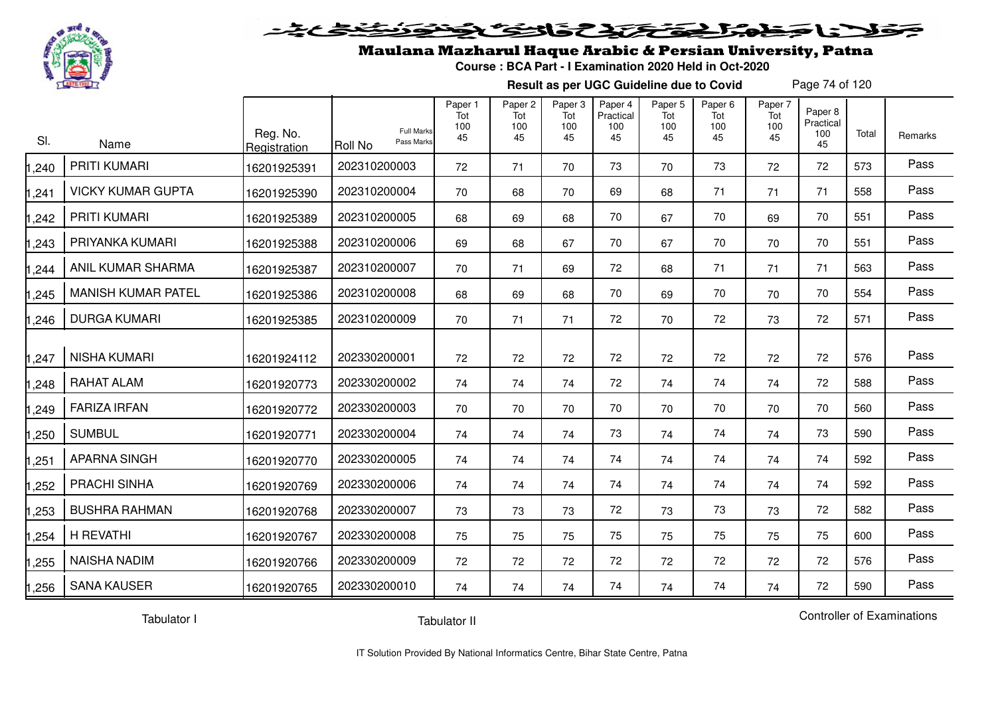

#### 20202222325.0  $\blacktriangleright$   $\blacktriangleright$   $\blacktriangleright$

## Maulana Mazharul Haque Arabic & Persian University, Patna

**Course : BCA Part - I Examination 2020 Held in Oct-2020**

**Result as per UGC Guideline due to Covid**

Page 74 of 120

| SI.   | Name                      | Reg. No.<br>Registration | <b>Full Marks</b><br>Pass Marks<br>Roll No | Paper 1<br>Tot<br>100<br>45 | Paper <sub>2</sub><br>Tot<br>100<br>45 | Paper 3<br>Tot<br>100<br>45 | Paper 4<br>Practical<br>100<br>45 | Paper 5<br>Tot<br>100<br>45 | Paper 6<br>Tot<br>100<br>45 | Paper 7<br>Tot<br>100<br>45 | Paper 8<br>Practical<br>100<br>45 | Total | Remarks |
|-------|---------------------------|--------------------------|--------------------------------------------|-----------------------------|----------------------------------------|-----------------------------|-----------------------------------|-----------------------------|-----------------------------|-----------------------------|-----------------------------------|-------|---------|
| ,240  | <b>PRITI KUMARI</b>       | 16201925391              | 202310200003                               | 72                          | 71                                     | 70                          | 73                                | 70                          | 73                          | 72                          | 72                                | 573   | Pass    |
| ,241  | <b>VICKY KUMAR GUPTA</b>  | 16201925390              | 202310200004                               | 70                          | 68                                     | 70                          | 69                                | 68                          | 71                          | 71                          | 71                                | 558   | Pass    |
| ,242  | <b>PRITI KUMARI</b>       | 16201925389              | 202310200005                               | 68                          | 69                                     | 68                          | 70                                | 67                          | 70                          | 69                          | 70                                | 551   | Pass    |
| ,243  | PRIYANKA KUMARI           | 16201925388              | 202310200006                               | 69                          | 68                                     | 67                          | 70                                | 67                          | 70                          | 70                          | 70                                | 551   | Pass    |
| ,244  | ANIL KUMAR SHARMA         | 16201925387              | 202310200007                               | 70                          | 71                                     | 69                          | 72                                | 68                          | 71                          | 71                          | 71                                | 563   | Pass    |
| ,245  | <b>MANISH KUMAR PATEL</b> | 16201925386              | 202310200008                               | 68                          | 69                                     | 68                          | 70                                | 69                          | 70                          | 70                          | 70                                | 554   | Pass    |
| ,246  | <b>DURGA KUMARI</b>       | 16201925385              | 202310200009                               | 70                          | 71                                     | 71                          | 72                                | 70                          | 72                          | 73                          | 72                                | 571   | Pass    |
| ,247  | <b>NISHA KUMARI</b>       | 16201924112              | 202330200001                               | 72                          | 72                                     | 72                          | 72                                | 72                          | 72                          | 72                          | 72                                | 576   | Pass    |
| ,248  | <b>RAHAT ALAM</b>         | 16201920773              | 202330200002                               | 74                          | 74                                     | 74                          | 72                                | 74                          | 74                          | 74                          | 72                                | 588   | Pass    |
| ,249  | <b>FARIZA IRFAN</b>       | 16201920772              | 202330200003                               | 70                          | 70                                     | 70                          | 70                                | 70                          | 70                          | 70                          | 70                                | 560   | Pass    |
| ,250  | <b>SUMBUL</b>             | 16201920771              | 202330200004                               | 74                          | 74                                     | 74                          | 73                                | 74                          | 74                          | 74                          | 73                                | 590   | Pass    |
| ,251  | <b>APARNA SINGH</b>       | 16201920770              | 202330200005                               | 74                          | 74                                     | 74                          | 74                                | 74                          | 74                          | 74                          | 74                                | 592   | Pass    |
| ,252  | <b>PRACHI SINHA</b>       | 16201920769              | 202330200006                               | 74                          | 74                                     | 74                          | 74                                | 74                          | 74                          | 74                          | 74                                | 592   | Pass    |
| ,253  | <b>BUSHRA RAHMAN</b>      | 16201920768              | 202330200007                               | 73                          | 73                                     | 73                          | 72                                | 73                          | 73                          | 73                          | 72                                | 582   | Pass    |
| ,254  | H REVATHI                 | 16201920767              | 202330200008                               | 75                          | 75                                     | 75                          | 75                                | 75                          | 75                          | 75                          | 75                                | 600   | Pass    |
| ,255  | <b>NAISHA NADIM</b>       | 16201920766              | 202330200009                               | 72                          | 72                                     | 72                          | 72                                | 72                          | 72                          | 72                          | 72                                | 576   | Pass    |
| 1,256 | <b>SANA KAUSER</b>        | 16201920765              | 202330200010                               | 74                          | 74                                     | 74                          | 74                                | 74                          | 74                          | 74                          | 72                                | 590   | Pass    |

Tabulator I

Tabulator II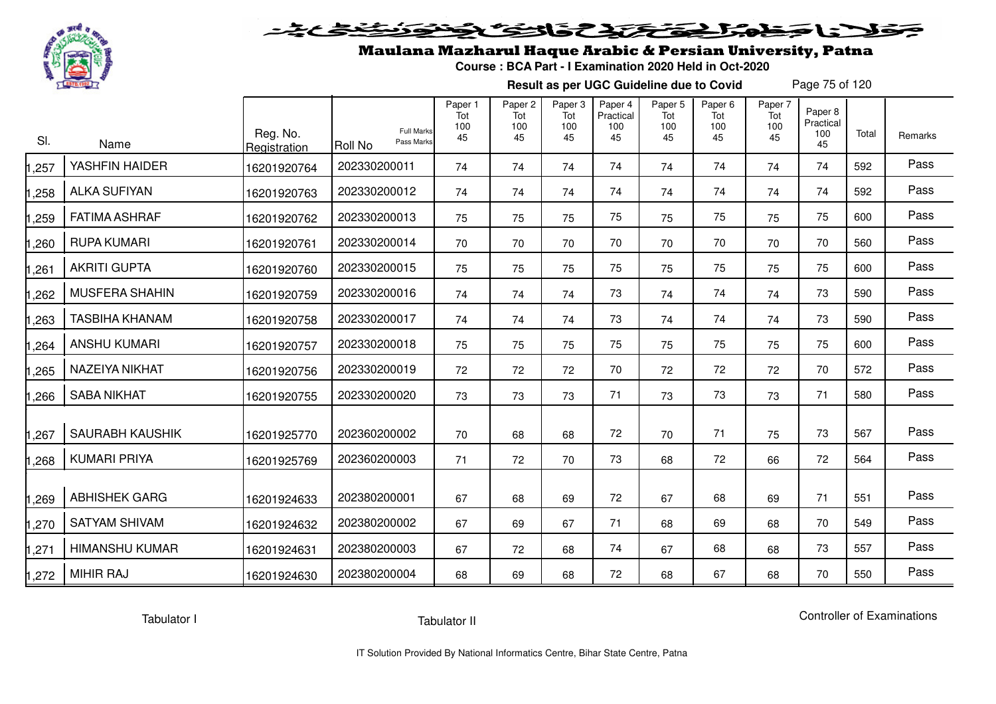

## Maulana Mazharul Haque Arabic & Persian University, Patna

**Course : BCA Part - I Examination 2020 Held in Oct-2020**

**Result as per UGC Guideline due to Covid**

Page 75 of 120

| SI.   | Name                   | Reg. No.<br>Registration | <b>Full Marks</b><br>Pass Marks<br><b>Roll No</b> | Paper 1<br>Tot<br>100<br>45 | Paper <sub>2</sub><br>Tot<br>100<br>45 | Paper 3<br>Tot<br>100<br>45 | Paper 4<br>Practical<br>100<br>45 | Paper <sub>5</sub><br>Tot<br>100<br>45 | Paper <sub>6</sub><br>Tot<br>100<br>45 | Paper 7<br>Tot<br>100<br>45 | Paper 8<br>Practical<br>100<br>45 | Total | Remarks |
|-------|------------------------|--------------------------|---------------------------------------------------|-----------------------------|----------------------------------------|-----------------------------|-----------------------------------|----------------------------------------|----------------------------------------|-----------------------------|-----------------------------------|-------|---------|
| 1,257 | YASHFIN HAIDER         | 16201920764              | 202330200011                                      | 74                          | 74                                     | 74                          | 74                                | 74                                     | 74                                     | 74                          | 74                                | 592   | Pass    |
| 1,258 | <b>ALKA SUFIYAN</b>    | 16201920763              | 202330200012                                      | 74                          | 74                                     | 74                          | 74                                | 74                                     | 74                                     | 74                          | 74                                | 592   | Pass    |
| 1,259 | <b>FATIMA ASHRAF</b>   | 16201920762              | 202330200013                                      | 75                          | 75                                     | 75                          | 75                                | 75                                     | 75                                     | 75                          | 75                                | 600   | Pass    |
| 1,260 | <b>RUPA KUMARI</b>     | 16201920761              | 202330200014                                      | 70                          | 70                                     | 70                          | 70                                | 70                                     | 70                                     | 70                          | 70                                | 560   | Pass    |
| 1,261 | <b>AKRITI GUPTA</b>    | 16201920760              | 202330200015                                      | 75                          | 75                                     | 75                          | 75                                | 75                                     | 75                                     | 75                          | 75                                | 600   | Pass    |
| 1,262 | <b>MUSFERA SHAHIN</b>  | 16201920759              | 202330200016                                      | 74                          | 74                                     | 74                          | 73                                | 74                                     | 74                                     | 74                          | 73                                | 590   | Pass    |
| 1,263 | <b>TASBIHA KHANAM</b>  | 16201920758              | 202330200017                                      | 74                          | 74                                     | 74                          | 73                                | 74                                     | 74                                     | 74                          | 73                                | 590   | Pass    |
| 1,264 | <b>ANSHU KUMARI</b>    | 16201920757              | 202330200018                                      | 75                          | 75                                     | 75                          | 75                                | 75                                     | 75                                     | 75                          | 75                                | 600   | Pass    |
| 1,265 | NAZEIYA NIKHAT         | 16201920756              | 202330200019                                      | 72                          | 72                                     | 72                          | 70                                | 72                                     | 72                                     | 72                          | 70                                | 572   | Pass    |
| 1,266 | <b>SABA NIKHAT</b>     | 16201920755              | 202330200020                                      | 73                          | 73                                     | 73                          | 71                                | 73                                     | 73                                     | 73                          | 71                                | 580   | Pass    |
| 1,267 | <b>SAURABH KAUSHIK</b> | 16201925770              | 202360200002                                      | 70                          | 68                                     | 68                          | 72                                | 70                                     | 71                                     | 75                          | 73                                | 567   | Pass    |
| 1,268 | <b>KUMARI PRIYA</b>    | 16201925769              | 202360200003                                      | 71                          | 72                                     | 70                          | 73                                | 68                                     | 72                                     | 66                          | 72                                | 564   | Pass    |
| 1,269 | <b>ABHISHEK GARG</b>   | 16201924633              | 202380200001                                      | 67                          | 68                                     | 69                          | 72                                | 67                                     | 68                                     | 69                          | 71                                | 551   | Pass    |
| 1,270 | <b>SATYAM SHIVAM</b>   | 16201924632              | 202380200002                                      | 67                          | 69                                     | 67                          | 71                                | 68                                     | 69                                     | 68                          | 70                                | 549   | Pass    |
| 1,271 | <b>HIMANSHU KUMAR</b>  | 16201924631              | 202380200003                                      | 67                          | 72                                     | 68                          | 74                                | 67                                     | 68                                     | 68                          | 73                                | 557   | Pass    |
| 1,272 | <b>MIHIR RAJ</b>       | 16201924630              | 202380200004                                      | 68                          | 69                                     | 68                          | 72                                | 68                                     | 67                                     | 68                          | 70                                | 550   | Pass    |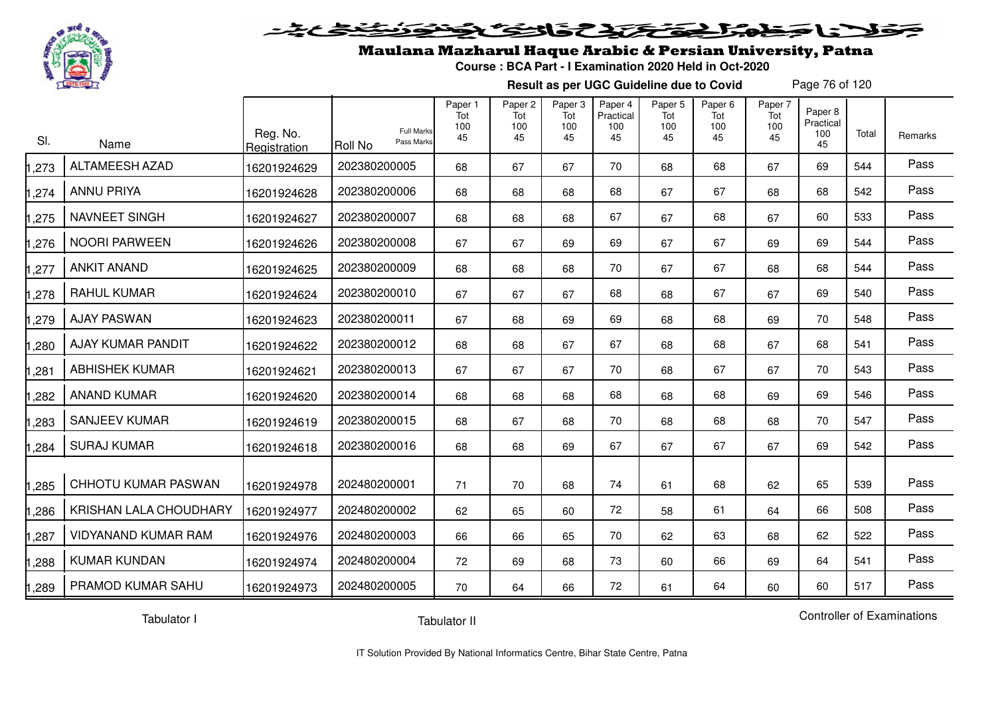

#### 2020 2020 2020  $\blacktriangleright$   $\blacktriangleright$   $\blacktriangleright$

## Maulana Mazharul Haque Arabic & Persian University, Patna

**Course : BCA Part - I Examination 2020 Held in Oct-2020**

**Result as per UGC Guideline due to Covid**

Page 76 of 120

| SI.   | Name                       | Reg. No.<br>Registration | <b>Full Marks</b><br>Pass Marks<br>IRoll No | Paper 1<br>Tot<br>100<br>45 | Paper 2<br>Tot<br>100<br>45 | Paper 3<br>Tot<br>100<br>45 | Paper 4<br>Practical<br>100<br>45 | Paper <sub>5</sub><br>Tot<br>100<br>45 | Paper <sub>6</sub><br>Tot<br>100<br>45 | Paper 7<br>Tot<br>100<br>45 | Paper 8<br>Practical<br>100<br>45 | Total | Remarks |
|-------|----------------------------|--------------------------|---------------------------------------------|-----------------------------|-----------------------------|-----------------------------|-----------------------------------|----------------------------------------|----------------------------------------|-----------------------------|-----------------------------------|-------|---------|
| 1,273 | <b>ALTAMEESH AZAD</b>      | 16201924629              | 202380200005                                | 68                          | 67                          | 67                          | 70                                | 68                                     | 68                                     | 67                          | 69                                | 544   | Pass    |
| 1,274 | <b>ANNU PRIYA</b>          | 16201924628              | 202380200006                                | 68                          | 68                          | 68                          | 68                                | 67                                     | 67                                     | 68                          | 68                                | 542   | Pass    |
| 1,275 | NAVNEET SINGH              | 16201924627              | 202380200007                                | 68                          | 68                          | 68                          | 67                                | 67                                     | 68                                     | 67                          | 60                                | 533   | Pass    |
| 1,276 | <b>NOORI PARWEEN</b>       | 16201924626              | 202380200008                                | 67                          | 67                          | 69                          | 69                                | 67                                     | 67                                     | 69                          | 69                                | 544   | Pass    |
| 1,277 | <b>ANKIT ANAND</b>         | 16201924625              | 202380200009                                | 68                          | 68                          | 68                          | 70                                | 67                                     | 67                                     | 68                          | 68                                | 544   | Pass    |
| 1,278 | <b>RAHUL KUMAR</b>         | 16201924624              | 202380200010                                | 67                          | 67                          | 67                          | 68                                | 68                                     | 67                                     | 67                          | 69                                | 540   | Pass    |
| 1,279 | <b>AJAY PASWAN</b>         | 16201924623              | 202380200011                                | 67                          | 68                          | 69                          | 69                                | 68                                     | 68                                     | 69                          | 70                                | 548   | Pass    |
| 1,280 | AJAY KUMAR PANDIT          | 16201924622              | 202380200012                                | 68                          | 68                          | 67                          | 67                                | 68                                     | 68                                     | 67                          | 68                                | 541   | Pass    |
| 1,281 | <b>ABHISHEK KUMAR</b>      | 16201924621              | 202380200013                                | 67                          | 67                          | 67                          | 70                                | 68                                     | 67                                     | 67                          | 70                                | 543   | Pass    |
| 1,282 | <b>ANAND KUMAR</b>         | 16201924620              | 202380200014                                | 68                          | 68                          | 68                          | 68                                | 68                                     | 68                                     | 69                          | 69                                | 546   | Pass    |
| 1,283 | <b>SANJEEV KUMAR</b>       | 16201924619              | 202380200015                                | 68                          | 67                          | 68                          | 70                                | 68                                     | 68                                     | 68                          | 70                                | 547   | Pass    |
| 1,284 | <b>SURAJ KUMAR</b>         | 16201924618              | 202380200016                                | 68                          | 68                          | 69                          | 67                                | 67                                     | 67                                     | 67                          | 69                                | 542   | Pass    |
| 1,285 | CHHOTU KUMAR PASWAN        | 16201924978              | 202480200001                                | 71                          | 70                          | 68                          | 74                                | 61                                     | 68                                     | 62                          | 65                                | 539   | Pass    |
| 1,286 | KRISHAN LALA CHOUDHARY     | 16201924977              | 202480200002                                | 62                          | 65                          | 60                          | 72                                | 58                                     | 61                                     | 64                          | 66                                | 508   | Pass    |
| 1,287 | <b>VIDYANAND KUMAR RAM</b> | 16201924976              | 202480200003                                | 66                          | 66                          | 65                          | 70                                | 62                                     | 63                                     | 68                          | 62                                | 522   | Pass    |
| 1,288 | <b>KUMAR KUNDAN</b>        | 16201924974              | 202480200004                                | 72                          | 69                          | 68                          | 73                                | 60                                     | 66                                     | 69                          | 64                                | 541   | Pass    |
| 1,289 | PRAMOD KUMAR SAHU          | 16201924973              | 202480200005                                | 70                          | 64                          | 66                          | 72                                | 61                                     | 64                                     | 60                          | 60                                | 517   | Pass    |

Tabulator I

Tabulator II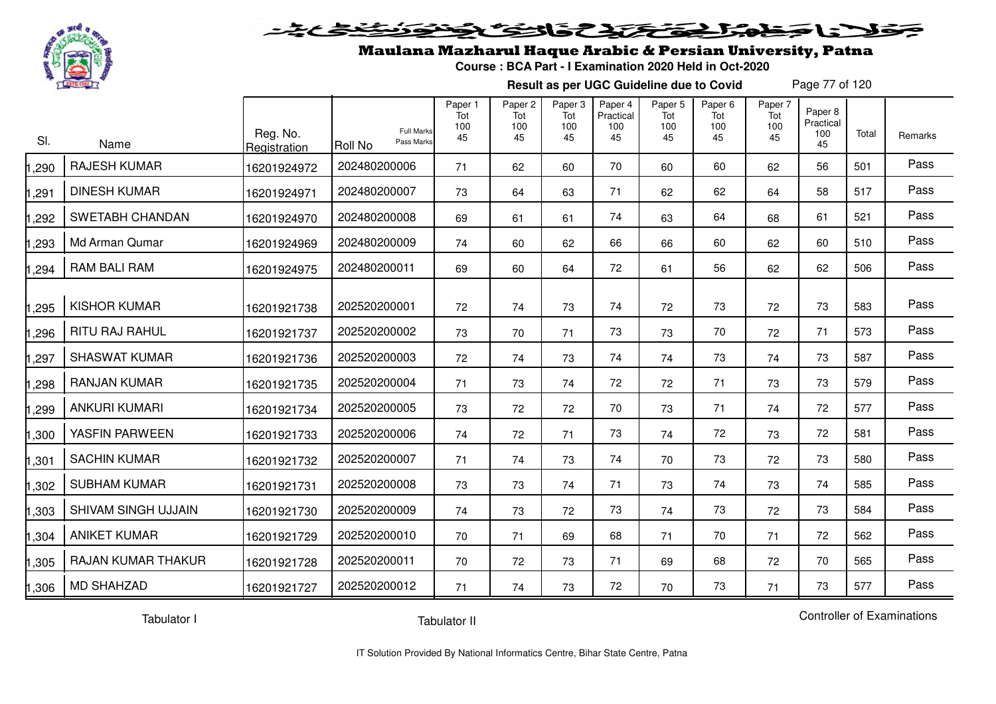

### Maulana Mazharul Haque Arabic & Persian University, Patna

**Course : BCA Part - I Examination 2020 Held in Oct-2020**

**Result as per UGC Guideline due to Covid**

Page 77 of 120

| SI.   | Name                      | Reg. No.<br>Registration | <b>Full Marks</b><br>Pass Marks<br>Roll No | Paper 1<br>Tot<br>100<br>45 | Paper 2<br>Tot<br>100<br>45 | Paper 3<br>Tot<br>100<br>45 | Paper 4<br>Practical<br>100<br>45 | Paper 5<br>Tot<br>100<br>45 | Paper <sub>6</sub><br>Tot<br>100<br>45 | Paper 7<br>Tot<br>100<br>45 | Paper 8<br>Practical<br>100<br>45 | Total | Remarks |
|-------|---------------------------|--------------------------|--------------------------------------------|-----------------------------|-----------------------------|-----------------------------|-----------------------------------|-----------------------------|----------------------------------------|-----------------------------|-----------------------------------|-------|---------|
| ,290  | <b>RAJESH KUMAR</b>       | 16201924972              | 202480200006                               | 71                          | 62                          | 60                          | 70                                | 60                          | 60                                     | 62                          | 56                                | 501   | Pass    |
| ,291  | <b>DINESH KUMAR</b>       | 16201924971              | 202480200007                               | 73                          | 64                          | 63                          | 71                                | 62                          | 62                                     | 64                          | 58                                | 517   | Pass    |
| ,292  | <b>SWETABH CHANDAN</b>    | 16201924970              | 202480200008                               | 69                          | 61                          | 61                          | 74                                | 63                          | 64                                     | 68                          | 61                                | 521   | Pass    |
| ,293  | Md Arman Qumar            | 16201924969              | 202480200009                               | 74                          | 60                          | 62                          | 66                                | 66                          | 60                                     | 62                          | 60                                | 510   | Pass    |
| ,294  | <b>RAM BALI RAM</b>       | 16201924975              | 202480200011                               | 69                          | 60                          | 64                          | 72                                | 61                          | 56                                     | 62                          | 62                                | 506   | Pass    |
| ,295  | <b>KISHOR KUMAR</b>       | 16201921738              | 202520200001                               | 72                          | 74                          | 73                          | 74                                | 72                          | 73                                     | 72                          | 73                                | 583   | Pass    |
| ,296  | RITU RAJ RAHUL            | 16201921737              | 202520200002                               | 73                          | 70                          | 71                          | 73                                | 73                          | 70                                     | 72                          | 71                                | 573   | Pass    |
| ,297  | <b>SHASWAT KUMAR</b>      | 16201921736              | 202520200003                               | 72                          | 74                          | 73                          | 74                                | 74                          | 73                                     | 74                          | 73                                | 587   | Pass    |
| ,298  | <b>RANJAN KUMAR</b>       | 16201921735              | 202520200004                               | 71                          | 73                          | 74                          | 72                                | 72                          | 71                                     | 73                          | 73                                | 579   | Pass    |
| ,299  | <b>ANKURI KUMARI</b>      | 16201921734              | 202520200005                               | 73                          | 72                          | 72                          | 70                                | 73                          | 71                                     | 74                          | 72                                | 577   | Pass    |
| ,300  | YASFIN PARWEEN            | 16201921733              | 202520200006                               | 74                          | 72                          | 71                          | 73                                | 74                          | 72                                     | 73                          | 72                                | 581   | Pass    |
| 1,301 | <b>SACHIN KUMAR</b>       | 16201921732              | 202520200007                               | 71                          | 74                          | 73                          | 74                                | 70                          | 73                                     | 72                          | 73                                | 580   | Pass    |
| 1,302 | <b>SUBHAM KUMAR</b>       | 16201921731              | 202520200008                               | 73                          | 73                          | 74                          | 71                                | 73                          | 74                                     | 73                          | 74                                | 585   | Pass    |
| 1,303 | SHIVAM SINGH UJJAIN       | 16201921730              | 202520200009                               | 74                          | 73                          | 72                          | 73                                | 74                          | 73                                     | 72                          | 73                                | 584   | Pass    |
| 1,304 | <b>ANIKET KUMAR</b>       | 16201921729              | 202520200010                               | 70                          | 71                          | 69                          | 68                                | 71                          | 70                                     | 71                          | 72                                | 562   | Pass    |
| 1,305 | <b>RAJAN KUMAR THAKUR</b> | 16201921728              | 202520200011                               | 70                          | 72                          | 73                          | 71                                | 69                          | 68                                     | 72                          | 70                                | 565   | Pass    |
| 1,306 | <b>MD SHAHZAD</b>         | 16201921727              | 202520200012                               | 71                          | 74                          | 73                          | 72                                | 70                          | 73                                     | 71                          | 73                                | 577   | Pass    |

Tabulator I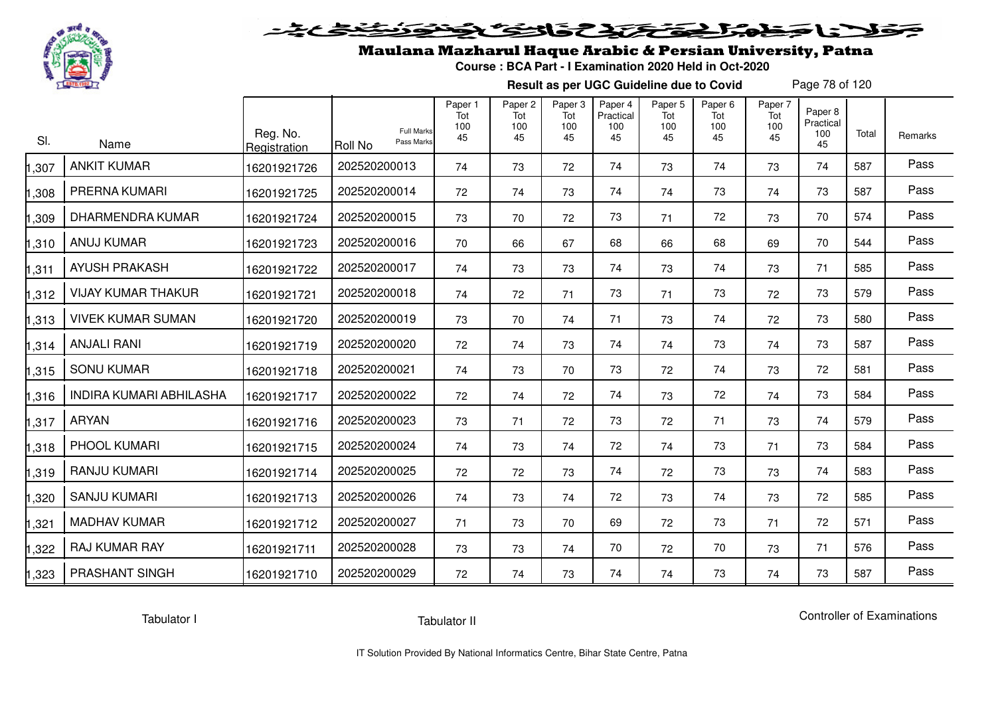

## Maulana Mazharul Haque Arabic & Persian University, Patna

**Course : BCA Part - I Examination 2020 Held in Oct-2020**

**Result as per UGC Guideline due to Covid**

Page 78 of 120

| SI.   | Name                      | Reg. No.<br>Registration | <b>Full Marks</b><br>Pass Marks<br><b>Roll No</b> | Paper 1<br>Tot<br>100<br>45 | Paper <sub>2</sub><br>Tot<br>100<br>45 | Paper <sub>3</sub><br>Tot<br>100<br>45 | Paper 4<br>Practical<br>100<br>45 | Paper 5<br>Tot<br>100<br>45 | Paper <sub>6</sub><br>Tot<br>100<br>45 | Paper 7<br>Tot<br>100<br>45 | Paper <sub>8</sub><br>Practical<br>100<br>45 | Total | Remarks |
|-------|---------------------------|--------------------------|---------------------------------------------------|-----------------------------|----------------------------------------|----------------------------------------|-----------------------------------|-----------------------------|----------------------------------------|-----------------------------|----------------------------------------------|-------|---------|
| ,307  | <b>ANKIT KUMAR</b>        | 16201921726              | 202520200013                                      | 74                          | 73                                     | 72                                     | 74                                | 73                          | 74                                     | 73                          | 74                                           | 587   | Pass    |
| ,308  | PRERNA KUMARI             | 16201921725              | 202520200014                                      | 72                          | 74                                     | 73                                     | 74                                | 74                          | 73                                     | 74                          | 73                                           | 587   | Pass    |
| ,309  | <b>DHARMENDRA KUMAR</b>   | 16201921724              | 202520200015                                      | 73                          | 70                                     | 72                                     | 73                                | 71                          | 72                                     | 73                          | 70                                           | 574   | Pass    |
| ,310  | <b>ANUJ KUMAR</b>         | 16201921723              | 202520200016                                      | 70                          | 66                                     | 67                                     | 68                                | 66                          | 68                                     | 69                          | 70                                           | 544   | Pass    |
| ,311  | <b>AYUSH PRAKASH</b>      | 16201921722              | 202520200017                                      | 74                          | 73                                     | 73                                     | 74                                | 73                          | 74                                     | 73                          | 71                                           | 585   | Pass    |
| ,312  | <b>VIJAY KUMAR THAKUR</b> | 16201921721              | 202520200018                                      | 74                          | 72                                     | 71                                     | 73                                | 71                          | 73                                     | 72                          | 73                                           | 579   | Pass    |
| ,313  | <b>VIVEK KUMAR SUMAN</b>  | 16201921720              | 202520200019                                      | 73                          | 70                                     | 74                                     | 71                                | 73                          | 74                                     | 72                          | 73                                           | 580   | Pass    |
| ,314  | <b>ANJALI RANI</b>        | 16201921719              | 202520200020                                      | 72                          | 74                                     | 73                                     | 74                                | 74                          | 73                                     | 74                          | 73                                           | 587   | Pass    |
| 1,315 | <b>SONU KUMAR</b>         | 16201921718              | 202520200021                                      | 74                          | 73                                     | 70                                     | 73                                | 72                          | 74                                     | 73                          | 72                                           | 581   | Pass    |
| .316  | INDIRA KUMARI ABHILASHA   | 16201921717              | 202520200022                                      | 72                          | 74                                     | 72                                     | 74                                | 73                          | 72                                     | 74                          | 73                                           | 584   | Pass    |
| ,317  | <b>ARYAN</b>              | 16201921716              | 202520200023                                      | 73                          | 71                                     | 72                                     | 73                                | 72                          | 71                                     | 73                          | 74                                           | 579   | Pass    |
| ,318  | PHOOL KUMARI              | 16201921715              | 202520200024                                      | 74                          | 73                                     | 74                                     | 72                                | 74                          | 73                                     | 71                          | 73                                           | 584   | Pass    |
| 1,319 | RANJU KUMARI              | 16201921714              | 202520200025                                      | 72                          | 72                                     | 73                                     | 74                                | 72                          | 73                                     | 73                          | 74                                           | 583   | Pass    |
| ,320  | <b>SANJU KUMARI</b>       | 16201921713              | 202520200026                                      | 74                          | 73                                     | 74                                     | 72                                | 73                          | 74                                     | 73                          | 72                                           | 585   | Pass    |
| ,321  | <b>MADHAV KUMAR</b>       | 16201921712              | 202520200027                                      | 71                          | 73                                     | 70                                     | 69                                | 72                          | 73                                     | 71                          | 72                                           | 571   | Pass    |
| ,322  | <b>RAJ KUMAR RAY</b>      | 16201921711              | 202520200028                                      | 73                          | 73                                     | 74                                     | 70                                | 72                          | 70                                     | 73                          | 71                                           | 576   | Pass    |
| 1,323 | PRASHANT SINGH            | 16201921710              | 202520200029                                      | 72                          | 74                                     | 73                                     | 74                                | 74                          | 73                                     | 74                          | 73                                           | 587   | Pass    |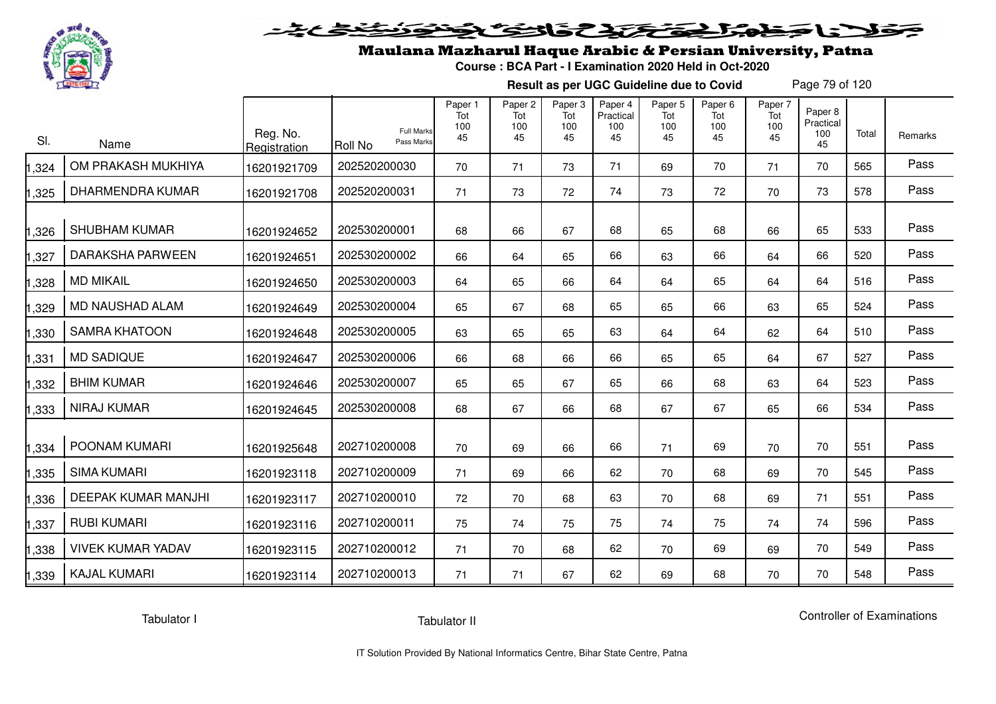

## Maulana Mazharul Haque Arabic & Persian University, Patna

**Course : BCA Part - I Examination 2020 Held in Oct-2020**

**Result as per UGC Guideline due to Covid**

Page 79 of 120

| SI.   | Name                     | Reg. No.<br>Registration | <b>Full Marks</b><br>Pass Marks<br><b>Roll No</b> | Paper 1<br>Tot<br>100<br>45 | Paper <sub>2</sub><br>Tot<br>100<br>45 | Paper <sub>3</sub><br>Tot<br>100<br>45 | Paper 4<br>Practical<br>100<br>45 | Paper <sub>5</sub><br>Tot<br>100<br>45 | Paper <sub>6</sub><br>Tot<br>100<br>45 | Paper 7<br>Tot<br>100<br>45 | Paper 8<br>Practical<br>100<br>45 | Total | Remarks |
|-------|--------------------------|--------------------------|---------------------------------------------------|-----------------------------|----------------------------------------|----------------------------------------|-----------------------------------|----------------------------------------|----------------------------------------|-----------------------------|-----------------------------------|-------|---------|
| ,324  | OM PRAKASH MUKHIYA       | 16201921709              | 202520200030                                      | 70                          | 71                                     | 73                                     | 71                                | 69                                     | 70                                     | 71                          | 70                                | 565   | Pass    |
| ,325  | <b>DHARMENDRA KUMAR</b>  | 16201921708              | 202520200031                                      | 71                          | 73                                     | 72                                     | 74                                | 73                                     | 72                                     | 70                          | 73                                | 578   | Pass    |
| ,326  | <b>SHUBHAM KUMAR</b>     | 16201924652              | 202530200001                                      | 68                          | 66                                     | 67                                     | 68                                | 65                                     | 68                                     | 66                          | 65                                | 533   | Pass    |
| ,327  | <b>DARAKSHA PARWEEN</b>  | 16201924651              | 202530200002                                      | 66                          | 64                                     | 65                                     | 66                                | 63                                     | 66                                     | 64                          | 66                                | 520   | Pass    |
| ,328  | <b>MD MIKAIL</b>         | 16201924650              | 202530200003                                      | 64                          | 65                                     | 66                                     | 64                                | 64                                     | 65                                     | 64                          | 64                                | 516   | Pass    |
| ,329  | MD NAUSHAD ALAM          | 16201924649              | 202530200004                                      | 65                          | 67                                     | 68                                     | 65                                | 65                                     | 66                                     | 63                          | 65                                | 524   | Pass    |
| ,330  | <b>SAMRA KHATOON</b>     | 16201924648              | 202530200005                                      | 63                          | 65                                     | 65                                     | 63                                | 64                                     | 64                                     | 62                          | 64                                | 510   | Pass    |
| ,331  | <b>MD SADIQUE</b>        | 16201924647              | 202530200006                                      | 66                          | 68                                     | 66                                     | 66                                | 65                                     | 65                                     | 64                          | 67                                | 527   | Pass    |
| ,332  | <b>BHIM KUMAR</b>        | 16201924646              | 202530200007                                      | 65                          | 65                                     | 67                                     | 65                                | 66                                     | 68                                     | 63                          | 64                                | 523   | Pass    |
| ,333  | <b>NIRAJ KUMAR</b>       | 16201924645              | 202530200008                                      | 68                          | 67                                     | 66                                     | 68                                | 67                                     | 67                                     | 65                          | 66                                | 534   | Pass    |
| ,334  | POONAM KUMARI            | 16201925648              | 202710200008                                      | 70                          | 69                                     | 66                                     | 66                                | 71                                     | 69                                     | 70                          | 70                                | 551   | Pass    |
| ,335  | <b>SIMA KUMARI</b>       | 16201923118              | 202710200009                                      | 71                          | 69                                     | 66                                     | 62                                | 70                                     | 68                                     | 69                          | 70                                | 545   | Pass    |
| ,336  | DEEPAK KUMAR MANJHI      | 16201923117              | 202710200010                                      | 72                          | 70                                     | 68                                     | 63                                | 70                                     | 68                                     | 69                          | 71                                | 551   | Pass    |
| ,337  | <b>RUBI KUMARI</b>       | 16201923116              | 202710200011                                      | 75                          | 74                                     | 75                                     | 75                                | 74                                     | 75                                     | 74                          | 74                                | 596   | Pass    |
| ,338  | <b>VIVEK KUMAR YADAV</b> | 16201923115              | 202710200012                                      | 71                          | 70                                     | 68                                     | 62                                | 70                                     | 69                                     | 69                          | 70                                | 549   | Pass    |
| 1,339 | <b>KAJAL KUMARI</b>      | 16201923114              | 202710200013                                      | 71                          | 71                                     | 67                                     | 62                                | 69                                     | 68                                     | 70                          | 70                                | 548   | Pass    |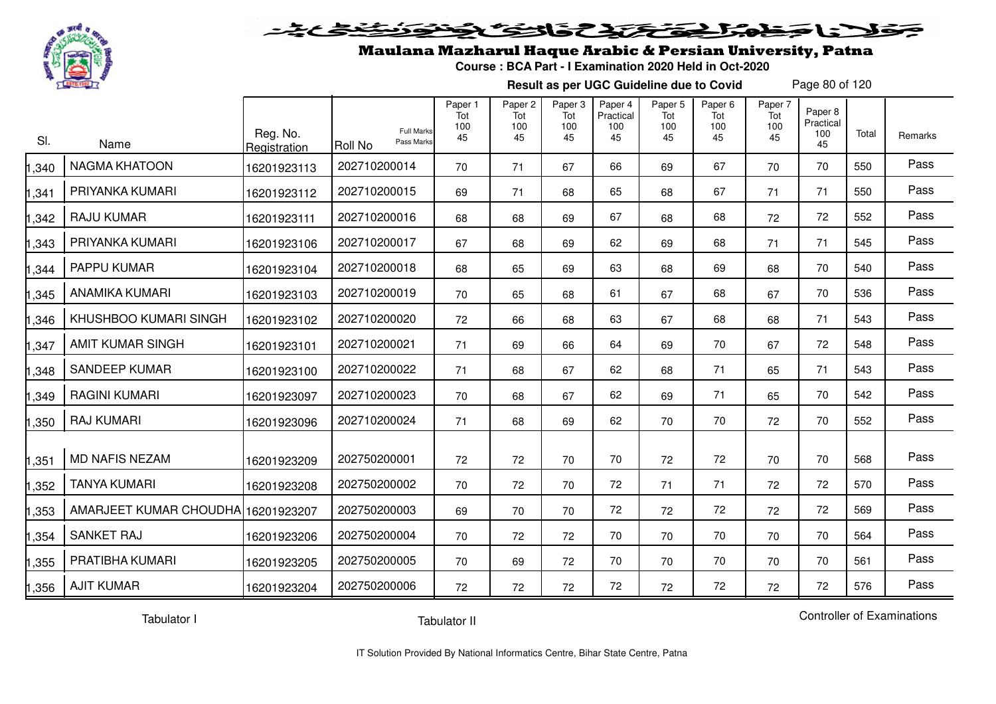

#### 20202222325.0  $\blacktriangleright$   $\blacktriangleright$   $\blacktriangleright$

## Maulana Mazharul Haque Arabic & Persian University, Patna

**Course : BCA Part - I Examination 2020 Held in Oct-2020**

**Result as per UGC Guideline due to Covid**

Page 80 of 120

| SI.   | Name                               | Reg. No.<br>Registration | <b>Full Marks</b><br>Pass Marks<br>Roll No | Paper 1<br>Tot<br>100<br>45 | Paper 2<br>Tot<br>100<br>45 | Paper 3<br>Tot<br>100<br>45 | Paper 4<br>Practical<br>100<br>45 | Paper 5<br>Tot<br>100<br>45 | Paper 6<br>Tot<br>100<br>45 | Paper 7<br>Tot<br>100<br>45 | Paper 8<br>Practical<br>100<br>45 | Total | Remarks |
|-------|------------------------------------|--------------------------|--------------------------------------------|-----------------------------|-----------------------------|-----------------------------|-----------------------------------|-----------------------------|-----------------------------|-----------------------------|-----------------------------------|-------|---------|
| ,340  | <b>NAGMA KHATOON</b>               | 16201923113              | 202710200014                               | 70                          | 71                          | 67                          | 66                                | 69                          | 67                          | 70                          | 70                                | 550   | Pass    |
| ,341  | PRIYANKA KUMARI                    | 16201923112              | 202710200015                               | 69                          | 71                          | 68                          | 65                                | 68                          | 67                          | 71                          | 71                                | 550   | Pass    |
| ,342  | <b>RAJU KUMAR</b>                  | 16201923111              | 202710200016                               | 68                          | 68                          | 69                          | 67                                | 68                          | 68                          | 72                          | 72                                | 552   | Pass    |
| ,343  | PRIYANKA KUMARI                    | 16201923106              | 202710200017                               | 67                          | 68                          | 69                          | 62                                | 69                          | 68                          | 71                          | 71                                | 545   | Pass    |
| ,344  | PAPPU KUMAR                        | 16201923104              | 202710200018                               | 68                          | 65                          | 69                          | 63                                | 68                          | 69                          | 68                          | 70                                | 540   | Pass    |
| ,345  | <b>ANAMIKA KUMARI</b>              | 16201923103              | 202710200019                               | 70                          | 65                          | 68                          | 61                                | 67                          | 68                          | 67                          | 70                                | 536   | Pass    |
| ,346  | KHUSHBOO KUMARI SINGH              | 16201923102              | 202710200020                               | 72                          | 66                          | 68                          | 63                                | 67                          | 68                          | 68                          | 71                                | 543   | Pass    |
| ,347  | <b>AMIT KUMAR SINGH</b>            | 16201923101              | 202710200021                               | 71                          | 69                          | 66                          | 64                                | 69                          | 70                          | 67                          | 72                                | 548   | Pass    |
| ,348  | <b>SANDEEP KUMAR</b>               | 16201923100              | 202710200022                               | 71                          | 68                          | 67                          | 62                                | 68                          | 71                          | 65                          | 71                                | 543   | Pass    |
| ,349  | <b>RAGINI KUMARI</b>               | 16201923097              | 202710200023                               | 70                          | 68                          | 67                          | 62                                | 69                          | 71                          | 65                          | 70                                | 542   | Pass    |
| ,350  | <b>RAJ KUMARI</b>                  | 16201923096              | 202710200024                               | 71                          | 68                          | 69                          | 62                                | 70                          | 70                          | 72                          | 70                                | 552   | Pass    |
| ,351  | <b>MD NAFIS NEZAM</b>              | 16201923209              | 202750200001                               | 72                          | 72                          | 70                          | 70                                | 72                          | 72                          | 70                          | 70                                | 568   | Pass    |
| ,352  | <b>TANYA KUMARI</b>                | 16201923208              | 202750200002                               | 70                          | 72                          | 70                          | 72                                | 71                          | 71                          | 72                          | 72                                | 570   | Pass    |
| ,353  | AMARJEET KUMAR CHOUDHA 16201923207 |                          | 202750200003                               | 69                          | 70                          | 70                          | 72                                | 72                          | 72                          | 72                          | 72                                | 569   | Pass    |
| ,354  | <b>SANKET RAJ</b>                  | 16201923206              | 202750200004                               | 70                          | 72                          | 72                          | 70                                | 70                          | 70                          | 70                          | 70                                | 564   | Pass    |
| ,355  | PRATIBHA KUMARI                    | 16201923205              | 202750200005                               | 70                          | 69                          | 72                          | 70                                | 70                          | 70                          | 70                          | 70                                | 561   | Pass    |
| 1,356 | <b>AJIT KUMAR</b>                  | 16201923204              | 202750200006                               | 72                          | 72                          | 72                          | 72                                | 72                          | 72                          | 72                          | 72                                | 576   | Pass    |

Tabulator I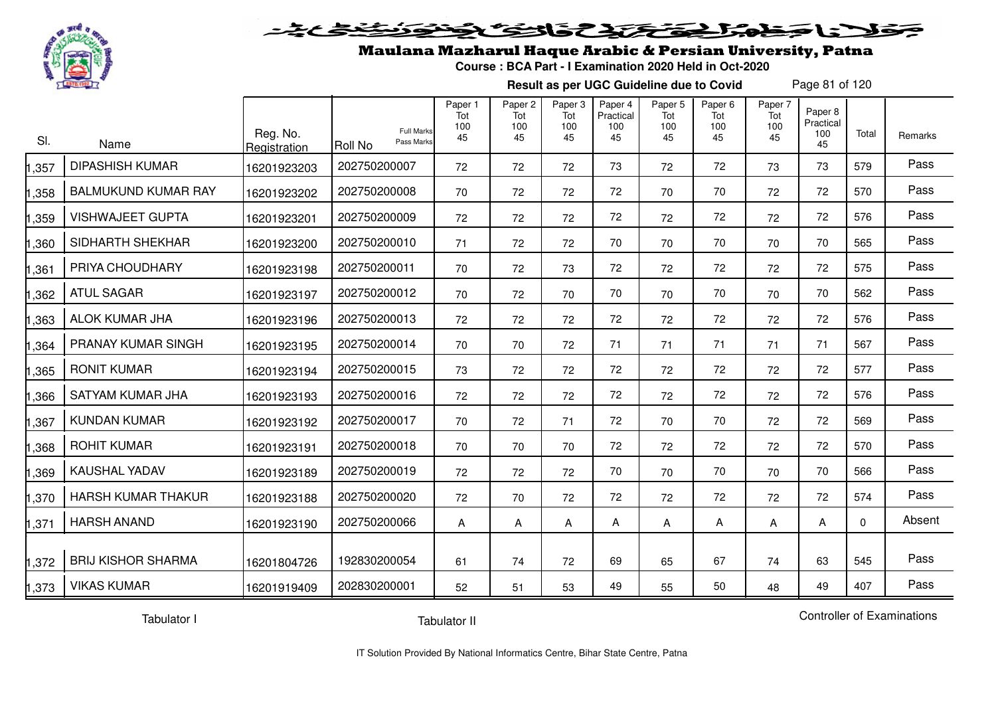

#### 20202222325.0  $\blacktriangleright$   $\blacktriangleright$   $\blacktriangleright$

## Maulana Mazharul Haque Arabic & Persian University, Patna

**Course : BCA Part - I Examination 2020 Held in Oct-2020**

**Result as per UGC Guideline due to Covid**

Page 81 of 120

| SI.  | Name                       | Reg. No.<br>Registration | <b>Full Marks</b><br>Pass Marks<br>Roll No | Paper 1<br>Tot<br>100<br>45 | Paper <sub>2</sub><br>Tot<br>100<br>45 | Paper 3<br>Tot<br>100<br>45 | Paper 4<br>Practical<br>100<br>45 | Paper 5<br>Tot<br>100<br>45 | Paper <sub>6</sub><br>Tot<br>100<br>45 | Paper 7<br>Tot<br>100<br>45 | Paper 8<br>Practical<br>100<br>45 | Total    | Remarks |
|------|----------------------------|--------------------------|--------------------------------------------|-----------------------------|----------------------------------------|-----------------------------|-----------------------------------|-----------------------------|----------------------------------------|-----------------------------|-----------------------------------|----------|---------|
| ,357 | <b>DIPASHISH KUMAR</b>     | 16201923203              | 202750200007                               | 72                          | 72                                     | 72                          | 73                                | 72                          | 72                                     | 73                          | 73                                | 579      | Pass    |
| ,358 | <b>BALMUKUND KUMAR RAY</b> | 16201923202              | 202750200008                               | 70                          | 72                                     | 72                          | 72                                | 70                          | 70                                     | 72                          | 72                                | 570      | Pass    |
| ,359 | <b>VISHWAJEET GUPTA</b>    | 16201923201              | 202750200009                               | 72                          | 72                                     | 72                          | 72                                | 72                          | 72                                     | 72                          | 72                                | 576      | Pass    |
| ,360 | SIDHARTH SHEKHAR           | 16201923200              | 202750200010                               | 71                          | 72                                     | 72                          | 70                                | 70                          | 70                                     | 70                          | 70                                | 565      | Pass    |
| ,361 | PRIYA CHOUDHARY            | 16201923198              | 202750200011                               | 70                          | 72                                     | 73                          | 72                                | 72                          | 72                                     | 72                          | 72                                | 575      | Pass    |
| ,362 | <b>ATUL SAGAR</b>          | 16201923197              | 202750200012                               | 70                          | 72                                     | 70                          | 70                                | 70                          | 70                                     | 70                          | 70                                | 562      | Pass    |
| ,363 | ALOK KUMAR JHA             | 16201923196              | 202750200013                               | 72                          | 72                                     | 72                          | 72                                | 72                          | 72                                     | 72                          | 72                                | 576      | Pass    |
| ,364 | PRANAY KUMAR SINGH         | 16201923195              | 202750200014                               | 70                          | 70                                     | 72                          | 71                                | 71                          | 71                                     | 71                          | 71                                | 567      | Pass    |
| ,365 | <b>RONIT KUMAR</b>         | 16201923194              | 202750200015                               | 73                          | 72                                     | 72                          | 72                                | 72                          | 72                                     | 72                          | 72                                | 577      | Pass    |
| ,366 | SATYAM KUMAR JHA           | 16201923193              | 202750200016                               | 72                          | 72                                     | 72                          | 72                                | 72                          | 72                                     | 72                          | 72                                | 576      | Pass    |
| ,367 | <b>KUNDAN KUMAR</b>        | 16201923192              | 202750200017                               | 70                          | 72                                     | 71                          | 72                                | 70                          | 70                                     | 72                          | 72                                | 569      | Pass    |
| ,368 | <b>ROHIT KUMAR</b>         | 16201923191              | 202750200018                               | 70                          | 70                                     | 70                          | 72                                | 72                          | 72                                     | 72                          | 72                                | 570      | Pass    |
| ,369 | KAUSHAL YADAV              | 16201923189              | 202750200019                               | 72                          | 72                                     | 72                          | 70                                | 70                          | 70                                     | 70                          | 70                                | 566      | Pass    |
| ,370 | <b>HARSH KUMAR THAKUR</b>  | 16201923188              | 202750200020                               | 72                          | 70                                     | 72                          | 72                                | 72                          | 72                                     | 72                          | 72                                | 574      | Pass    |
| ,371 | <b>HARSH ANAND</b>         | 16201923190              | 202750200066                               | A                           | Α                                      | A                           | A                                 | Α                           | А                                      | A                           | Α                                 | $\Omega$ | Absent  |
| ,372 | <b>BRIJ KISHOR SHARMA</b>  | 16201804726              | 192830200054                               | 61                          | 74                                     | 72                          | 69                                | 65                          | 67                                     | 74                          | 63                                | 545      | Pass    |
| ,373 | <b>VIKAS KUMAR</b>         | 16201919409              | 202830200001                               | 52                          | 51                                     | 53                          | 49                                | 55                          | 50                                     | 48                          | 49                                | 407      | Pass    |

Tabulator I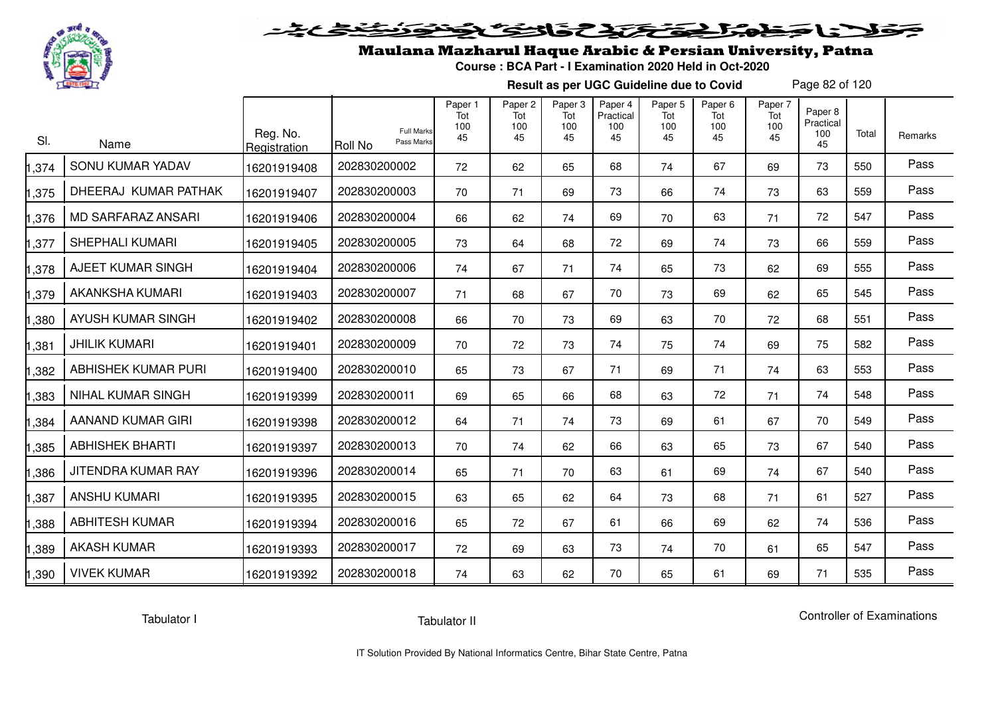

# فلأناخض المتحقح كتحافظ

## Maulana Mazharul Haque Arabic & Persian University, Patna

**Course : BCA Part - I Examination 2020 Held in Oct-2020**

**Result as per UGC Guideline due to Covid**

Page 82 of 120

| SI.   | Name                      | Reg. No.<br>Registration | <b>Full Marks</b><br>Pass Marks<br>Roll No | Paper 1<br>Tot<br>100<br>45 | Paper <sub>2</sub><br>Tot<br>100<br>45 | Paper <sub>3</sub><br>Tot<br>100<br>45 | Paper 4<br>Practical<br>100<br>45 | Paper <sub>5</sub><br>Tot<br>100<br>45 | Paper <sub>6</sub><br>Tot<br>100<br>45 | Paper 7<br>Tot<br>100<br>45 | Paper 8<br>Practical<br>100<br>45 | Total | Remarks |
|-------|---------------------------|--------------------------|--------------------------------------------|-----------------------------|----------------------------------------|----------------------------------------|-----------------------------------|----------------------------------------|----------------------------------------|-----------------------------|-----------------------------------|-------|---------|
| ,374  | SONU KUMAR YADAV          | 16201919408              | 202830200002                               | 72                          | 62                                     | 65                                     | 68                                | 74                                     | 67                                     | 69                          | 73                                | 550   | Pass    |
| ,375  | DHEERAJ KUMAR PATHAK      | 16201919407              | 202830200003                               | 70                          | 71                                     | 69                                     | 73                                | 66                                     | 74                                     | 73                          | 63                                | 559   | Pass    |
| ,376  | <b>MD SARFARAZ ANSARI</b> | 16201919406              | 202830200004                               | 66                          | 62                                     | 74                                     | 69                                | 70                                     | 63                                     | 71                          | 72                                | 547   | Pass    |
| ,377  | <b>SHEPHALI KUMARI</b>    | 16201919405              | 202830200005                               | 73                          | 64                                     | 68                                     | 72                                | 69                                     | 74                                     | 73                          | 66                                | 559   | Pass    |
| ,378  | AJEET KUMAR SINGH         | 16201919404              | 202830200006                               | 74                          | 67                                     | 71                                     | 74                                | 65                                     | 73                                     | 62                          | 69                                | 555   | Pass    |
| ,379  | <b>AKANKSHA KUMARI</b>    | 16201919403              | 202830200007                               | 71                          | 68                                     | 67                                     | 70                                | 73                                     | 69                                     | 62                          | 65                                | 545   | Pass    |
| ,380  | AYUSH KUMAR SINGH         | 16201919402              | 202830200008                               | 66                          | 70                                     | 73                                     | 69                                | 63                                     | 70                                     | 72                          | 68                                | 551   | Pass    |
| ,381  | <b>JHILIK KUMARI</b>      | 16201919401              | 202830200009                               | 70                          | 72                                     | 73                                     | 74                                | 75                                     | 74                                     | 69                          | 75                                | 582   | Pass    |
| ,382  | ABHISHEK KUMAR PURI       | 16201919400              | 202830200010                               | 65                          | 73                                     | 67                                     | 71                                | 69                                     | 71                                     | 74                          | 63                                | 553   | Pass    |
| ,383  | <b>NIHAL KUMAR SINGH</b>  | 16201919399              | 202830200011                               | 69                          | 65                                     | 66                                     | 68                                | 63                                     | 72                                     | 71                          | 74                                | 548   | Pass    |
| ,384  | AANAND KUMAR GIRI         | 16201919398              | 202830200012                               | 64                          | 71                                     | 74                                     | 73                                | 69                                     | 61                                     | 67                          | 70                                | 549   | Pass    |
| ,385  | <b>ABHISHEK BHARTI</b>    | 16201919397              | 202830200013                               | 70                          | 74                                     | 62                                     | 66                                | 63                                     | 65                                     | 73                          | 67                                | 540   | Pass    |
| ,386  | JITENDRA KUMAR RAY        | 16201919396              | 202830200014                               | 65                          | 71                                     | 70                                     | 63                                | 61                                     | 69                                     | 74                          | 67                                | 540   | Pass    |
| ,387  | <b>ANSHU KUMARI</b>       | 16201919395              | 202830200015                               | 63                          | 65                                     | 62                                     | 64                                | 73                                     | 68                                     | 71                          | 61                                | 527   | Pass    |
| ,388  | <b>ABHITESH KUMAR</b>     | 16201919394              | 202830200016                               | 65                          | 72                                     | 67                                     | 61                                | 66                                     | 69                                     | 62                          | 74                                | 536   | Pass    |
| ,389  | <b>AKASH KUMAR</b>        | 16201919393              | 202830200017                               | 72                          | 69                                     | 63                                     | 73                                | 74                                     | 70                                     | 61                          | 65                                | 547   | Pass    |
| 1,390 | <b>VIVEK KUMAR</b>        | 16201919392              | 202830200018                               | 74                          | 63                                     | 62                                     | 70                                | 65                                     | 61                                     | 69                          | 71                                | 535   | Pass    |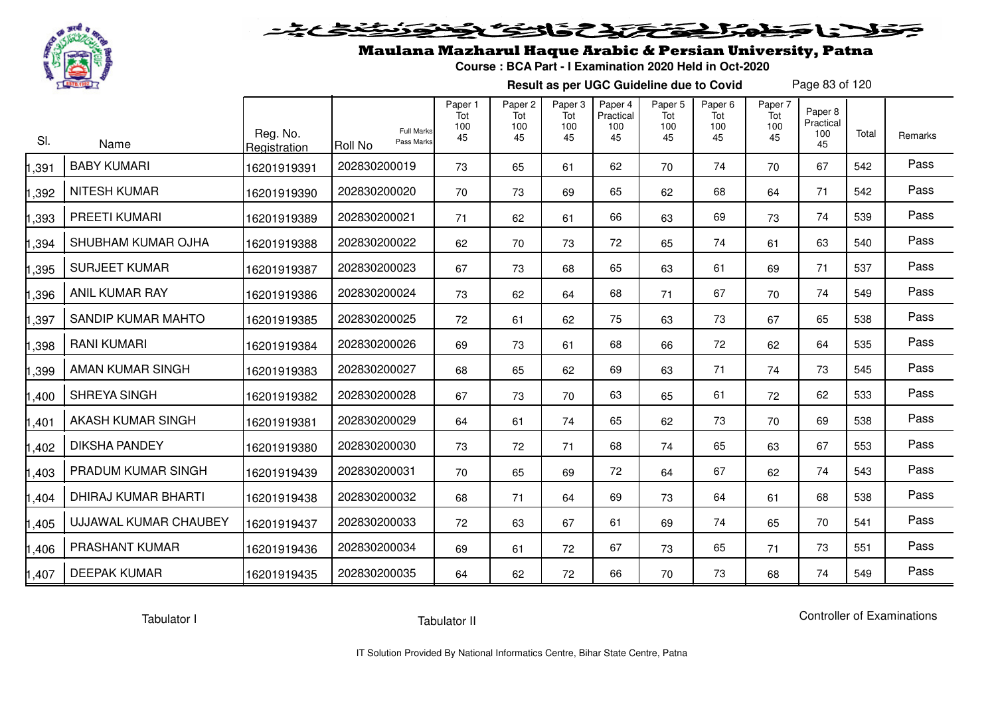

## Maulana Mazharul Haque Arabic & Persian University, Patna

**Course : BCA Part - I Examination 2020 Held in Oct-2020**

**Result as per UGC Guideline due to Covid**

Page 83 of 120

| SI.   | Name                  | Reg. No.<br>Registration | <b>Full Marks</b><br>Pass Marks<br>Roll No | Paper 1<br>Tot<br>100<br>45 | Paper <sub>2</sub><br>Tot<br>100<br>45 | Paper <sub>3</sub><br>Tot<br>100<br>45 | Paper 4<br>Practical<br>100<br>45 | Paper 5<br>Tot<br>100<br>45 | Paper <sub>6</sub><br>Tot<br>100<br>45 | Paper 7<br>Tot<br>100<br>45 | Paper 8<br>Practical<br>100<br>45 | Total | Remarks |
|-------|-----------------------|--------------------------|--------------------------------------------|-----------------------------|----------------------------------------|----------------------------------------|-----------------------------------|-----------------------------|----------------------------------------|-----------------------------|-----------------------------------|-------|---------|
| ,391  | <b>BABY KUMARI</b>    | 16201919391              | 202830200019                               | 73                          | 65                                     | 61                                     | 62                                | 70                          | 74                                     | 70                          | 67                                | 542   | Pass    |
| ,392  | <b>NITESH KUMAR</b>   | 16201919390              | 202830200020                               | 70                          | 73                                     | 69                                     | 65                                | 62                          | 68                                     | 64                          | 71                                | 542   | Pass    |
| ,393  | PREETI KUMARI         | 16201919389              | 202830200021                               | 71                          | 62                                     | 61                                     | 66                                | 63                          | 69                                     | 73                          | 74                                | 539   | Pass    |
| ,394  | SHUBHAM KUMAR OJHA    | 16201919388              | 202830200022                               | 62                          | 70                                     | 73                                     | 72                                | 65                          | 74                                     | 61                          | 63                                | 540   | Pass    |
| ,395  | <b>SURJEET KUMAR</b>  | 16201919387              | 202830200023                               | 67                          | 73                                     | 68                                     | 65                                | 63                          | 61                                     | 69                          | 71                                | 537   | Pass    |
| ,396  | <b>ANIL KUMAR RAY</b> | 16201919386              | 202830200024                               | 73                          | 62                                     | 64                                     | 68                                | 71                          | 67                                     | 70                          | 74                                | 549   | Pass    |
| ,397  | SANDIP KUMAR MAHTO    | 16201919385              | 202830200025                               | 72                          | 61                                     | 62                                     | 75                                | 63                          | 73                                     | 67                          | 65                                | 538   | Pass    |
| ,398  | <b>RANI KUMARI</b>    | 16201919384              | 202830200026                               | 69                          | 73                                     | 61                                     | 68                                | 66                          | 72                                     | 62                          | 64                                | 535   | Pass    |
| ,399  | AMAN KUMAR SINGH      | 16201919383              | 202830200027                               | 68                          | 65                                     | 62                                     | 69                                | 63                          | 71                                     | 74                          | 73                                | 545   | Pass    |
| ,400  | SHREYA SINGH          | 16201919382              | 202830200028                               | 67                          | 73                                     | 70                                     | 63                                | 65                          | 61                                     | 72                          | 62                                | 533   | Pass    |
| ,401  | AKASH KUMAR SINGH     | 16201919381              | 202830200029                               | 64                          | 61                                     | 74                                     | 65                                | 62                          | 73                                     | 70                          | 69                                | 538   | Pass    |
| ,402  | <b>DIKSHA PANDEY</b>  | 16201919380              | 202830200030                               | 73                          | 72                                     | 71                                     | 68                                | 74                          | 65                                     | 63                          | 67                                | 553   | Pass    |
| ,403  | PRADUM KUMAR SINGH    | 16201919439              | 202830200031                               | 70                          | 65                                     | 69                                     | 72                                | 64                          | 67                                     | 62                          | 74                                | 543   | Pass    |
| ,404  | DHIRAJ KUMAR BHARTI   | 16201919438              | 202830200032                               | 68                          | 71                                     | 64                                     | 69                                | 73                          | 64                                     | 61                          | 68                                | 538   | Pass    |
| ,405  | UJJAWAL KUMAR CHAUBEY | 16201919437              | 202830200033                               | 72                          | 63                                     | 67                                     | 61                                | 69                          | 74                                     | 65                          | 70                                | 541   | Pass    |
| ,406  | PRASHANT KUMAR        | 16201919436              | 202830200034                               | 69                          | 61                                     | 72                                     | 67                                | 73                          | 65                                     | 71                          | 73                                | 551   | Pass    |
| 1,407 | <b>DEEPAK KUMAR</b>   | 16201919435              | 202830200035                               | 64                          | 62                                     | 72                                     | 66                                | 70                          | 73                                     | 68                          | 74                                | 549   | Pass    |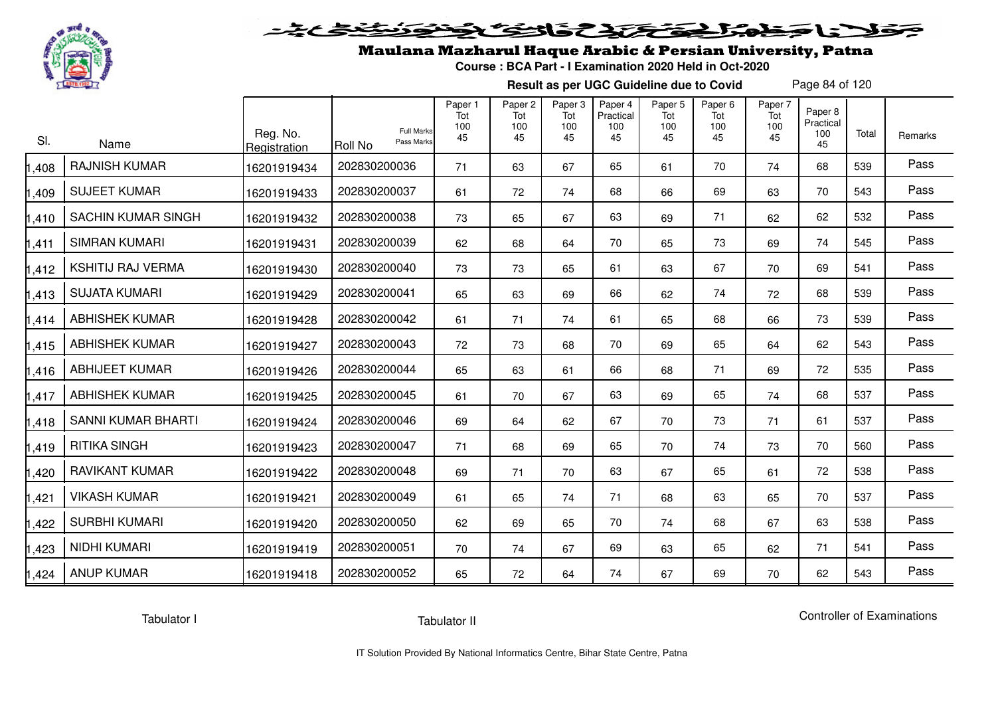

# فلأناخض المتحقح كتحافظ

### Maulana Mazharul Haque Arabic & Persian University, Patna

**Course : BCA Part - I Examination 2020 Held in Oct-2020**

**Result as per UGC Guideline due to Covid**

Page 84 of 120

| SI.   | Name                      | Reg. No.<br>Registration | <b>Roll No</b> | Paper 1<br>Tot<br>100<br><b>Full Marks</b><br>45<br>Pass Marks | Paper 2<br>Tot<br>100<br>45 | Paper 3<br>Tot<br>100<br>45 | Paper 4<br>Practical<br>100<br>45 | Paper <sub>5</sub><br>Tot<br>100<br>45 | Paper <sub>6</sub><br>Tot<br>100<br>45 | Paper 7<br>Tot<br>100<br>45 | Paper 8<br>Practical<br>100<br>45 | Total | Remarks |
|-------|---------------------------|--------------------------|----------------|----------------------------------------------------------------|-----------------------------|-----------------------------|-----------------------------------|----------------------------------------|----------------------------------------|-----------------------------|-----------------------------------|-------|---------|
| 1,408 | <b>RAJNISH KUMAR</b>      | 16201919434              | 202830200036   | 71                                                             | 63                          | 67                          | 65                                | 61                                     | 70                                     | 74                          | 68                                | 539   | Pass    |
| 1,409 | <b>SUJEET KUMAR</b>       | 16201919433              | 202830200037   | 61                                                             | 72                          | 74                          | 68                                | 66                                     | 69                                     | 63                          | 70                                | 543   | Pass    |
| 1,410 | <b>SACHIN KUMAR SINGH</b> | 16201919432              | 202830200038   | 73                                                             | 65                          | 67                          | 63                                | 69                                     | 71                                     | 62                          | 62                                | 532   | Pass    |
| 1,411 | <b>SIMRAN KUMARI</b>      | 16201919431              | 202830200039   | 62                                                             | 68                          | 64                          | 70                                | 65                                     | 73                                     | 69                          | 74                                | 545   | Pass    |
| 1,412 | <b>KSHITIJ RAJ VERMA</b>  | 16201919430              | 202830200040   | 73                                                             | 73                          | 65                          | 61                                | 63                                     | 67                                     | 70                          | 69                                | 541   | Pass    |
| 1,413 | <b>SUJATA KUMARI</b>      | 16201919429              | 202830200041   | 65                                                             | 63                          | 69                          | 66                                | 62                                     | 74                                     | 72                          | 68                                | 539   | Pass    |
| 1,414 | <b>ABHISHEK KUMAR</b>     | 16201919428              | 202830200042   | 61                                                             | 71                          | 74                          | 61                                | 65                                     | 68                                     | 66                          | 73                                | 539   | Pass    |
| 1,415 | <b>ABHISHEK KUMAR</b>     | 16201919427              | 202830200043   | 72                                                             | 73                          | 68                          | 70                                | 69                                     | 65                                     | 64                          | 62                                | 543   | Pass    |
| 1,416 | <b>ABHIJEET KUMAR</b>     | 16201919426              | 202830200044   | 65                                                             | 63                          | 61                          | 66                                | 68                                     | 71                                     | 69                          | 72                                | 535   | Pass    |
| 1,417 | <b>ABHISHEK KUMAR</b>     | 16201919425              | 202830200045   | 61                                                             | 70                          | 67                          | 63                                | 69                                     | 65                                     | 74                          | 68                                | 537   | Pass    |
| 1,418 | SANNI KUMAR BHARTI        | 16201919424              | 202830200046   | 69                                                             | 64                          | 62                          | 67                                | 70                                     | 73                                     | 71                          | 61                                | 537   | Pass    |
| 1,419 | <b>RITIKA SINGH</b>       | 16201919423              | 202830200047   | 71                                                             | 68                          | 69                          | 65                                | 70                                     | 74                                     | 73                          | 70                                | 560   | Pass    |
| 1,420 | <b>RAVIKANT KUMAR</b>     | 16201919422              | 202830200048   | 69                                                             | 71                          | 70                          | 63                                | 67                                     | 65                                     | 61                          | 72                                | 538   | Pass    |
| 1,421 | <b>VIKASH KUMAR</b>       | 16201919421              | 202830200049   | 61                                                             | 65                          | 74                          | 71                                | 68                                     | 63                                     | 65                          | 70                                | 537   | Pass    |
| 1,422 | <b>SURBHI KUMARI</b>      | 16201919420              | 202830200050   | 62                                                             | 69                          | 65                          | 70                                | 74                                     | 68                                     | 67                          | 63                                | 538   | Pass    |
| 1,423 | NIDHI KUMARI              | 16201919419              | 202830200051   | 70                                                             | 74                          | 67                          | 69                                | 63                                     | 65                                     | 62                          | 71                                | 541   | Pass    |
| 1,424 | <b>ANUP KUMAR</b>         | 16201919418              | 202830200052   | 65                                                             | 72                          | 64                          | 74                                | 67                                     | 69                                     | 70                          | 62                                | 543   | Pass    |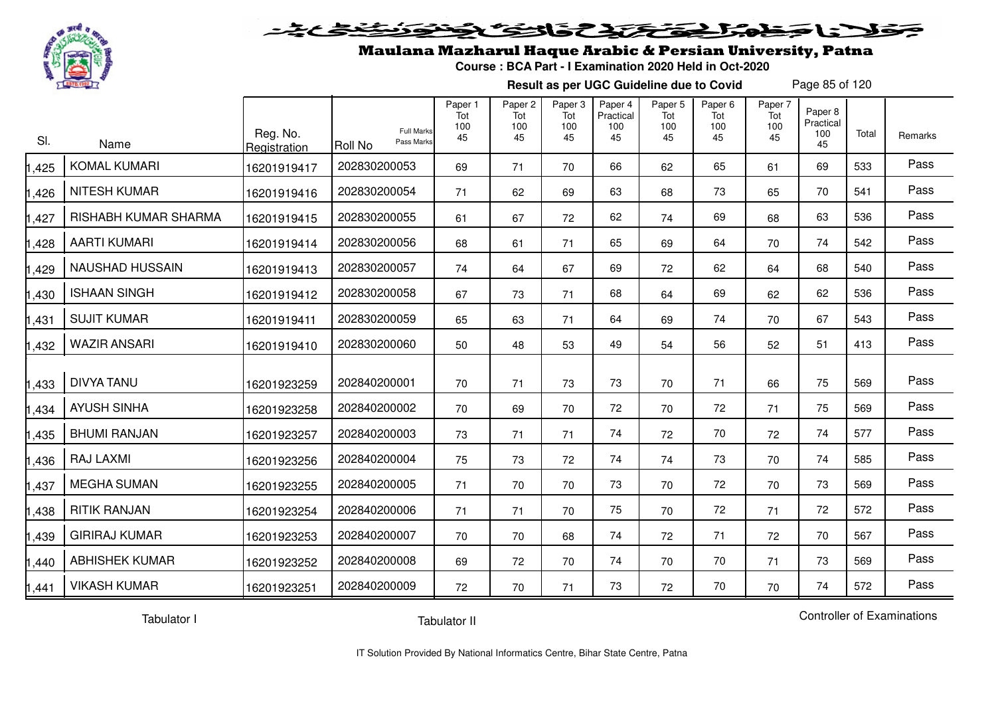

#### فتحتحك فالحقا  $\blacktriangleright$  15  $\blacktriangleright$

### Maulana Mazharul Haque Arabic & Persian University, Patna

**Course : BCA Part - I Examination 2020 Held in Oct-2020**

**Result as per UGC Guideline due to Covid**

Page 85 of 120

| SI.   | Name                   | Reg. No.<br>Registration | Pass Marks<br><b>Roll No</b> | Paper 1<br>Tot<br>100<br><b>Full Marks</b><br>45 | Paper 2<br>Tot<br>100<br>45 | Paper 3<br>Tot<br>100<br>45 | Paper 4<br>Practical<br>100<br>45 | Paper 5<br>Tot<br>100<br>45 | Paper 6<br>Tot<br>100<br>45 | Paper 7<br>Tot<br>100<br>45 | Paper 8<br>Practical<br>100<br>45 | Total | Remarks |
|-------|------------------------|--------------------------|------------------------------|--------------------------------------------------|-----------------------------|-----------------------------|-----------------------------------|-----------------------------|-----------------------------|-----------------------------|-----------------------------------|-------|---------|
| 1,425 | <b>KOMAL KUMARI</b>    | 16201919417              | 202830200053                 | 69                                               | 71                          | 70                          | 66                                | 62                          | 65                          | 61                          | 69                                | 533   | Pass    |
| 1,426 | NITESH KUMAR           | 16201919416              | 202830200054                 | 71                                               | 62                          | 69                          | 63                                | 68                          | 73                          | 65                          | 70                                | 541   | Pass    |
| 1,427 | RISHABH KUMAR SHARMA   | 16201919415              | 202830200055                 | 61                                               | 67                          | 72                          | 62                                | 74                          | 69                          | 68                          | 63                                | 536   | Pass    |
| 1,428 | <b>AARTI KUMARI</b>    | 16201919414              | 202830200056                 | 68                                               | 61                          | 71                          | 65                                | 69                          | 64                          | 70                          | 74                                | 542   | Pass    |
| 1,429 | <b>NAUSHAD HUSSAIN</b> | 16201919413              | 202830200057                 | 74                                               | 64                          | 67                          | 69                                | 72                          | 62                          | 64                          | 68                                | 540   | Pass    |
| 1,430 | <b>ISHAAN SINGH</b>    | 16201919412              | 202830200058                 | 67                                               | 73                          | 71                          | 68                                | 64                          | 69                          | 62                          | 62                                | 536   | Pass    |
| 1,431 | <b>SUJIT KUMAR</b>     | 16201919411              | 202830200059                 | 65                                               | 63                          | 71                          | 64                                | 69                          | 74                          | 70                          | 67                                | 543   | Pass    |
| 1,432 | <b>WAZIR ANSARI</b>    | 16201919410              | 202830200060                 | 50                                               | 48                          | 53                          | 49                                | 54                          | 56                          | 52                          | 51                                | 413   | Pass    |
| 1,433 | <b>DIVYA TANU</b>      | 16201923259              | 202840200001                 | 70                                               | 71                          | 73                          | 73                                | 70                          | 71                          | 66                          | 75                                | 569   | Pass    |
| 1,434 | <b>AYUSH SINHA</b>     | 16201923258              | 202840200002                 | 70                                               | 69                          | 70                          | 72                                | 70                          | 72                          | 71                          | 75                                | 569   | Pass    |
| 1,435 | <b>BHUMI RANJAN</b>    | 16201923257              | 202840200003                 | 73                                               | 71                          | 71                          | 74                                | 72                          | 70                          | 72                          | 74                                | 577   | Pass    |
| 1,436 | <b>RAJ LAXMI</b>       | 16201923256              | 202840200004                 | 75                                               | 73                          | 72                          | 74                                | 74                          | 73                          | 70                          | 74                                | 585   | Pass    |
| 1,437 | <b>MEGHA SUMAN</b>     | 16201923255              | 202840200005                 | 71                                               | 70                          | 70                          | 73                                | 70                          | 72                          | 70                          | 73                                | 569   | Pass    |
| 1,438 | <b>RITIK RANJAN</b>    | 16201923254              | 202840200006                 | 71                                               | 71                          | 70                          | 75                                | 70                          | 72                          | 71                          | 72                                | 572   | Pass    |
| 1,439 | <b>GIRIRAJ KUMAR</b>   | 16201923253              | 202840200007                 | 70                                               | 70                          | 68                          | 74                                | 72                          | 71                          | 72                          | 70                                | 567   | Pass    |
| 1,440 | <b>ABHISHEK KUMAR</b>  | 16201923252              | 202840200008                 | 69                                               | 72                          | 70                          | 74                                | 70                          | 70                          | 71                          | 73                                | 569   | Pass    |
| 1,441 | <b>VIKASH KUMAR</b>    | 16201923251              | 202840200009                 | 72                                               | 70                          | 71                          | 73                                | 72                          | 70                          | 70                          | 74                                | 572   | Pass    |

Tabulator I

Tabulator II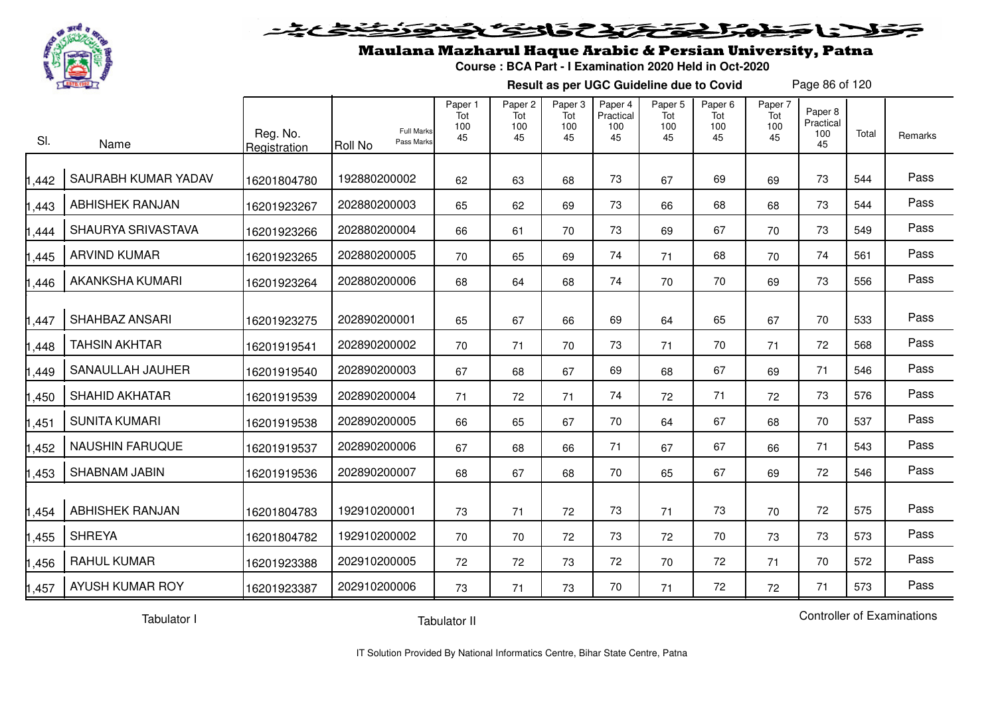

#### فتحتح تخافض  $\blacktriangleright$  15  $\blacktriangleright$

## Maulana Mazharul Haque Arabic & Persian University, Patna

**Course : BCA Part - I Examination 2020 Held in Oct-2020**

**Result as per UGC Guideline due to Covid**

Page 86 of 120

| SI.   | Name                   | Reg. No.<br>Registration | <b>Full Marks</b><br>Pass Marks<br>Roll No | Paper 1<br>Tot<br>100<br>45 | Paper 2<br>Tot<br>100<br>45 | Paper 3<br>Tot<br>100<br>45 | Paper 4<br>Practical<br>100<br>45 | Paper 5<br>Tot<br>100<br>45 | Paper 6<br>Tot<br>100<br>45 | Paper 7<br>Tot<br>100<br>45 | Paper 8<br>Practical<br>100<br>45 | Total | Remarks |
|-------|------------------------|--------------------------|--------------------------------------------|-----------------------------|-----------------------------|-----------------------------|-----------------------------------|-----------------------------|-----------------------------|-----------------------------|-----------------------------------|-------|---------|
| ,442  | SAURABH KUMAR YADAV    | 16201804780              | 192880200002                               | 62                          | 63                          | 68                          | 73                                | 67                          | 69                          | 69                          | 73                                | 544   | Pass    |
| ,443  | <b>ABHISHEK RANJAN</b> | 16201923267              | 202880200003                               | 65                          | 62                          | 69                          | 73                                | 66                          | 68                          | 68                          | 73                                | 544   | Pass    |
| ,444  | SHAURYA SRIVASTAVA     | 16201923266              | 202880200004                               | 66                          | 61                          | 70                          | 73                                | 69                          | 67                          | 70                          | 73                                | 549   | Pass    |
| ,445  | <b>ARVIND KUMAR</b>    | 16201923265              | 202880200005                               | 70                          | 65                          | 69                          | 74                                | 71                          | 68                          | 70                          | 74                                | 561   | Pass    |
| ,446  | <b>AKANKSHA KUMARI</b> | 16201923264              | 202880200006                               | 68                          | 64                          | 68                          | 74                                | 70                          | 70                          | 69                          | 73                                | 556   | Pass    |
| ,447  | SHAHBAZ ANSARI         | 16201923275              | 202890200001                               | 65                          | 67                          | 66                          | 69                                | 64                          | 65                          | 67                          | 70                                | 533   | Pass    |
| ,448  | <b>TAHSIN AKHTAR</b>   | 16201919541              | 202890200002                               | 70                          | 71                          | 70                          | 73                                | 71                          | 70                          | 71                          | 72                                | 568   | Pass    |
| ,449  | SANAULLAH JAUHER       | 16201919540              | 202890200003                               | 67                          | 68                          | 67                          | 69                                | 68                          | 67                          | 69                          | 71                                | 546   | Pass    |
| ,450  | <b>SHAHID AKHATAR</b>  | 16201919539              | 202890200004                               | 71                          | 72                          | 71                          | 74                                | 72                          | 71                          | 72                          | 73                                | 576   | Pass    |
| ,451  | <b>SUNITA KUMARI</b>   | 16201919538              | 202890200005                               | 66                          | 65                          | 67                          | 70                                | 64                          | 67                          | 68                          | 70                                | 537   | Pass    |
| ,452  | <b>NAUSHIN FARUQUE</b> | 16201919537              | 202890200006                               | 67                          | 68                          | 66                          | 71                                | 67                          | 67                          | 66                          | 71                                | 543   | Pass    |
| ,453  | SHABNAM JABIN          | 16201919536              | 202890200007                               | 68                          | 67                          | 68                          | 70                                | 65                          | 67                          | 69                          | 72                                | 546   | Pass    |
| 1,454 | <b>ABHISHEK RANJAN</b> | 16201804783              | 192910200001                               | 73                          | 71                          | 72                          | 73                                | 71                          | 73                          | 70                          | 72                                | 575   | Pass    |
| ,455  | <b>SHREYA</b>          | 16201804782              | 192910200002                               | 70                          | 70                          | 72                          | 73                                | 72                          | 70                          | 73                          | 73                                | 573   | Pass    |
| ,456  | <b>RAHUL KUMAR</b>     | 16201923388              | 202910200005                               | 72                          | 72                          | 73                          | 72                                | 70                          | 72                          | 71                          | 70                                | 572   | Pass    |
| 1,457 | AYUSH KUMAR ROY        | 16201923387              | 202910200006                               | 73                          | 71                          | 73                          | 70                                | 71                          | 72                          | 72                          | 71                                | 573   | Pass    |

Tabulator I

Tabulator II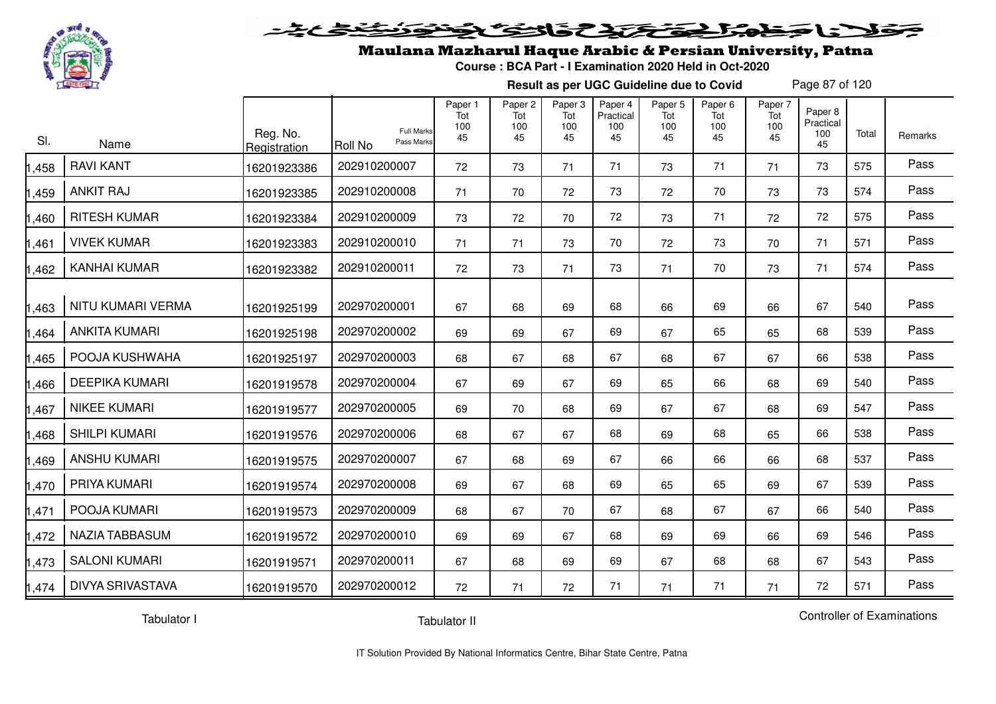

#### 20202222325.0  $\blacktriangleright$   $\blacktriangleright$   $\blacktriangleright$

## Maulana Mazharul Haque Arabic & Persian University, Patna

**Course : BCA Part - I Examination 2020 Held in Oct-2020**

**Result as per UGC Guideline due to Covid**

Page 87 of 120

| SI.   | Name                    | Reg. No.<br>Registration | <b>Full Marks</b><br>Pass Marks<br>Roll No | Paper 1<br>Tot<br>100<br>45 | Paper 2<br>Tot<br>100<br>45 | Paper 3<br>Tot<br>100<br>45 | Paper 4<br>Practical<br>100<br>45 | Paper 5<br>Tot<br>100<br>45 | Paper 6<br>Tot<br>100<br>45 | Paper 7<br>Tot<br>100<br>45 | Paper 8<br>Practical<br>100<br>45 | Total | Remarks |
|-------|-------------------------|--------------------------|--------------------------------------------|-----------------------------|-----------------------------|-----------------------------|-----------------------------------|-----------------------------|-----------------------------|-----------------------------|-----------------------------------|-------|---------|
| ,458  | <b>RAVI KANT</b>        | 16201923386              | 202910200007                               | 72                          | 73                          | 71                          | 71                                | 73                          | 71                          | 71                          | 73                                | 575   | Pass    |
| 1,459 | <b>ANKIT RAJ</b>        | 16201923385              | 202910200008                               | 71                          | 70                          | 72                          | 73                                | 72                          | 70                          | 73                          | 73                                | 574   | Pass    |
| 1,460 | <b>RITESH KUMAR</b>     | 16201923384              | 202910200009                               | 73                          | 72                          | 70                          | 72                                | 73                          | 71                          | 72                          | 72                                | 575   | Pass    |
| 1,461 | <b>VIVEK KUMAR</b>      | 16201923383              | 202910200010                               | 71                          | 71                          | 73                          | 70                                | 72                          | 73                          | 70                          | 71                                | 571   | Pass    |
| 1,462 | <b>KANHAI KUMAR</b>     | 16201923382              | 202910200011                               | 72                          | 73                          | 71                          | 73                                | 71                          | 70                          | 73                          | 71                                | 574   | Pass    |
| 1,463 | NITU KUMARI VERMA       | 16201925199              | 202970200001                               | 67                          | 68                          | 69                          | 68                                | 66                          | 69                          | 66                          | 67                                | 540   | Pass    |
| 1,464 | <b>ANKITA KUMARI</b>    | 16201925198              | 202970200002                               | 69                          | 69                          | 67                          | 69                                | 67                          | 65                          | 65                          | 68                                | 539   | Pass    |
| 1,465 | POOJA KUSHWAHA          | 16201925197              | 202970200003                               | 68                          | 67                          | 68                          | 67                                | 68                          | 67                          | 67                          | 66                                | 538   | Pass    |
| 1,466 | <b>DEEPIKA KUMARI</b>   | 16201919578              | 202970200004                               | 67                          | 69                          | 67                          | 69                                | 65                          | 66                          | 68                          | 69                                | 540   | Pass    |
| 1,467 | <b>NIKEE KUMARI</b>     | 16201919577              | 202970200005                               | 69                          | 70                          | 68                          | 69                                | 67                          | 67                          | 68                          | 69                                | 547   | Pass    |
| 1,468 | <b>SHILPI KUMARI</b>    | 16201919576              | 202970200006                               | 68                          | 67                          | 67                          | 68                                | 69                          | 68                          | 65                          | 66                                | 538   | Pass    |
| 1,469 | <b>ANSHU KUMARI</b>     | 16201919575              | 202970200007                               | 67                          | 68                          | 69                          | 67                                | 66                          | 66                          | 66                          | 68                                | 537   | Pass    |
| 1,470 | PRIYA KUMARI            | 16201919574              | 202970200008                               | 69                          | 67                          | 68                          | 69                                | 65                          | 65                          | 69                          | 67                                | 539   | Pass    |
| 1,471 | POOJA KUMARI            | 16201919573              | 202970200009                               | 68                          | 67                          | 70                          | 67                                | 68                          | 67                          | 67                          | 66                                | 540   | Pass    |
| 1,472 | <b>NAZIA TABBASUM</b>   | 16201919572              | 202970200010                               | 69                          | 69                          | 67                          | 68                                | 69                          | 69                          | 66                          | 69                                | 546   | Pass    |
| 1,473 | <b>SALONI KUMARI</b>    | 16201919571              | 202970200011                               | 67                          | 68                          | 69                          | 69                                | 67                          | 68                          | 68                          | 67                                | 543   | Pass    |
| 1,474 | <b>DIVYA SRIVASTAVA</b> | 16201919570              | 202970200012                               | 72                          | 71                          | 72                          | 71                                | 71                          | 71                          | 71                          | 72                                | 571   | Pass    |

Tabulator I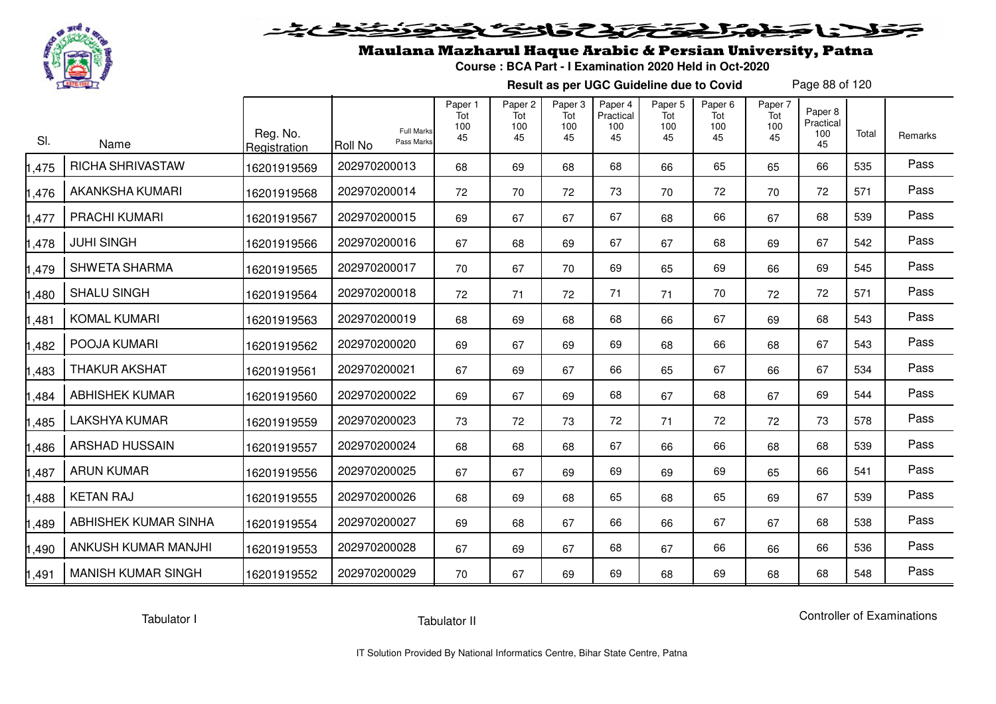

# فلأناخض المتعاطية فتخلفت فالخفض

### Maulana Mazharul Haque Arabic & Persian University, Patna

**Course : BCA Part - I Examination 2020 Held in Oct-2020**

**Result as per UGC Guideline due to Covid**

Page 88 of 120

| SI.   | Name                      | Reg. No.<br>Registration | <b>Full Marks</b><br>Pass Marks<br>Roll No | Paper 1<br>Tot<br>100<br>45 | Paper <sub>2</sub><br>Tot<br>100<br>45 | Paper <sub>3</sub><br>Tot<br>100<br>45 | Paper 4<br>Practical<br>100<br>45 | Paper <sub>5</sub><br>Tot<br>100<br>45 | Paper <sub>6</sub><br>Tot<br>100<br>45 | Paper 7<br>Tot<br>100<br>45 | Paper 8<br>Practical<br>100<br>45 | Total | Remarks |
|-------|---------------------------|--------------------------|--------------------------------------------|-----------------------------|----------------------------------------|----------------------------------------|-----------------------------------|----------------------------------------|----------------------------------------|-----------------------------|-----------------------------------|-------|---------|
| ,475  | <b>RICHA SHRIVASTAW</b>   | 16201919569              | 202970200013                               | 68                          | 69                                     | 68                                     | 68                                | 66                                     | 65                                     | 65                          | 66                                | 535   | Pass    |
| ,476  | AKANKSHA KUMARI           | 16201919568              | 202970200014                               | 72                          | 70                                     | 72                                     | 73                                | 70                                     | 72                                     | 70                          | 72                                | 571   | Pass    |
| ,477  | PRACHI KUMARI             | 16201919567              | 202970200015                               | 69                          | 67                                     | 67                                     | 67                                | 68                                     | 66                                     | 67                          | 68                                | 539   | Pass    |
| ,478  | <b>JUHI SINGH</b>         | 16201919566              | 202970200016                               | 67                          | 68                                     | 69                                     | 67                                | 67                                     | 68                                     | 69                          | 67                                | 542   | Pass    |
| ,479  | <b>SHWETA SHARMA</b>      | 16201919565              | 202970200017                               | 70                          | 67                                     | 70                                     | 69                                | 65                                     | 69                                     | 66                          | 69                                | 545   | Pass    |
| ,480  | <b>SHALU SINGH</b>        | 16201919564              | 202970200018                               | 72                          | 71                                     | 72                                     | 71                                | 71                                     | 70                                     | 72                          | 72                                | 571   | Pass    |
| ,481  | <b>KOMAL KUMARI</b>       | 16201919563              | 202970200019                               | 68                          | 69                                     | 68                                     | 68                                | 66                                     | 67                                     | 69                          | 68                                | 543   | Pass    |
| ,482  | POOJA KUMARI              | 16201919562              | 202970200020                               | 69                          | 67                                     | 69                                     | 69                                | 68                                     | 66                                     | 68                          | 67                                | 543   | Pass    |
| ,483  | <b>THAKUR AKSHAT</b>      | 16201919561              | 202970200021                               | 67                          | 69                                     | 67                                     | 66                                | 65                                     | 67                                     | 66                          | 67                                | 534   | Pass    |
| ,484  | <b>ABHISHEK KUMAR</b>     | 16201919560              | 202970200022                               | 69                          | 67                                     | 69                                     | 68                                | 67                                     | 68                                     | 67                          | 69                                | 544   | Pass    |
| ,485  | <b>LAKSHYA KUMAR</b>      | 16201919559              | 202970200023                               | 73                          | 72                                     | 73                                     | 72                                | 71                                     | 72                                     | 72                          | 73                                | 578   | Pass    |
| ,486  | <b>ARSHAD HUSSAIN</b>     | 16201919557              | 202970200024                               | 68                          | 68                                     | 68                                     | 67                                | 66                                     | 66                                     | 68                          | 68                                | 539   | Pass    |
| ,487  | <b>ARUN KUMAR</b>         | 16201919556              | 202970200025                               | 67                          | 67                                     | 69                                     | 69                                | 69                                     | 69                                     | 65                          | 66                                | 541   | Pass    |
| ,488  | <b>KETAN RAJ</b>          | 16201919555              | 202970200026                               | 68                          | 69                                     | 68                                     | 65                                | 68                                     | 65                                     | 69                          | 67                                | 539   | Pass    |
| ,489  | ABHISHEK KUMAR SINHA      | 16201919554              | 202970200027                               | 69                          | 68                                     | 67                                     | 66                                | 66                                     | 67                                     | 67                          | 68                                | 538   | Pass    |
| ,490  | ANKUSH KUMAR MANJHI       | 16201919553              | 202970200028                               | 67                          | 69                                     | 67                                     | 68                                | 67                                     | 66                                     | 66                          | 66                                | 536   | Pass    |
| 1,491 | <b>MANISH KUMAR SINGH</b> | 16201919552              | 202970200029                               | 70                          | 67                                     | 69                                     | 69                                | 68                                     | 69                                     | 68                          | 68                                | 548   | Pass    |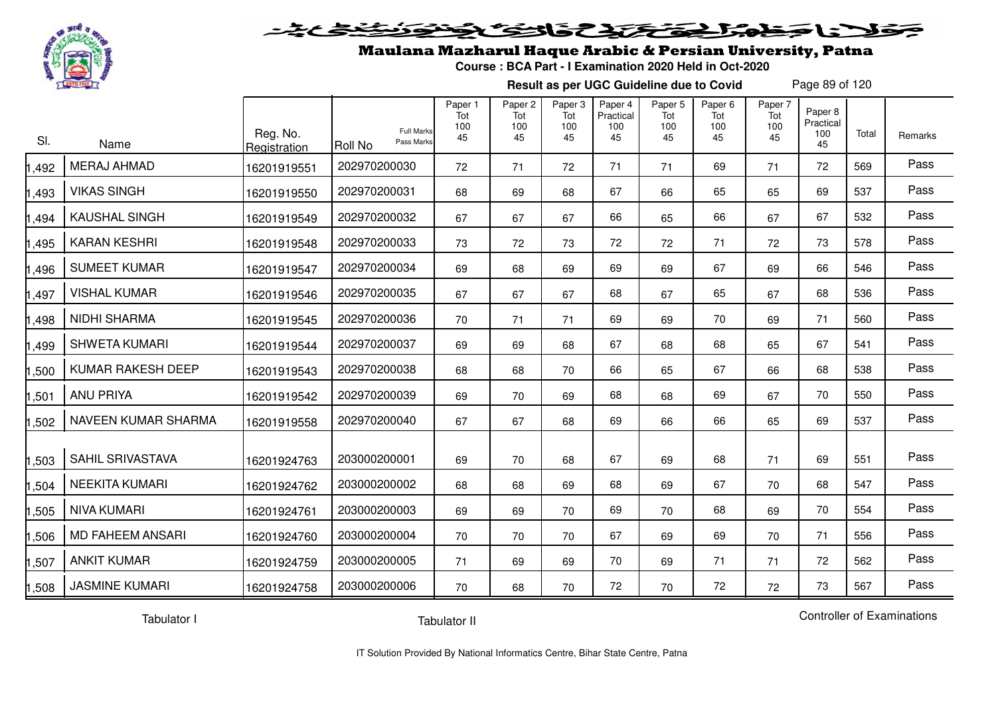

#### 2 5 3 2 2 2 2 2 2 2  $\blacktriangleright$  15  $\blacktriangleright$  $\mathbf{J}_{\mathbf{z}}$ o

### Maulana Mazharul Haque Arabic & Persian University, Patna

**Course : BCA Part - I Examination 2020 Held in Oct-2020**

**Result as per UGC Guideline due to Covid**

Page 89 of 120

| SI.   | Name                    | Reg. No.<br>Registration | <b>Full Marks</b><br>Pass Marks<br><b>Roll No</b> | Paper 1<br>Tot<br>100<br>45 | Paper 2<br>Tot<br>100<br>45 | Paper 3<br>Tot<br>100<br>45 | Paper 4<br>Practical<br>100<br>45 | Paper 5<br>Tot<br>100<br>45 | Paper 6<br>Tot<br>100<br>45 | Paper 7<br>Tot<br>100<br>45 | Paper 8<br>Practical<br>100<br>45 | Total | Remarks |
|-------|-------------------------|--------------------------|---------------------------------------------------|-----------------------------|-----------------------------|-----------------------------|-----------------------------------|-----------------------------|-----------------------------|-----------------------------|-----------------------------------|-------|---------|
| ,492  | <b>MERAJ AHMAD</b>      | 16201919551              | 202970200030                                      | 72                          | 71                          | 72                          | 71                                | 71                          | 69                          | 71                          | 72                                | 569   | Pass    |
| 1,493 | <b>VIKAS SINGH</b>      | 16201919550              | 202970200031                                      | 68                          | 69                          | 68                          | 67                                | 66                          | 65                          | 65                          | 69                                | 537   | Pass    |
| 1,494 | <b>KAUSHAL SINGH</b>    | 16201919549              | 202970200032                                      | 67                          | 67                          | 67                          | 66                                | 65                          | 66                          | 67                          | 67                                | 532   | Pass    |
| 1,495 | <b>KARAN KESHRI</b>     | 16201919548              | 202970200033                                      | 73                          | 72                          | 73                          | 72                                | 72                          | 71                          | 72                          | 73                                | 578   | Pass    |
| 1,496 | <b>SUMEET KUMAR</b>     | 16201919547              | 202970200034                                      | 69                          | 68                          | 69                          | 69                                | 69                          | 67                          | 69                          | 66                                | 546   | Pass    |
| 1,497 | <b>VISHAL KUMAR</b>     | 16201919546              | 202970200035                                      | 67                          | 67                          | 67                          | 68                                | 67                          | 65                          | 67                          | 68                                | 536   | Pass    |
| 1,498 | <b>NIDHI SHARMA</b>     | 16201919545              | 202970200036                                      | 70                          | 71                          | 71                          | 69                                | 69                          | 70                          | 69                          | 71                                | 560   | Pass    |
| 1,499 | <b>SHWETA KUMARI</b>    | 16201919544              | 202970200037                                      | 69                          | 69                          | 68                          | 67                                | 68                          | 68                          | 65                          | 67                                | 541   | Pass    |
| 1,500 | KUMAR RAKESH DEEP       | 16201919543              | 202970200038                                      | 68                          | 68                          | 70                          | 66                                | 65                          | 67                          | 66                          | 68                                | 538   | Pass    |
| 1,501 | <b>ANU PRIYA</b>        | 16201919542              | 202970200039                                      | 69                          | 70                          | 69                          | 68                                | 68                          | 69                          | 67                          | 70                                | 550   | Pass    |
| 1,502 | NAVEEN KUMAR SHARMA     | 16201919558              | 202970200040                                      | 67                          | 67                          | 68                          | 69                                | 66                          | 66                          | 65                          | 69                                | 537   | Pass    |
| 1,503 | SAHIL SRIVASTAVA        | 16201924763              | 203000200001                                      | 69                          | 70                          | 68                          | 67                                | 69                          | 68                          | 71                          | 69                                | 551   | Pass    |
| 1,504 | <b>NEEKITA KUMARI</b>   | 16201924762              | 203000200002                                      | 68                          | 68                          | 69                          | 68                                | 69                          | 67                          | 70                          | 68                                | 547   | Pass    |
| 1,505 | <b>NIVA KUMARI</b>      | 16201924761              | 203000200003                                      | 69                          | 69                          | 70                          | 69                                | 70                          | 68                          | 69                          | 70                                | 554   | Pass    |
| 1,506 | <b>MD FAHEEM ANSARI</b> | 16201924760              | 203000200004                                      | 70                          | 70                          | 70                          | 67                                | 69                          | 69                          | 70                          | 71                                | 556   | Pass    |
| 1,507 | <b>ANKIT KUMAR</b>      | 16201924759              | 203000200005                                      | 71                          | 69                          | 69                          | 70                                | 69                          | 71                          | 71                          | 72                                | 562   | Pass    |
| 1,508 | <b>JASMINE KUMARI</b>   | 16201924758              | 203000200006                                      | 70                          | 68                          | 70                          | 72                                | 70                          | 72                          | 72                          | 73                                | 567   | Pass    |

Tabulator I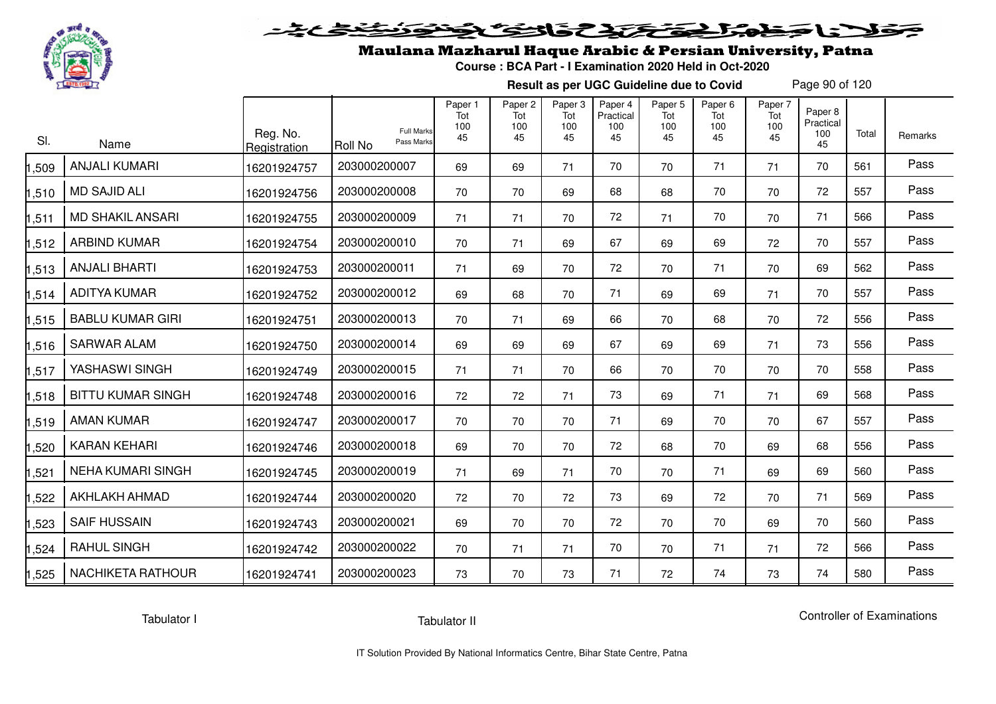

# فلأناخض المتعاطية فتخلفت فالخفض

## Maulana Mazharul Haque Arabic & Persian University, Patna

**Course : BCA Part - I Examination 2020 Held in Oct-2020**

**Result as per UGC Guideline due to Covid**

Page 90 of 120

| SI.   | Name                     | Reg. No.<br>Registration | <b>Roll No</b> | <b>Full Marks</b><br>Pass Marks | Paper 1<br>Tot<br>100<br>45 | Paper <sub>2</sub><br>Tot<br>100<br>45 | Paper 3<br>Tot<br>100<br>45 | Paper 4<br>Practical<br>100<br>45 | Paper <sub>5</sub><br>Tot<br>100<br>45 | Paper <sub>6</sub><br>Tot<br>100<br>45 | Paper 7<br>Tot<br>100<br>45 | Paper 8<br>Practical<br>100<br>45 | Total | Remarks |
|-------|--------------------------|--------------------------|----------------|---------------------------------|-----------------------------|----------------------------------------|-----------------------------|-----------------------------------|----------------------------------------|----------------------------------------|-----------------------------|-----------------------------------|-------|---------|
| 1,509 | <b>ANJALI KUMARI</b>     | 16201924757              | 203000200007   |                                 | 69                          | 69                                     | 71                          | 70                                | 70                                     | 71                                     | 71                          | 70                                | 561   | Pass    |
| 1,510 | <b>MD SAJID ALI</b>      | 16201924756              | 203000200008   |                                 | 70                          | 70                                     | 69                          | 68                                | 68                                     | 70                                     | 70                          | 72                                | 557   | Pass    |
| 1,511 | <b>MD SHAKIL ANSARI</b>  | 16201924755              | 203000200009   |                                 | 71                          | 71                                     | 70                          | 72                                | 71                                     | 70                                     | 70                          | 71                                | 566   | Pass    |
| 1,512 | <b>ARBIND KUMAR</b>      | 16201924754              | 203000200010   |                                 | 70                          | 71                                     | 69                          | 67                                | 69                                     | 69                                     | 72                          | 70                                | 557   | Pass    |
| 1,513 | <b>ANJALI BHARTI</b>     | 16201924753              | 203000200011   |                                 | 71                          | 69                                     | 70                          | 72                                | 70                                     | 71                                     | 70                          | 69                                | 562   | Pass    |
| 1,514 | <b>ADITYA KUMAR</b>      | 16201924752              | 203000200012   |                                 | 69                          | 68                                     | 70                          | 71                                | 69                                     | 69                                     | 71                          | 70                                | 557   | Pass    |
| 1,515 | <b>BABLU KUMAR GIRI</b>  | 16201924751              | 203000200013   |                                 | 70                          | 71                                     | 69                          | 66                                | 70                                     | 68                                     | 70                          | 72                                | 556   | Pass    |
| 1,516 | <b>SARWAR ALAM</b>       | 16201924750              | 203000200014   |                                 | 69                          | 69                                     | 69                          | 67                                | 69                                     | 69                                     | 71                          | 73                                | 556   | Pass    |
| 1,517 | YASHASWI SINGH           | 16201924749              | 203000200015   |                                 | 71                          | 71                                     | 70                          | 66                                | 70                                     | 70                                     | 70                          | 70                                | 558   | Pass    |
| 1,518 | <b>BITTU KUMAR SINGH</b> | 16201924748              | 203000200016   |                                 | 72                          | 72                                     | 71                          | 73                                | 69                                     | 71                                     | 71                          | 69                                | 568   | Pass    |
| 1,519 | AMAN KUMAR               | 16201924747              | 203000200017   |                                 | 70                          | 70                                     | 70                          | 71                                | 69                                     | 70                                     | 70                          | 67                                | 557   | Pass    |
| ,520  | <b>KARAN KEHARI</b>      | 16201924746              | 203000200018   |                                 | 69                          | 70                                     | 70                          | 72                                | 68                                     | 70                                     | 69                          | 68                                | 556   | Pass    |
| 1,521 | <b>NEHA KUMARI SINGH</b> | 16201924745              | 203000200019   |                                 | 71                          | 69                                     | 71                          | 70                                | 70                                     | 71                                     | 69                          | 69                                | 560   | Pass    |
| 1,522 | <b>AKHLAKH AHMAD</b>     | 16201924744              | 203000200020   |                                 | 72                          | 70                                     | 72                          | 73                                | 69                                     | 72                                     | 70                          | 71                                | 569   | Pass    |
| 1,523 | <b>SAIF HUSSAIN</b>      | 16201924743              | 203000200021   |                                 | 69                          | 70                                     | 70                          | 72                                | 70                                     | 70                                     | 69                          | 70                                | 560   | Pass    |
| 1,524 | <b>RAHUL SINGH</b>       | 16201924742              | 203000200022   |                                 | 70                          | 71                                     | 71                          | 70                                | 70                                     | 71                                     | 71                          | 72                                | 566   | Pass    |
| 1,525 | NACHIKETA RATHOUR        | 16201924741              | 203000200023   |                                 | 73                          | 70                                     | 73                          | 71                                | 72                                     | 74                                     | 73                          | 74                                | 580   | Pass    |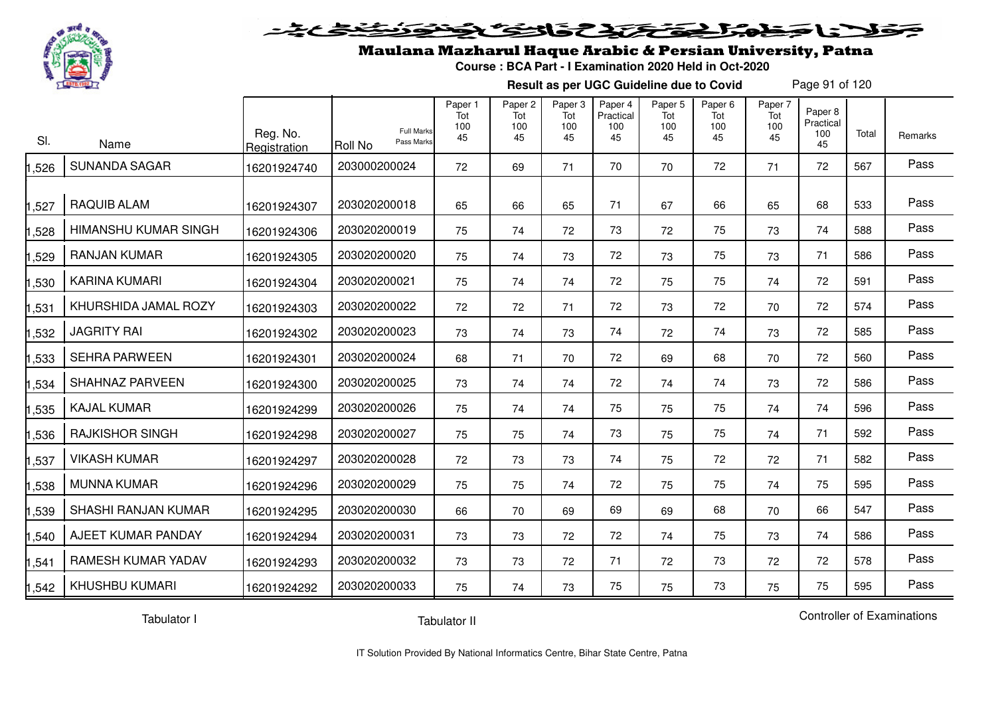

#### 20202222325.0  $\blacktriangleright$  15  $\blacktriangleright$

## Maulana Mazharul Haque Arabic & Persian University, Patna

**Course : BCA Part - I Examination 2020 Held in Oct-2020**

**Result as per UGC Guideline due to Covid**

Page 91 of 120

| SI.   | Name                   | Reg. No.<br>Registration | <b>Full Marks</b><br>Pass Marks<br>Roll No | Paper 1<br>Tot<br>100<br>45 | Paper <sub>2</sub><br>Tot<br>100<br>45 | Paper 3<br>Tot<br>100<br>45 | Paper 4<br>Practical<br>100<br>45 | Paper <sub>5</sub><br>Tot<br>100<br>45 | Paper <sub>6</sub><br>Tot<br>100<br>45 | Paper 7<br>Tot<br>100<br>45 | Paper 8<br>Practical<br>100<br>45 | Total | Remarks |
|-------|------------------------|--------------------------|--------------------------------------------|-----------------------------|----------------------------------------|-----------------------------|-----------------------------------|----------------------------------------|----------------------------------------|-----------------------------|-----------------------------------|-------|---------|
| ,526  | <b>SUNANDA SAGAR</b>   | 16201924740              | 203000200024                               | 72                          | 69                                     | 71                          | 70                                | 70                                     | 72                                     | 71                          | 72                                | 567   | Pass    |
| ,527  | <b>RAQUIB ALAM</b>     | 16201924307              | 203020200018                               | 65                          | 66                                     | 65                          | 71                                | 67                                     | 66                                     | 65                          | 68                                | 533   | Pass    |
| ,528  | HIMANSHU KUMAR SINGH   | 16201924306              | 203020200019                               | 75                          | 74                                     | 72                          | 73                                | 72                                     | 75                                     | 73                          | 74                                | 588   | Pass    |
| ,529  | RANJAN KUMAR           | 16201924305              | 203020200020                               | 75                          | 74                                     | 73                          | 72                                | 73                                     | 75                                     | 73                          | 71                                | 586   | Pass    |
| ,530  | <b>KARINA KUMARI</b>   | 16201924304              | 203020200021                               | 75                          | 74                                     | 74                          | 72                                | 75                                     | 75                                     | 74                          | 72                                | 591   | Pass    |
| ,531  | KHURSHIDA JAMAL ROZY   | 16201924303              | 203020200022                               | 72                          | 72                                     | 71                          | 72                                | 73                                     | 72                                     | 70                          | 72                                | 574   | Pass    |
| ,532  | <b>JAGRITY RAI</b>     | 16201924302              | 203020200023                               | 73                          | 74                                     | 73                          | 74                                | 72                                     | 74                                     | 73                          | 72                                | 585   | Pass    |
| ,533  | <b>SEHRA PARWEEN</b>   | 16201924301              | 203020200024                               | 68                          | 71                                     | 70                          | 72                                | 69                                     | 68                                     | 70                          | 72                                | 560   | Pass    |
| ,534  | SHAHNAZ PARVEEN        | 16201924300              | 203020200025                               | 73                          | 74                                     | 74                          | 72                                | 74                                     | 74                                     | 73                          | 72                                | 586   | Pass    |
| ,535  | <b>KAJAL KUMAR</b>     | 16201924299              | 203020200026                               | 75                          | 74                                     | 74                          | 75                                | 75                                     | 75                                     | 74                          | 74                                | 596   | Pass    |
| ,536  | <b>RAJKISHOR SINGH</b> | 16201924298              | 203020200027                               | 75                          | 75                                     | 74                          | 73                                | 75                                     | 75                                     | 74                          | 71                                | 592   | Pass    |
| ,537  | <b>VIKASH KUMAR</b>    | 16201924297              | 203020200028                               | 72                          | 73                                     | 73                          | 74                                | 75                                     | 72                                     | 72                          | 71                                | 582   | Pass    |
| 1,538 | <b>MUNNA KUMAR</b>     | 16201924296              | 203020200029                               | 75                          | 75                                     | 74                          | 72                                | 75                                     | 75                                     | 74                          | 75                                | 595   | Pass    |
| 1,539 | SHASHI RANJAN KUMAR    | 16201924295              | 203020200030                               | 66                          | 70                                     | 69                          | 69                                | 69                                     | 68                                     | 70                          | 66                                | 547   | Pass    |
| ,540  | AJEET KUMAR PANDAY     | 16201924294              | 203020200031                               | 73                          | 73                                     | 72                          | 72                                | 74                                     | 75                                     | 73                          | 74                                | 586   | Pass    |
| ,541  | RAMESH KUMAR YADAV     | 16201924293              | 203020200032                               | 73                          | 73                                     | 72                          | 71                                | 72                                     | 73                                     | 72                          | 72                                | 578   | Pass    |
| 1,542 | <b>KHUSHBU KUMARI</b>  | 16201924292              | 203020200033                               | 75                          | 74                                     | 73                          | 75                                | 75                                     | 73                                     | 75                          | 75                                | 595   | Pass    |

Tabulator I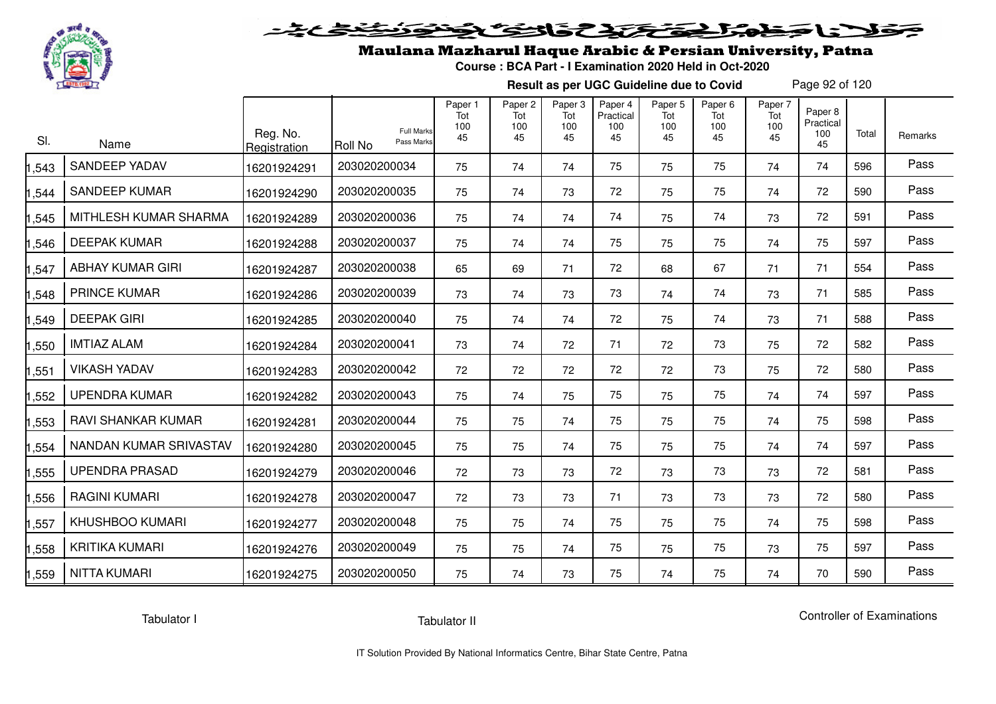

# فلأناخض المتحقح تحافظ فالخف

### Maulana Mazharul Haque Arabic & Persian University, Patna

**Course : BCA Part - I Examination 2020 Held in Oct-2020**

**Result as per UGC Guideline due to Covid**

Page 92 of 120

| SI.   | Name                    | Reg. No.<br>Registration | <b>Full Marks</b><br>Pass Marks<br><b>Roll No</b> | Paper 1<br>Tot<br>100<br>45 | Paper <sub>2</sub><br>Tot<br>100<br>45 | Paper 3<br>Tot<br>100<br>45 | Paper 4<br>Practical<br>100<br>45 | Paper <sub>5</sub><br>Tot<br>100<br>45 | Paper <sub>6</sub><br>Tot<br>100<br>45 | Paper 7<br>Tot<br>100<br>45 | Paper 8<br>Practical<br>100<br>45 | Total | Remarks |
|-------|-------------------------|--------------------------|---------------------------------------------------|-----------------------------|----------------------------------------|-----------------------------|-----------------------------------|----------------------------------------|----------------------------------------|-----------------------------|-----------------------------------|-------|---------|
| ,543  | <b>SANDEEP YADAV</b>    | 16201924291              | 203020200034                                      | 75                          | 74                                     | 74                          | 75                                | 75                                     | 75                                     | 74                          | 74                                | 596   | Pass    |
| ,544  | <b>SANDEEP KUMAR</b>    | 16201924290              | 203020200035                                      | 75                          | 74                                     | 73                          | 72                                | 75                                     | 75                                     | 74                          | 72                                | 590   | Pass    |
| ,545  | MITHLESH KUMAR SHARMA   | 16201924289              | 203020200036                                      | 75                          | 74                                     | 74                          | 74                                | 75                                     | 74                                     | 73                          | 72                                | 591   | Pass    |
| 1,546 | <b>DEEPAK KUMAR</b>     | 16201924288              | 203020200037                                      | 75                          | 74                                     | 74                          | 75                                | 75                                     | 75                                     | 74                          | 75                                | 597   | Pass    |
| 1,547 | <b>ABHAY KUMAR GIRI</b> | 16201924287              | 203020200038                                      | 65                          | 69                                     | 71                          | 72                                | 68                                     | 67                                     | 71                          | 71                                | 554   | Pass    |
| ,548  | <b>PRINCE KUMAR</b>     | 16201924286              | 203020200039                                      | 73                          | 74                                     | 73                          | 73                                | 74                                     | 74                                     | 73                          | 71                                | 585   | Pass    |
| 1,549 | <b>DEEPAK GIRI</b>      | 16201924285              | 203020200040                                      | 75                          | 74                                     | 74                          | 72                                | 75                                     | 74                                     | 73                          | 71                                | 588   | Pass    |
| 1,550 | <b>IMTIAZ ALAM</b>      | 16201924284              | 203020200041                                      | 73                          | 74                                     | 72                          | 71                                | 72                                     | 73                                     | 75                          | 72                                | 582   | Pass    |
| 1,551 | <b>VIKASH YADAV</b>     | 16201924283              | 203020200042                                      | 72                          | 72                                     | 72                          | 72                                | 72                                     | 73                                     | 75                          | 72                                | 580   | Pass    |
| 1,552 | <b>UPENDRA KUMAR</b>    | 16201924282              | 203020200043                                      | 75                          | 74                                     | 75                          | 75                                | 75                                     | 75                                     | 74                          | 74                                | 597   | Pass    |
| 1,553 | RAVI SHANKAR KUMAR      | 16201924281              | 203020200044                                      | 75                          | 75                                     | 74                          | 75                                | 75                                     | 75                                     | 74                          | 75                                | 598   | Pass    |
| 1,554 | NANDAN KUMAR SRIVASTAV  | 16201924280              | 203020200045                                      | 75                          | 75                                     | 74                          | 75                                | 75                                     | 75                                     | 74                          | 74                                | 597   | Pass    |
| 1,555 | <b>UPENDRA PRASAD</b>   | 16201924279              | 203020200046                                      | 72                          | 73                                     | 73                          | 72                                | 73                                     | 73                                     | 73                          | 72                                | 581   | Pass    |
| 1,556 | <b>RAGINI KUMARI</b>    | 16201924278              | 203020200047                                      | 72                          | 73                                     | 73                          | 71                                | 73                                     | 73                                     | 73                          | 72                                | 580   | Pass    |
| 1,557 | <b>KHUSHBOO KUMARI</b>  | 16201924277              | 203020200048                                      | 75                          | 75                                     | 74                          | 75                                | 75                                     | 75                                     | 74                          | 75                                | 598   | Pass    |
| 1,558 | <b>KRITIKA KUMARI</b>   | 16201924276              | 203020200049                                      | 75                          | 75                                     | 74                          | 75                                | 75                                     | 75                                     | 73                          | 75                                | 597   | Pass    |
| 1,559 | <b>NITTA KUMARI</b>     | 16201924275              | 203020200050                                      | 75                          | 74                                     | 73                          | 75                                | 74                                     | 75                                     | 74                          | 70                                | 590   | Pass    |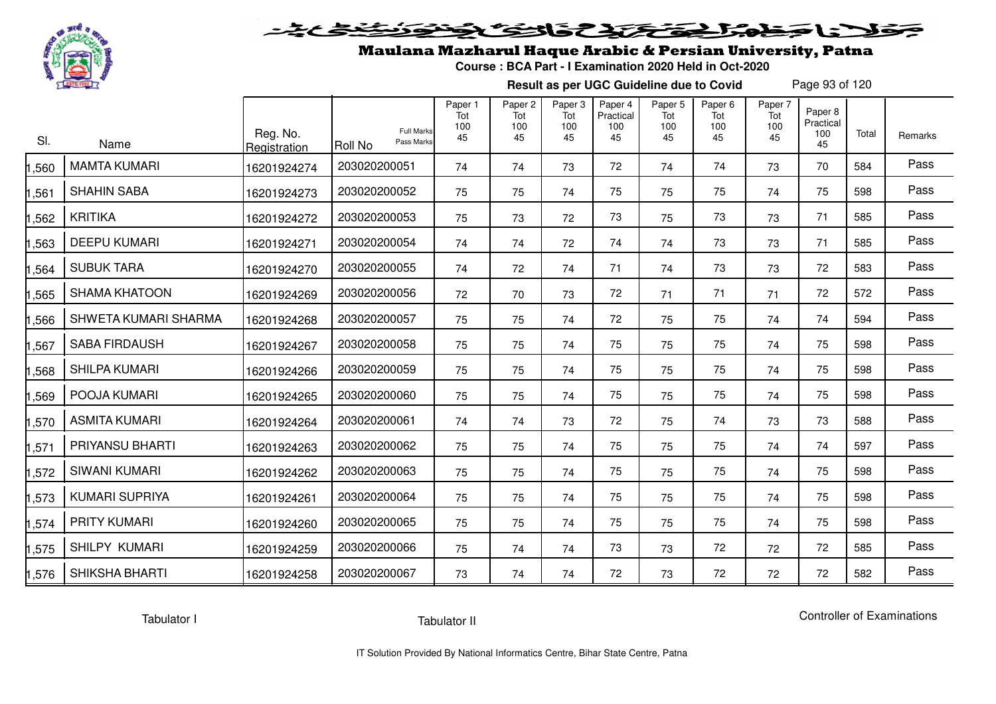

## Maulana Mazharul Haque Arabic & Persian University, Patna

**Course : BCA Part - I Examination 2020 Held in Oct-2020**

**Result as per UGC Guideline due to Covid**

Page 93 of 120

| SI.    | Name                   | Reg. No.<br>Registration | <b>Full Marks</b><br>Pass Marks<br>Roll No | Paper 1<br>Tot<br>100<br>45 | Paper <sub>2</sub><br>Tot<br>100<br>45 | Paper <sub>3</sub><br>Tot<br>100<br>45 | Paper 4<br>Practical<br>100<br>45 | Paper <sub>5</sub><br>Tot<br>100<br>45 | Paper <sub>6</sub><br>Tot<br>100<br>45 | Paper 7<br>Tot<br>100<br>45 | Paper 8<br>Practical<br>100<br>45 | Total | Remarks |
|--------|------------------------|--------------------------|--------------------------------------------|-----------------------------|----------------------------------------|----------------------------------------|-----------------------------------|----------------------------------------|----------------------------------------|-----------------------------|-----------------------------------|-------|---------|
| ,560   | <b>MAMTA KUMARI</b>    | 16201924274              | 203020200051                               | 74                          | 74                                     | 73                                     | 72                                | 74                                     | 74                                     | 73                          | 70                                | 584   | Pass    |
| ,561   | <b>SHAHIN SABA</b>     | 16201924273              | 203020200052                               | 75                          | 75                                     | 74                                     | 75                                | 75                                     | 75                                     | 74                          | 75                                | 598   | Pass    |
| ,562   | <b>KRITIKA</b>         | 16201924272              | 203020200053                               | 75                          | 73                                     | 72                                     | 73                                | 75                                     | 73                                     | 73                          | 71                                | 585   | Pass    |
| ,563   | <b>DEEPU KUMARI</b>    | 16201924271              | 203020200054                               | 74                          | 74                                     | 72                                     | 74                                | 74                                     | 73                                     | 73                          | 71                                | 585   | Pass    |
| ,564   | <b>SUBUK TARA</b>      | 16201924270              | 203020200055                               | 74                          | 72                                     | 74                                     | 71                                | 74                                     | 73                                     | 73                          | 72                                | 583   | Pass    |
| ,565   | <b>SHAMA KHATOON</b>   | 16201924269              | 203020200056                               | 72                          | 70                                     | 73                                     | 72                                | 71                                     | 71                                     | 71                          | 72                                | 572   | Pass    |
| ,566   | SHWETA KUMARI SHARMA   | 16201924268              | 203020200057                               | 75                          | 75                                     | 74                                     | 72                                | 75                                     | 75                                     | 74                          | 74                                | 594   | Pass    |
| ,567   | <b>SABA FIRDAUSH</b>   | 16201924267              | 203020200058                               | 75                          | 75                                     | 74                                     | 75                                | 75                                     | 75                                     | 74                          | 75                                | 598   | Pass    |
| ,568   | <b>SHILPA KUMARI</b>   | 16201924266              | 203020200059                               | 75                          | 75                                     | 74                                     | 75                                | 75                                     | 75                                     | 74                          | 75                                | 598   | Pass    |
| ,569   | POOJA KUMARI           | 16201924265              | 203020200060                               | 75                          | 75                                     | 74                                     | 75                                | 75                                     | 75                                     | 74                          | 75                                | 598   | Pass    |
| ,570   | ASMITA KUMARI          | 16201924264              | 203020200061                               | 74                          | 74                                     | 73                                     | 72                                | 75                                     | 74                                     | 73                          | 73                                | 588   | Pass    |
| ,571   | <b>PRIYANSU BHARTI</b> | 16201924263              | 203020200062                               | 75                          | 75                                     | 74                                     | 75                                | 75                                     | 75                                     | 74                          | 74                                | 597   | Pass    |
| ,572   | <b>SIWANI KUMARI</b>   | 16201924262              | 203020200063                               | 75                          | 75                                     | 74                                     | 75                                | 75                                     | 75                                     | 74                          | 75                                | 598   | Pass    |
| 1,573  | <b>KUMARI SUPRIYA</b>  | 16201924261              | 203020200064                               | 75                          | 75                                     | 74                                     | 75                                | 75                                     | 75                                     | 74                          | 75                                | 598   | Pass    |
| 1,574  | <b>PRITY KUMARI</b>    | 16201924260              | 203020200065                               | 75                          | 75                                     | 74                                     | 75                                | 75                                     | 75                                     | 74                          | 75                                | 598   | Pass    |
| 575, ا | SHILPY KUMARI          | 16201924259              | 203020200066                               | 75                          | 74                                     | 74                                     | 73                                | 73                                     | 72                                     | 72                          | 72                                | 585   | Pass    |
| 1,576  | <b>SHIKSHA BHARTI</b>  | 16201924258              | 203020200067                               | 73                          | 74                                     | 74                                     | 72                                | 73                                     | 72                                     | 72                          | 72                                | 582   | Pass    |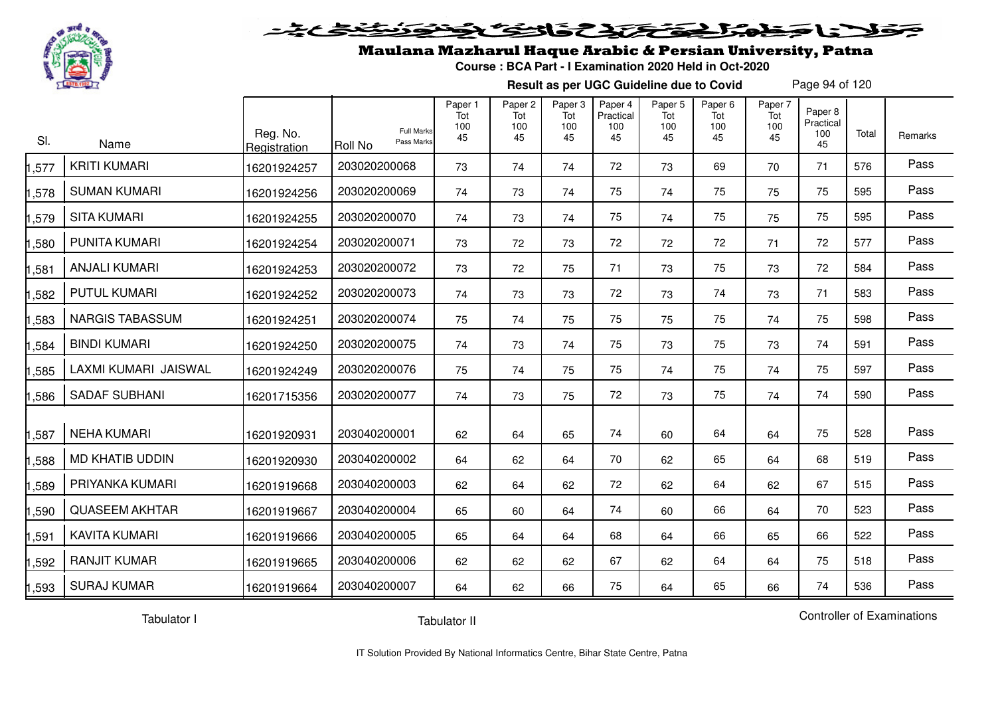

#### 2020 2020 2020  $\blacktriangleright$   $\blacktriangleright$   $\blacktriangleright$

### Maulana Mazharul Haque Arabic & Persian University, Patna

**Course : BCA Part - I Examination 2020 Held in Oct-2020**

**Result as per UGC Guideline due to Covid**

Page 94 of 120

| SI.  | Name                   | Reg. No.<br>Registration | <b>Full Marks</b><br>Pass Marks<br><b>Roll No</b> | Paper 1<br>Tot<br>100<br>45 | Paper <sub>2</sub><br>Tot<br>100<br>45 | Paper 3<br>Tot<br>100<br>45 | Paper 4<br>Practical<br>100<br>45 | Paper 5<br>Tot<br>100<br>45 | Paper <sub>6</sub><br>Tot<br>100<br>45 | Paper 7<br>Tot<br>100<br>45 | Paper 8<br>Practical<br>100<br>45 | Total | Remarks |
|------|------------------------|--------------------------|---------------------------------------------------|-----------------------------|----------------------------------------|-----------------------------|-----------------------------------|-----------------------------|----------------------------------------|-----------------------------|-----------------------------------|-------|---------|
| ,577 | <b>KRITI KUMARI</b>    | 16201924257              | 203020200068                                      | 73                          | 74                                     | 74                          | 72                                | 73                          | 69                                     | 70                          | 71                                | 576   | Pass    |
| ,578 | <b>SUMAN KUMARI</b>    | 16201924256              | 203020200069                                      | 74                          | 73                                     | 74                          | 75                                | 74                          | 75                                     | 75                          | 75                                | 595   | Pass    |
| ,579 | <b>SITA KUMARI</b>     | 16201924255              | 203020200070                                      | 74                          | 73                                     | 74                          | 75                                | 74                          | 75                                     | 75                          | 75                                | 595   | Pass    |
| ,580 | <b>PUNITA KUMARI</b>   | 16201924254              | 203020200071                                      | 73                          | 72                                     | 73                          | 72                                | 72                          | 72                                     | 71                          | 72                                | 577   | Pass    |
| ,581 | <b>ANJALI KUMARI</b>   | 16201924253              | 203020200072                                      | 73                          | 72                                     | 75                          | 71                                | 73                          | 75                                     | 73                          | 72                                | 584   | Pass    |
| ,582 | <b>PUTUL KUMARI</b>    | 16201924252              | 203020200073                                      | 74                          | 73                                     | 73                          | 72                                | 73                          | 74                                     | 73                          | 71                                | 583   | Pass    |
| ,583 | <b>NARGIS TABASSUM</b> | 16201924251              | 203020200074                                      | 75                          | 74                                     | 75                          | 75                                | 75                          | 75                                     | 74                          | 75                                | 598   | Pass    |
| ,584 | <b>BINDI KUMARI</b>    | 16201924250              | 203020200075                                      | 74                          | 73                                     | 74                          | 75                                | 73                          | 75                                     | 73                          | 74                                | 591   | Pass    |
| ,585 | LAXMI KUMARI JAISWAL   | 16201924249              | 203020200076                                      | 75                          | 74                                     | 75                          | 75                                | 74                          | 75                                     | 74                          | 75                                | 597   | Pass    |
| ,586 | <b>SADAF SUBHANI</b>   | 16201715356              | 203020200077                                      | 74                          | 73                                     | 75                          | 72                                | 73                          | 75                                     | 74                          | 74                                | 590   | Pass    |
| ,587 | <b>NEHA KUMARI</b>     | 16201920931              | 203040200001                                      | 62                          | 64                                     | 65                          | 74                                | 60                          | 64                                     | 64                          | 75                                | 528   | Pass    |
| ,588 | <b>MD KHATIB UDDIN</b> | 16201920930              | 203040200002                                      | 64                          | 62                                     | 64                          | 70                                | 62                          | 65                                     | 64                          | 68                                | 519   | Pass    |
| ,589 | PRIYANKA KUMARI        | 16201919668              | 203040200003                                      | 62                          | 64                                     | 62                          | 72                                | 62                          | 64                                     | 62                          | 67                                | 515   | Pass    |
| ,590 | <b>QUASEEM AKHTAR</b>  | 16201919667              | 203040200004                                      | 65                          | 60                                     | 64                          | 74                                | 60                          | 66                                     | 64                          | 70                                | 523   | Pass    |
| ,591 | <b>KAVITA KUMARI</b>   | 16201919666              | 203040200005                                      | 65                          | 64                                     | 64                          | 68                                | 64                          | 66                                     | 65                          | 66                                | 522   | Pass    |
| ,592 | <b>RANJIT KUMAR</b>    | 16201919665              | 203040200006                                      | 62                          | 62                                     | 62                          | 67                                | 62                          | 64                                     | 64                          | 75                                | 518   | Pass    |
| 593, | <b>SURAJ KUMAR</b>     | 16201919664              | 203040200007                                      | 64                          | 62                                     | 66                          | 75                                | 64                          | 65                                     | 66                          | 74                                | 536   | Pass    |

Tabulator I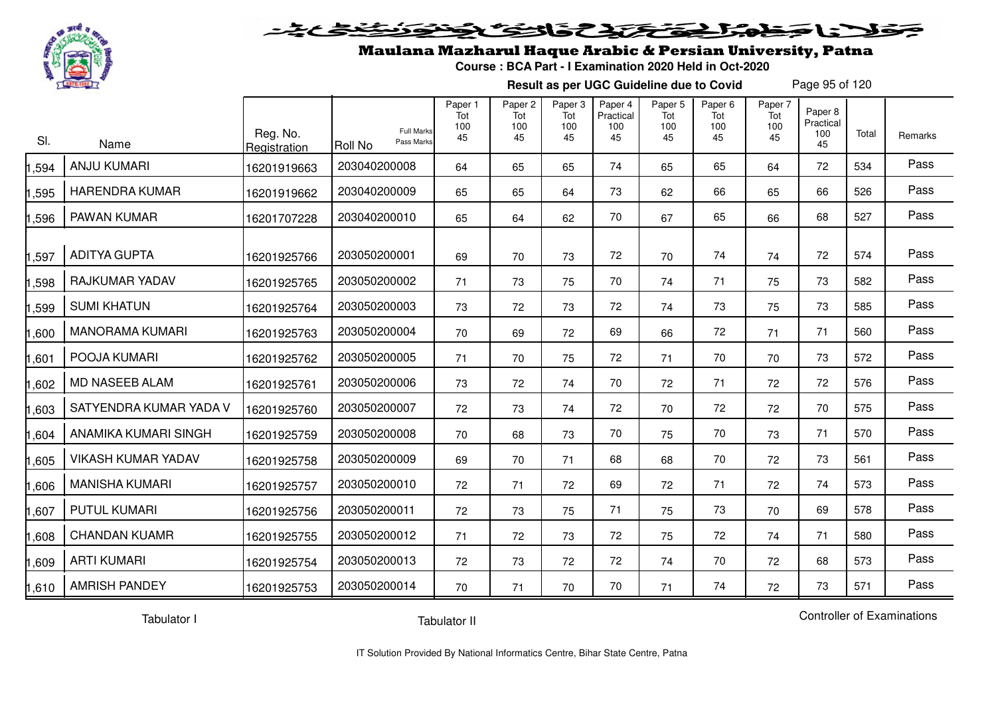

#### 2 5 3 2 2 2 2 2 2 2  $\blacktriangleright$  15  $\blacktriangleright$

## Maulana Mazharul Haque Arabic & Persian University, Patna

**Course : BCA Part - I Examination 2020 Held in Oct-2020**

**Result as per UGC Guideline due to Covid**

Page 95 of 120

| SI.   | Name                      | Reg. No.<br>Registration | <b>Roll No</b> | <b>Full Marks</b><br>Pass Marks | Paper 1<br>Tot<br>100<br>45 | Paper 2<br>Tot<br>100<br>45 | Paper 3<br>Tot<br>100<br>45 | Paper 4<br>Practical<br>100<br>45 | Paper 5<br>Tot<br>100<br>45 | Paper 6<br>Tot<br>100<br>45 | Paper 7<br>Tot<br>100<br>45 | Paper 8<br>Practical<br>100<br>45 | Total | Remarks |
|-------|---------------------------|--------------------------|----------------|---------------------------------|-----------------------------|-----------------------------|-----------------------------|-----------------------------------|-----------------------------|-----------------------------|-----------------------------|-----------------------------------|-------|---------|
| ,594  | <b>ANJU KUMARI</b>        | 16201919663              | 203040200008   |                                 | 64                          | 65                          | 65                          | 74                                | 65                          | 65                          | 64                          | 72                                | 534   | Pass    |
| 1,595 | <b>HARENDRA KUMAR</b>     | 16201919662              | 203040200009   |                                 | 65                          | 65                          | 64                          | 73                                | 62                          | 66                          | 65                          | 66                                | 526   | Pass    |
| 1,596 | PAWAN KUMAR               | 16201707228              | 203040200010   |                                 | 65                          | 64                          | 62                          | 70                                | 67                          | 65                          | 66                          | 68                                | 527   | Pass    |
| 1,597 | <b>ADITYA GUPTA</b>       | 16201925766              | 203050200001   |                                 | 69                          | 70                          | 73                          | 72                                | 70                          | 74                          | 74                          | 72                                | 574   | Pass    |
| 1,598 | RAJKUMAR YADAV            | 16201925765              | 203050200002   |                                 | 71                          | 73                          | 75                          | 70                                | 74                          | 71                          | 75                          | 73                                | 582   | Pass    |
| ,599  | <b>SUMI KHATUN</b>        | 16201925764              | 203050200003   |                                 | 73                          | 72                          | 73                          | 72                                | 74                          | 73                          | 75                          | 73                                | 585   | Pass    |
| 1,600 | <b>MANORAMA KUMARI</b>    | 16201925763              | 203050200004   |                                 | 70                          | 69                          | 72                          | 69                                | 66                          | 72                          | 71                          | 71                                | 560   | Pass    |
| 1,601 | POOJA KUMARI              | 16201925762              | 203050200005   |                                 | 71                          | 70                          | 75                          | 72                                | 71                          | 70                          | 70                          | 73                                | 572   | Pass    |
| 1,602 | MD NASEEB ALAM            | 16201925761              | 203050200006   |                                 | 73                          | 72                          | 74                          | 70                                | 72                          | 71                          | 72                          | 72                                | 576   | Pass    |
| 1,603 | SATYENDRA KUMAR YADA V    | 16201925760              | 203050200007   |                                 | 72                          | 73                          | 74                          | 72                                | 70                          | 72                          | 72                          | 70                                | 575   | Pass    |
| 1,604 | ANAMIKA KUMARI SINGH      | 16201925759              | 203050200008   |                                 | 70                          | 68                          | 73                          | 70                                | 75                          | 70                          | 73                          | 71                                | 570   | Pass    |
| 1,605 | <b>VIKASH KUMAR YADAV</b> | 16201925758              | 203050200009   |                                 | 69                          | 70                          | 71                          | 68                                | 68                          | 70                          | 72                          | 73                                | 561   | Pass    |
| 1,606 | <b>MANISHA KUMARI</b>     | 16201925757              | 203050200010   |                                 | 72                          | 71                          | 72                          | 69                                | 72                          | 71                          | 72                          | 74                                | 573   | Pass    |
| 1,607 | <b>PUTUL KUMARI</b>       | 16201925756              | 203050200011   |                                 | 72                          | 73                          | 75                          | 71                                | 75                          | 73                          | 70                          | 69                                | 578   | Pass    |
| 1,608 | <b>CHANDAN KUAMR</b>      | 16201925755              | 203050200012   |                                 | 71                          | 72                          | 73                          | 72                                | 75                          | 72                          | 74                          | 71                                | 580   | Pass    |
| 1,609 | <b>ARTI KUMARI</b>        | 16201925754              | 203050200013   |                                 | 72                          | 73                          | 72                          | 72                                | 74                          | 70                          | 72                          | 68                                | 573   | Pass    |
| 1,610 | <b>AMRISH PANDEY</b>      | 16201925753              | 203050200014   |                                 | 70                          | 71                          | 70                          | 70                                | 71                          | 74                          | 72                          | 73                                | 571   | Pass    |

Tabulator I

Tabulator II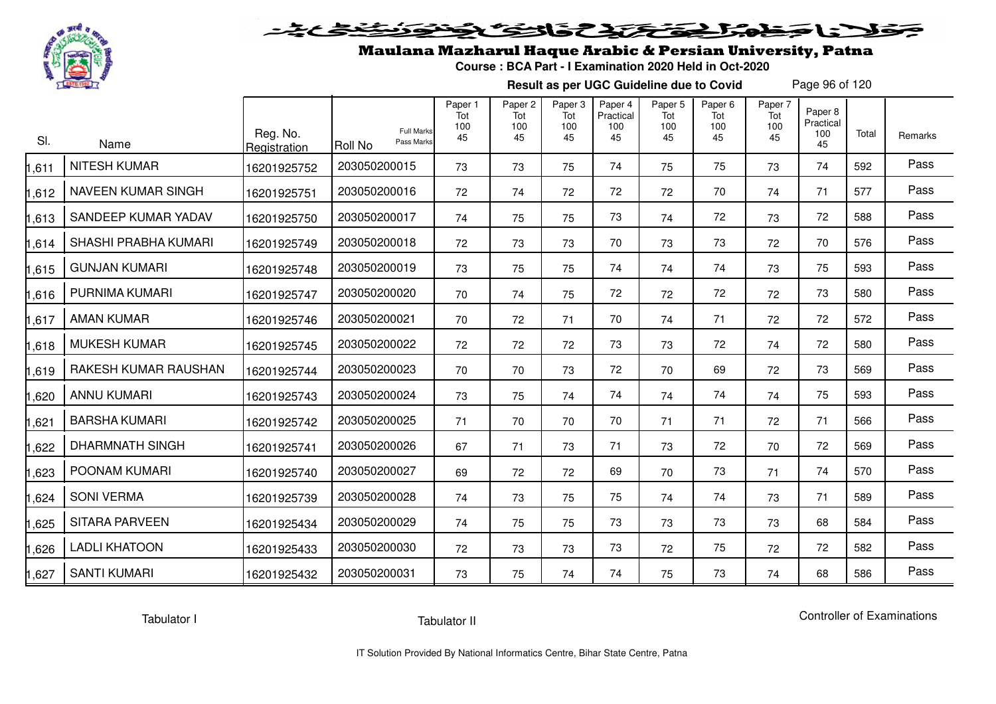

# فلأناخض المتعاطية فتخلفت فالخفض

### Maulana Mazharul Haque Arabic & Persian University, Patna

**Course : BCA Part - I Examination 2020 Held in Oct-2020**

**Result as per UGC Guideline due to Covid**

Page 96 of 120

| SI.   | Name                   | Reg. No.<br>Registration | <b>Full Marks</b><br>Pass Marks<br>Roll No | Paper 1<br>Tot<br>100<br>45 | Paper <sub>2</sub><br>Tot<br>100<br>45 | Paper <sub>3</sub><br>Tot<br>100<br>45 | Paper 4<br>Practical<br>100<br>45 | Paper 5<br>Tot<br>100<br>45 | Paper <sub>6</sub><br>Tot<br>100<br>45 | Paper 7<br>Tot<br>100<br>45 | Paper 8<br>Practical<br>100<br>45 | Total | Remarks |
|-------|------------------------|--------------------------|--------------------------------------------|-----------------------------|----------------------------------------|----------------------------------------|-----------------------------------|-----------------------------|----------------------------------------|-----------------------------|-----------------------------------|-------|---------|
| ,611  | <b>NITESH KUMAR</b>    | 16201925752              | 203050200015                               | 73                          | 73                                     | 75                                     | 74                                | 75                          | 75                                     | 73                          | 74                                | 592   | Pass    |
| ,612  | NAVEEN KUMAR SINGH     | 16201925751              | 203050200016                               | 72                          | 74                                     | 72                                     | 72                                | 72                          | 70                                     | 74                          | 71                                | 577   | Pass    |
| ,613  | SANDEEP KUMAR YADAV    | 16201925750              | 203050200017                               | 74                          | 75                                     | 75                                     | 73                                | 74                          | 72                                     | 73                          | 72                                | 588   | Pass    |
| ,614  | SHASHI PRABHA KUMARI   | 16201925749              | 203050200018                               | 72                          | 73                                     | 73                                     | 70                                | 73                          | 73                                     | 72                          | 70                                | 576   | Pass    |
| ,615  | <b>GUNJAN KUMARI</b>   | 16201925748              | 203050200019                               | 73                          | 75                                     | 75                                     | 74                                | 74                          | 74                                     | 73                          | 75                                | 593   | Pass    |
| ,616  | PURNIMA KUMARI         | 16201925747              | 203050200020                               | 70                          | 74                                     | 75                                     | 72                                | 72                          | 72                                     | 72                          | 73                                | 580   | Pass    |
| ,617  | AMAN KUMAR             | 16201925746              | 203050200021                               | 70                          | 72                                     | 71                                     | 70                                | 74                          | 71                                     | 72                          | 72                                | 572   | Pass    |
| ,618  | <b>MUKESH KUMAR</b>    | 16201925745              | 203050200022                               | 72                          | 72                                     | 72                                     | 73                                | 73                          | 72                                     | 74                          | 72                                | 580   | Pass    |
| ,619  | RAKESH KUMAR RAUSHAN   | 16201925744              | 203050200023                               | 70                          | 70                                     | 73                                     | 72                                | 70                          | 69                                     | 72                          | 73                                | 569   | Pass    |
| ,620  | <b>ANNU KUMARI</b>     | 16201925743              | 203050200024                               | 73                          | 75                                     | 74                                     | 74                                | 74                          | 74                                     | 74                          | 75                                | 593   | Pass    |
| ,621  | <b>BARSHA KUMARI</b>   | 16201925742              | 203050200025                               | 71                          | 70                                     | 70                                     | 70                                | 71                          | 71                                     | 72                          | 71                                | 566   | Pass    |
| ,622  | <b>DHARMNATH SINGH</b> | 16201925741              | 203050200026                               | 67                          | 71                                     | 73                                     | 71                                | 73                          | 72                                     | 70                          | 72                                | 569   | Pass    |
| ,623  | POONAM KUMARI          | 16201925740              | 203050200027                               | 69                          | 72                                     | 72                                     | 69                                | 70                          | 73                                     | 71                          | 74                                | 570   | Pass    |
| ,624  | <b>SONI VERMA</b>      | 16201925739              | 203050200028                               | 74                          | 73                                     | 75                                     | 75                                | 74                          | 74                                     | 73                          | 71                                | 589   | Pass    |
| ,625  | <b>SITARA PARVEEN</b>  | 16201925434              | 203050200029                               | 74                          | 75                                     | 75                                     | 73                                | 73                          | 73                                     | 73                          | 68                                | 584   | Pass    |
| ,626  | <b>LADLI KHATOON</b>   | 16201925433              | 203050200030                               | 72                          | 73                                     | 73                                     | 73                                | 72                          | 75                                     | 72                          | 72                                | 582   | Pass    |
| 1,627 | <b>SANTI KUMARI</b>    | 16201925432              | 203050200031                               | 73                          | 75                                     | 74                                     | 74                                | 75                          | 73                                     | 74                          | 68                                | 586   | Pass    |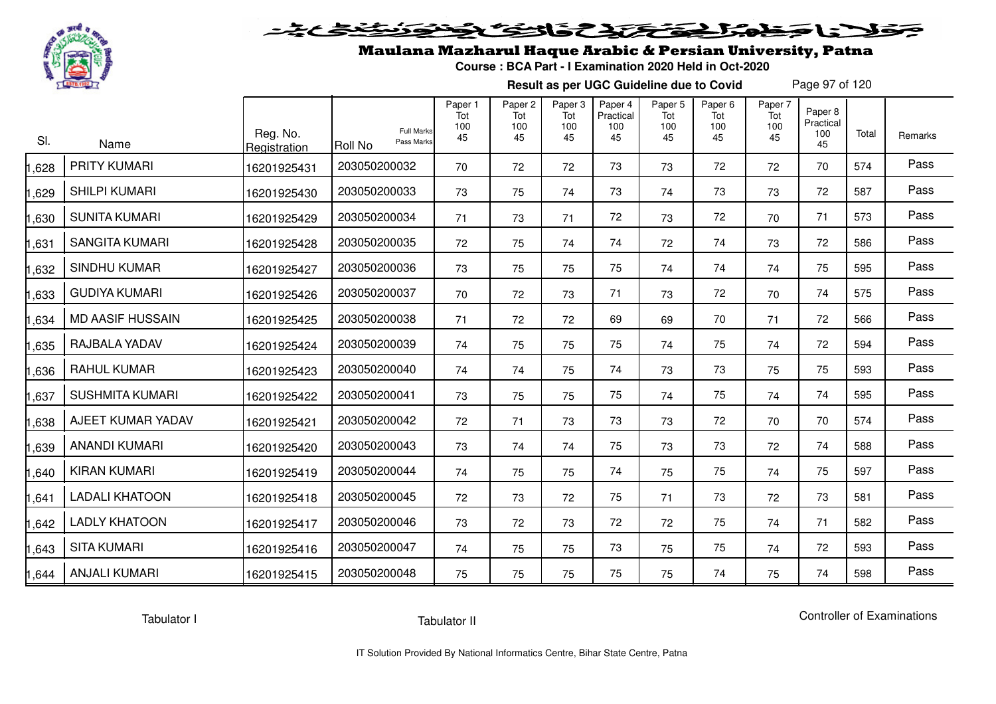

## Maulana Mazharul Haque Arabic & Persian University, Patna

**Course : BCA Part - I Examination 2020 Held in Oct-2020**

**Result as per UGC Guideline due to Covid**

Page 97 of 120

| SI.   | Name                    | Reg. No.<br>Registration | <b>Full Marks</b><br>Pass Marks<br><b>Roll No</b> | Paper 1<br>Tot<br>100<br>45 | Paper <sub>2</sub><br>Tot<br>100<br>45 | Paper 3<br>Tot<br>100<br>45 | Paper 4<br>Practical<br>100<br>45 | Paper 5<br>Tot<br>100<br>45 | Paper <sub>6</sub><br>Tot<br>100<br>45 | Paper 7<br>Tot<br>100<br>45 | Paper 8<br>Practical<br>100<br>45 | Total | Remarks |
|-------|-------------------------|--------------------------|---------------------------------------------------|-----------------------------|----------------------------------------|-----------------------------|-----------------------------------|-----------------------------|----------------------------------------|-----------------------------|-----------------------------------|-------|---------|
| 1,628 | <b>PRITY KUMARI</b>     | 16201925431              | 203050200032                                      | 70                          | 72                                     | 72                          | 73                                | 73                          | 72                                     | 72                          | 70                                | 574   | Pass    |
| 1,629 | <b>SHILPI KUMARI</b>    | 16201925430              | 203050200033                                      | 73                          | 75                                     | 74                          | 73                                | 74                          | 73                                     | 73                          | 72                                | 587   | Pass    |
| ,630  | <b>SUNITA KUMARI</b>    | 16201925429              | 203050200034                                      | 71                          | 73                                     | 71                          | 72                                | 73                          | 72                                     | 70                          | 71                                | 573   | Pass    |
| 1,631 | <b>SANGITA KUMARI</b>   | 16201925428              | 203050200035                                      | 72                          | 75                                     | 74                          | 74                                | 72                          | 74                                     | 73                          | 72                                | 586   | Pass    |
| 1,632 | <b>SINDHU KUMAR</b>     | 16201925427              | 203050200036                                      | 73                          | 75                                     | 75                          | 75                                | 74                          | 74                                     | 74                          | 75                                | 595   | Pass    |
| 1,633 | <b>GUDIYA KUMARI</b>    | 16201925426              | 203050200037                                      | 70                          | 72                                     | 73                          | 71                                | 73                          | 72                                     | 70                          | 74                                | 575   | Pass    |
| 1,634 | <b>MD AASIF HUSSAIN</b> | 16201925425              | 203050200038                                      | 71                          | 72                                     | 72                          | 69                                | 69                          | 70                                     | 71                          | 72                                | 566   | Pass    |
| 1,635 | RAJBALA YADAV           | 16201925424              | 203050200039                                      | 74                          | 75                                     | 75                          | 75                                | 74                          | 75                                     | 74                          | 72                                | 594   | Pass    |
| 1,636 | <b>RAHUL KUMAR</b>      | 16201925423              | 203050200040                                      | 74                          | 74                                     | 75                          | 74                                | 73                          | 73                                     | 75                          | 75                                | 593   | Pass    |
| 1,637 | <b>SUSHMITA KUMARI</b>  | 16201925422              | 203050200041                                      | 73                          | 75                                     | 75                          | 75                                | 74                          | 75                                     | 74                          | 74                                | 595   | Pass    |
| 1,638 | AJEET KUMAR YADAV       | 16201925421              | 203050200042                                      | 72                          | 71                                     | 73                          | 73                                | 73                          | 72                                     | 70                          | 70                                | 574   | Pass    |
| 1,639 | ANANDI KUMARI           | 16201925420              | 203050200043                                      | 73                          | 74                                     | 74                          | 75                                | 73                          | 73                                     | 72                          | 74                                | 588   | Pass    |
| 1,640 | <b>KIRAN KUMARI</b>     | 16201925419              | 203050200044                                      | 74                          | 75                                     | 75                          | 74                                | 75                          | 75                                     | 74                          | 75                                | 597   | Pass    |
| 1,641 | <b>LADALI KHATOON</b>   | 16201925418              | 203050200045                                      | 72                          | 73                                     | 72                          | 75                                | 71                          | 73                                     | 72                          | 73                                | 581   | Pass    |
| 1,642 | <b>LADLY KHATOON</b>    | 16201925417              | 203050200046                                      | 73                          | 72                                     | 73                          | 72                                | 72                          | 75                                     | 74                          | 71                                | 582   | Pass    |
| 1,643 | <b>SITA KUMARI</b>      | 16201925416              | 203050200047                                      | 74                          | 75                                     | 75                          | 73                                | 75                          | 75                                     | 74                          | 72                                | 593   | Pass    |
| 1,644 | <b>ANJALI KUMARI</b>    | 16201925415              | 203050200048                                      | 75                          | 75                                     | 75                          | 75                                | 75                          | 74                                     | 75                          | 74                                | 598   | Pass    |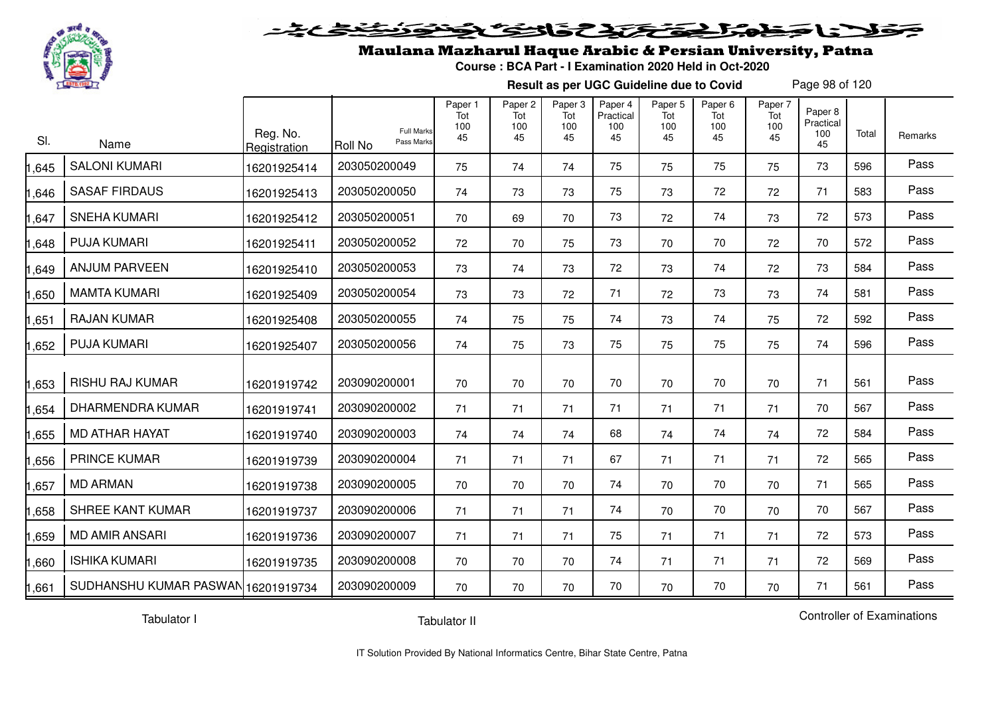

#### 2020 222 232 5.02 Sels De

### Maulana Mazharul Haque Arabic & Persian University, Patna

**Course : BCA Part - I Examination 2020 Held in Oct-2020**

**Result as per UGC Guideline due to Covid**

Page 98 of 120

| SI.   | Name                               | Reg. No.<br>Registration | <b>Full Marks</b><br>Pass Marks<br><b>Roll No</b> | Paper 1<br>Tot<br>100<br>45 | Paper <sub>2</sub><br>Tot<br>100<br>45 | Paper 3<br>Tot<br>100<br>45 | Paper 4<br>Practical<br>100<br>45 | Paper 5<br>Tot<br>100<br>45 | Paper <sub>6</sub><br>Tot<br>100<br>45 | Paper 7<br>Tot<br>100<br>45 | Paper 8<br>Practical<br>100<br>45 | Total | Remarks |
|-------|------------------------------------|--------------------------|---------------------------------------------------|-----------------------------|----------------------------------------|-----------------------------|-----------------------------------|-----------------------------|----------------------------------------|-----------------------------|-----------------------------------|-------|---------|
| ,645  | <b>SALONI KUMARI</b>               | 16201925414              | 203050200049                                      | 75                          | 74                                     | 74                          | 75                                | 75                          | 75                                     | 75                          | 73                                | 596   | Pass    |
| ,646  | <b>SASAF FIRDAUS</b>               | 16201925413              | 203050200050                                      | 74                          | 73                                     | 73                          | 75                                | 73                          | 72                                     | 72                          | 71                                | 583   | Pass    |
| ,647  | <b>SNEHA KUMARI</b>                | 16201925412              | 203050200051                                      | 70                          | 69                                     | 70                          | 73                                | 72                          | 74                                     | 73                          | 72                                | 573   | Pass    |
| ,648  | <b>PUJA KUMARI</b>                 | 16201925411              | 203050200052                                      | 72                          | 70                                     | 75                          | 73                                | 70                          | 70                                     | 72                          | 70                                | 572   | Pass    |
| ,649  | <b>ANJUM PARVEEN</b>               | 16201925410              | 203050200053                                      | 73                          | 74                                     | 73                          | 72                                | 73                          | 74                                     | 72                          | 73                                | 584   | Pass    |
| ,650  | <b>MAMTA KUMARI</b>                | 16201925409              | 203050200054                                      | 73                          | 73                                     | 72                          | 71                                | 72                          | 73                                     | 73                          | 74                                | 581   | Pass    |
| ,651  | <b>RAJAN KUMAR</b>                 | 16201925408              | 203050200055                                      | 74                          | 75                                     | 75                          | 74                                | 73                          | 74                                     | 75                          | 72                                | 592   | Pass    |
| ,652  | <b>PUJA KUMARI</b>                 | 16201925407              | 203050200056                                      | 74                          | 75                                     | 73                          | 75                                | 75                          | 75                                     | 75                          | 74                                | 596   | Pass    |
| ,653  | <b>RISHU RAJ KUMAR</b>             | 16201919742              | 203090200001                                      | 70                          | 70                                     | 70                          | 70                                | 70                          | 70                                     | 70                          | 71                                | 561   | Pass    |
| ,654  | <b>DHARMENDRA KUMAR</b>            | 16201919741              | 203090200002                                      | 71                          | 71                                     | 71                          | 71                                | 71                          | 71                                     | 71                          | 70                                | 567   | Pass    |
| ,655  | <b>MD ATHAR HAYAT</b>              | 16201919740              | 203090200003                                      | 74                          | 74                                     | 74                          | 68                                | 74                          | 74                                     | 74                          | 72                                | 584   | Pass    |
| ,656  | <b>PRINCE KUMAR</b>                | 16201919739              | 203090200004                                      | 71                          | 71                                     | 71                          | 67                                | 71                          | 71                                     | 71                          | 72                                | 565   | Pass    |
| ,657  | <b>MD ARMAN</b>                    | 16201919738              | 203090200005                                      | 70                          | 70                                     | 70                          | 74                                | 70                          | 70                                     | 70                          | 71                                | 565   | Pass    |
| ,658  | SHREE KANT KUMAR                   | 16201919737              | 203090200006                                      | 71                          | 71                                     | 71                          | 74                                | 70                          | 70                                     | 70                          | 70                                | 567   | Pass    |
| ,659  | <b>MD AMIR ANSARI</b>              | 16201919736              | 203090200007                                      | 71                          | 71                                     | 71                          | 75                                | 71                          | 71                                     | 71                          | 72                                | 573   | Pass    |
| ,660  | <b>ISHIKA KUMARI</b>               | 16201919735              | 203090200008                                      | 70                          | 70                                     | 70                          | 74                                | 71                          | 71                                     | 71                          | 72                                | 569   | Pass    |
| 1,661 | SUDHANSHU KUMAR PASWAN 16201919734 |                          | 203090200009                                      | 70                          | 70                                     | 70                          | 70                                | 70                          | 70                                     | 70                          | 71                                | 561   | Pass    |

Tabulator I

Tabulator II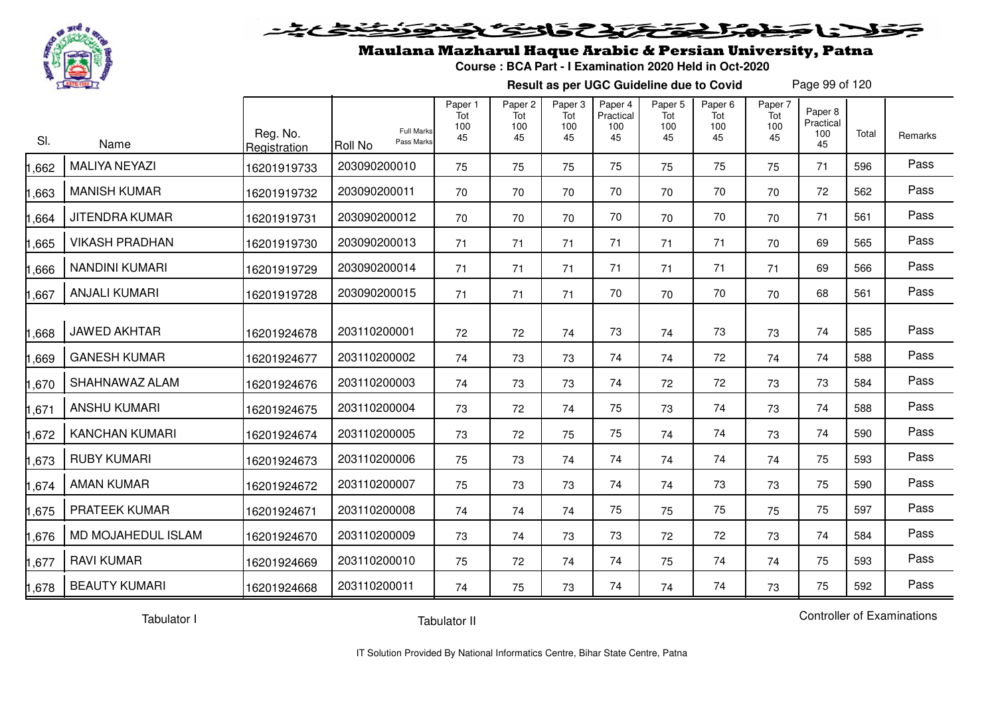

#### 2020 2020 2020  $\geq$

### Maulana Mazharul Haque Arabic & Persian University, Patna

**Course : BCA Part - I Examination 2020 Held in Oct-2020**

**Result as per UGC Guideline due to Covid**

Page 99 of 120

| SI.   | Name                  | Reg. No.<br>Registration | <b>Full Marks</b><br>Pass Marks<br>Roll No | Paper 1<br>Tot<br>100<br>45 | Paper <sub>2</sub><br>Tot<br>100<br>45 | Paper 3<br>Tot<br>100<br>45 | Paper 4<br>Practical<br>100<br>45 | Paper 5<br>Tot<br>100<br>45 | Paper 6<br>Tot<br>100<br>45 | Paper 7<br>Tot<br>100<br>45 | Paper 8<br>Practical<br>100<br>45 | Total | Remarks |
|-------|-----------------------|--------------------------|--------------------------------------------|-----------------------------|----------------------------------------|-----------------------------|-----------------------------------|-----------------------------|-----------------------------|-----------------------------|-----------------------------------|-------|---------|
| ,662  | <b>MALIYA NEYAZI</b>  | 16201919733              | 203090200010                               | 75                          | 75                                     | 75                          | 75                                | 75                          | 75                          | 75                          | 71                                | 596   | Pass    |
| ,663  | <b>MANISH KUMAR</b>   | 16201919732              | 203090200011                               | 70                          | 70                                     | 70                          | 70                                | 70                          | 70                          | 70                          | 72                                | 562   | Pass    |
| ,664  | <b>JITENDRA KUMAR</b> | 16201919731              | 203090200012                               | 70                          | 70                                     | 70                          | 70                                | 70                          | 70                          | 70                          | 71                                | 561   | Pass    |
| ,665  | <b>VIKASH PRADHAN</b> | 16201919730              | 203090200013                               | 71                          | 71                                     | 71                          | 71                                | 71                          | 71                          | 70                          | 69                                | 565   | Pass    |
| ,666  | <b>NANDINI KUMARI</b> | 16201919729              | 203090200014                               | 71                          | 71                                     | 71                          | 71                                | 71                          | 71                          | 71                          | 69                                | 566   | Pass    |
| ,667  | <b>ANJALI KUMARI</b>  | 16201919728              | 203090200015                               | 71                          | 71                                     | 71                          | 70                                | 70                          | 70                          | 70                          | 68                                | 561   | Pass    |
| .668  | <b>JAWED AKHTAR</b>   | 16201924678              | 203110200001                               | 72                          | 72                                     | 74                          | 73                                | 74                          | 73                          | 73                          | 74                                | 585   | Pass    |
| ,669  | <b>GANESH KUMAR</b>   | 16201924677              | 203110200002                               | 74                          | 73                                     | 73                          | 74                                | 74                          | 72                          | 74                          | 74                                | 588   | Pass    |
| ,670  | SHAHNAWAZ ALAM        | 16201924676              | 203110200003                               | 74                          | 73                                     | 73                          | 74                                | 72                          | 72                          | 73                          | 73                                | 584   | Pass    |
| ,671  | <b>ANSHU KUMARI</b>   | 16201924675              | 203110200004                               | 73                          | 72                                     | 74                          | 75                                | 73                          | 74                          | 73                          | 74                                | 588   | Pass    |
| ,672  | <b>KANCHAN KUMARI</b> | 16201924674              | 203110200005                               | 73                          | 72                                     | 75                          | 75                                | 74                          | 74                          | 73                          | 74                                | 590   | Pass    |
| ,673  | <b>RUBY KUMARI</b>    | 16201924673              | 203110200006                               | 75                          | 73                                     | 74                          | 74                                | 74                          | 74                          | 74                          | 75                                | 593   | Pass    |
| ,674  | <b>AMAN KUMAR</b>     | 16201924672              | 203110200007                               | 75                          | 73                                     | 73                          | 74                                | 74                          | 73                          | 73                          | 75                                | 590   | Pass    |
| ,675  | PRATEEK KUMAR         | 16201924671              | 203110200008                               | 74                          | 74                                     | 74                          | 75                                | 75                          | 75                          | 75                          | 75                                | 597   | Pass    |
| ,676  | MD MOJAHEDUL ISLAM    | 16201924670              | 203110200009                               | 73                          | 74                                     | 73                          | 73                                | 72                          | 72                          | 73                          | 74                                | 584   | Pass    |
| ,677  | <b>RAVI KUMAR</b>     | 16201924669              | 203110200010                               | 75                          | 72                                     | 74                          | 74                                | 75                          | 74                          | 74                          | 75                                | 593   | Pass    |
| 1,678 | <b>BEAUTY KUMARI</b>  | 16201924668              | 203110200011                               | 74                          | 75                                     | 73                          | 74                                | 74                          | 74                          | 73                          | 75                                | 592   | Pass    |

Tabulator I

Tabulator II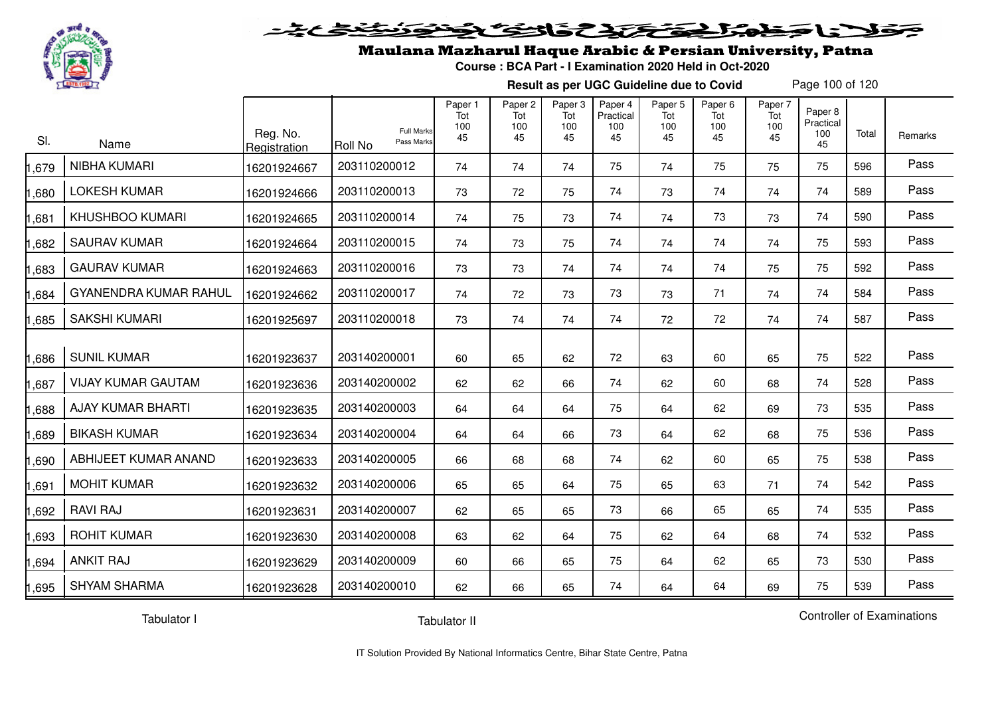

#### فتحتحلن فالحفظ  $\geq$

## Maulana Mazharul Haque Arabic & Persian University, Patna

**Course : BCA Part - I Examination 2020 Held in Oct-2020**

**Result as per UGC Guideline due to Covid**

Page 100 of 120

| SI.   | Name                         | Reg. No.<br>Registration | <b>Full Marks</b><br>Pass Marks<br>Roll No | Paper 1<br>Tot<br>100<br>45 | Paper 2<br>Tot<br>100<br>45 | Paper 3<br>Tot<br>100<br>45 | Paper 4<br>Practical<br>100<br>45 | Paper 5<br>Tot<br>100<br>45 | Paper 6<br>Tot<br>100<br>45 | Paper 7<br>Tot<br>100<br>45 | Paper 8<br>Practical<br>100<br>45 | Total | <b>Remarks</b> |
|-------|------------------------------|--------------------------|--------------------------------------------|-----------------------------|-----------------------------|-----------------------------|-----------------------------------|-----------------------------|-----------------------------|-----------------------------|-----------------------------------|-------|----------------|
| ,679  | <b>NIBHA KUMARI</b>          | 16201924667              | 203110200012                               | 74                          | 74                          | 74                          | 75                                | 74                          | 75                          | 75                          | 75                                | 596   | Pass           |
| ,680  | <b>LOKESH KUMAR</b>          | 16201924666              | 203110200013                               | 73                          | 72                          | 75                          | 74                                | 73                          | 74                          | 74                          | 74                                | 589   | Pass           |
| ,681  | <b>KHUSHBOO KUMARI</b>       | 16201924665              | 203110200014                               | 74                          | 75                          | 73                          | 74                                | 74                          | 73                          | 73                          | 74                                | 590   | Pass           |
| ,682  | <b>SAURAV KUMAR</b>          | 16201924664              | 203110200015                               | 74                          | 73                          | 75                          | 74                                | 74                          | 74                          | 74                          | 75                                | 593   | Pass           |
| ,683  | <b>GAURAV KUMAR</b>          | 16201924663              | 203110200016                               | 73                          | 73                          | 74                          | 74                                | 74                          | 74                          | 75                          | 75                                | 592   | Pass           |
| ,684  | <b>GYANENDRA KUMAR RAHUL</b> | 16201924662              | 203110200017                               | 74                          | 72                          | 73                          | 73                                | 73                          | 71                          | 74                          | 74                                | 584   | Pass           |
| 1,685 | <b>SAKSHI KUMARI</b>         | 16201925697              | 203110200018                               | 73                          | 74                          | 74                          | 74                                | 72                          | 72                          | 74                          | 74                                | 587   | Pass           |
| 0.686 | <b>SUNIL KUMAR</b>           | 16201923637              | 203140200001                               | 60                          | 65                          | 62                          | 72                                | 63                          | 60                          | 65                          | 75                                | 522   | Pass           |
| ,687  | <b>VIJAY KUMAR GAUTAM</b>    | 16201923636              | 203140200002                               | 62                          | 62                          | 66                          | 74                                | 62                          | 60                          | 68                          | 74                                | 528   | Pass           |
| ,688  | <b>AJAY KUMAR BHARTI</b>     | 16201923635              | 203140200003                               | 64                          | 64                          | 64                          | 75                                | 64                          | 62                          | 69                          | 73                                | 535   | Pass           |
| ,689  | <b>BIKASH KUMAR</b>          | 16201923634              | 203140200004                               | 64                          | 64                          | 66                          | 73                                | 64                          | 62                          | 68                          | 75                                | 536   | Pass           |
| ,690  | ABHIJEET KUMAR ANAND         | 16201923633              | 203140200005                               | 66                          | 68                          | 68                          | 74                                | 62                          | 60                          | 65                          | 75                                | 538   | Pass           |
| ,691  | <b>MOHIT KUMAR</b>           | 16201923632              | 203140200006                               | 65                          | 65                          | 64                          | 75                                | 65                          | 63                          | 71                          | 74                                | 542   | Pass           |
| ,692  | <b>RAVI RAJ</b>              | 16201923631              | 203140200007                               | 62                          | 65                          | 65                          | 73                                | 66                          | 65                          | 65                          | 74                                | 535   | Pass           |
| ,693  | <b>ROHIT KUMAR</b>           | 16201923630              | 203140200008                               | 63                          | 62                          | 64                          | 75                                | 62                          | 64                          | 68                          | 74                                | 532   | Pass           |
| ,694  | <b>ANKIT RAJ</b>             | 16201923629              | 203140200009                               | 60                          | 66                          | 65                          | 75                                | 64                          | 62                          | 65                          | 73                                | 530   | Pass           |
| 1,695 | <b>SHYAM SHARMA</b>          | 16201923628              | 203140200010                               | 62                          | 66                          | 65                          | 74                                | 64                          | 64                          | 69                          | 75                                | 539   | Pass           |

Tabulator I

Tabulator II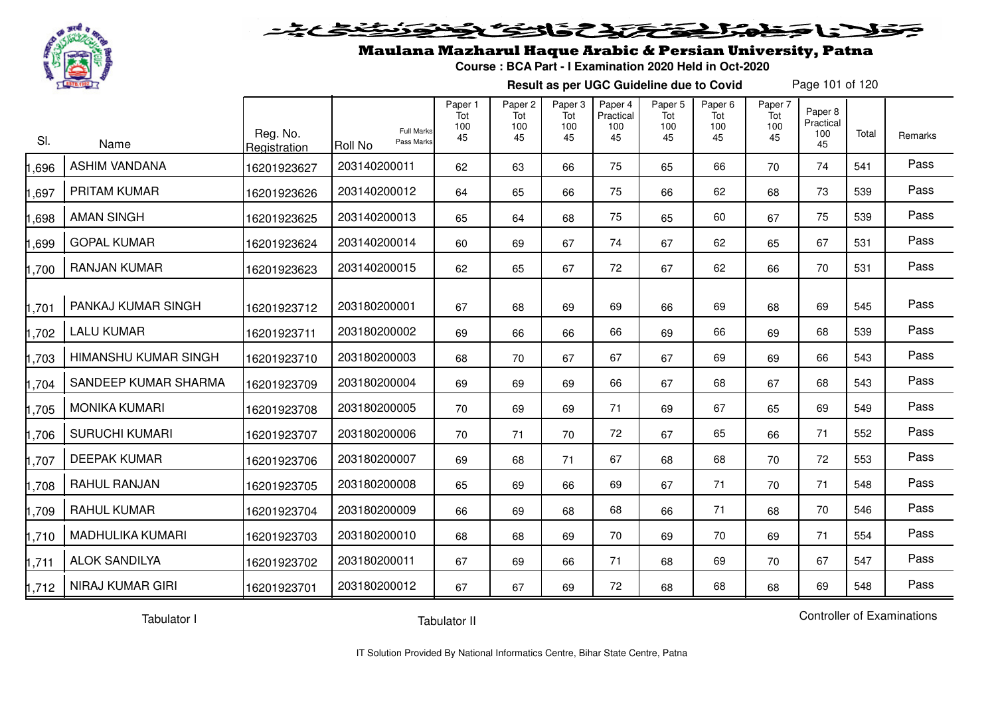

#### 20202222250  $\blacktriangleright$   $\blacktriangleright$   $\blacktriangleright$

## Maulana Mazharul Haque Arabic & Persian University, Patna

**Course : BCA Part - I Examination 2020 Held in Oct-2020**

**Result as per UGC Guideline due to Covid**

Page 101 of 120

| SI.    | Name                        | Reg. No.<br>Registration | <b>Full Marks</b><br>Pass Marks<br>Roll No | Paper 1<br>Tot<br>100<br>45 | Paper 2<br>Tot<br>100<br>45 | Paper 3<br>Tot<br>100<br>45 | Paper 4<br>Practical<br>100<br>45 | Paper 5<br>Tot<br>100<br>45 | Paper <sub>6</sub><br>Tot<br>100<br>45 | Paper 7<br>Tot<br>100<br>45 | Paper 8<br>Practical<br>100<br>45 | Total | Remarks |
|--------|-----------------------------|--------------------------|--------------------------------------------|-----------------------------|-----------------------------|-----------------------------|-----------------------------------|-----------------------------|----------------------------------------|-----------------------------|-----------------------------------|-------|---------|
| ,696   | <b>ASHIM VANDANA</b>        | 16201923627              | 203140200011                               | 62                          | 63                          | 66                          | 75                                | 65                          | 66                                     | 70                          | 74                                | 541   | Pass    |
| ,697   | PRITAM KUMAR                | 16201923626              | 203140200012                               | 64                          | 65                          | 66                          | 75                                | 66                          | 62                                     | 68                          | 73                                | 539   | Pass    |
| 898, I | <b>AMAN SINGH</b>           | 16201923625              | 203140200013                               | 65                          | 64                          | 68                          | 75                                | 65                          | 60                                     | 67                          | 75                                | 539   | Pass    |
| ,699   | <b>GOPAL KUMAR</b>          | 16201923624              | 203140200014                               | 60                          | 69                          | 67                          | 74                                | 67                          | 62                                     | 65                          | 67                                | 531   | Pass    |
| ,700   | <b>RANJAN KUMAR</b>         | 16201923623              | 203140200015                               | 62                          | 65                          | 67                          | 72                                | 67                          | 62                                     | 66                          | 70                                | 531   | Pass    |
| ,701   | PANKAJ KUMAR SINGH          | 16201923712              | 203180200001                               | 67                          | 68                          | 69                          | 69                                | 66                          | 69                                     | 68                          | 69                                | 545   | Pass    |
| 1,702  | <b>LALU KUMAR</b>           | 16201923711              | 203180200002                               | 69                          | 66                          | 66                          | 66                                | 69                          | 66                                     | 69                          | 68                                | 539   | Pass    |
| 1,703  | <b>HIMANSHU KUMAR SINGH</b> | 16201923710              | 203180200003                               | 68                          | 70                          | 67                          | 67                                | 67                          | 69                                     | 69                          | 66                                | 543   | Pass    |
| ,704   | SANDEEP KUMAR SHARMA        | 16201923709              | 203180200004                               | 69                          | 69                          | 69                          | 66                                | 67                          | 68                                     | 67                          | 68                                | 543   | Pass    |
| ,705   | <b>MONIKA KUMARI</b>        | 16201923708              | 203180200005                               | 70                          | 69                          | 69                          | 71                                | 69                          | 67                                     | 65                          | 69                                | 549   | Pass    |
| ,706   | <b>SURUCHI KUMARI</b>       | 16201923707              | 203180200006                               | 70                          | 71                          | 70                          | 72                                | 67                          | 65                                     | 66                          | 71                                | 552   | Pass    |
| ,707   | <b>DEEPAK KUMAR</b>         | 16201923706              | 203180200007                               | 69                          | 68                          | 71                          | 67                                | 68                          | 68                                     | 70                          | 72                                | 553   | Pass    |
| 1,708  | RAHUL RANJAN                | 16201923705              | 203180200008                               | 65                          | 69                          | 66                          | 69                                | 67                          | 71                                     | 70                          | 71                                | 548   | Pass    |
| ,709   | <b>RAHUL KUMAR</b>          | 16201923704              | 203180200009                               | 66                          | 69                          | 68                          | 68                                | 66                          | 71                                     | 68                          | 70                                | 546   | Pass    |
| 1,710  | <b>MADHULIKA KUMARI</b>     | 16201923703              | 203180200010                               | 68                          | 68                          | 69                          | 70                                | 69                          | 70                                     | 69                          | 71                                | 554   | Pass    |
| 1,711  | <b>ALOK SANDILYA</b>        | 16201923702              | 203180200011                               | 67                          | 69                          | 66                          | 71                                | 68                          | 69                                     | 70                          | 67                                | 547   | Pass    |
| 1,712  | <b>NIRAJ KUMAR GIRI</b>     | 16201923701              | 203180200012                               | 67                          | 67                          | 69                          | 72                                | 68                          | 68                                     | 68                          | 69                                | 548   | Pass    |

Tabulator I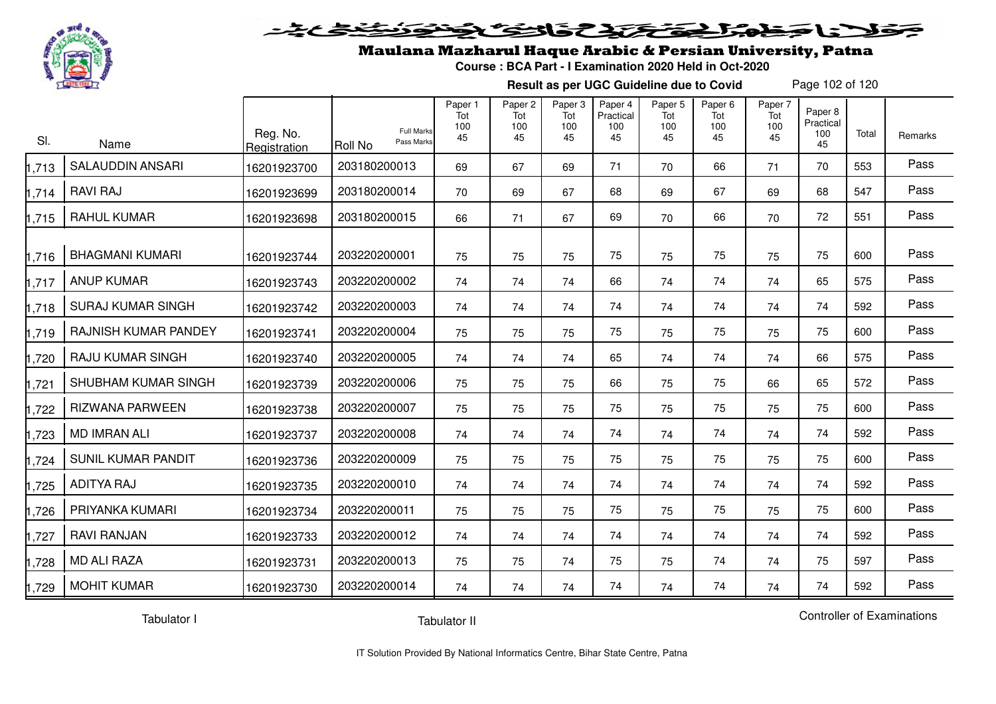

#### 2020 222225.00 Sels De

## Maulana Mazharul Haque Arabic & Persian University, Patna

**Course : BCA Part - I Examination 2020 Held in Oct-2020**

**Result as per UGC Guideline due to Covid**

Page 102 of 120

| SI.   | Name                      | Reg. No.<br>Registration | Roll No      | <b>Full Marks</b><br>Pass Marks | Paper 1<br>Tot<br>100<br>45 | Paper 2<br>Tot<br>100<br>45 | Paper 3<br>Tot<br>100<br>45 | Paper 4<br>Practical<br>100<br>45 | Paper 5<br>Tot<br>100<br>45 | Paper 6<br>Tot<br>100<br>45 | Paper 7<br>Tot<br>100<br>45 | Paper 8<br>Practical<br>100<br>45 | Total | Remarks |
|-------|---------------------------|--------------------------|--------------|---------------------------------|-----------------------------|-----------------------------|-----------------------------|-----------------------------------|-----------------------------|-----------------------------|-----------------------------|-----------------------------------|-------|---------|
| ,713  | <b>SALAUDDIN ANSARI</b>   | 16201923700              | 203180200013 |                                 | 69                          | 67                          | 69                          | 71                                | 70                          | 66                          | 71                          | 70                                | 553   | Pass    |
| 1,714 | <b>RAVI RAJ</b>           | 16201923699              | 203180200014 |                                 | 70                          | 69                          | 67                          | 68                                | 69                          | 67                          | 69                          | 68                                | 547   | Pass    |
| ,715  | <b>RAHUL KUMAR</b>        | 16201923698              | 203180200015 |                                 | 66                          | 71                          | 67                          | 69                                | 70                          | 66                          | 70                          | 72                                | 551   | Pass    |
| 1,716 | <b>BHAGMANI KUMARI</b>    | 16201923744              | 203220200001 |                                 | 75                          | 75                          | 75                          | 75                                | 75                          | 75                          | 75                          | 75                                | 600   | Pass    |
| ,717  | <b>ANUP KUMAR</b>         | 16201923743              | 203220200002 |                                 | 74                          | 74                          | 74                          | 66                                | 74                          | 74                          | 74                          | 65                                | 575   | Pass    |
| 1,718 | <b>SURAJ KUMAR SINGH</b>  | 16201923742              | 203220200003 |                                 | 74                          | 74                          | 74                          | 74                                | 74                          | 74                          | 74                          | 74                                | 592   | Pass    |
| 1,719 | RAJNISH KUMAR PANDEY      | 16201923741              | 203220200004 |                                 | 75                          | 75                          | 75                          | 75                                | 75                          | 75                          | 75                          | 75                                | 600   | Pass    |
| ,720  | <b>RAJU KUMAR SINGH</b>   | 16201923740              | 203220200005 |                                 | 74                          | 74                          | 74                          | 65                                | 74                          | 74                          | 74                          | 66                                | 575   | Pass    |
| ,721  | SHUBHAM KUMAR SINGH       | 16201923739              | 203220200006 |                                 | 75                          | 75                          | 75                          | 66                                | 75                          | 75                          | 66                          | 65                                | 572   | Pass    |
| ,722  | <b>RIZWANA PARWEEN</b>    | 16201923738              | 203220200007 |                                 | 75                          | 75                          | 75                          | 75                                | 75                          | 75                          | 75                          | 75                                | 600   | Pass    |
| ,723  | <b>MD IMRAN ALI</b>       | 16201923737              | 203220200008 |                                 | 74                          | 74                          | 74                          | 74                                | 74                          | 74                          | 74                          | 74                                | 592   | Pass    |
| ,724  | <b>SUNIL KUMAR PANDIT</b> | 16201923736              | 203220200009 |                                 | 75                          | 75                          | 75                          | 75                                | 75                          | 75                          | 75                          | 75                                | 600   | Pass    |
| ,725  | <b>ADITYA RAJ</b>         | 16201923735              | 203220200010 |                                 | 74                          | 74                          | 74                          | 74                                | 74                          | 74                          | 74                          | 74                                | 592   | Pass    |
| ,726  | PRIYANKA KUMARI           | 16201923734              | 203220200011 |                                 | 75                          | 75                          | 75                          | 75                                | 75                          | 75                          | 75                          | 75                                | 600   | Pass    |
| ,727  | <b>RAVI RANJAN</b>        | 16201923733              | 203220200012 |                                 | 74                          | 74                          | 74                          | 74                                | 74                          | 74                          | 74                          | 74                                | 592   | Pass    |
| ,728  | <b>MD ALI RAZA</b>        | 16201923731              | 203220200013 |                                 | 75                          | 75                          | 74                          | 75                                | 75                          | 74                          | 74                          | 75                                | 597   | Pass    |
| 1,729 | <b>MOHIT KUMAR</b>        | 16201923730              | 203220200014 |                                 | 74                          | 74                          | 74                          | 74                                | 74                          | 74                          | 74                          | 74                                | 592   | Pass    |

Tabulator I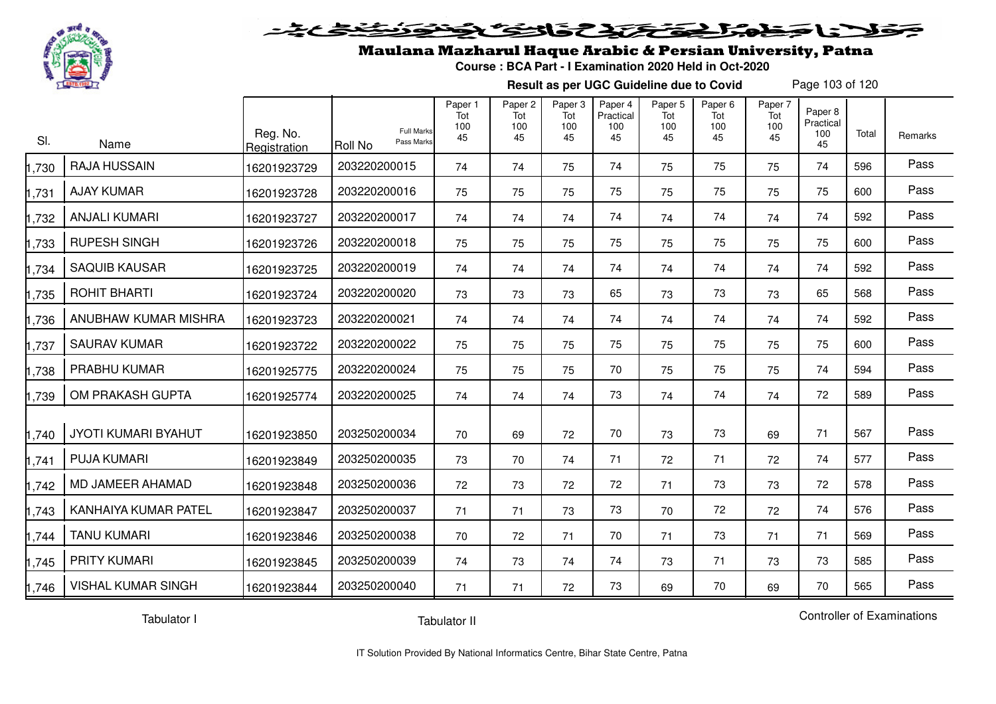

# فلأناخض المتخفخ بمفاق والخفائض

### Maulana Mazharul Haque Arabic & Persian University, Patna

**Course : BCA Part - I Examination 2020 Held in Oct-2020**

**Result as per UGC Guideline due to Covid**

Page 103 of 120

| SI.   | Name                       | Reg. No.<br>Registration | <b>Full Marks</b><br>Pass Marks<br>Roll No | Paper 1<br>Tot<br>100<br>45 | Paper 2<br>Tot<br>100<br>45 | Paper 3<br>Tot<br>100<br>45 | Paper 4<br>Practical<br>100<br>45 | Paper 5<br>Tot<br>100<br>45 | Paper <sub>6</sub><br>Tot<br>100<br>45 | Paper 7<br>Tot<br>100<br>45 | Paper 8<br>Practical<br>100<br>45 | Total | Remarks |
|-------|----------------------------|--------------------------|--------------------------------------------|-----------------------------|-----------------------------|-----------------------------|-----------------------------------|-----------------------------|----------------------------------------|-----------------------------|-----------------------------------|-------|---------|
| 1,730 | <b>RAJA HUSSAIN</b>        | 16201923729              | 203220200015                               | 74                          | 74                          | 75                          | 74                                | 75                          | 75                                     | 75                          | 74                                | 596   | Pass    |
| 1,731 | <b>AJAY KUMAR</b>          | 16201923728              | 203220200016                               | 75                          | 75                          | 75                          | 75                                | 75                          | 75                                     | 75                          | 75                                | 600   | Pass    |
| 1,732 | <b>ANJALI KUMARI</b>       | 16201923727              | 203220200017                               | 74                          | 74                          | 74                          | 74                                | 74                          | 74                                     | 74                          | 74                                | 592   | Pass    |
| 1,733 | <b>RUPESH SINGH</b>        | 16201923726              | 203220200018                               | 75                          | 75                          | 75                          | 75                                | 75                          | 75                                     | 75                          | 75                                | 600   | Pass    |
| 1,734 | <b>SAQUIB KAUSAR</b>       | 16201923725              | 203220200019                               | 74                          | 74                          | 74                          | 74                                | 74                          | 74                                     | 74                          | 74                                | 592   | Pass    |
| 1,735 | ROHIT BHARTI               | 16201923724              | 203220200020                               | 73                          | 73                          | 73                          | 65                                | 73                          | 73                                     | 73                          | 65                                | 568   | Pass    |
| 1,736 | ANUBHAW KUMAR MISHRA       | 16201923723              | 203220200021                               | 74                          | 74                          | 74                          | 74                                | 74                          | 74                                     | 74                          | 74                                | 592   | Pass    |
| 1,737 | <b>SAURAV KUMAR</b>        | 16201923722              | 203220200022                               | 75                          | 75                          | 75                          | 75                                | 75                          | 75                                     | 75                          | 75                                | 600   | Pass    |
| 1,738 | PRABHU KUMAR               | 16201925775              | 203220200024                               | 75                          | 75                          | 75                          | 70                                | 75                          | 75                                     | 75                          | 74                                | 594   | Pass    |
| 1,739 | OM PRAKASH GUPTA           | 16201925774              | 203220200025                               | 74                          | 74                          | 74                          | 73                                | 74                          | 74                                     | 74                          | 72                                | 589   | Pass    |
| 1,740 | <b>JYOTI KUMARI BYAHUT</b> | 16201923850              | 203250200034                               | 70                          | 69                          | 72                          | 70                                | 73                          | 73                                     | 69                          | 71                                | 567   | Pass    |
| 1,741 | <b>PUJA KUMARI</b>         | 16201923849              | 203250200035                               | 73                          | 70                          | 74                          | 71                                | 72                          | 71                                     | 72                          | 74                                | 577   | Pass    |
| 1,742 | MD JAMEER AHAMAD           | 16201923848              | 203250200036                               | 72                          | 73                          | 72                          | 72                                | 71                          | 73                                     | 73                          | 72                                | 578   | Pass    |
| 1,743 | KANHAIYA KUMAR PATEL       | 16201923847              | 203250200037                               | 71                          | 71                          | 73                          | 73                                | 70                          | 72                                     | 72                          | 74                                | 576   | Pass    |
| 1,744 | <b>TANU KUMARI</b>         | 16201923846              | 203250200038                               | 70                          | 72                          | 71                          | 70                                | 71                          | 73                                     | 71                          | 71                                | 569   | Pass    |
| 1,745 | <b>PRITY KUMARI</b>        | 16201923845              | 203250200039                               | 74                          | 73                          | 74                          | 74                                | 73                          | 71                                     | 73                          | 73                                | 585   | Pass    |
| 1,746 | <b>VISHAL KUMAR SINGH</b>  | 16201923844              | 203250200040                               | 71                          | 71                          | 72                          | 73                                | 69                          | 70                                     | 69                          | 70                                | 565   | Pass    |

Tabulator I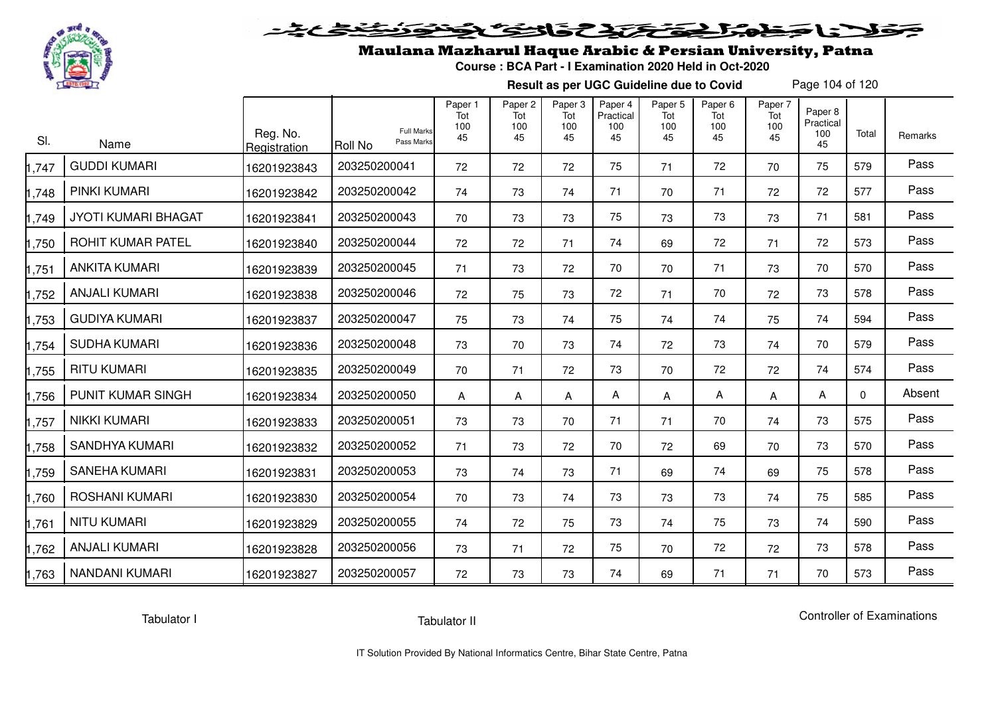

# فلأناخض المتحقح كتحافظ

### Maulana Mazharul Haque Arabic & Persian University, Patna

**Course : BCA Part - I Examination 2020 Held in Oct-2020**

**Result as per UGC Guideline due to Covid**

Page 104 of 120

| SI.   | Name                       | Reg. No.<br>Registration | <b>Full Marks</b><br>Pass Marks<br><b>Roll No</b> | Paper 1<br>Tot<br>100<br>45 | Paper <sub>2</sub><br>Tot<br>100<br>45 | Paper 3<br>Tot<br>100<br>45 | Paper 4<br>Practical<br>100<br>45 | Paper <sub>5</sub><br>Tot<br>100<br>45 | Paper <sub>6</sub><br>Tot<br>100<br>45 | Paper 7<br>Tot<br>100<br>45 | Paper 8<br>Practical<br>100<br>45 | Total    | Remarks |
|-------|----------------------------|--------------------------|---------------------------------------------------|-----------------------------|----------------------------------------|-----------------------------|-----------------------------------|----------------------------------------|----------------------------------------|-----------------------------|-----------------------------------|----------|---------|
| 1,747 | <b>GUDDI KUMARI</b>        | 16201923843              | 203250200041                                      | 72                          | 72                                     | 72                          | 75                                | 71                                     | 72                                     | 70                          | 75                                | 579      | Pass    |
| 1,748 | <b>PINKI KUMARI</b>        | 16201923842              | 203250200042                                      | 74                          | 73                                     | 74                          | 71                                | 70                                     | 71                                     | 72                          | 72                                | 577      | Pass    |
| 1,749 | <b>JYOTI KUMARI BHAGAT</b> | 16201923841              | 203250200043                                      | 70                          | 73                                     | 73                          | 75                                | 73                                     | 73                                     | 73                          | 71                                | 581      | Pass    |
| 1,750 | ROHIT KUMAR PATEL          | 16201923840              | 203250200044                                      | 72                          | 72                                     | 71                          | 74                                | 69                                     | 72                                     | 71                          | 72                                | 573      | Pass    |
| 1,751 | <b>ANKITA KUMARI</b>       | 16201923839              | 203250200045                                      | 71                          | 73                                     | 72                          | 70                                | 70                                     | 71                                     | 73                          | 70                                | 570      | Pass    |
| 1,752 | <b>ANJALI KUMARI</b>       | 16201923838              | 203250200046                                      | 72                          | 75                                     | 73                          | 72                                | 71                                     | 70                                     | 72                          | 73                                | 578      | Pass    |
| 1,753 | <b>GUDIYA KUMARI</b>       | 16201923837              | 203250200047                                      | 75                          | 73                                     | 74                          | 75                                | 74                                     | 74                                     | 75                          | 74                                | 594      | Pass    |
| 1,754 | <b>SUDHA KUMARI</b>        | 16201923836              | 203250200048                                      | 73                          | 70                                     | 73                          | 74                                | 72                                     | 73                                     | 74                          | 70                                | 579      | Pass    |
| 1,755 | <b>RITU KUMARI</b>         | 16201923835              | 203250200049                                      | 70                          | 71                                     | 72                          | 73                                | 70                                     | 72                                     | 72                          | 74                                | 574      | Pass    |
| 1,756 | PUNIT KUMAR SINGH          | 16201923834              | 203250200050                                      | A                           | A                                      | Α                           | А                                 | Α                                      | Α                                      | A                           | A                                 | $\Omega$ | Absent  |
| 1,757 | <b>NIKKI KUMARI</b>        | 16201923833              | 203250200051                                      | 73                          | 73                                     | 70                          | 71                                | 71                                     | 70                                     | 74                          | 73                                | 575      | Pass    |
| 1,758 | <b>SANDHYA KUMARI</b>      | 16201923832              | 203250200052                                      | 71                          | 73                                     | 72                          | 70                                | 72                                     | 69                                     | 70                          | 73                                | 570      | Pass    |
| 1,759 | <b>SANEHA KUMARI</b>       | 16201923831              | 203250200053                                      | 73                          | 74                                     | 73                          | 71                                | 69                                     | 74                                     | 69                          | 75                                | 578      | Pass    |
| 1,760 | ROSHANI KUMARI             | 16201923830              | 203250200054                                      | 70                          | 73                                     | 74                          | 73                                | 73                                     | 73                                     | 74                          | 75                                | 585      | Pass    |
| 1,761 | <b>NITU KUMARI</b>         | 16201923829              | 203250200055                                      | 74                          | 72                                     | 75                          | 73                                | 74                                     | 75                                     | 73                          | 74                                | 590      | Pass    |
| 1,762 | <b>ANJALI KUMARI</b>       | 16201923828              | 203250200056                                      | 73                          | 71                                     | 72                          | 75                                | 70                                     | 72                                     | 72                          | 73                                | 578      | Pass    |
| 1,763 | <b>NANDANI KUMARI</b>      | 16201923827              | 203250200057                                      | 72                          | 73                                     | 73                          | 74                                | 69                                     | 71                                     | 71                          | 70                                | 573      | Pass    |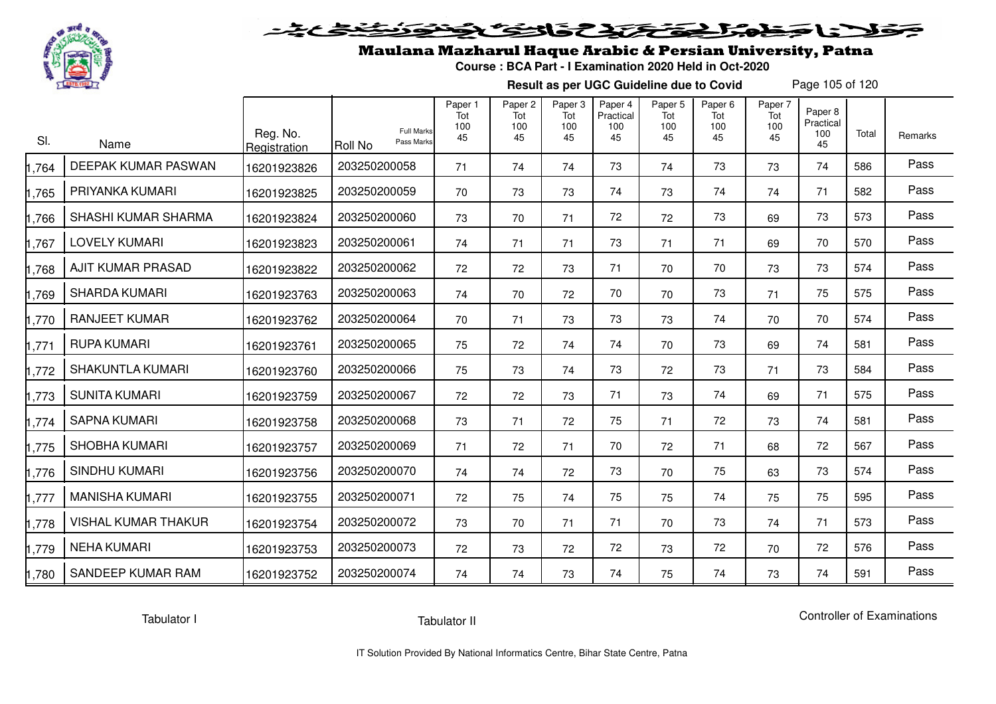

# فلأناخض المتعاطية فتخلفت فالخفض

### Maulana Mazharul Haque Arabic & Persian University, Patna

**Course : BCA Part - I Examination 2020 Held in Oct-2020**

**Result as per UGC Guideline due to Covid**

Page 105 of 120

| SI.   | Name                       | Reg. No.<br>Registration | <b>Full Marks</b><br>Pass Marks<br><b>Roll No</b> | Paper 1<br>Tot<br>100<br>45 | Paper <sub>2</sub><br>Tot<br>100<br>45 | Paper <sub>3</sub><br>Tot<br>100<br>45 | Paper 4<br>Practical<br>100<br>45 | Paper <sub>5</sub><br>Tot<br>100<br>45 | Paper <sub>6</sub><br>Tot<br>100<br>45 | Paper 7<br>Tot<br>100<br>45 | Paper <sub>8</sub><br>Practical<br>100<br>45 | Total | Remarks |
|-------|----------------------------|--------------------------|---------------------------------------------------|-----------------------------|----------------------------------------|----------------------------------------|-----------------------------------|----------------------------------------|----------------------------------------|-----------------------------|----------------------------------------------|-------|---------|
| 1,764 | DEEPAK KUMAR PASWAN        | 16201923826              | 203250200058                                      | 71                          | 74                                     | 74                                     | 73                                | 74                                     | 73                                     | 73                          | 74                                           | 586   | Pass    |
| 1,765 | PRIYANKA KUMARI            | 16201923825              | 203250200059                                      | 70                          | 73                                     | 73                                     | 74                                | 73                                     | 74                                     | 74                          | 71                                           | 582   | Pass    |
| 1,766 | SHASHI KUMAR SHARMA        | 16201923824              | 203250200060                                      | 73                          | 70                                     | 71                                     | 72                                | 72                                     | 73                                     | 69                          | 73                                           | 573   | Pass    |
| 1,767 | <b>LOVELY KUMARI</b>       | 16201923823              | 203250200061                                      | 74                          | 71                                     | 71                                     | 73                                | 71                                     | 71                                     | 69                          | 70                                           | 570   | Pass    |
| 1,768 | AJIT KUMAR PRASAD          | 16201923822              | 203250200062                                      | 72                          | 72                                     | 73                                     | 71                                | 70                                     | 70                                     | 73                          | 73                                           | 574   | Pass    |
| 1,769 | <b>SHARDA KUMARI</b>       | 16201923763              | 203250200063                                      | 74                          | 70                                     | 72                                     | 70                                | 70                                     | 73                                     | 71                          | 75                                           | 575   | Pass    |
| 1,770 | <b>RANJEET KUMAR</b>       | 16201923762              | 203250200064                                      | 70                          | 71                                     | 73                                     | 73                                | 73                                     | 74                                     | 70                          | 70                                           | 574   | Pass    |
| 1,771 | <b>RUPA KUMARI</b>         | 16201923761              | 203250200065                                      | 75                          | 72                                     | 74                                     | 74                                | 70                                     | 73                                     | 69                          | 74                                           | 581   | Pass    |
| 1,772 | <b>SHAKUNTLA KUMARI</b>    | 16201923760              | 203250200066                                      | 75                          | 73                                     | 74                                     | 73                                | 72                                     | 73                                     | 71                          | 73                                           | 584   | Pass    |
| 1,773 | SUNITA KUMARI              | 16201923759              | 203250200067                                      | 72                          | 72                                     | 73                                     | 71                                | 73                                     | 74                                     | 69                          | 71                                           | 575   | Pass    |
| 1,774 | <b>SAPNA KUMARI</b>        | 16201923758              | 203250200068                                      | 73                          | 71                                     | 72                                     | 75                                | 71                                     | 72                                     | 73                          | 74                                           | 581   | Pass    |
| 1,775 | <b>SHOBHA KUMARI</b>       | 16201923757              | 203250200069                                      | 71                          | 72                                     | 71                                     | 70                                | 72                                     | 71                                     | 68                          | 72                                           | 567   | Pass    |
| 1,776 | <b>SINDHU KUMARI</b>       | 16201923756              | 203250200070                                      | 74                          | 74                                     | 72                                     | 73                                | 70                                     | 75                                     | 63                          | 73                                           | 574   | Pass    |
| 1,777 | <b>MANISHA KUMARI</b>      | 16201923755              | 203250200071                                      | 72                          | 75                                     | 74                                     | 75                                | 75                                     | 74                                     | 75                          | 75                                           | 595   | Pass    |
| 1,778 | <b>VISHAL KUMAR THAKUR</b> | 16201923754              | 203250200072                                      | 73                          | 70                                     | 71                                     | 71                                | 70                                     | 73                                     | 74                          | 71                                           | 573   | Pass    |
| 1,779 | <b>NEHA KUMARI</b>         | 16201923753              | 203250200073                                      | 72                          | 73                                     | 72                                     | 72                                | 73                                     | 72                                     | 70                          | 72                                           | 576   | Pass    |
| 1,780 | SANDEEP KUMAR RAM          | 16201923752              | 203250200074                                      | 74                          | 74                                     | 73                                     | 74                                | 75                                     | 74                                     | 73                          | 74                                           | 591   | Pass    |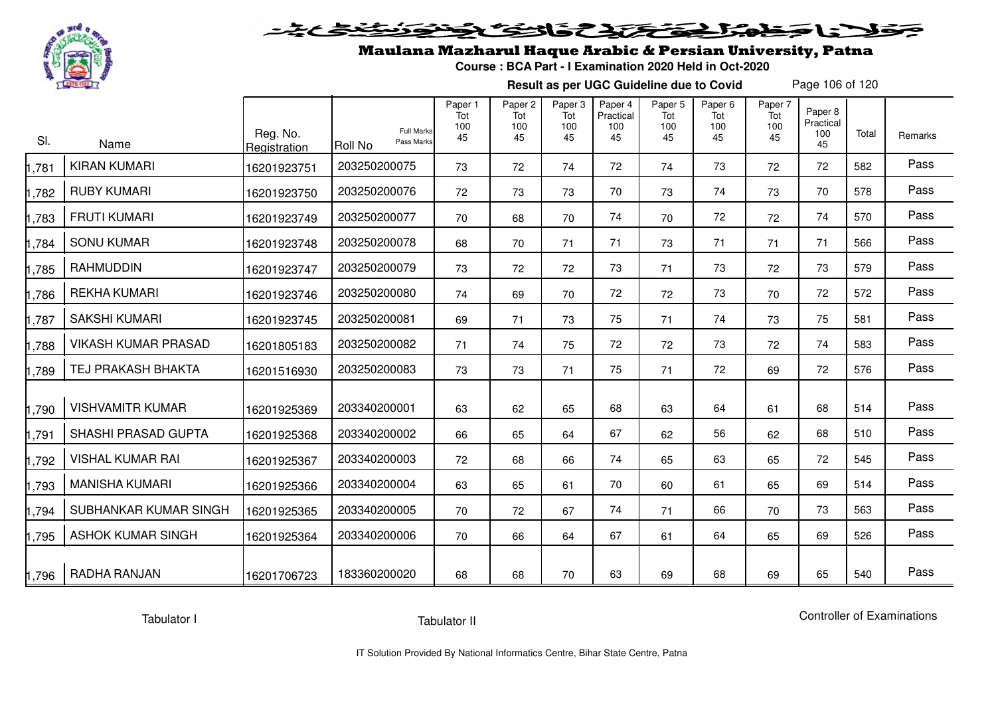

# فلأناخض كتحكيك فالتكناف

## Maulana Mazharul Haque Arabic & Persian University, Patna

**Course : BCA Part - I Examination 2020 Held in Oct-2020**

**Result as per UGC Guideline due to Covid**

Page 106 of 120

| SI.   | Name                       | Reg. No.<br>Registration | <b>Full Marks</b><br>Pass Marks<br>Roll No | Paper 1<br>Tot<br>100<br>45 | Paper <sub>2</sub><br>Tot<br>100<br>45 | Paper <sub>3</sub><br>Tot<br>100<br>45 | Paper 4<br>Practical<br>100<br>45 | Paper <sub>5</sub><br>Tot<br>100<br>45 | Paper <sub>6</sub><br>Tot<br>100<br>45 | Paper 7<br>Tot<br>100<br>45 | Paper 8<br>Practical<br>100<br>45 | Total | Remarks |
|-------|----------------------------|--------------------------|--------------------------------------------|-----------------------------|----------------------------------------|----------------------------------------|-----------------------------------|----------------------------------------|----------------------------------------|-----------------------------|-----------------------------------|-------|---------|
| ,781  | <b>KIRAN KUMARI</b>        | 16201923751              | 203250200075                               | 73                          | 72                                     | 74                                     | 72                                | 74                                     | 73                                     | 72                          | 72                                | 582   | Pass    |
| ,782  | <b>RUBY KUMARI</b>         | 16201923750              | 203250200076                               | 72                          | 73                                     | 73                                     | 70                                | 73                                     | 74                                     | 73                          | 70                                | 578   | Pass    |
| .783  | <b>FRUTI KUMARI</b>        | 16201923749              | 203250200077                               | 70                          | 68                                     | 70                                     | 74                                | 70                                     | 72                                     | 72                          | 74                                | 570   | Pass    |
| ,784  | <b>SONU KUMAR</b>          | 16201923748              | 203250200078                               | 68                          | 70                                     | 71                                     | 71                                | 73                                     | 71                                     | 71                          | 71                                | 566   | Pass    |
| ,785  | <b>RAHMUDDIN</b>           | 16201923747              | 203250200079                               | 73                          | 72                                     | 72                                     | 73                                | 71                                     | 73                                     | 72                          | 73                                | 579   | Pass    |
| ,786  | <b>REKHA KUMARI</b>        | 16201923746              | 203250200080                               | 74                          | 69                                     | 70                                     | 72                                | 72                                     | 73                                     | 70                          | 72                                | 572   | Pass    |
| ,787  | <b>SAKSHI KUMARI</b>       | 16201923745              | 203250200081                               | 69                          | 71                                     | 73                                     | 75                                | 71                                     | 74                                     | 73                          | 75                                | 581   | Pass    |
| ,788  | <b>VIKASH KUMAR PRASAD</b> | 16201805183              | 203250200082                               | 71                          | 74                                     | 75                                     | 72                                | 72                                     | 73                                     | 72                          | 74                                | 583   | Pass    |
| ,789  | <b>TEJ PRAKASH BHAKTA</b>  | 16201516930              | 203250200083                               | 73                          | 73                                     | 71                                     | 75                                | 71                                     | 72                                     | 69                          | 72                                | 576   | Pass    |
| ,790  | <b>VISHVAMITR KUMAR</b>    | 16201925369              | 203340200001                               | 63                          | 62                                     | 65                                     | 68                                | 63                                     | 64                                     | 61                          | 68                                | 514   | Pass    |
| ,791  | SHASHI PRASAD GUPTA        | 16201925368              | 203340200002                               | 66                          | 65                                     | 64                                     | 67                                | 62                                     | 56                                     | 62                          | 68                                | 510   | Pass    |
| .792  | <b>VISHAL KUMAR RAI</b>    | 16201925367              | 203340200003                               | 72                          | 68                                     | 66                                     | 74                                | 65                                     | 63                                     | 65                          | 72                                | 545   | Pass    |
| ,793  | <b>MANISHA KUMARI</b>      | 16201925366              | 203340200004                               | 63                          | 65                                     | 61                                     | 70                                | 60                                     | 61                                     | 65                          | 69                                | 514   | Pass    |
| ,794  | SUBHANKAR KUMAR SINGH      | 16201925365              | 203340200005                               | 70                          | 72                                     | 67                                     | 74                                | 71                                     | 66                                     | 70                          | 73                                | 563   | Pass    |
| ,795  | <b>ASHOK KUMAR SINGH</b>   | 16201925364              | 203340200006                               | 70                          | 66                                     | 64                                     | 67                                | 61                                     | 64                                     | 65                          | 69                                | 526   | Pass    |
| 1,796 | RADHA RANJAN               | 16201706723              | 183360200020                               | 68                          | 68                                     | 70                                     | 63                                | 69                                     | 68                                     | 69                          | 65                                | 540   | Pass    |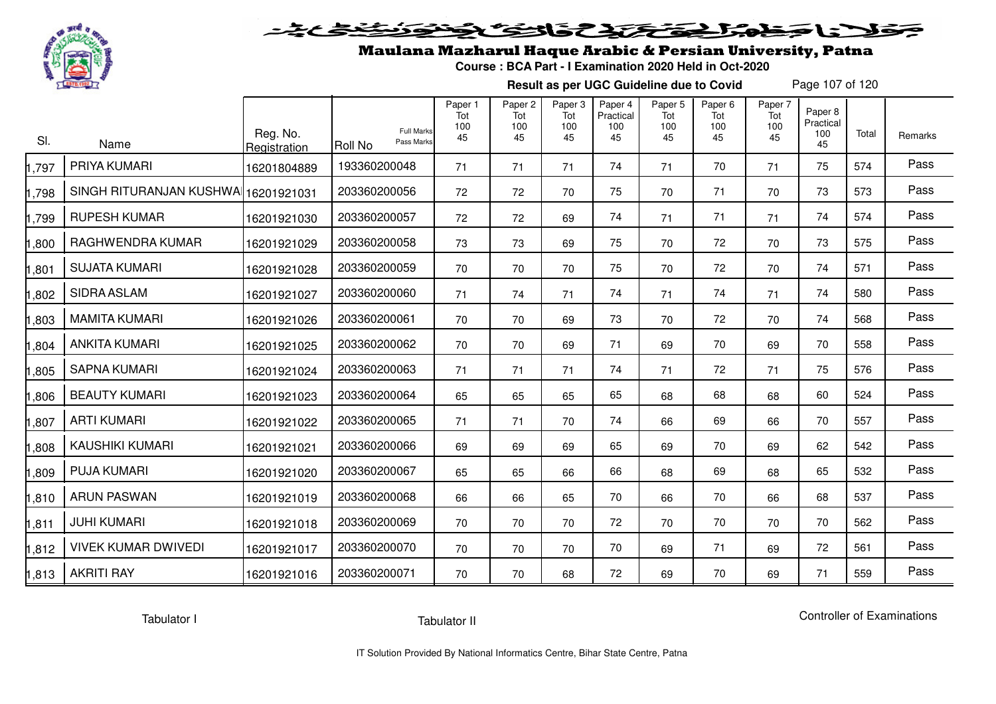

## ولانا وخوالج وتحتك والتوكي

## Maulana Mazharul Haque Arabic & Persian University, Patna

**Course : BCA Part - I Examination 2020 Held in Oct-2020**

**Result as per UGC Guideline due to Covid**

Page 107 of 120

| SI.   | Name                       | Reg. No.<br>Registration | <b>Full Marks</b><br>Pass Marks<br><b>Roll No</b> | Paper 1<br>Tot<br>100<br>45 | Paper <sub>2</sub><br>Tot<br>100<br>45 | Paper <sub>3</sub><br>Tot<br>100<br>45 | Paper 4<br>Practical<br>100<br>45 | Paper <sub>5</sub><br>Tot<br>100<br>45 | Paper <sub>6</sub><br>Tot<br>100<br>45 | Paper 7<br>Tot<br>100<br>45 | Paper 8<br>Practical<br>100<br>45 | Total | Remarks |
|-------|----------------------------|--------------------------|---------------------------------------------------|-----------------------------|----------------------------------------|----------------------------------------|-----------------------------------|----------------------------------------|----------------------------------------|-----------------------------|-----------------------------------|-------|---------|
| ,797  | PRIYA KUMARI               | 16201804889              | 193360200048                                      | 71                          | 71                                     | 71                                     | 74                                | 71                                     | 70                                     | 71                          | 75                                | 574   | Pass    |
| ,798  | SINGH RITURANJAN KUSHWA    | 16201921031              | 203360200056                                      | 72                          | 72                                     | 70                                     | 75                                | 70                                     | 71                                     | 70                          | 73                                | 573   | Pass    |
| ,799  | <b>RUPESH KUMAR</b>        | 16201921030              | 203360200057                                      | 72                          | 72                                     | 69                                     | 74                                | 71                                     | 71                                     | 71                          | 74                                | 574   | Pass    |
| ,800  | RAGHWENDRA KUMAR           | 16201921029              | 203360200058                                      | 73                          | 73                                     | 69                                     | 75                                | 70                                     | 72                                     | 70                          | 73                                | 575   | Pass    |
| ,801  | <b>SUJATA KUMARI</b>       | 16201921028              | 203360200059                                      | 70                          | 70                                     | 70                                     | 75                                | 70                                     | 72                                     | 70                          | 74                                | 571   | Pass    |
| ,802  | SIDRA ASLAM                | 16201921027              | 203360200060                                      | 71                          | 74                                     | 71                                     | 74                                | 71                                     | 74                                     | 71                          | 74                                | 580   | Pass    |
| ,803  | <b>MAMITA KUMARI</b>       | 16201921026              | 203360200061                                      | 70                          | 70                                     | 69                                     | 73                                | 70                                     | 72                                     | 70                          | 74                                | 568   | Pass    |
| ,804  | <b>ANKITA KUMARI</b>       | 16201921025              | 203360200062                                      | 70                          | 70                                     | 69                                     | 71                                | 69                                     | 70                                     | 69                          | 70                                | 558   | Pass    |
| ,805  | <b>SAPNA KUMARI</b>        | 16201921024              | 203360200063                                      | 71                          | 71                                     | 71                                     | 74                                | 71                                     | 72                                     | 71                          | 75                                | 576   | Pass    |
| ,806  | <b>BEAUTY KUMARI</b>       | 16201921023              | 203360200064                                      | 65                          | 65                                     | 65                                     | 65                                | 68                                     | 68                                     | 68                          | 60                                | 524   | Pass    |
| ,807  | <b>ARTI KUMARI</b>         | 16201921022              | 203360200065                                      | 71                          | 71                                     | 70                                     | 74                                | 66                                     | 69                                     | 66                          | 70                                | 557   | Pass    |
| ,808  | <b>KAUSHIKI KUMARI</b>     | 16201921021              | 203360200066                                      | 69                          | 69                                     | 69                                     | 65                                | 69                                     | 70                                     | 69                          | 62                                | 542   | Pass    |
| ,809  | <b>PUJA KUMARI</b>         | 16201921020              | 203360200067                                      | 65                          | 65                                     | 66                                     | 66                                | 68                                     | 69                                     | 68                          | 65                                | 532   | Pass    |
| ,810  | <b>ARUN PASWAN</b>         | 16201921019              | 203360200068                                      | 66                          | 66                                     | 65                                     | 70                                | 66                                     | 70                                     | 66                          | 68                                | 537   | Pass    |
| ,811  | <b>JUHI KUMARI</b>         | 16201921018              | 203360200069                                      | 70                          | 70                                     | 70                                     | 72                                | 70                                     | 70                                     | 70                          | 70                                | 562   | Pass    |
| ,812  | <b>VIVEK KUMAR DWIVEDI</b> | 16201921017              | 203360200070                                      | 70                          | 70                                     | 70                                     | 70                                | 69                                     | 71                                     | 69                          | 72                                | 561   | Pass    |
| 1,813 | <b>AKRITI RAY</b>          | 16201921016              | 203360200071                                      | 70                          | 70                                     | 68                                     | 72                                | 69                                     | 70                                     | 69                          | 71                                | 559   | Pass    |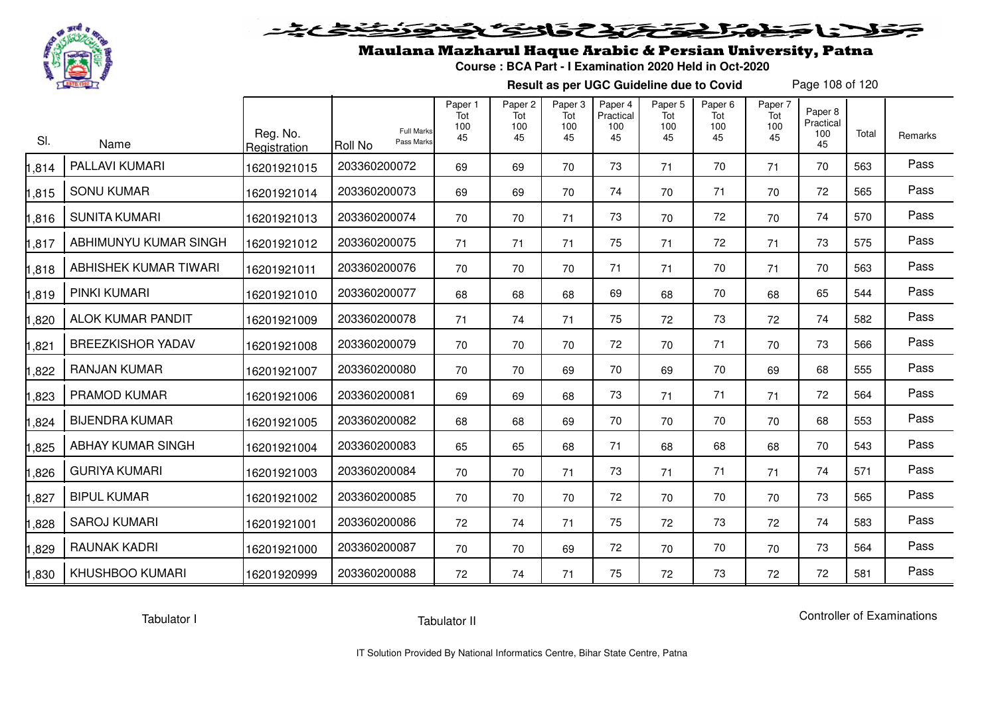

# فلأناخض المتعاطية فتخلفت فالخفض

## Maulana Mazharul Haque Arabic & Persian University, Patna

**Course : BCA Part - I Examination 2020 Held in Oct-2020**

**Result as per UGC Guideline due to Covid**

Page 108 of 120

| SI.   | Name                     | Reg. No.<br>Registration | <b>Roll No</b> | Paper 1<br>Tot<br>100<br><b>Full Marks</b><br>45<br>Pass Marks | Paper <sub>2</sub><br>Tot<br>100<br>45 | Paper <sub>3</sub><br>Tot<br>100<br>45 | Paper 4<br>Practical<br>100<br>45 | Paper <sub>5</sub><br>Tot<br>100<br>45 | Paper <sub>6</sub><br>Tot<br>100<br>45 | Paper 7<br>Tot<br>100<br>45 | Paper 8<br>Practical<br>100<br>45 | Total | Remarks |
|-------|--------------------------|--------------------------|----------------|----------------------------------------------------------------|----------------------------------------|----------------------------------------|-----------------------------------|----------------------------------------|----------------------------------------|-----------------------------|-----------------------------------|-------|---------|
| 1,814 | PALLAVI KUMARI           | 16201921015              | 203360200072   | 69                                                             | 69                                     | 70                                     | 73                                | 71                                     | 70                                     | 71                          | 70                                | 563   | Pass    |
| 1,815 | <b>SONU KUMAR</b>        | 16201921014              | 203360200073   | 69                                                             | 69                                     | 70                                     | 74                                | 70                                     | 71                                     | 70                          | 72                                | 565   | Pass    |
| 1,816 | <b>SUNITA KUMARI</b>     | 16201921013              | 203360200074   | 70                                                             | 70                                     | 71                                     | 73                                | 70                                     | 72                                     | 70                          | 74                                | 570   | Pass    |
| 1,817 | ABHIMUNYU KUMAR SINGH    | 16201921012              | 203360200075   | 71                                                             | 71                                     | 71                                     | 75                                | 71                                     | 72                                     | 71                          | 73                                | 575   | Pass    |
| 1,818 | ABHISHEK KUMAR TIWARI    | 16201921011              | 203360200076   | 70                                                             | 70                                     | 70                                     | 71                                | 71                                     | 70                                     | 71                          | 70                                | 563   | Pass    |
| 1,819 | PINKI KUMARI             | 16201921010              | 203360200077   | 68                                                             | 68                                     | 68                                     | 69                                | 68                                     | 70                                     | 68                          | 65                                | 544   | Pass    |
| 1,820 | <b>ALOK KUMAR PANDIT</b> | 16201921009              | 203360200078   | 71                                                             | 74                                     | 71                                     | 75                                | 72                                     | 73                                     | 72                          | 74                                | 582   | Pass    |
| 1,821 | <b>BREEZKISHOR YADAV</b> | 16201921008              | 203360200079   | 70                                                             | 70                                     | 70                                     | 72                                | 70                                     | 71                                     | 70                          | 73                                | 566   | Pass    |
| 1,822 | <b>RANJAN KUMAR</b>      | 16201921007              | 203360200080   | 70                                                             | 70                                     | 69                                     | 70                                | 69                                     | 70                                     | 69                          | 68                                | 555   | Pass    |
| 1,823 | <b>PRAMOD KUMAR</b>      | 16201921006              | 203360200081   | 69                                                             | 69                                     | 68                                     | 73                                | 71                                     | 71                                     | 71                          | 72                                | 564   | Pass    |
| 1,824 | <b>BIJENDRA KUMAR</b>    | 16201921005              | 203360200082   | 68                                                             | 68                                     | 69                                     | 70                                | 70                                     | 70                                     | 70                          | 68                                | 553   | Pass    |
| 1,825 | <b>ABHAY KUMAR SINGH</b> | 16201921004              | 203360200083   | 65                                                             | 65                                     | 68                                     | 71                                | 68                                     | 68                                     | 68                          | 70                                | 543   | Pass    |
| 1,826 | <b>GURIYA KUMARI</b>     | 16201921003              | 203360200084   | 70                                                             | 70                                     | 71                                     | 73                                | 71                                     | 71                                     | 71                          | 74                                | 571   | Pass    |
| 1,827 | <b>BIPUL KUMAR</b>       | 16201921002              | 203360200085   | 70                                                             | 70                                     | 70                                     | 72                                | 70                                     | 70                                     | 70                          | 73                                | 565   | Pass    |
| 1,828 | <b>SAROJ KUMARI</b>      | 16201921001              | 203360200086   | 72                                                             | 74                                     | 71                                     | 75                                | 72                                     | 73                                     | 72                          | 74                                | 583   | Pass    |
| 1,829 | <b>RAUNAK KADRI</b>      | 16201921000              | 203360200087   | 70                                                             | 70                                     | 69                                     | 72                                | 70                                     | 70                                     | 70                          | 73                                | 564   | Pass    |
| 1,830 | <b>KHUSHBOO KUMARI</b>   | 16201920999              | 203360200088   | 72                                                             | 74                                     | 71                                     | 75                                | 72                                     | 73                                     | 72                          | 72                                | 581   | Pass    |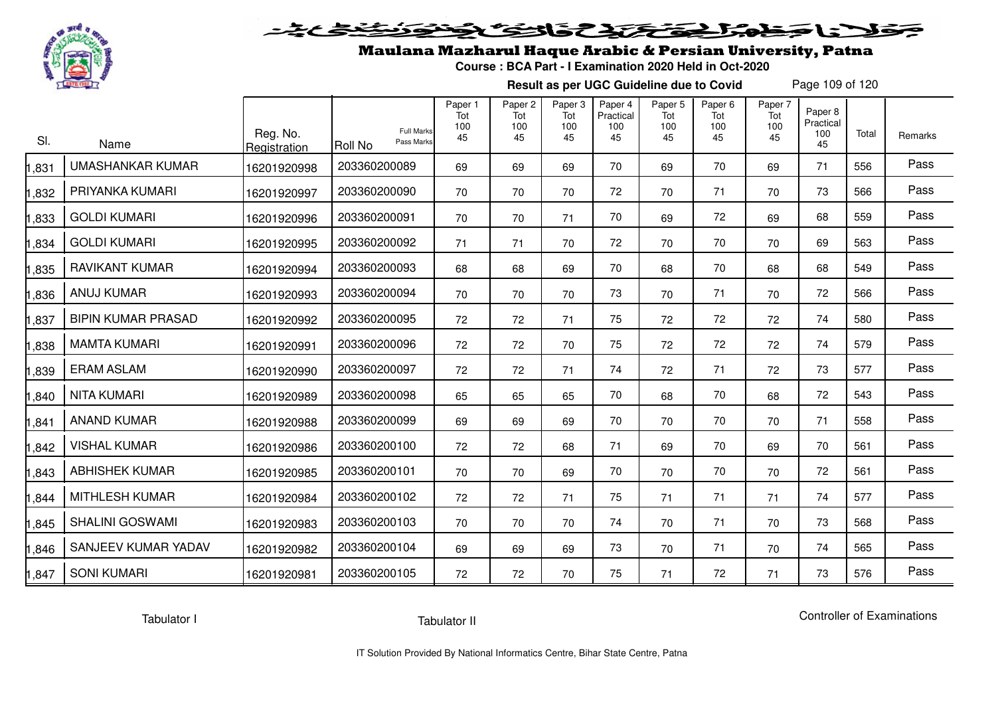

# فلأناخض المتحقح كتحافظ

## Maulana Mazharul Haque Arabic & Persian University, Patna

**Course : BCA Part - I Examination 2020 Held in Oct-2020**

**Result as per UGC Guideline due to Covid**

Page 109 of 120

| SI.   | Name                      | Reg. No.<br>Registration | <b>Full Marks</b><br>Pass Marks<br>Roll No | Paper 1<br>Tot<br>100<br>45 | Paper <sub>2</sub><br>Tot<br>100<br>45 | Paper <sub>3</sub><br>Tot<br>100<br>45 | Paper 4<br>Practical<br>100<br>45 | Paper 5<br>Tot<br>100<br>45 | Paper <sub>6</sub><br>Tot<br>100<br>45 | Paper 7<br>Tot<br>100<br>45 | Paper 8<br>Practical<br>100<br>45 | Total | Remarks |
|-------|---------------------------|--------------------------|--------------------------------------------|-----------------------------|----------------------------------------|----------------------------------------|-----------------------------------|-----------------------------|----------------------------------------|-----------------------------|-----------------------------------|-------|---------|
| ,831  | <b>UMASHANKAR KUMAR</b>   | 16201920998              | 203360200089                               | 69                          | 69                                     | 69                                     | 70                                | 69                          | 70                                     | 69                          | 71                                | 556   | Pass    |
| ,832  | PRIYANKA KUMARI           | 16201920997              | 203360200090                               | 70                          | 70                                     | 70                                     | 72                                | 70                          | 71                                     | 70                          | 73                                | 566   | Pass    |
| ,833  | <b>GOLDI KUMARI</b>       | 16201920996              | 203360200091                               | 70                          | 70                                     | 71                                     | 70                                | 69                          | 72                                     | 69                          | 68                                | 559   | Pass    |
| ,834  | <b>GOLDI KUMARI</b>       | 16201920995              | 203360200092                               | 71                          | 71                                     | 70                                     | 72                                | 70                          | 70                                     | 70                          | 69                                | 563   | Pass    |
| ,835  | <b>RAVIKANT KUMAR</b>     | 16201920994              | 203360200093                               | 68                          | 68                                     | 69                                     | 70                                | 68                          | 70                                     | 68                          | 68                                | 549   | Pass    |
| ,836  | <b>ANUJ KUMAR</b>         | 16201920993              | 203360200094                               | 70                          | 70                                     | 70                                     | 73                                | 70                          | 71                                     | 70                          | 72                                | 566   | Pass    |
| ,837  | <b>BIPIN KUMAR PRASAD</b> | 16201920992              | 203360200095                               | 72                          | 72                                     | 71                                     | 75                                | 72                          | 72                                     | 72                          | 74                                | 580   | Pass    |
| ,838  | <b>MAMTA KUMARI</b>       | 16201920991              | 203360200096                               | 72                          | 72                                     | 70                                     | 75                                | 72                          | 72                                     | 72                          | 74                                | 579   | Pass    |
| ,839  | <b>ERAM ASLAM</b>         | 16201920990              | 203360200097                               | 72                          | 72                                     | 71                                     | 74                                | 72                          | 71                                     | 72                          | 73                                | 577   | Pass    |
| ,840  | <b>NITA KUMARI</b>        | 16201920989              | 203360200098                               | 65                          | 65                                     | 65                                     | 70                                | 68                          | 70                                     | 68                          | 72                                | 543   | Pass    |
| ,841  | <b>ANAND KUMAR</b>        | 16201920988              | 203360200099                               | 69                          | 69                                     | 69                                     | 70                                | 70                          | 70                                     | 70                          | 71                                | 558   | Pass    |
| ,842  | <b>VISHAL KUMAR</b>       | 16201920986              | 203360200100                               | 72                          | 72                                     | 68                                     | 71                                | 69                          | 70                                     | 69                          | 70                                | 561   | Pass    |
| ,843  | <b>ABHISHEK KUMAR</b>     | 16201920985              | 203360200101                               | 70                          | 70                                     | 69                                     | 70                                | 70                          | 70                                     | 70                          | 72                                | 561   | Pass    |
| ,844  | <b>MITHLESH KUMAR</b>     | 16201920984              | 203360200102                               | 72                          | 72                                     | 71                                     | 75                                | 71                          | 71                                     | 71                          | 74                                | 577   | Pass    |
| ,845  | <b>SHALINI GOSWAMI</b>    | 16201920983              | 203360200103                               | 70                          | 70                                     | 70                                     | 74                                | 70                          | 71                                     | 70                          | 73                                | 568   | Pass    |
| ,846  | SANJEEV KUMAR YADAV       | 16201920982              | 203360200104                               | 69                          | 69                                     | 69                                     | 73                                | 70                          | 71                                     | 70                          | 74                                | 565   | Pass    |
| 1,847 | <b>SONI KUMARI</b>        | 16201920981              | 203360200105                               | 72                          | 72                                     | 70                                     | 75                                | 71                          | 72                                     | 71                          | 73                                | 576   | Pass    |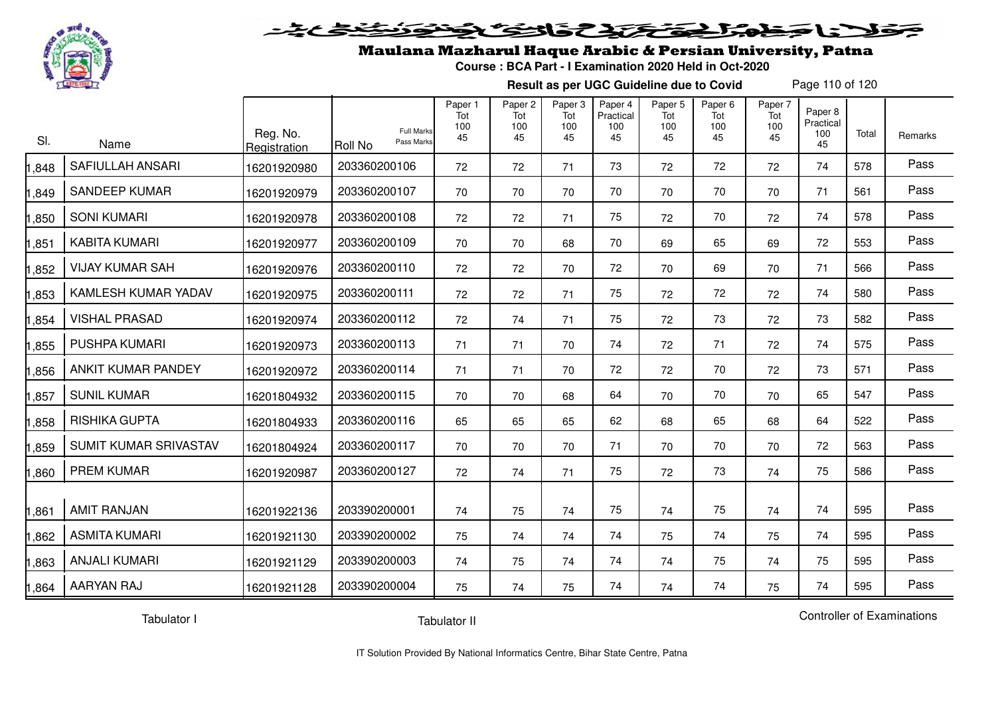

#### 20202222325.0  $\blacktriangleright$   $\blacktriangleright$   $\blacktriangleright$

## Maulana Mazharul Haque Arabic & Persian University, Patna

**Course : BCA Part - I Examination 2020 Held in Oct-2020**

**Result as per UGC Guideline due to Covid**

Page 110 of 120

| SI.   | Name                    | Reg. No.<br>Registration | <b>Full Marks</b><br>Pass Marks<br>Roll No | Paper 1<br>Tot<br>100<br>45 | Paper 2<br>Tot<br>100<br>45 | Paper 3<br>Tot<br>100<br>45 | Paper 4<br>Practical<br>100<br>45 | Paper 5<br>Tot<br>100<br>45 | Paper <sub>6</sub><br>Tot<br>100<br>45 | Paper 7<br>Tot<br>100<br>45 | Paper 8<br>Practical<br>100<br>45 | Total | Remarks |
|-------|-------------------------|--------------------------|--------------------------------------------|-----------------------------|-----------------------------|-----------------------------|-----------------------------------|-----------------------------|----------------------------------------|-----------------------------|-----------------------------------|-------|---------|
| ,848  | <b>SAFIULLAH ANSARI</b> | 16201920980              | 203360200106                               | 72                          | 72                          | 71                          | 73                                | 72                          | 72                                     | 72                          | 74                                | 578   | Pass    |
| 1,849 | <b>SANDEEP KUMAR</b>    | 16201920979              | 203360200107                               | 70                          | 70                          | 70                          | 70                                | 70                          | 70                                     | 70                          | 71                                | 561   | Pass    |
| 1,850 | <b>SONI KUMARI</b>      | 16201920978              | 203360200108                               | 72                          | 72                          | 71                          | 75                                | 72                          | 70                                     | 72                          | 74                                | 578   | Pass    |
| 1,851 | <b>KABITA KUMARI</b>    | 16201920977              | 203360200109                               | 70                          | 70                          | 68                          | 70                                | 69                          | 65                                     | 69                          | 72                                | 553   | Pass    |
| 1,852 | <b>VIJAY KUMAR SAH</b>  | 16201920976              | 203360200110                               | 72                          | 72                          | 70                          | 72                                | 70                          | 69                                     | 70                          | 71                                | 566   | Pass    |
| 1,853 | KAMLESH KUMAR YADAV     | 16201920975              | 203360200111                               | 72                          | 72                          | 71                          | 75                                | 72                          | 72                                     | 72                          | 74                                | 580   | Pass    |
| 1,854 | <b>VISHAL PRASAD</b>    | 16201920974              | 203360200112                               | 72                          | 74                          | 71                          | 75                                | 72                          | 73                                     | 72                          | 73                                | 582   | Pass    |
| 1,855 | PUSHPA KUMARI           | 16201920973              | 203360200113                               | 71                          | 71                          | 70                          | 74                                | 72                          | 71                                     | 72                          | 74                                | 575   | Pass    |
| 1,856 | ANKIT KUMAR PANDEY      | 16201920972              | 203360200114                               | 71                          | 71                          | 70                          | 72                                | 72                          | 70                                     | 72                          | 73                                | 571   | Pass    |
| 1,857 | <b>SUNIL KUMAR</b>      | 16201804932              | 203360200115                               | 70                          | 70                          | 68                          | 64                                | 70                          | 70                                     | 70                          | 65                                | 547   | Pass    |
| 1,858 | <b>RISHIKA GUPTA</b>    | 16201804933              | 203360200116                               | 65                          | 65                          | 65                          | 62                                | 68                          | 65                                     | 68                          | 64                                | 522   | Pass    |
| 1,859 | SUMIT KUMAR SRIVASTAV   | 16201804924              | 203360200117                               | 70                          | 70                          | 70                          | 71                                | 70                          | 70                                     | 70                          | 72                                | 563   | Pass    |
| 1,860 | <b>PREM KUMAR</b>       | 16201920987              | 203360200127                               | 72                          | 74                          | 71                          | 75                                | 72                          | 73                                     | 74                          | 75                                | 586   | Pass    |
| 1,861 | <b>AMIT RANJAN</b>      | 16201922136              | 203390200001                               | 74                          | 75                          | 74                          | 75                                | 74                          | 75                                     | 74                          | 74                                | 595   | Pass    |
| 1,862 | <b>ASMITA KUMARI</b>    | 16201921130              | 203390200002                               | 75                          | 74                          | 74                          | 74                                | 75                          | 74                                     | 75                          | 74                                | 595   | Pass    |
| 1,863 | <b>ANJALI KUMARI</b>    | 16201921129              | 203390200003                               | 74                          | 75                          | 74                          | 74                                | 74                          | 75                                     | 74                          | 75                                | 595   | Pass    |
| 1,864 | AARYAN RAJ              | 16201921128              | 203390200004                               | 75                          | 74                          | 75                          | 74                                | 74                          | 74                                     | 75                          | 74                                | 595   | Pass    |

Tabulator I

Tabulator II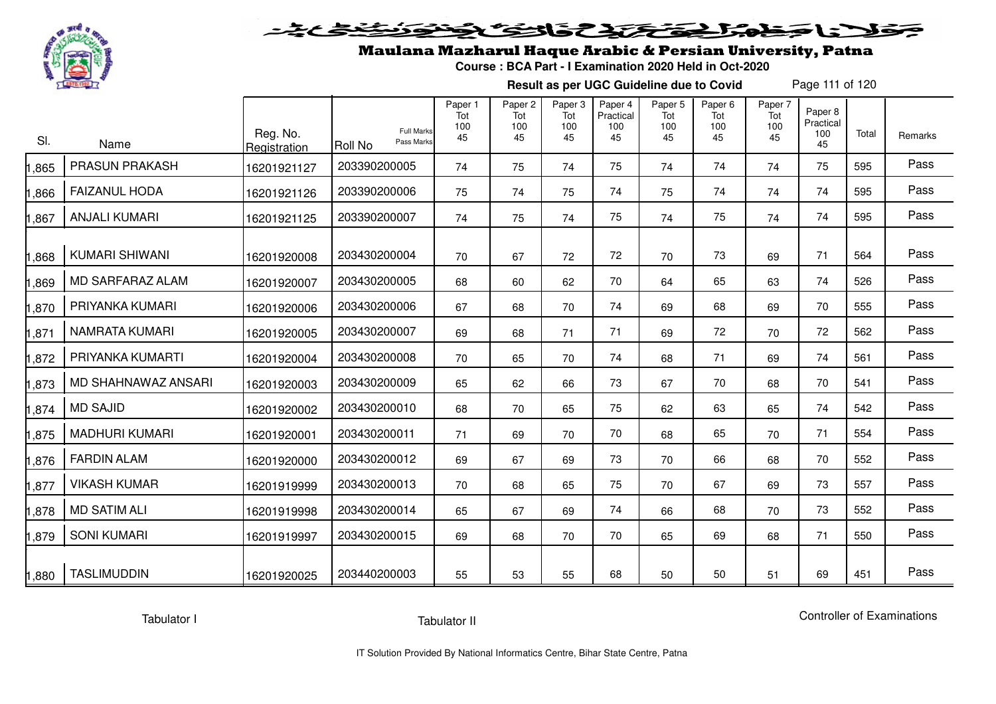

# فلأناجذ بمناه وتحتيد والخفائف

## Maulana Mazharul Haque Arabic & Persian University, Patna

**Course : BCA Part - I Examination 2020 Held in Oct-2020**

**Result as per UGC Guideline due to Covid**

Page 111 of 120

| SI.   | Name                  | Reg. No.<br>Registration | <b>Full Marks</b><br>Pass Marks<br><b>Roll No</b> | Paper 1<br>Tot<br>100<br>45 | Paper <sub>2</sub><br>Tot<br>100<br>45 | Paper 3<br>Tot<br>100<br>45 | Paper 4<br>Practical<br>100<br>45 | Paper 5<br>Tot<br>100<br>45 | Paper <sub>6</sub><br>Tot<br>100<br>45 | Paper 7<br>Tot<br>100<br>45 | Paper 8<br>Practical<br>100<br>45 | Total | Remarks |
|-------|-----------------------|--------------------------|---------------------------------------------------|-----------------------------|----------------------------------------|-----------------------------|-----------------------------------|-----------------------------|----------------------------------------|-----------------------------|-----------------------------------|-------|---------|
| 1,865 | PRASUN PRAKASH        | 16201921127              | 203390200005                                      | 74                          | 75                                     | 74                          | 75                                | 74                          | 74                                     | 74                          | 75                                | 595   | Pass    |
| 1,866 | <b>FAIZANUL HODA</b>  | 16201921126              | 203390200006                                      | 75                          | 74                                     | 75                          | 74                                | 75                          | 74                                     | 74                          | 74                                | 595   | Pass    |
| 1,867 | <b>ANJALI KUMARI</b>  | 16201921125              | 203390200007                                      | 74                          | 75                                     | 74                          | 75                                | 74                          | 75                                     | 74                          | 74                                | 595   | Pass    |
| 1,868 | <b>KUMARI SHIWANI</b> | 16201920008              | 203430200004                                      | 70                          | 67                                     | 72                          | 72                                | 70                          | 73                                     | 69                          | 71                                | 564   | Pass    |
| 1,869 | MD SARFARAZ ALAM      | 16201920007              | 203430200005                                      | 68                          | 60                                     | 62                          | 70                                | 64                          | 65                                     | 63                          | 74                                | 526   | Pass    |
| 1,870 | PRIYANKA KUMARI       | 16201920006              | 203430200006                                      | 67                          | 68                                     | 70                          | 74                                | 69                          | 68                                     | 69                          | 70                                | 555   | Pass    |
| 1,871 | <b>NAMRATA KUMARI</b> | 16201920005              | 203430200007                                      | 69                          | 68                                     | 71                          | 71                                | 69                          | 72                                     | 70                          | 72                                | 562   | Pass    |
| 1,872 | PRIYANKA KUMARTI      | 16201920004              | 203430200008                                      | 70                          | 65                                     | 70                          | 74                                | 68                          | 71                                     | 69                          | 74                                | 561   | Pass    |
| 1,873 | MD SHAHNAWAZ ANSARI   | 16201920003              | 203430200009                                      | 65                          | 62                                     | 66                          | 73                                | 67                          | 70                                     | 68                          | 70                                | 541   | Pass    |
| 1,874 | <b>MD SAJID</b>       | 16201920002              | 203430200010                                      | 68                          | 70                                     | 65                          | 75                                | 62                          | 63                                     | 65                          | 74                                | 542   | Pass    |
| 1,875 | <b>MADHURI KUMARI</b> | 16201920001              | 203430200011                                      | 71                          | 69                                     | 70                          | 70                                | 68                          | 65                                     | 70                          | 71                                | 554   | Pass    |
| 1,876 | <b>FARDIN ALAM</b>    | 16201920000              | 203430200012                                      | 69                          | 67                                     | 69                          | 73                                | 70                          | 66                                     | 68                          | 70                                | 552   | Pass    |
| 1,877 | <b>VIKASH KUMAR</b>   | 16201919999              | 203430200013                                      | 70                          | 68                                     | 65                          | 75                                | 70                          | 67                                     | 69                          | 73                                | 557   | Pass    |
| 1,878 | <b>MD SATIM ALI</b>   | 16201919998              | 203430200014                                      | 65                          | 67                                     | 69                          | 74                                | 66                          | 68                                     | 70                          | 73                                | 552   | Pass    |
| 1,879 | <b>SONI KUMARI</b>    | 16201919997              | 203430200015                                      | 69                          | 68                                     | 70                          | 70                                | 65                          | 69                                     | 68                          | 71                                | 550   | Pass    |
| 1,880 | <b>TASLIMUDDIN</b>    | 16201920025              | 203440200003                                      | 55                          | 53                                     | 55                          | 68                                | 50                          | 50                                     | 51                          | 69                                | 451   | Pass    |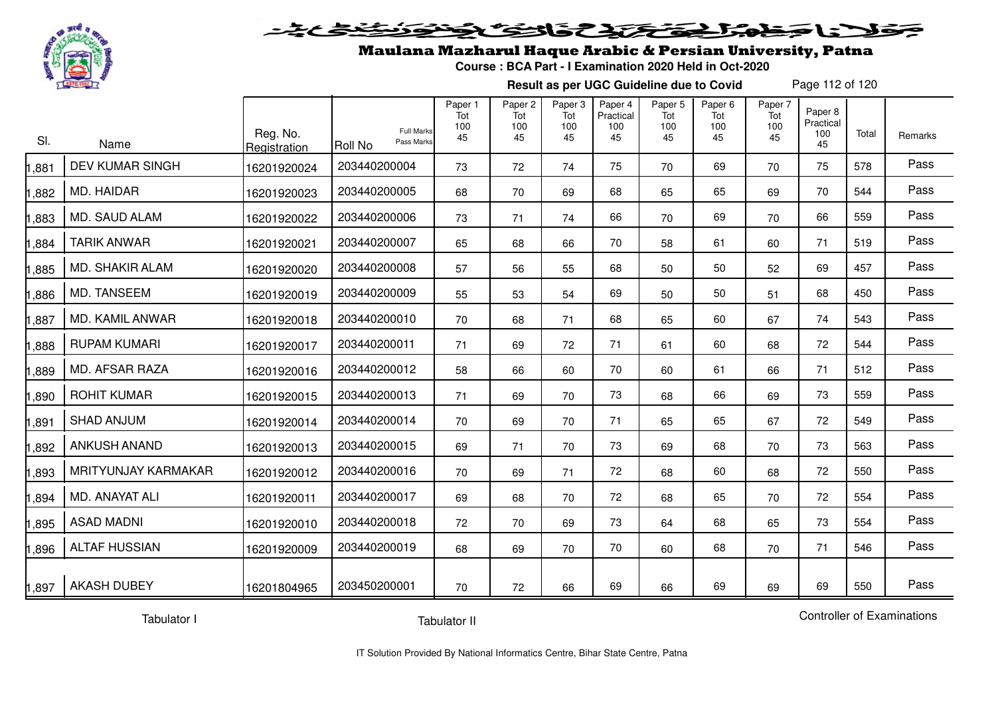

#### 20202222325.0  $\blacktriangleright$   $\blacktriangleright$   $\blacktriangleright$

## Maulana Mazharul Haque Arabic & Persian University, Patna

**Course : BCA Part - I Examination 2020 Held in Oct-2020**

**Result as per UGC Guideline due to Covid**

Page 112 of 120

| SI.   | Name                   | Reg. No.<br>Registration | <b>Full Marks</b><br>Pass Marks<br>IRoll No | Paper 1<br>Tot<br>100<br>45 | Paper <sub>2</sub><br>Tot<br>100<br>45 | Paper 3<br>Tot<br>100<br>45 | Paper 4<br>Practical<br>100<br>45 | Paper 5<br>Tot<br>100<br>45 | Paper <sub>6</sub><br>Tot<br>100<br>45 | Paper 7<br>Tot<br>100<br>45 | Paper 8<br>Practical<br>100<br>45 | Total | Remarks |
|-------|------------------------|--------------------------|---------------------------------------------|-----------------------------|----------------------------------------|-----------------------------|-----------------------------------|-----------------------------|----------------------------------------|-----------------------------|-----------------------------------|-------|---------|
| ,881  | <b>DEV KUMAR SINGH</b> | 16201920024              | 203440200004                                | 73                          | 72                                     | 74                          | 75                                | 70                          | 69                                     | 70                          | 75                                | 578   | Pass    |
| 1,882 | MD. HAIDAR             | 16201920023              | 203440200005                                | 68                          | 70                                     | 69                          | 68                                | 65                          | 65                                     | 69                          | 70                                | 544   | Pass    |
| 1,883 | MD. SAUD ALAM          | 16201920022              | 203440200006                                | 73                          | 71                                     | 74                          | 66                                | 70                          | 69                                     | 70                          | 66                                | 559   | Pass    |
| 1,884 | <b>TARIK ANWAR</b>     | 16201920021              | 203440200007                                | 65                          | 68                                     | 66                          | 70                                | 58                          | 61                                     | 60                          | 71                                | 519   | Pass    |
| 1,885 | <b>MD. SHAKIR ALAM</b> | 16201920020              | 203440200008                                | 57                          | 56                                     | 55                          | 68                                | 50                          | 50                                     | 52                          | 69                                | 457   | Pass    |
| ,886  | MD. TANSEEM            | 16201920019              | 203440200009                                | 55                          | 53                                     | 54                          | 69                                | 50                          | 50                                     | 51                          | 68                                | 450   | Pass    |
| 1,887 | MD. KAMIL ANWAR        | 16201920018              | 203440200010                                | 70                          | 68                                     | 71                          | 68                                | 65                          | 60                                     | 67                          | 74                                | 543   | Pass    |
| 1,888 | <b>RUPAM KUMARI</b>    | 16201920017              | 203440200011                                | 71                          | 69                                     | 72                          | 71                                | 61                          | 60                                     | 68                          | 72                                | 544   | Pass    |
| 1,889 | MD. AFSAR RAZA         | 16201920016              | 203440200012                                | 58                          | 66                                     | 60                          | 70                                | 60                          | 61                                     | 66                          | 71                                | 512   | Pass    |
| 1,890 | <b>ROHIT KUMAR</b>     | 16201920015              | 203440200013                                | 71                          | 69                                     | 70                          | 73                                | 68                          | 66                                     | 69                          | 73                                | 559   | Pass    |
| 1,891 | <b>SHAD ANJUM</b>      | 16201920014              | 203440200014                                | 70                          | 69                                     | 70                          | 71                                | 65                          | 65                                     | 67                          | 72                                | 549   | Pass    |
| 1,892 | <b>ANKUSH ANAND</b>    | 16201920013              | 203440200015                                | 69                          | 71                                     | 70                          | 73                                | 69                          | 68                                     | 70                          | 73                                | 563   | Pass    |
| 1,893 | MRITYUNJAY KARMAKAR    | 16201920012              | 203440200016                                | 70                          | 69                                     | 71                          | 72                                | 68                          | 60                                     | 68                          | 72                                | 550   | Pass    |
| 1,894 | MD. ANAYAT ALI         | 16201920011              | 203440200017                                | 69                          | 68                                     | 70                          | 72                                | 68                          | 65                                     | 70                          | 72                                | 554   | Pass    |
| 1,895 | <b>ASAD MADNI</b>      | 16201920010              | 203440200018                                | 72                          | 70                                     | 69                          | 73                                | 64                          | 68                                     | 65                          | 73                                | 554   | Pass    |
| 1,896 | <b>ALTAF HUSSIAN</b>   | 16201920009              | 203440200019                                | 68                          | 69                                     | 70                          | 70                                | 60                          | 68                                     | 70                          | 71                                | 546   | Pass    |
| 1,897 | <b>AKASH DUBEY</b>     | 16201804965              | 203450200001                                | 70                          | 72                                     | 66                          | 69                                | 66                          | 69                                     | 69                          | 69                                | 550   | Pass    |

Tabulator I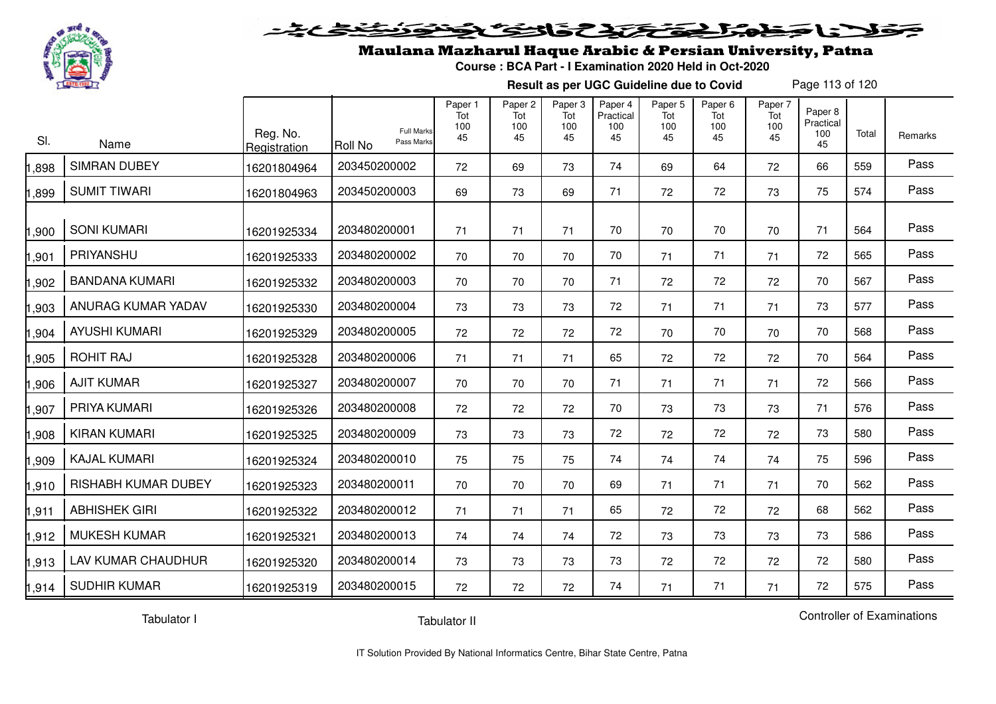

#### 20202222325.0  $\simeq$

## Maulana Mazharul Haque Arabic & Persian University, Patna

**Course : BCA Part - I Examination 2020 Held in Oct-2020**

**Result as per UGC Guideline due to Covid**

Page 113 of 120

| SI.   | Name                       | Reg. No.<br>Registration | <b>Full Marks</b><br>Pass Marks<br>Roll No | Paper 1<br>Tot<br>100<br>45 | Paper <sub>2</sub><br>Tot<br>100<br>45 | Paper 3<br>Tot<br>100<br>45 | Paper 4<br>Practical<br>100<br>45 | Paper 5<br>Tot<br>100<br>45 | Paper <sub>6</sub><br>Tot<br>100<br>45 | Paper 7<br>Tot<br>100<br>45 | Paper 8<br>Practical<br>100<br>45 | Total | Remarks |
|-------|----------------------------|--------------------------|--------------------------------------------|-----------------------------|----------------------------------------|-----------------------------|-----------------------------------|-----------------------------|----------------------------------------|-----------------------------|-----------------------------------|-------|---------|
| ,898  | <b>SIMRAN DUBEY</b>        | 16201804964              | 203450200002                               | 72                          | 69                                     | 73                          | 74                                | 69                          | 64                                     | 72                          | 66                                | 559   | Pass    |
| ,899  | <b>SUMIT TIWARI</b>        | 16201804963              | 203450200003                               | 69                          | 73                                     | 69                          | 71                                | 72                          | 72                                     | 73                          | 75                                | 574   | Pass    |
| 1,900 | <b>SONI KUMARI</b>         | 16201925334              | 203480200001                               | 71                          | 71                                     | 71                          | 70                                | 70                          | 70                                     | 70                          | 71                                | 564   | Pass    |
| 1,901 | PRIYANSHU                  | 16201925333              | 203480200002                               | 70                          | 70                                     | 70                          | 70                                | 71                          | 71                                     | 71                          | 72                                | 565   | Pass    |
| 1,902 | <b>BANDANA KUMARI</b>      | 16201925332              | 203480200003                               | 70                          | 70                                     | 70                          | 71                                | 72                          | 72                                     | 72                          | 70                                | 567   | Pass    |
| 1,903 | ANURAG KUMAR YADAV         | 16201925330              | 203480200004                               | 73                          | 73                                     | 73                          | 72                                | 71                          | 71                                     | 71                          | 73                                | 577   | Pass    |
| 1,904 | <b>AYUSHI KUMARI</b>       | 16201925329              | 203480200005                               | 72                          | 72                                     | 72                          | 72                                | 70                          | 70                                     | 70                          | 70                                | 568   | Pass    |
| 1,905 | <b>ROHIT RAJ</b>           | 16201925328              | 203480200006                               | 71                          | 71                                     | 71                          | 65                                | 72                          | 72                                     | 72                          | 70                                | 564   | Pass    |
| 1,906 | <b>AJIT KUMAR</b>          | 16201925327              | 203480200007                               | 70                          | 70                                     | 70                          | 71                                | 71                          | 71                                     | 71                          | 72                                | 566   | Pass    |
| 1,907 | PRIYA KUMARI               | 16201925326              | 203480200008                               | 72                          | 72                                     | 72                          | 70                                | 73                          | 73                                     | 73                          | 71                                | 576   | Pass    |
| 1,908 | <b>KIRAN KUMARI</b>        | 16201925325              | 203480200009                               | 73                          | 73                                     | 73                          | 72                                | 72                          | 72                                     | 72                          | 73                                | 580   | Pass    |
| 1,909 | <b>KAJAL KUMARI</b>        | 16201925324              | 203480200010                               | 75                          | 75                                     | 75                          | 74                                | 74                          | 74                                     | 74                          | 75                                | 596   | Pass    |
| 1,910 | <b>RISHABH KUMAR DUBEY</b> | 16201925323              | 203480200011                               | 70                          | 70                                     | 70                          | 69                                | 71                          | 71                                     | 71                          | 70                                | 562   | Pass    |
| 1,911 | <b>ABHISHEK GIRI</b>       | 16201925322              | 203480200012                               | 71                          | 71                                     | 71                          | 65                                | 72                          | 72                                     | 72                          | 68                                | 562   | Pass    |
| 1,912 | <b>MUKESH KUMAR</b>        | 16201925321              | 203480200013                               | 74                          | 74                                     | 74                          | 72                                | 73                          | 73                                     | 73                          | 73                                | 586   | Pass    |
| 1,913 | LAV KUMAR CHAUDHUR         | 16201925320              | 203480200014                               | 73                          | 73                                     | 73                          | 73                                | 72                          | 72                                     | 72                          | 72                                | 580   | Pass    |
| 1,914 | <b>SUDHIR KUMAR</b>        | 16201925319              | 203480200015                               | 72                          | 72                                     | 72                          | 74                                | 71                          | 71                                     | 71                          | 72                                | 575   | Pass    |

Tabulator I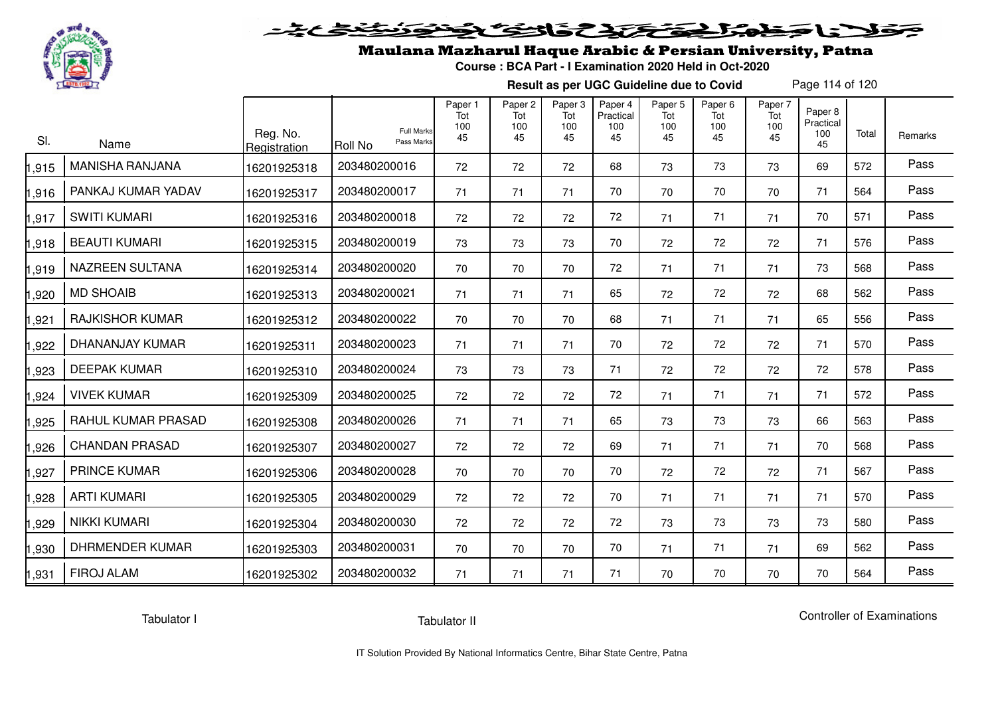

# فلأناخض المتخفض والخفائف

## Maulana Mazharul Haque Arabic & Persian University, Patna

**Course : BCA Part - I Examination 2020 Held in Oct-2020**

**Result as per UGC Guideline due to Covid**

Page 114 of 120

| SI.   | Name                   | Reg. No.<br>Registration | <b>Full Marks</b><br>Pass Marks<br>Roll No | Paper 1<br>Tot<br>100<br>45 | Paper <sub>2</sub><br>Tot<br>100<br>45 | Paper <sub>3</sub><br>Tot<br>100<br>45 | Paper 4<br>Practical<br>100<br>45 | Paper 5<br>Tot<br>100<br>45 | Paper <sub>6</sub><br>Tot<br>100<br>45 | Paper 7<br>Tot<br>100<br>45 | Paper <sub>8</sub><br>Practical<br>100<br>45 | Total | Remarks |
|-------|------------------------|--------------------------|--------------------------------------------|-----------------------------|----------------------------------------|----------------------------------------|-----------------------------------|-----------------------------|----------------------------------------|-----------------------------|----------------------------------------------|-------|---------|
| ,915  | <b>MANISHA RANJANA</b> | 16201925318              | 203480200016                               | 72                          | 72                                     | 72                                     | 68                                | 73                          | 73                                     | 73                          | 69                                           | 572   | Pass    |
| ,916  | PANKAJ KUMAR YADAV     | 16201925317              | 203480200017                               | 71                          | 71                                     | 71                                     | 70                                | 70                          | 70                                     | 70                          | 71                                           | 564   | Pass    |
| ,917  | <b>SWITI KUMARI</b>    | 16201925316              | 203480200018                               | 72                          | 72                                     | 72                                     | 72                                | 71                          | 71                                     | 71                          | 70                                           | 571   | Pass    |
| ,918  | <b>BEAUTI KUMARI</b>   | 16201925315              | 203480200019                               | 73                          | 73                                     | 73                                     | 70                                | 72                          | 72                                     | 72                          | 71                                           | 576   | Pass    |
| ,919  | <b>NAZREEN SULTANA</b> | 16201925314              | 203480200020                               | 70                          | 70                                     | 70                                     | 72                                | 71                          | 71                                     | 71                          | 73                                           | 568   | Pass    |
| ,920  | <b>MD SHOAIB</b>       | 16201925313              | 203480200021                               | 71                          | 71                                     | 71                                     | 65                                | 72                          | 72                                     | 72                          | 68                                           | 562   | Pass    |
| ,921  | <b>RAJKISHOR KUMAR</b> | 16201925312              | 203480200022                               | 70                          | 70                                     | 70                                     | 68                                | 71                          | 71                                     | 71                          | 65                                           | 556   | Pass    |
| ,922  | DHANANJAY KUMAR        | 16201925311              | 203480200023                               | 71                          | 71                                     | 71                                     | 70                                | 72                          | 72                                     | 72                          | 71                                           | 570   | Pass    |
| ,923  | <b>DEEPAK KUMAR</b>    | 16201925310              | 203480200024                               | 73                          | 73                                     | 73                                     | 71                                | 72                          | 72                                     | 72                          | 72                                           | 578   | Pass    |
| ,924  | <b>VIVEK KUMAR</b>     | 16201925309              | 203480200025                               | 72                          | 72                                     | 72                                     | 72                                | 71                          | 71                                     | 71                          | 71                                           | 572   | Pass    |
| ,925  | RAHUL KUMAR PRASAD     | 16201925308              | 203480200026                               | 71                          | 71                                     | 71                                     | 65                                | 73                          | 73                                     | 73                          | 66                                           | 563   | Pass    |
| ,926  | <b>CHANDAN PRASAD</b>  | 16201925307              | 203480200027                               | 72                          | 72                                     | 72                                     | 69                                | 71                          | 71                                     | 71                          | 70                                           | 568   | Pass    |
| ,927  | <b>PRINCE KUMAR</b>    | 16201925306              | 203480200028                               | 70                          | 70                                     | 70                                     | 70                                | 72                          | 72                                     | 72                          | 71                                           | 567   | Pass    |
| ,928  | <b>ARTI KUMARI</b>     | 16201925305              | 203480200029                               | 72                          | 72                                     | 72                                     | 70                                | 71                          | 71                                     | 71                          | 71                                           | 570   | Pass    |
| ,929  | <b>NIKKI KUMARI</b>    | 16201925304              | 203480200030                               | 72                          | 72                                     | 72                                     | 72                                | 73                          | 73                                     | 73                          | 73                                           | 580   | Pass    |
| ,930  | <b>DHRMENDER KUMAR</b> | 16201925303              | 203480200031                               | 70                          | 70                                     | 70                                     | 70                                | 71                          | 71                                     | 71                          | 69                                           | 562   | Pass    |
| 1,931 | <b>FIROJ ALAM</b>      | 16201925302              | 203480200032                               | 71                          | 71                                     | 71                                     | 71                                | 70                          | 70                                     | 70                          | 70                                           | 564   | Pass    |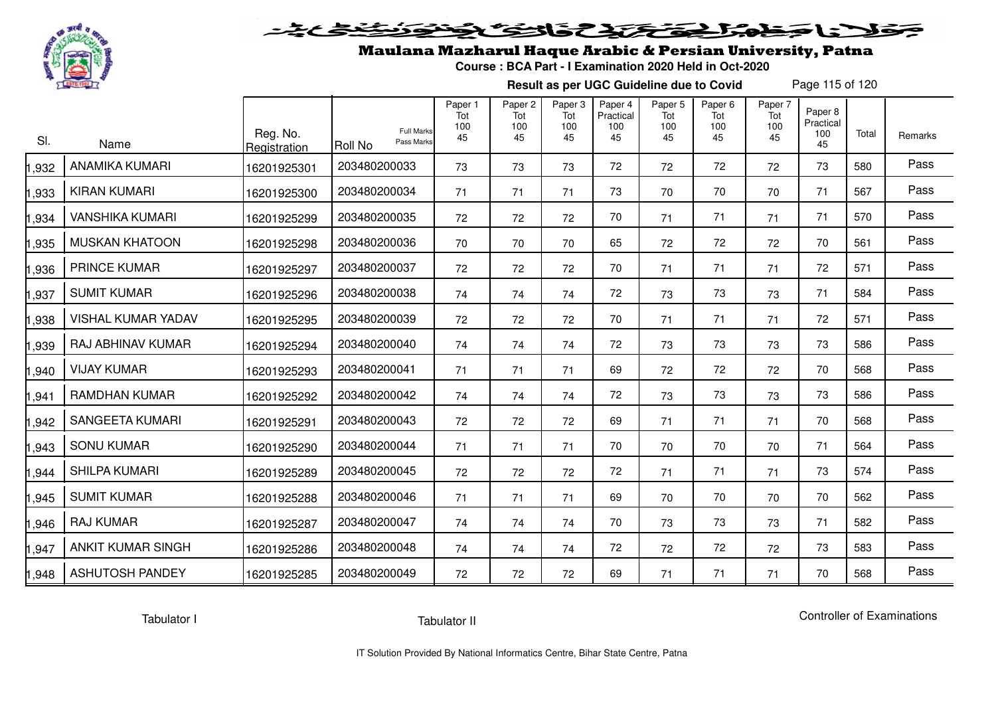

# فلأناخض المتخفض والخفائف

## Maulana Mazharul Haque Arabic & Persian University, Patna

**Course : BCA Part - I Examination 2020 Held in Oct-2020**

**Result as per UGC Guideline due to Covid**

Page 115 of 120

| SI.   | Name                      | Reg. No.<br>Registration | <b>Full Marks</b><br>Pass Marks<br><b>Roll No</b> | Paper 1<br>Tot<br>100<br>45 | Paper <sub>2</sub><br>Tot<br>100<br>45 | Paper 3<br>Tot<br>100<br>45 | Paper 4<br>Practical<br>100<br>45 | Paper 5<br>Tot<br>100<br>45 | Paper <sub>6</sub><br>Tot<br>100<br>45 | Paper 7<br>Tot<br>100<br>45 | Paper 8<br>Practical<br>100<br>45 | Total | Remarks |
|-------|---------------------------|--------------------------|---------------------------------------------------|-----------------------------|----------------------------------------|-----------------------------|-----------------------------------|-----------------------------|----------------------------------------|-----------------------------|-----------------------------------|-------|---------|
| 1,932 | <b>ANAMIKA KUMARI</b>     | 16201925301              | 203480200033                                      | 73                          | 73                                     | 73                          | 72                                | 72                          | 72                                     | 72                          | 73                                | 580   | Pass    |
| 1,933 | <b>KIRAN KUMARI</b>       | 16201925300              | 203480200034                                      | 71                          | 71                                     | 71                          | 73                                | 70                          | 70                                     | 70                          | 71                                | 567   | Pass    |
| 1,934 | <b>VANSHIKA KUMARI</b>    | 16201925299              | 203480200035                                      | 72                          | 72                                     | 72                          | 70                                | 71                          | 71                                     | 71                          | 71                                | 570   | Pass    |
| 1,935 | <b>MUSKAN KHATOON</b>     | 16201925298              | 203480200036                                      | 70                          | 70                                     | 70                          | 65                                | 72                          | 72                                     | 72                          | 70                                | 561   | Pass    |
| 1,936 | <b>PRINCE KUMAR</b>       | 16201925297              | 203480200037                                      | 72                          | 72                                     | 72                          | 70                                | 71                          | 71                                     | 71                          | 72                                | 571   | Pass    |
| 1,937 | <b>SUMIT KUMAR</b>        | 16201925296              | 203480200038                                      | 74                          | 74                                     | 74                          | 72                                | 73                          | 73                                     | 73                          | 71                                | 584   | Pass    |
| 1,938 | <b>VISHAL KUMAR YADAV</b> | 16201925295              | 203480200039                                      | 72                          | 72                                     | 72                          | 70                                | 71                          | 71                                     | 71                          | 72                                | 571   | Pass    |
| 1,939 | RAJ ABHINAV KUMAR         | 16201925294              | 203480200040                                      | 74                          | 74                                     | 74                          | 72                                | 73                          | 73                                     | 73                          | 73                                | 586   | Pass    |
| 1,940 | <b>VIJAY KUMAR</b>        | 16201925293              | 203480200041                                      | 71                          | 71                                     | 71                          | 69                                | 72                          | 72                                     | 72                          | 70                                | 568   | Pass    |
| 1,941 | <b>RAMDHAN KUMAR</b>      | 16201925292              | 203480200042                                      | 74                          | 74                                     | 74                          | 72                                | 73                          | 73                                     | 73                          | 73                                | 586   | Pass    |
| 1,942 | <b>SANGEETA KUMARI</b>    | 16201925291              | 203480200043                                      | 72                          | 72                                     | 72                          | 69                                | 71                          | 71                                     | 71                          | 70                                | 568   | Pass    |
| 1,943 | <b>SONU KUMAR</b>         | 16201925290              | 203480200044                                      | 71                          | 71                                     | 71                          | 70                                | 70                          | 70                                     | 70                          | 71                                | 564   | Pass    |
| 1,944 | <b>SHILPA KUMARI</b>      | 16201925289              | 203480200045                                      | 72                          | 72                                     | 72                          | 72                                | 71                          | 71                                     | 71                          | 73                                | 574   | Pass    |
| 1,945 | <b>SUMIT KUMAR</b>        | 16201925288              | 203480200046                                      | 71                          | 71                                     | 71                          | 69                                | 70                          | 70                                     | 70                          | 70                                | 562   | Pass    |
| 1,946 | <b>RAJ KUMAR</b>          | 16201925287              | 203480200047                                      | 74                          | 74                                     | 74                          | 70                                | 73                          | 73                                     | 73                          | 71                                | 582   | Pass    |
| 1,947 | <b>ANKIT KUMAR SINGH</b>  | 16201925286              | 203480200048                                      | 74                          | 74                                     | 74                          | 72                                | 72                          | 72                                     | 72                          | 73                                | 583   | Pass    |
| 1,948 | <b>ASHUTOSH PANDEY</b>    | 16201925285              | 203480200049                                      | 72                          | 72                                     | 72                          | 69                                | 71                          | 71                                     | 71                          | 70                                | 568   | Pass    |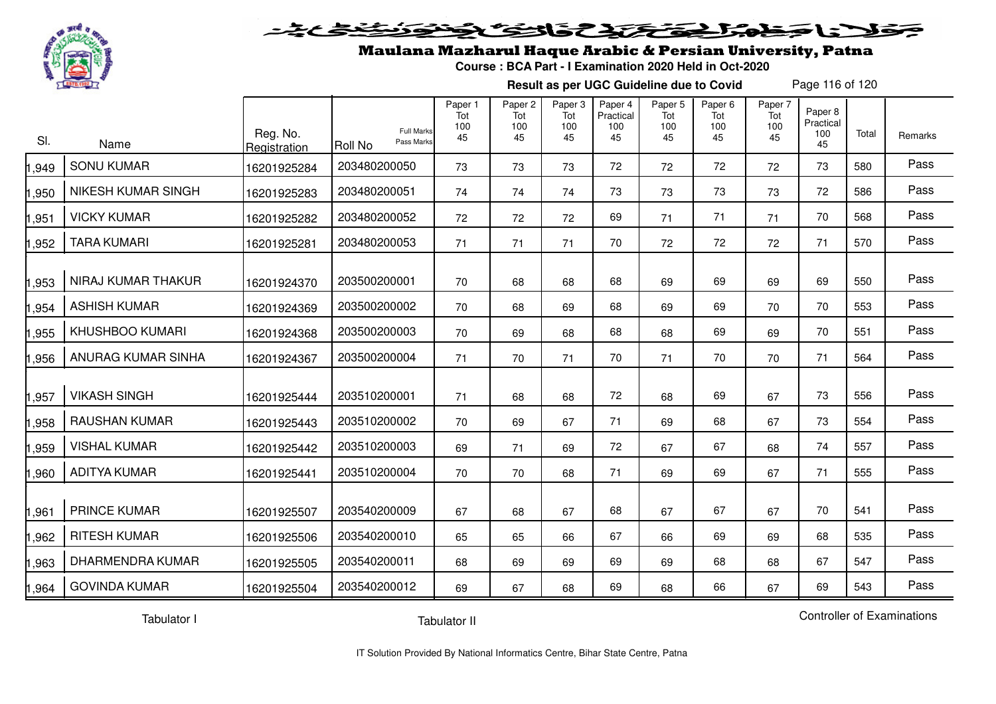

#### <u>التحكيم في الحكاية التي</u>  $\blacktriangleright$  15  $\blacktriangleright$  $\mathbf{L}_{\mathbf{z}}$

## Maulana Mazharul Haque Arabic & Persian University, Patna

**Course : BCA Part - I Examination 2020 Held in Oct-2020**

**Result as per UGC Guideline due to Covid**

Page 116 of 120

| SI.   | Name                      | Reg. No.<br>Registration | <b>Full Marks</b><br>Pass Marks<br>Roll No | Paper 1<br>Tot<br>100<br>45 | Paper 2<br>Tot<br>100<br>45 | Paper 3<br>Tot<br>100<br>45 | Paper 4<br>Practical<br>100<br>45 | Paper 5<br>Tot<br>100<br>45 | Paper 6<br>Tot<br>100<br>45 | Paper 7<br>Tot<br>100<br>45 | Paper 8<br>Practical<br>100<br>45 | Total | Remarks |
|-------|---------------------------|--------------------------|--------------------------------------------|-----------------------------|-----------------------------|-----------------------------|-----------------------------------|-----------------------------|-----------------------------|-----------------------------|-----------------------------------|-------|---------|
| 1,949 | <b>SONU KUMAR</b>         | 16201925284              | 203480200050                               | 73                          | 73                          | 73                          | 72                                | 72                          | 72                          | 72                          | 73                                | 580   | Pass    |
| 1,950 | <b>NIKESH KUMAR SINGH</b> | 16201925283              | 203480200051                               | 74                          | 74                          | 74                          | 73                                | 73                          | 73                          | 73                          | 72                                | 586   | Pass    |
| 1,951 | <b>VICKY KUMAR</b>        | 16201925282              | 203480200052                               | 72                          | 72                          | 72                          | 69                                | 71                          | 71                          | 71                          | 70                                | 568   | Pass    |
| 1,952 | <b>TARA KUMARI</b>        | 16201925281              | 203480200053                               | 71                          | 71                          | 71                          | 70                                | 72                          | 72                          | 72                          | 71                                | 570   | Pass    |
| 1,953 | NIRAJ KUMAR THAKUR        | 16201924370              | 203500200001                               | 70                          | 68                          | 68                          | 68                                | 69                          | 69                          | 69                          | 69                                | 550   | Pass    |
| 1,954 | <b>ASHISH KUMAR</b>       | 16201924369              | 203500200002                               | 70                          | 68                          | 69                          | 68                                | 69                          | 69                          | 70                          | 70                                | 553   | Pass    |
| 1,955 | <b>KHUSHBOO KUMARI</b>    | 16201924368              | 203500200003                               | 70                          | 69                          | 68                          | 68                                | 68                          | 69                          | 69                          | 70                                | 551   | Pass    |
| 1,956 | ANURAG KUMAR SINHA        | 16201924367              | 203500200004                               | 71                          | 70                          | 71                          | 70                                | 71                          | 70                          | 70                          | 71                                | 564   | Pass    |
| 1,957 | <b>VIKASH SINGH</b>       | 16201925444              | 203510200001                               | 71                          | 68                          | 68                          | 72                                | 68                          | 69                          | 67                          | 73                                | 556   | Pass    |
| 1,958 | <b>RAUSHAN KUMAR</b>      | 16201925443              | 203510200002                               | 70                          | 69                          | 67                          | 71                                | 69                          | 68                          | 67                          | 73                                | 554   | Pass    |
| 1,959 | <b>VISHAL KUMAR</b>       | 16201925442              | 203510200003                               | 69                          | 71                          | 69                          | 72                                | 67                          | 67                          | 68                          | 74                                | 557   | Pass    |
| 1,960 | <b>ADITYA KUMAR</b>       | 16201925441              | 203510200004                               | 70                          | 70                          | 68                          | 71                                | 69                          | 69                          | 67                          | 71                                | 555   | Pass    |
| 1,961 | <b>PRINCE KUMAR</b>       | 16201925507              | 203540200009                               | 67                          | 68                          | 67                          | 68                                | 67                          | 67                          | 67                          | 70                                | 541   | Pass    |
| 1,962 | <b>RITESH KUMAR</b>       | 16201925506              | 203540200010                               | 65                          | 65                          | 66                          | 67                                | 66                          | 69                          | 69                          | 68                                | 535   | Pass    |
| 1,963 | DHARMENDRA KUMAR          | 16201925505              | 203540200011                               | 68                          | 69                          | 69                          | 69                                | 69                          | 68                          | 68                          | 67                                | 547   | Pass    |
| 1,964 | <b>GOVINDA KUMAR</b>      | 16201925504              | 203540200012                               | 69                          | 67                          | 68                          | 69                                | 68                          | 66                          | 67                          | 69                                | 543   | Pass    |

Tabulator I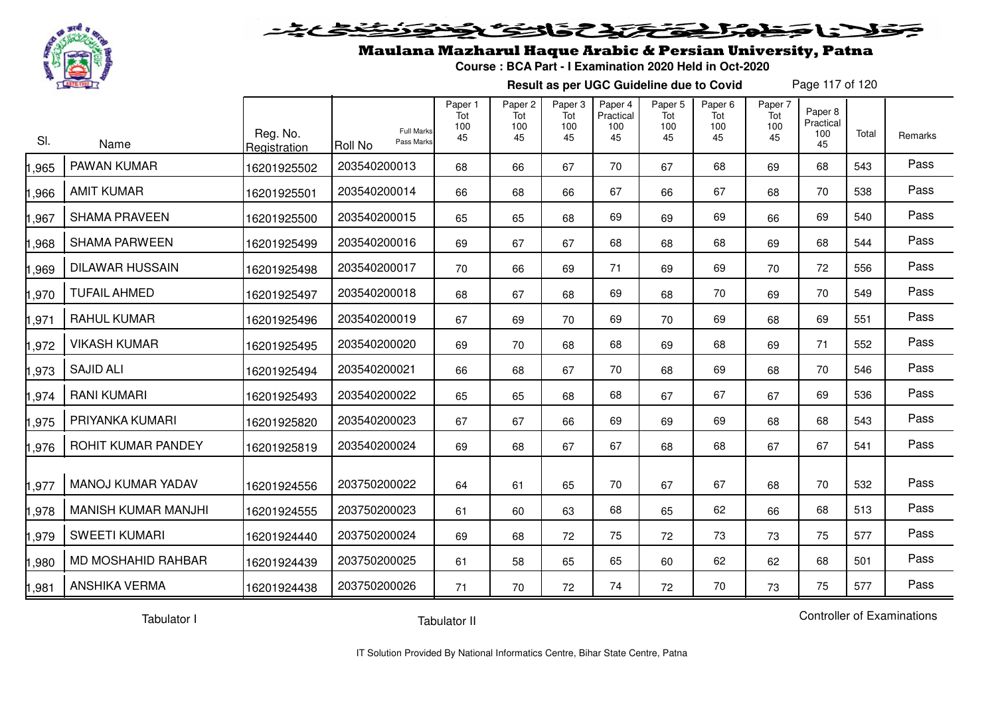

# فلانا حظمتك تحتك والتكاثر

## Maulana Mazharul Haque Arabic & Persian University, Patna

**Course : BCA Part - I Examination 2020 Held in Oct-2020**

**Result as per UGC Guideline due to Covid**

Page 117 of 120

| SI.   | Name                       | Reg. No.<br>Registration | <b>Roll No</b> | <b>Full Marks</b><br>Pass Marks | Paper 1<br>Tot<br>100<br>45 | Paper <sub>2</sub><br>Tot<br>100<br>45 | Paper 3<br>Tot<br>100<br>45 | Paper 4<br>Practical<br>100<br>45 | Paper <sub>5</sub><br>Tot<br>100<br>45 | Paper <sub>6</sub><br>Tot<br>100<br>45 | Paper 7<br>Tot<br>100<br>45 | Paper 8<br>Practical<br>100<br>45 | Total | Remarks |
|-------|----------------------------|--------------------------|----------------|---------------------------------|-----------------------------|----------------------------------------|-----------------------------|-----------------------------------|----------------------------------------|----------------------------------------|-----------------------------|-----------------------------------|-------|---------|
| ,965  | PAWAN KUMAR                | 16201925502              | 203540200013   |                                 | 68                          | 66                                     | 67                          | 70                                | 67                                     | 68                                     | 69                          | 68                                | 543   | Pass    |
| ,966  | <b>AMIT KUMAR</b>          | 16201925501              | 203540200014   |                                 | 66                          | 68                                     | 66                          | 67                                | 66                                     | 67                                     | 68                          | 70                                | 538   | Pass    |
| ,967  | <b>SHAMA PRAVEEN</b>       | 16201925500              | 203540200015   |                                 | 65                          | 65                                     | 68                          | 69                                | 69                                     | 69                                     | 66                          | 69                                | 540   | Pass    |
| ,968  | <b>SHAMA PARWEEN</b>       | 16201925499              | 203540200016   |                                 | 69                          | 67                                     | 67                          | 68                                | 68                                     | 68                                     | 69                          | 68                                | 544   | Pass    |
| ,969  | <b>DILAWAR HUSSAIN</b>     | 16201925498              | 203540200017   |                                 | 70                          | 66                                     | 69                          | 71                                | 69                                     | 69                                     | 70                          | 72                                | 556   | Pass    |
| ,970  | <b>TUFAIL AHMED</b>        | 16201925497              | 203540200018   |                                 | 68                          | 67                                     | 68                          | 69                                | 68                                     | 70                                     | 69                          | 70                                | 549   | Pass    |
| ,971  | <b>RAHUL KUMAR</b>         | 16201925496              | 203540200019   |                                 | 67                          | 69                                     | 70                          | 69                                | 70                                     | 69                                     | 68                          | 69                                | 551   | Pass    |
| ,972  | <b>VIKASH KUMAR</b>        | 16201925495              | 203540200020   |                                 | 69                          | 70                                     | 68                          | 68                                | 69                                     | 68                                     | 69                          | 71                                | 552   | Pass    |
| ,973  | <b>SAJID ALI</b>           | 16201925494              | 203540200021   |                                 | 66                          | 68                                     | 67                          | 70                                | 68                                     | 69                                     | 68                          | 70                                | 546   | Pass    |
| ,974  | <b>RANI KUMARI</b>         | 16201925493              | 203540200022   |                                 | 65                          | 65                                     | 68                          | 68                                | 67                                     | 67                                     | 67                          | 69                                | 536   | Pass    |
| ,975  | PRIYANKA KUMARI            | 16201925820              | 203540200023   |                                 | 67                          | 67                                     | 66                          | 69                                | 69                                     | 69                                     | 68                          | 68                                | 543   | Pass    |
| ,976  | ROHIT KUMAR PANDEY         | 16201925819              | 203540200024   |                                 | 69                          | 68                                     | 67                          | 67                                | 68                                     | 68                                     | 67                          | 67                                | 541   | Pass    |
| ,977  | <b>MANOJ KUMAR YADAV</b>   | 16201924556              | 203750200022   |                                 | 64                          | 61                                     | 65                          | 70                                | 67                                     | 67                                     | 68                          | 70                                | 532   | Pass    |
| ,978  | <b>MANISH KUMAR MANJHI</b> | 16201924555              | 203750200023   |                                 | 61                          | 60                                     | 63                          | 68                                | 65                                     | 62                                     | 66                          | 68                                | 513   | Pass    |
| ,979  | <b>SWEETI KUMARI</b>       | 16201924440              | 203750200024   |                                 | 69                          | 68                                     | 72                          | 75                                | 72                                     | 73                                     | 73                          | 75                                | 577   | Pass    |
| ,980  | MD MOSHAHID RAHBAR         | 16201924439              | 203750200025   |                                 | 61                          | 58                                     | 65                          | 65                                | 60                                     | 62                                     | 62                          | 68                                | 501   | Pass    |
| 1,981 | <b>ANSHIKA VERMA</b>       | 16201924438              | 203750200026   |                                 | 71                          | 70                                     | 72                          | 74                                | 72                                     | 70                                     | 73                          | 75                                | 577   | Pass    |

Tabulator I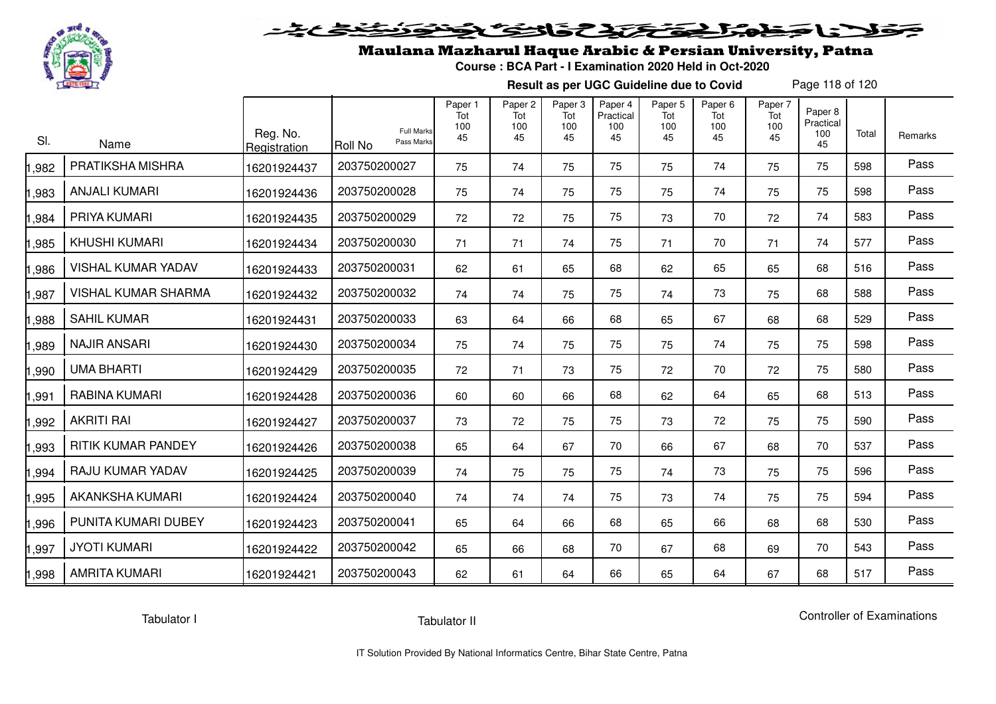

# فلأناخض المتخفض والخفائف

## Maulana Mazharul Haque Arabic & Persian University, Patna

**Course : BCA Part - I Examination 2020 Held in Oct-2020**

**Result as per UGC Guideline due to Covid**

Page 118 of 120

| SI.   | Name                       | Reg. No.<br>Registration | <b>Full Marks</b><br>Pass Marks<br><b>Roll No</b> | Paper 1<br>Tot<br>100<br>45 | Paper <sub>2</sub><br>Tot<br>100<br>45 | Paper <sub>3</sub><br>Tot<br>100<br>45 | Paper 4<br>Practical<br>100<br>45 | Paper 5<br>Tot<br>100<br>45 | Paper <sub>6</sub><br>Tot<br>100<br>45 | Paper 7<br>Tot<br>100<br>45 | Paper 8<br>Practical<br>100<br>45 | Total | Remarks |
|-------|----------------------------|--------------------------|---------------------------------------------------|-----------------------------|----------------------------------------|----------------------------------------|-----------------------------------|-----------------------------|----------------------------------------|-----------------------------|-----------------------------------|-------|---------|
| ,982  | PRATIKSHA MISHRA           | 16201924437              | 203750200027                                      | 75                          | 74                                     | 75                                     | 75                                | 75                          | 74                                     | 75                          | 75                                | 598   | Pass    |
| ,983  | <b>ANJALI KUMARI</b>       | 16201924436              | 203750200028                                      | 75                          | 74                                     | 75                                     | 75                                | 75                          | 74                                     | 75                          | 75                                | 598   | Pass    |
| ,984  | PRIYA KUMARI               | 16201924435              | 203750200029                                      | 72                          | 72                                     | 75                                     | 75                                | 73                          | 70                                     | 72                          | 74                                | 583   | Pass    |
| ,985  | <b>KHUSHI KUMARI</b>       | 16201924434              | 203750200030                                      | 71                          | 71                                     | 74                                     | 75                                | 71                          | 70                                     | 71                          | 74                                | 577   | Pass    |
| ,986  | <b>VISHAL KUMAR YADAV</b>  | 16201924433              | 203750200031                                      | 62                          | 61                                     | 65                                     | 68                                | 62                          | 65                                     | 65                          | 68                                | 516   | Pass    |
| ,987  | <b>VISHAL KUMAR SHARMA</b> | 16201924432              | 203750200032                                      | 74                          | 74                                     | 75                                     | 75                                | 74                          | 73                                     | 75                          | 68                                | 588   | Pass    |
| ,988  | <b>SAHIL KUMAR</b>         | 16201924431              | 203750200033                                      | 63                          | 64                                     | 66                                     | 68                                | 65                          | 67                                     | 68                          | 68                                | 529   | Pass    |
| ,989  | <b>NAJIR ANSARI</b>        | 16201924430              | 203750200034                                      | 75                          | 74                                     | 75                                     | 75                                | 75                          | 74                                     | 75                          | 75                                | 598   | Pass    |
| ,990  | <b>UMA BHARTI</b>          | 16201924429              | 203750200035                                      | 72                          | 71                                     | 73                                     | 75                                | 72                          | 70                                     | 72                          | 75                                | 580   | Pass    |
| ,991  | RABINA KUMARI              | 16201924428              | 203750200036                                      | 60                          | 60                                     | 66                                     | 68                                | 62                          | 64                                     | 65                          | 68                                | 513   | Pass    |
| ,992  | <b>AKRITI RAI</b>          | 16201924427              | 203750200037                                      | 73                          | 72                                     | 75                                     | 75                                | 73                          | 72                                     | 75                          | 75                                | 590   | Pass    |
| ,993  | <b>RITIK KUMAR PANDEY</b>  | 16201924426              | 203750200038                                      | 65                          | 64                                     | 67                                     | 70                                | 66                          | 67                                     | 68                          | 70                                | 537   | Pass    |
| ,994  | RAJU KUMAR YADAV           | 16201924425              | 203750200039                                      | 74                          | 75                                     | 75                                     | 75                                | 74                          | 73                                     | 75                          | 75                                | 596   | Pass    |
| .995  | <b>AKANKSHA KUMARI</b>     | 16201924424              | 203750200040                                      | 74                          | 74                                     | 74                                     | 75                                | 73                          | 74                                     | 75                          | 75                                | 594   | Pass    |
| ,996  | PUNITA KUMARI DUBEY        | 16201924423              | 203750200041                                      | 65                          | 64                                     | 66                                     | 68                                | 65                          | 66                                     | 68                          | 68                                | 530   | Pass    |
| ,997  | <b>JYOTI KUMARI</b>        | 16201924422              | 203750200042                                      | 65                          | 66                                     | 68                                     | 70                                | 67                          | 68                                     | 69                          | 70                                | 543   | Pass    |
| 1,998 | <b>AMRITA KUMARI</b>       | 16201924421              | 203750200043                                      | 62                          | 61                                     | 64                                     | 66                                | 65                          | 64                                     | 67                          | 68                                | 517   | Pass    |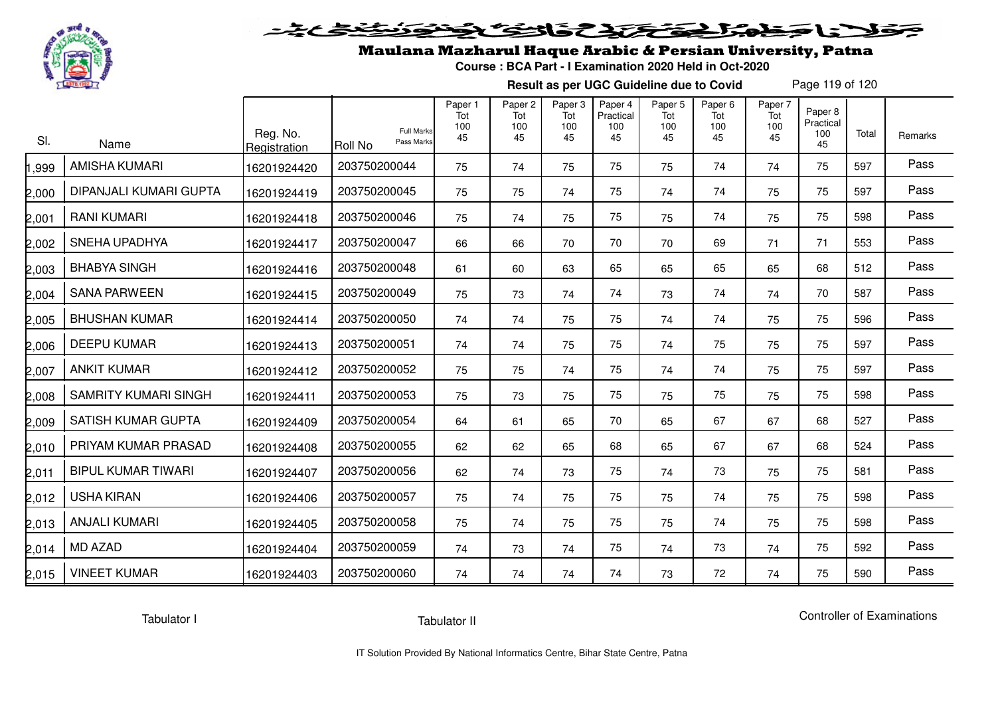

#### 2020 2020 2020 **SELENE**

## Maulana Mazharul Haque Arabic & Persian University, Patna

**Course : BCA Part - I Examination 2020 Held in Oct-2020**

**Result as per UGC Guideline due to Covid**

Page 119 of 120

| SI.   | Name                        | Reg. No.<br>Registration | <b>Full Marks</b><br>Pass Marks<br><b>Roll No</b> | Paper 1<br>Tot<br>100<br>45 | Paper <sub>2</sub><br>Tot<br>100<br>45 | Paper <sub>3</sub><br>Tot<br>100<br>45 | Paper 4<br>Practical<br>100<br>45 | Paper <sub>5</sub><br>Tot<br>100<br>45 | Paper <sub>6</sub><br>Tot<br>100<br>45 | Paper 7<br>Tot<br>100<br>45 | Paper 8<br>Practical<br>100<br>45 | Total | Remarks |
|-------|-----------------------------|--------------------------|---------------------------------------------------|-----------------------------|----------------------------------------|----------------------------------------|-----------------------------------|----------------------------------------|----------------------------------------|-----------------------------|-----------------------------------|-------|---------|
| ,999  | <b>AMISHA KUMARI</b>        | 16201924420              | 203750200044                                      | 75                          | 74                                     | 75                                     | 75                                | 75                                     | 74                                     | 74                          | 75                                | 597   | Pass    |
| 2,000 | DIPANJALI KUMARI GUPTA      | 16201924419              | 203750200045                                      | 75                          | 75                                     | 74                                     | 75                                | 74                                     | 74                                     | 75                          | 75                                | 597   | Pass    |
| 2,001 | <b>RANI KUMARI</b>          | 16201924418              | 203750200046                                      | 75                          | 74                                     | 75                                     | 75                                | 75                                     | 74                                     | 75                          | 75                                | 598   | Pass    |
| 2,002 | <b>SNEHA UPADHYA</b>        | 16201924417              | 203750200047                                      | 66                          | 66                                     | 70                                     | 70                                | 70                                     | 69                                     | 71                          | 71                                | 553   | Pass    |
| 2,003 | <b>BHABYA SINGH</b>         | 16201924416              | 203750200048                                      | 61                          | 60                                     | 63                                     | 65                                | 65                                     | 65                                     | 65                          | 68                                | 512   | Pass    |
| 2,004 | <b>SANA PARWEEN</b>         | 16201924415              | 203750200049                                      | 75                          | 73                                     | 74                                     | 74                                | 73                                     | 74                                     | 74                          | 70                                | 587   | Pass    |
| 2,005 | <b>BHUSHAN KUMAR</b>        | 16201924414              | 203750200050                                      | 74                          | 74                                     | 75                                     | 75                                | 74                                     | 74                                     | 75                          | 75                                | 596   | Pass    |
| 2,006 | <b>DEEPU KUMAR</b>          | 16201924413              | 203750200051                                      | 74                          | 74                                     | 75                                     | 75                                | 74                                     | 75                                     | 75                          | 75                                | 597   | Pass    |
| 2,007 | <b>ANKIT KUMAR</b>          | 16201924412              | 203750200052                                      | 75                          | 75                                     | 74                                     | 75                                | 74                                     | 74                                     | 75                          | 75                                | 597   | Pass    |
| 2,008 | <b>SAMRITY KUMARI SINGH</b> | 16201924411              | 203750200053                                      | 75                          | 73                                     | 75                                     | 75                                | 75                                     | 75                                     | 75                          | 75                                | 598   | Pass    |
| 2,009 | SATISH KUMAR GUPTA          | 16201924409              | 203750200054                                      | 64                          | 61                                     | 65                                     | 70                                | 65                                     | 67                                     | 67                          | 68                                | 527   | Pass    |
| 2,010 | PRIYAM KUMAR PRASAD         | 16201924408              | 203750200055                                      | 62                          | 62                                     | 65                                     | 68                                | 65                                     | 67                                     | 67                          | 68                                | 524   | Pass    |
| 2,011 | <b>BIPUL KUMAR TIWARI</b>   | 16201924407              | 203750200056                                      | 62                          | 74                                     | 73                                     | 75                                | 74                                     | 73                                     | 75                          | 75                                | 581   | Pass    |
| 2,012 | <b>USHA KIRAN</b>           | 16201924406              | 203750200057                                      | 75                          | 74                                     | 75                                     | 75                                | 75                                     | 74                                     | 75                          | 75                                | 598   | Pass    |
| 2,013 | <b>ANJALI KUMARI</b>        | 16201924405              | 203750200058                                      | 75                          | 74                                     | 75                                     | 75                                | 75                                     | 74                                     | 75                          | 75                                | 598   | Pass    |
| 2,014 | <b>MD AZAD</b>              | 16201924404              | 203750200059                                      | 74                          | 73                                     | 74                                     | 75                                | 74                                     | 73                                     | 74                          | 75                                | 592   | Pass    |
| 2,015 | <b>VINEET KUMAR</b>         | 16201924403              | 203750200060                                      | 74                          | 74                                     | 74                                     | 74                                | 73                                     | 72                                     | 74                          | 75                                | 590   | Pass    |